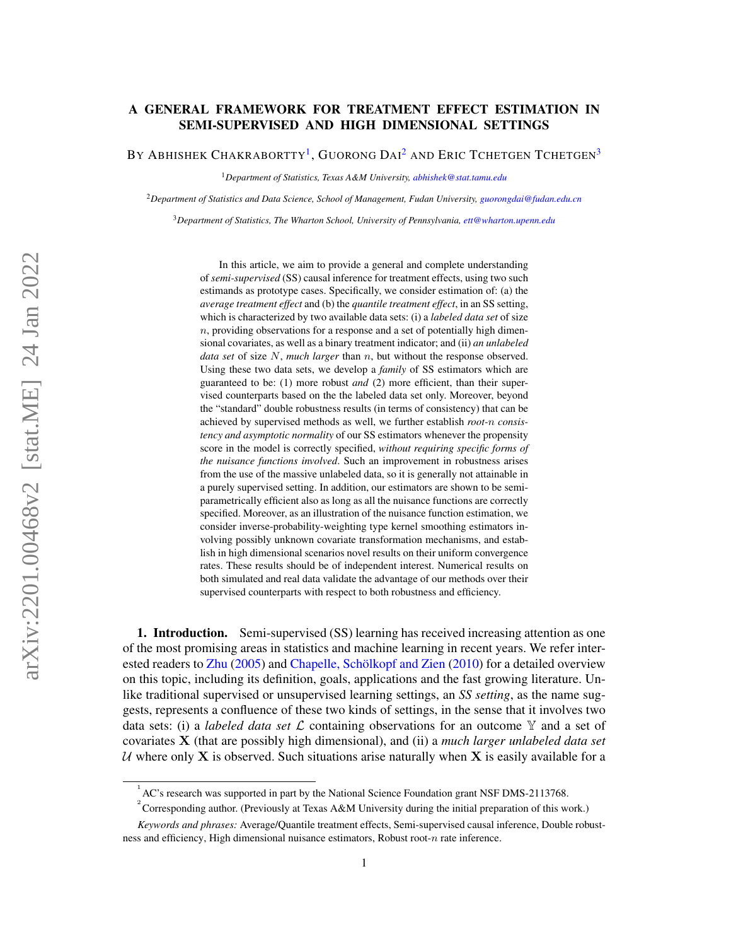# A GENERAL FRAMEWORK FOR TREATMENT EFFECT ESTIMATION IN SEMI-SUPERVISED AND HIGH DIMENSIONAL SETTINGS

BY ABHISHEK CHAKRABORTTY<sup>[1](#page-0-0)</sup>, GUORONG DAI<sup>[2](#page-0-1)</sup> and Eric Tchetgen Tchetgen<sup>[3](#page-0-2)</sup>

<span id="page-0-0"></span><sup>1</sup>*Department of Statistics, Texas A&M University, [abhishek@stat.tamu.edu](mailto:abhishek@stat.tamu.edu)*

<span id="page-0-1"></span><sup>2</sup>*Department of Statistics and Data Science, School of Management, Fudan University, [guorongdai@fudan.edu.cn](mailto:guorongdai@fudan.edu.cn)*

<span id="page-0-2"></span><sup>3</sup>*Department of Statistics, The Wharton School, University of Pennsylvania, [ett@wharton.upenn.edu](mailto:ett@wharton.upenn.edu)*

In this article, we aim to provide a general and complete understanding of *semi-supervised* (SS) causal inference for treatment effects, using two such estimands as prototype cases. Specifically, we consider estimation of: (a) the *average treatment effect* and (b) the *quantile treatment effect*, in an SS setting, which is characterized by two available data sets: (i) a *labeled data set* of size  $n$ , providing observations for a response and a set of potentially high dimensional covariates, as well as a binary treatment indicator; and (ii) *an unlabeled data set* of size N, *much larger* than n, but without the response observed. Using these two data sets, we develop a *family* of SS estimators which are guaranteed to be: (1) more robust *and* (2) more efficient, than their supervised counterparts based on the the labeled data set only. Moreover, beyond the "standard" double robustness results (in terms of consistency) that can be achieved by supervised methods as well, we further establish *root-*n *consistency and asymptotic normality* of our SS estimators whenever the propensity score in the model is correctly specified, *without requiring specific forms of the nuisance functions involved*. Such an improvement in robustness arises from the use of the massive unlabeled data, so it is generally not attainable in a purely supervised setting. In addition, our estimators are shown to be semiparametrically efficient also as long as all the nuisance functions are correctly specified. Moreover, as an illustration of the nuisance function estimation, we consider inverse-probability-weighting type kernel smoothing estimators involving possibly unknown covariate transformation mechanisms, and establish in high dimensional scenarios novel results on their uniform convergence rates. These results should be of independent interest. Numerical results on both simulated and real data validate the advantage of our methods over their supervised counterparts with respect to both robustness and efficiency.

1. Introduction. Semi-supervised (SS) learning has received increasing attention as one of the most promising areas in statistics and machine learning in recent years. We refer interested readers to [Zhu](#page-58-0) [\(2005\)](#page-58-0) and [Chapelle, Schölkopf and Zien](#page-56-0) [\(2010\)](#page-56-0) for a detailed overview on this topic, including its definition, goals, applications and the fast growing literature. Unlike traditional supervised or unsupervised learning settings, an *SS setting*, as the name suggests, represents a confluence of these two kinds of settings, in the sense that it involves two data sets: (i) a *labeled data set*  $\mathcal L$  containing observations for an outcome  $\mathbb Y$  and a set of covariates X (that are possibly high dimensional), and (ii) a *much larger unlabeled data set* U where only X is observed. Such situations arise naturally when X is easily available for a

 $^{1}$  AC's research was supported in part by the National Science Foundation grant NSF DMS-2113768.

<sup>&</sup>lt;sup>2</sup> Corresponding author. (Previously at Texas A&M University during the initial preparation of this work.)

*Keywords and phrases:* Average/Quantile treatment effects, Semi-supervised causal inference, Double robustness and efficiency, High dimensional nuisance estimators, Robust root- $n$  rate inference.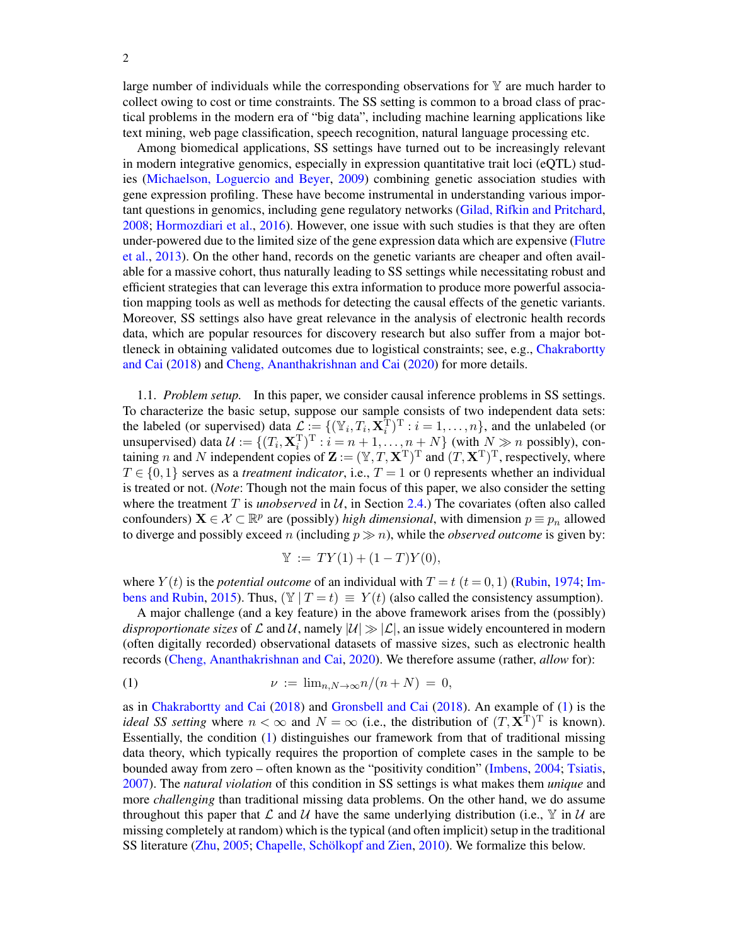large number of individuals while the corresponding observations for  $\mathbb Y$  are much harder to collect owing to cost or time constraints. The SS setting is common to a broad class of practical problems in the modern era of "big data", including machine learning applications like text mining, web page classification, speech recognition, natural language processing etc.

Among biomedical applications, SS settings have turned out to be increasingly relevant in modern integrative genomics, especially in expression quantitative trait loci (eQTL) studies [\(Michaelson, Loguercio and Beyer,](#page-57-0) [2009\)](#page-57-0) combining genetic association studies with gene expression profiling. These have become instrumental in understanding various important questions in genomics, including gene regulatory networks [\(Gilad, Rifkin and Pritchard,](#page-56-1) [2008;](#page-56-1) [Hormozdiari et al.,](#page-56-2) [2016\)](#page-56-2). However, one issue with such studies is that they are often under-powered due to the limited size of the gene expression data which are expensive [\(Flutre](#page-56-3) [et al.,](#page-56-3) [2013\)](#page-56-3). On the other hand, records on the genetic variants are cheaper and often available for a massive cohort, thus naturally leading to SS settings while necessitating robust and efficient strategies that can leverage this extra information to produce more powerful association mapping tools as well as methods for detecting the causal effects of the genetic variants. Moreover, SS settings also have great relevance in the analysis of electronic health records data, which are popular resources for discovery research but also suffer from a major bottleneck in obtaining validated outcomes due to logistical constraints; see, e.g., [Chakrabortty](#page-56-4) [and Cai](#page-56-4) [\(2018\)](#page-56-4) and [Cheng, Ananthakrishnan and Cai](#page-56-5) [\(2020\)](#page-56-5) for more details.

<span id="page-1-1"></span>1.1. *Problem setup.* In this paper, we consider causal inference problems in SS settings. To characterize the basic setup, suppose our sample consists of two independent data sets: the labeled (or supervised) data  $\mathcal{L} := \{(\mathbb{Y}_i, T_i, \mathbf{X}_i^{\mathrm{T}})^{\mathrm{T}} : i = 1, \ldots, n\}$ , and the unlabeled (or unsupervised) data  $\mathcal{U} := \{ (T_i, \mathbf{X}_i^T)^T : i = n+1, \dots, n+N \}$  (with  $N \gg n$  possibly), containing n and N independent copies of  $\mathbf{Z} := (\mathbb{Y}, T, \mathbf{X}^T)^T$  and  $(T, \mathbf{X}^T)^T$ , respectively, where  $T \in \{0, 1\}$  serves as a *treatment indicator*, i.e.,  $T = 1$  or 0 represents whether an individual is treated or not. (*Note*: Though not the main focus of this paper, we also consider the setting where the treatment  $T$  is *unobserved* in  $U$ , in Section [2.4.](#page-11-0)) The covariates (often also called confounders)  $\mathbf{X} \in \mathcal{X} \subset \mathbb{R}^p$  are (possibly) *high dimensional*, with dimension  $p \equiv p_n$  allowed to diverge and possibly exceed *n* (including  $p \gg n$ ), while the *observed outcome* is given by:

<span id="page-1-0"></span>
$$
\mathbb{Y} := TY(1) + (1 - T)Y(0),
$$

where  $Y(t)$  is the *potential outcome* of an individual with  $T = t$  ( $t = 0, 1$ ) [\(Rubin,](#page-57-1) [1974;](#page-57-1) [Im](#page-56-6)[bens and Rubin,](#page-56-6) [2015\)](#page-56-6). Thus,  $(\mathbb{Y} | T = t) \equiv Y(t)$  (also called the consistency assumption).

A major challenge (and a key feature) in the above framework arises from the (possibly) *disproportionate sizes* of  $\mathcal L$  and  $\mathcal U$ , namely  $|\mathcal U| \gg |\mathcal L|$ , an issue widely encountered in modern (often digitally recorded) observational datasets of massive sizes, such as electronic health records [\(Cheng, Ananthakrishnan and Cai,](#page-56-5) [2020\)](#page-56-5). We therefore assume (rather, *allow* for):

$$
\nu := \lim_{n,N \to \infty} n/(n+N) = 0,
$$

as in [Chakrabortty and Cai](#page-56-4) [\(2018\)](#page-56-4) and [Gronsbell and Cai](#page-56-7) [\(2018\)](#page-56-7). An example of [\(1\)](#page-1-0) is the *ideal SS setting* where  $n < \infty$  and  $N = \infty$  (i.e., the distribution of  $(T, \mathbf{X}^T)^T$  is known). Essentially, the condition [\(1\)](#page-1-0) distinguishes our framework from that of traditional missing data theory, which typically requires the proportion of complete cases in the sample to be bounded away from zero – often known as the "positivity condition" [\(Imbens,](#page-56-8) [2004;](#page-56-8) [Tsiatis,](#page-57-2) [2007\)](#page-57-2). The *natural violation* of this condition in SS settings is what makes them *unique* and more *challenging* than traditional missing data problems. On the other hand, we do assume throughout this paper that L and U have the same underlying distribution (i.e.,  $\mathbb{Y}$  in U are missing completely at random) which is the typical (and often implicit) setup in the traditional SS literature [\(Zhu,](#page-58-0) [2005;](#page-58-0) [Chapelle, Schölkopf and Zien,](#page-56-0) [2010\)](#page-56-0). We formalize this below.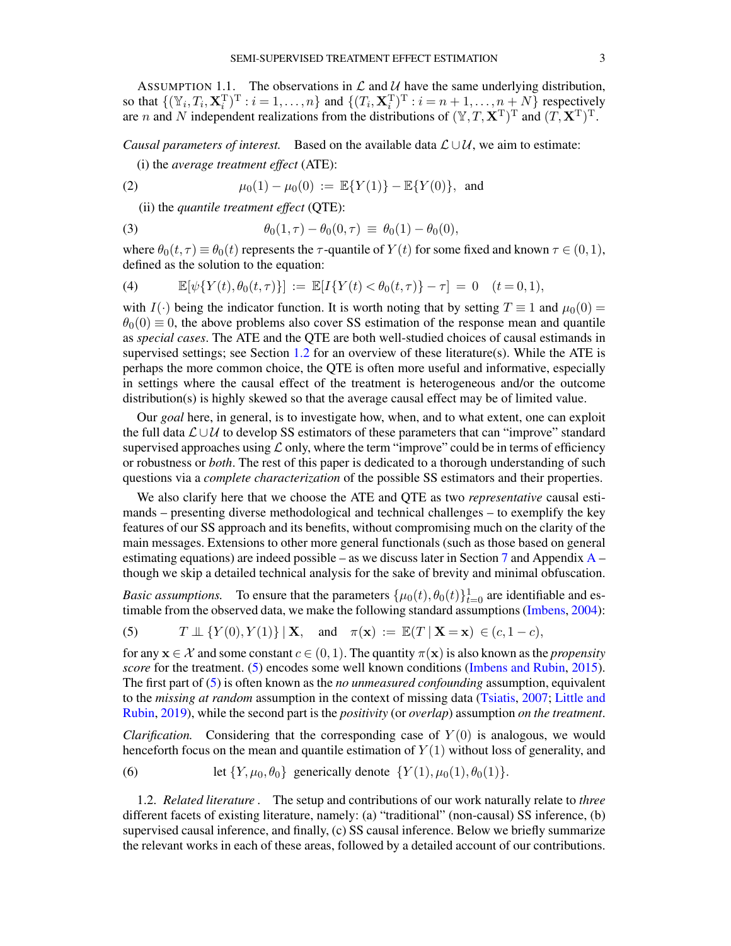<span id="page-2-4"></span>ASSUMPTION 1.1. The observations in  $\mathcal L$  and  $\mathcal U$  have the same underlying distribution, so that  $\{(\mathbb{Y}_i, T_i, \mathbf{X}_i^T)^T : i = 1, \dots, n\}$  and  $\{(T_i, \mathbf{X}_i^T)^T : i = n+1, \dots, n+N\}$  respectively are *n* and *N* independent realizations from the distributions of  $(\mathbb{Y}, T, \mathbf{X}^T)^T$  and  $(T, \mathbf{X}^T)^T$ .

*Causal parameters of interest.* Based on the available data  $\mathcal{L} \cup \mathcal{U}$ , we aim to estimate: (i) the *average treatment effect* (ATE):

(2) 
$$
\mu_0(1) - \mu_0(0) := \mathbb{E}\{Y(1)\} - \mathbb{E}\{Y(0)\}, \text{ and}
$$

<span id="page-2-6"></span><span id="page-2-5"></span>(ii) the *quantile treatment effect* (QTE):

(3) 
$$
\theta_0(1,\tau) - \theta_0(0,\tau) \equiv \theta_0(1) - \theta_0(0),
$$

where  $\theta_0(t, \tau) \equiv \theta_0(t)$  represents the  $\tau$ -quantile of  $Y(t)$  for some fixed and known  $\tau \in (0, 1)$ , defined as the solution to the equation:

<span id="page-2-2"></span>(4) 
$$
\mathbb{E}[\psi\{Y(t), \theta_0(t, \tau)\}] := \mathbb{E}[I\{Y(t) < \theta_0(t, \tau)\} - \tau] = 0 \quad (t = 0, 1),
$$

with I(·) being the indicator function. It is worth noting that by setting  $T \equiv 1$  and  $\mu_0(0) =$  $\theta_0(0) \equiv 0$ , the above problems also cover SS estimation of the response mean and quantile as *special cases*. The ATE and the QTE are both well-studied choices of causal estimands in supervised settings; see Section [1.2](#page-2-0) for an overview of these literature(s). While the ATE is perhaps the more common choice, the QTE is often more useful and informative, especially in settings where the causal effect of the treatment is heterogeneous and/or the outcome distribution(s) is highly skewed so that the average causal effect may be of limited value.

Our *goal* here, in general, is to investigate how, when, and to what extent, one can exploit the full data  $\mathcal{L} \cup \mathcal{U}$  to develop SS estimators of these parameters that can "improve" standard supervised approaches using  $\mathcal L$  only, where the term "improve" could be in terms of efficiency or robustness or *both*. The rest of this paper is dedicated to a thorough understanding of such questions via a *complete characterization* of the possible SS estimators and their properties.

We also clarify here that we choose the ATE and QTE as two *representative* causal estimands – presenting diverse methodological and technical challenges – to exemplify the key features of our SS approach and its benefits, without compromising much on the clarity of the main messages. Extensions to other more general functionals (such as those based on general estimating equations) are indeed possible – as we discuss later in Section [7](#page-30-0) and [A](#page-32-0)ppendix  $A$  – though we skip a detailed technical analysis for the sake of brevity and minimal obfuscation.

*Basic assumptions.* To ensure that the parameters  $\{\mu_0(t), \theta_0(t)\}_{t=0}^1$  are identifiable and estimable from the observed data, we make the following standard assumptions [\(Imbens,](#page-56-8) [2004\)](#page-56-8):

<span id="page-2-1"></span>(5) 
$$
T \perp \!\!\!\perp \{Y(0), Y(1)\} | \mathbf{X}, \text{ and } \pi(\mathbf{x}) := \mathbb{E}(T | \mathbf{X} = \mathbf{x}) \in (c, 1-c),
$$

for any  $\mathbf{x} \in \mathcal{X}$  and some constant  $c \in (0, 1)$ . The quantity  $\pi(\mathbf{x})$  is also known as the *propensity score* for the treatment. [\(5\)](#page-2-1) encodes some well known conditions [\(Imbens and Rubin,](#page-56-6) [2015\)](#page-56-6). The first part of [\(5\)](#page-2-1) is often known as the *no unmeasured confounding* assumption, equivalent to the *missing at random* assumption in the context of missing data [\(Tsiatis,](#page-57-2) [2007;](#page-57-2) [Little and](#page-57-3) [Rubin,](#page-57-3) [2019\)](#page-57-3), while the second part is the *positivity* (or *overlap*) assumption *on the treatment*.

*Clarification.* Considering that the corresponding case of  $Y(0)$  is analogous, we would henceforth focus on the mean and quantile estimation of  $Y(1)$  without loss of generality, and

<span id="page-2-3"></span>(6) let 
$$
\{Y, \mu_0, \theta_0\}
$$
 generically denote  $\{Y(1), \mu_0(1), \theta_0(1)\}$ .

<span id="page-2-0"></span>1.2. *Related literature .* The setup and contributions of our work naturally relate to *three* different facets of existing literature, namely: (a) "traditional" (non-causal) SS inference, (b) supervised causal inference, and finally, (c) SS causal inference. Below we briefly summarize the relevant works in each of these areas, followed by a detailed account of our contributions.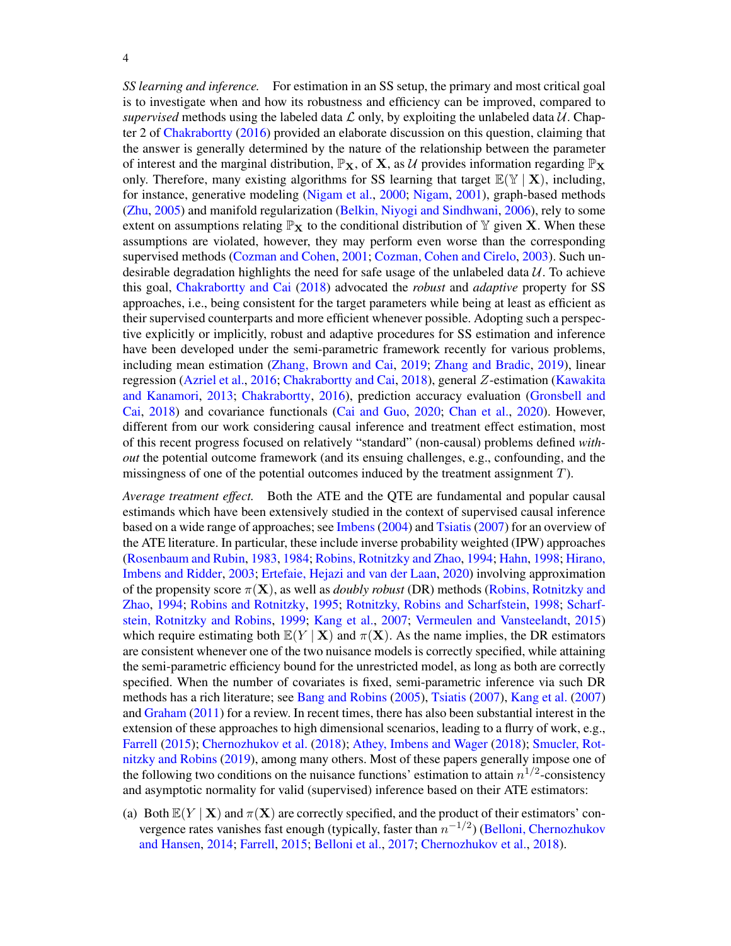*SS learning and inference.* For estimation in an SS setup, the primary and most critical goal is to investigate when and how its robustness and efficiency can be improved, compared to *supervised* methods using the labeled data  $\mathcal L$  only, by exploiting the unlabeled data  $\mathcal U$ . Chapter 2 of [Chakrabortty](#page-56-9) [\(2016\)](#page-56-9) provided an elaborate discussion on this question, claiming that the answer is generally determined by the nature of the relationship between the parameter of interest and the marginal distribution,  $\mathbb{P}_X$ , of X, as U provides information regarding  $\mathbb{P}_X$ only. Therefore, many existing algorithms for SS learning that target  $\mathbb{E}(\mathbb{Y} | \mathbf{X})$ , including, for instance, generative modeling [\(Nigam et al.,](#page-57-4) [2000;](#page-57-4) [Nigam,](#page-57-5) [2001\)](#page-57-5), graph-based methods [\(Zhu,](#page-58-0) [2005\)](#page-58-0) and manifold regularization [\(Belkin, Niyogi and Sindhwani,](#page-55-0) [2006\)](#page-55-0), rely to some extent on assumptions relating  $\mathbb{P}_X$  to the conditional distribution of Y given X. When these assumptions are violated, however, they may perform even worse than the corresponding supervised methods [\(Cozman and Cohen,](#page-56-10) [2001;](#page-56-10) [Cozman, Cohen and Cirelo,](#page-56-11) [2003\)](#page-56-11). Such undesirable degradation highlights the need for safe usage of the unlabeled data  $U$ . To achieve this goal, [Chakrabortty and Cai](#page-56-4) [\(2018\)](#page-56-4) advocated the *robust* and *adaptive* property for SS approaches, i.e., being consistent for the target parameters while being at least as efficient as their supervised counterparts and more efficient whenever possible. Adopting such a perspective explicitly or implicitly, robust and adaptive procedures for SS estimation and inference have been developed under the semi-parametric framework recently for various problems, including mean estimation [\(Zhang, Brown and Cai,](#page-58-1) [2019;](#page-58-1) [Zhang and Bradic,](#page-58-2) [2019\)](#page-58-2), linear regression [\(Azriel et al.,](#page-55-1) [2016;](#page-55-1) [Chakrabortty and Cai,](#page-56-4) [2018\)](#page-56-4), general Z-estimation [\(Kawakita](#page-57-6) [and Kanamori,](#page-57-6) [2013;](#page-57-6) [Chakrabortty,](#page-56-9) [2016\)](#page-56-9), prediction accuracy evaluation [\(Gronsbell and](#page-56-7) [Cai,](#page-56-7) [2018\)](#page-56-7) and covariance functionals [\(Cai and Guo,](#page-56-12) [2020;](#page-56-12) [Chan et al.,](#page-56-13) [2020\)](#page-56-13). However, different from our work considering causal inference and treatment effect estimation, most of this recent progress focused on relatively "standard" (non-causal) problems defined *without* the potential outcome framework (and its ensuing challenges, e.g., confounding, and the missingness of one of the potential outcomes induced by the treatment assignment  $T$ ).

*Average treatment effect.* Both the ATE and the QTE are fundamental and popular causal estimands which have been extensively studied in the context of supervised causal inference based on a wide range of approaches; see [Imbens](#page-56-8) [\(2004\)](#page-56-8) and [Tsiatis](#page-57-2) [\(2007\)](#page-57-2) for an overview of the ATE literature. In particular, these include inverse probability weighted (IPW) approaches [\(Rosenbaum and Rubin,](#page-57-7) [1983,](#page-57-7) [1984;](#page-57-8) [Robins, Rotnitzky and Zhao,](#page-57-9) [1994;](#page-57-9) [Hahn,](#page-56-14) [1998;](#page-56-14) [Hirano,](#page-56-15) [Imbens and Ridder,](#page-56-15) [2003;](#page-56-15) [Ertefaie, Hejazi and van der Laan,](#page-56-16) [2020\)](#page-56-16) involving approximation of the propensity score  $\pi(\mathbf{X})$ , as well as *doubly robust* (DR) methods [\(Robins, Rotnitzky and](#page-57-9) [Zhao,](#page-57-9) [1994;](#page-57-9) [Robins and Rotnitzky,](#page-57-10) [1995;](#page-57-10) [Rotnitzky, Robins and Scharfstein,](#page-57-11) [1998;](#page-57-11) [Scharf](#page-57-12)[stein, Rotnitzky and Robins,](#page-57-12) [1999;](#page-57-12) [Kang et al.,](#page-57-13) [2007;](#page-57-13) [Vermeulen and Vansteelandt,](#page-58-3) [2015\)](#page-58-3) which require estimating both  $\mathbb{E}(Y | \mathbf{X})$  and  $\pi(\mathbf{X})$ . As the name implies, the DR estimators are consistent whenever one of the two nuisance models is correctly specified, while attaining the semi-parametric efficiency bound for the unrestricted model, as long as both are correctly specified. When the number of covariates is fixed, semi-parametric inference via such DR methods has a rich literature; see [Bang and Robins](#page-55-2) [\(2005\)](#page-55-2), [Tsiatis](#page-57-2) [\(2007\)](#page-57-2), [Kang et al.](#page-57-13) [\(2007\)](#page-57-13) and [Graham](#page-56-17) [\(2011\)](#page-56-17) for a review. In recent times, there has also been substantial interest in the extension of these approaches to high dimensional scenarios, leading to a flurry of work, e.g., [Farrell](#page-56-18) [\(2015\)](#page-56-18); [Chernozhukov et al.](#page-56-19) [\(2018\)](#page-56-19); [Athey, Imbens and Wager](#page-55-3) [\(2018\)](#page-55-3); [Smucler, Rot](#page-57-14)[nitzky and Robins](#page-57-14) [\(2019\)](#page-57-14), among many others. Most of these papers generally impose one of the following two conditions on the nuisance functions' estimation to attain  $n^{1/2}$ -consistency and asymptotic normality for valid (supervised) inference based on their ATE estimators:

(a) Both  $\mathbb{E}(Y | \mathbf{X})$  and  $\pi(\mathbf{X})$  are correctly specified, and the product of their estimators' convergence rates vanishes fast enough (typically, faster than  $n^{-1/2}$ ) [\(Belloni, Chernozhukov](#page-55-4) [and Hansen,](#page-55-4) [2014;](#page-55-4) [Farrell,](#page-56-18) [2015;](#page-56-18) [Belloni et al.,](#page-55-5) [2017;](#page-55-5) [Chernozhukov et al.,](#page-56-19) [2018\)](#page-56-19).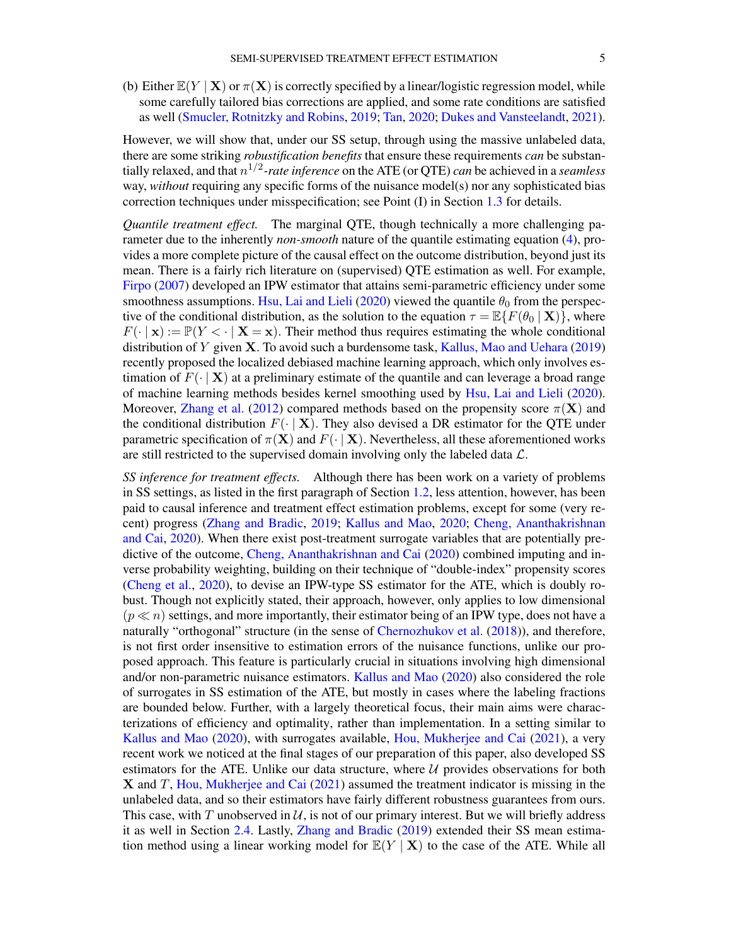(b) Either  $\mathbb{E}(Y | X)$  or  $\pi(X)$  is correctly specified by a linear/logistic regression model, while some carefully tailored bias corrections are applied, and some rate conditions are satisfied as well [\(Smucler, Rotnitzky and Robins,](#page-57-14) [2019;](#page-57-14) [Tan,](#page-57-15) [2020;](#page-57-15) [Dukes and Vansteelandt,](#page-56-20) [2021\)](#page-56-20).

However, we will show that, under our SS setup, through using the massive unlabeled data, there are some striking *robustification benefits* that ensure these requirements *can* be substantially relaxed, and that n 1/2 *-rate inference* on the ATE (or QTE) *can* be achieved in a *seamless* way, *without* requiring any specific forms of the nuisance model(s) nor any sophisticated bias correction techniques under misspecification; see Point (I) in Section [1.3](#page-5-0) for details.

*Quantile treatment effect.* The marginal QTE, though technically a more challenging parameter due to the inherently *non-smooth* nature of the quantile estimating equation [\(4\)](#page-2-2), provides a more complete picture of the causal effect on the outcome distribution, beyond just its mean. There is a fairly rich literature on (supervised) QTE estimation as well. For example, [Firpo](#page-56-21) [\(2007\)](#page-56-21) developed an IPW estimator that attains semi-parametric efficiency under some smoothness assumptions. [Hsu, Lai and Lieli](#page-56-22) [\(2020\)](#page-56-22) viewed the quantile  $\theta_0$  from the perspective of the conditional distribution, as the solution to the equation  $\tau = \mathbb{E}\{F(\theta_0 | \mathbf{X})\}$ , where  $F(\cdot | \mathbf{x}) := \mathbb{P}(Y \leq \cdot | \mathbf{X} = \mathbf{x})$ . Their method thus requires estimating the whole conditional distribution of Y given X. To avoid such a burdensome task, [Kallus, Mao and Uehara](#page-57-16) [\(2019\)](#page-57-16) recently proposed the localized debiased machine learning approach, which only involves estimation of  $F(\cdot | X)$  at a preliminary estimate of the quantile and can leverage a broad range of machine learning methods besides kernel smoothing used by [Hsu, Lai and Lieli](#page-56-22) [\(2020\)](#page-56-22). Moreover, [Zhang et al.](#page-58-4) [\(2012\)](#page-58-4) compared methods based on the propensity score  $\pi(\mathbf{X})$  and the conditional distribution  $F(\cdot | \mathbf{X})$ . They also devised a DR estimator for the QTE under parametric specification of  $\pi(\mathbf{X})$  and  $F(\cdot | \mathbf{X})$ . Nevertheless, all these aforementioned works are still restricted to the supervised domain involving only the labeled data  $\mathcal{L}$ .

*SS inference for treatment effects.* Although there has been work on a variety of problems in SS settings, as listed in the first paragraph of Section [1.2,](#page-2-0) less attention, however, has been paid to causal inference and treatment effect estimation problems, except for some (very recent) progress [\(Zhang and Bradic,](#page-58-2) [2019;](#page-58-2) [Kallus and Mao,](#page-57-17) [2020;](#page-57-17) [Cheng, Ananthakrishnan](#page-56-5) [and Cai,](#page-56-5) [2020\)](#page-56-5). When there exist post-treatment surrogate variables that are potentially predictive of the outcome, [Cheng, Ananthakrishnan and Cai](#page-56-5) [\(2020\)](#page-56-5) combined imputing and inverse probability weighting, building on their technique of "double-index" propensity scores [\(Cheng et al.,](#page-56-23) [2020\)](#page-56-23), to devise an IPW-type SS estimator for the ATE, which is doubly robust. Though not explicitly stated, their approach, however, only applies to low dimensional  $(p \ll n)$  settings, and more importantly, their estimator being of an IPW type, does not have a naturally "orthogonal" structure (in the sense of [Chernozhukov et al.](#page-56-19) [\(2018\)](#page-56-19)), and therefore, is not first order insensitive to estimation errors of the nuisance functions, unlike our proposed approach. This feature is particularly crucial in situations involving high dimensional and/or non-parametric nuisance estimators. [Kallus and Mao](#page-57-17) [\(2020\)](#page-57-17) also considered the role of surrogates in SS estimation of the ATE, but mostly in cases where the labeling fractions are bounded below. Further, with a largely theoretical focus, their main aims were characterizations of efficiency and optimality, rather than implementation. In a setting similar to [Kallus and Mao](#page-57-17) [\(2020\)](#page-57-17), with surrogates available, [Hou, Mukherjee and Cai](#page-56-24) [\(2021\)](#page-56-24), a very recent work we noticed at the final stages of our preparation of this paper, also developed SS estimators for the ATE. Unlike our data structure, where  $U$  provides observations for both  $X$  and T, [Hou, Mukherjee and Cai](#page-56-24) [\(2021\)](#page-56-24) assumed the treatment indicator is missing in the unlabeled data, and so their estimators have fairly different robustness guarantees from ours. This case, with T unobserved in  $\mathcal{U}$ , is not of our primary interest. But we will briefly address it as well in Section [2.4.](#page-11-0) Lastly, [Zhang and Bradic](#page-58-2) [\(2019\)](#page-58-2) extended their SS mean estimation method using a linear working model for  $\mathbb{E}(Y | X)$  to the case of the ATE. While all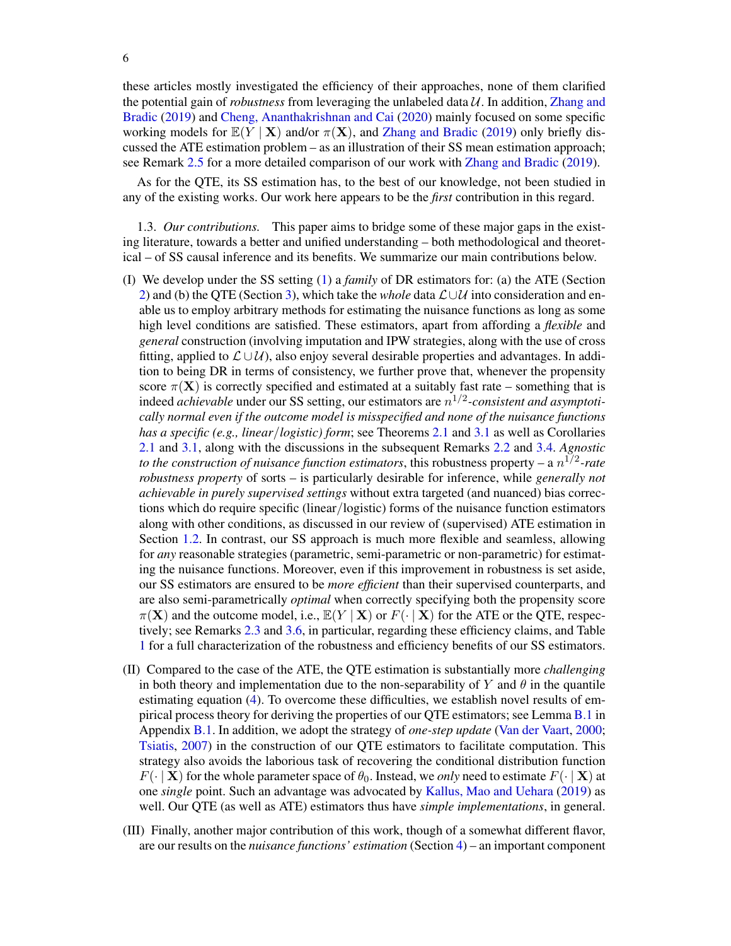these articles mostly investigated the efficiency of their approaches, none of them clarified the potential gain of *robustness* from leveraging the unlabeled data  $U$ . In addition, [Zhang and](#page-58-2) [Bradic](#page-58-2) [\(2019\)](#page-58-2) and [Cheng, Ananthakrishnan and Cai](#page-56-5) [\(2020\)](#page-56-5) mainly focused on some specific working models for  $\mathbb{E}(Y | X)$  and/or  $\pi(X)$ , and [Zhang and Bradic](#page-58-2) [\(2019\)](#page-58-2) only briefly discussed the ATE estimation problem – as an illustration of their SS mean estimation approach; see Remark [2.5](#page-13-0) for a more detailed comparison of our work with [Zhang and Bradic](#page-58-2) [\(2019\)](#page-58-2).

As for the QTE, its SS estimation has, to the best of our knowledge, not been studied in any of the existing works. Our work here appears to be the *first* contribution in this regard.

<span id="page-5-0"></span>1.3. *Our contributions.* This paper aims to bridge some of these major gaps in the existing literature, towards a better and unified understanding – both methodological and theoretical – of SS causal inference and its benefits. We summarize our main contributions below.

- (I) We develop under the SS setting [\(1\)](#page-1-0) a *family* of DR estimators for: (a) the ATE (Section [2\)](#page-6-0) and (b) the QTE (Section [3\)](#page-13-1), which take the *whole* data  $\mathcal{L} \cup \mathcal{U}$  into consideration and enable us to employ arbitrary methods for estimating the nuisance functions as long as some high level conditions are satisfied. These estimators, apart from affording a *flexible* and *general* construction (involving imputation and IPW strategies, along with the use of cross fitting, applied to  $\mathcal{L} \cup \mathcal{U}$ , also enjoy several desirable properties and advantages. In addition to being DR in terms of consistency, we further prove that, whenever the propensity score  $\pi(X)$  is correctly specified and estimated at a suitably fast rate – something that is indeed *achievable* under our SS setting, our estimators are n 1/2 *-consistent and asymptotically normal even if the outcome model is misspecified and none of the nuisance functions has a specific (e.g., linear*/*logistic) form*; see Theorems [2.1](#page-9-0) and [3.1](#page-16-0) as well as Corollaries [2.1](#page-9-1) and [3.1,](#page-16-1) along with the discussions in the subsequent Remarks [2.2](#page-9-2) and [3.4.](#page-16-2) *Agnostic to the construction of nuisance function estimators, this robustness property – a*  $n^{1/2}$ *-rate robustness property* of sorts – is particularly desirable for inference, while *generally not achievable in purely supervised settings* without extra targeted (and nuanced) bias corrections which do require specific (linear/logistic) forms of the nuisance function estimators along with other conditions, as discussed in our review of (supervised) ATE estimation in Section [1.2.](#page-2-0) In contrast, our SS approach is much more flexible and seamless, allowing for *any* reasonable strategies (parametric, semi-parametric or non-parametric) for estimating the nuisance functions. Moreover, even if this improvement in robustness is set aside, our SS estimators are ensured to be *more efficient* than their supervised counterparts, and are also semi-parametrically *optimal* when correctly specifying both the propensity score  $\pi(X)$  and the outcome model, i.e.,  $\mathbb{E}(Y | X)$  or  $F(\cdot | X)$  for the ATE or the QTE, respectively; see Remarks [2.3](#page-11-1) and [3.6,](#page-17-0) in particular, regarding these efficiency claims, and Table [1](#page-12-0) for a full characterization of the robustness and efficiency benefits of our SS estimators.
- (II) Compared to the case of the ATE, the QTE estimation is substantially more *challenging* in both theory and implementation due to the non-separability of Y and  $\theta$  in the quantile estimating equation [\(4\)](#page-2-2). To overcome these difficulties, we establish novel results of empirical process theory for deriving the properties of our QTE estimators; see Lemma [B.1](#page-34-0) in Appendix [B.1.](#page-34-1) In addition, we adopt the strategy of *one-step update* [\(Van der Vaart,](#page-57-18) [2000;](#page-57-18) [Tsiatis,](#page-57-2) [2007\)](#page-57-2) in the construction of our QTE estimators to facilitate computation. This strategy also avoids the laborious task of recovering the conditional distribution function  $F(\cdot | \mathbf{X})$  for the whole parameter space of  $\theta_0$ . Instead, we *only* need to estimate  $F(\cdot | \mathbf{X})$  at one *single* point. Such an advantage was advocated by [Kallus, Mao and Uehara](#page-57-16) [\(2019\)](#page-57-16) as well. Our QTE (as well as ATE) estimators thus have *simple implementations*, in general.
- (III) Finally, another major contribution of this work, though of a somewhat different flavor, are our results on the *nuisance functions' estimation* (Section [4\)](#page-18-0) – an important component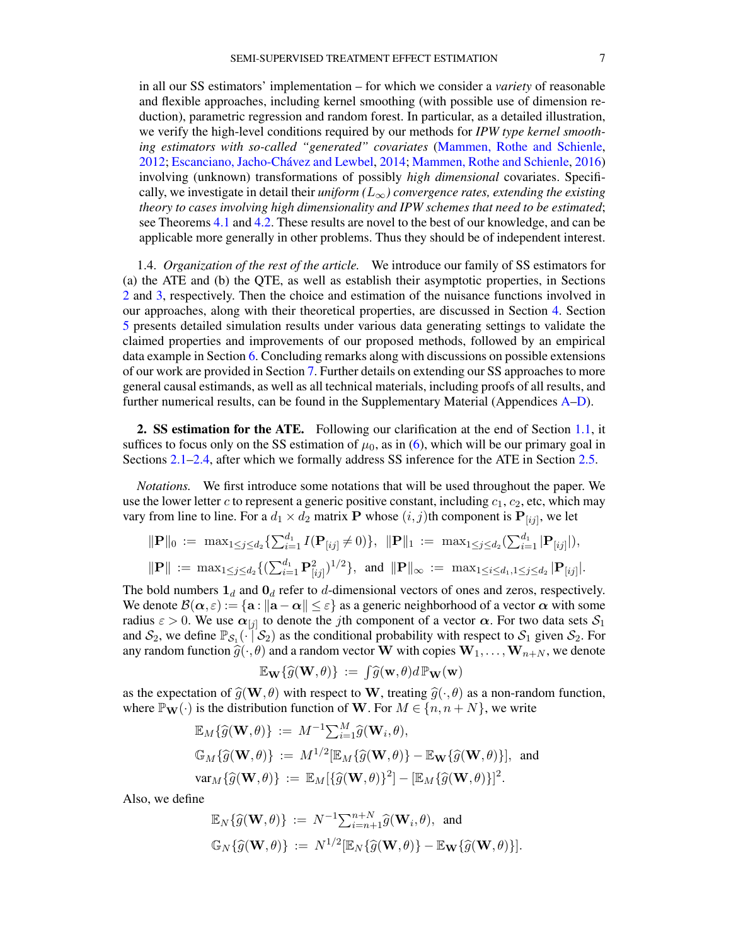in all our SS estimators' implementation – for which we consider a *variety* of reasonable and flexible approaches, including kernel smoothing (with possible use of dimension reduction), parametric regression and random forest. In particular, as a detailed illustration, we verify the high-level conditions required by our methods for *IPW type kernel smoothing estimators with so-called "generated" covariates* [\(Mammen, Rothe and Schienle,](#page-57-19) [2012;](#page-57-19) [Escanciano, Jacho-Chávez and Lewbel,](#page-56-25) [2014;](#page-56-25) [Mammen, Rothe and Schienle,](#page-57-20) [2016\)](#page-57-20) involving (unknown) transformations of possibly *high dimensional* covariates. Specifically, we investigate in detail their *uniform*  $(L_{\infty})$  *convergence rates, extending the existing theory to cases involving high dimensionality and IPW schemes that need to be estimated*; see Theorems [4.1](#page-20-0) and [4.2.](#page-22-0) These results are novel to the best of our knowledge, and can be applicable more generally in other problems. Thus they should be of independent interest.

1.4. *Organization of the rest of the article.* We introduce our family of SS estimators for (a) the ATE and (b) the QTE, as well as establish their asymptotic properties, in Sections [2](#page-6-0) and [3,](#page-13-1) respectively. Then the choice and estimation of the nuisance functions involved in our approaches, along with their theoretical properties, are discussed in Section [4.](#page-18-0) Section [5](#page-23-0) presents detailed simulation results under various data generating settings to validate the claimed properties and improvements of our proposed methods, followed by an empirical data example in Section [6.](#page-29-0) Concluding remarks along with discussions on possible extensions of our work are provided in Section [7.](#page-30-0) Further details on extending our SS approaches to more general causal estimands, as well as all technical materials, including proofs of all results, and further numerical results, can be found in the Supplementary Material (Appendices [A](#page-32-0)[–D\)](#page-55-6).

<span id="page-6-0"></span>2. SS estimation for the ATE. Following our clarification at the end of Section [1.1,](#page-1-1) it suffices to focus only on the SS estimation of  $\mu_0$ , as in [\(6\)](#page-2-3), which will be our primary goal in Sections [2.1](#page-7-0)[–2.4,](#page-11-0) after which we formally address SS inference for the ATE in Section [2.5.](#page-12-1)

*Notations.* We first introduce some notations that will be used throughout the paper. We use the lower letter c to represent a generic positive constant, including  $c_1, c_2$ , etc, which may vary from line to line. For a  $d_1 \times d_2$  matrix **P** whose  $(i, j)$ th component is  $\mathbf{P}_{[ij]}$ , we let

$$
\|\mathbf{P}\|_{0} := \max_{1 \leq j \leq d_{2}} \{\sum_{i=1}^{d_{1}} I(\mathbf{P}_{[ij]} \neq 0)\}, \quad \|\mathbf{P}\|_{1} := \max_{1 \leq j \leq d_{2}} \{\sum_{i=1}^{d_{1}} |\mathbf{P}_{[ij]}|\},
$$
  

$$
\|\mathbf{P}\| := \max_{1 \leq j \leq d_{2}} \{(\sum_{i=1}^{d_{1}} \mathbf{P}_{[ij]}^{2})^{1/2}\}, \text{ and } \|\mathbf{P}\|_{\infty} := \max_{1 \leq i \leq d_{1}, 1 \leq j \leq d_{2}} |\mathbf{P}_{[ij]}|.
$$

The bold numbers  $\mathbf{1}_d$  and  $\mathbf{0}_d$  refer to d-dimensional vectors of ones and zeros, respectively. We denote  $\mathcal{B}(\alpha,\varepsilon) := \{\mathbf{a} : ||\mathbf{a} - \alpha|| \leq \varepsilon\}$  as a generic neighborhood of a vector  $\alpha$  with some radius  $\varepsilon > 0$ . We use  $\alpha_{[j]}$  to denote the *j*th component of a vector  $\alpha$ . For two data sets  $S_1$ and  $S_2$ , we define  $\mathbb{P}_{S_1}(\cdot | S_2)$  as the conditional probability with respect to  $S_1$  given  $S_2$ . For any random function  $\hat{g}(\cdot, \theta)$  and a random vector W with copies  $\mathbf{W}_1, \dots, \mathbf{W}_{n+N}$ , we denote

$$
\mathbb{E}_{\mathbf{W}}\{\widehat{g}(\mathbf{W},\theta)\} \;:=\; \int \widehat{g}(\mathbf{w},\theta) d\mathbb{P}_{\mathbf{W}}(\mathbf{w})
$$

as the expectation of  $\hat{g}(\mathbf{W}, \theta)$  with respect to **W**, treating  $\hat{g}(\cdot, \theta)$  as a non-random function, where  $\mathbb{P}_{\mathbf{W}}(\cdot)$  is the distribution function of W. For  $M \in \{n, n + N\}$ , we write

$$
\mathbb{E}_M{\{\widehat{g}(\mathbf{W},\theta)\}} := M^{-1}\sum_{i=1}^M \widehat{g}(\mathbf{W}_i,\theta),
$$
  
\n
$$
\mathbb{G}_M{\{\widehat{g}(\mathbf{W},\theta)\}} := M^{1/2}[\mathbb{E}_M{\{\widehat{g}(\mathbf{W},\theta)\}} - \mathbb{E}_{\mathbf{W}}{\{\widehat{g}(\mathbf{W},\theta)\}}],
$$
 and  
\n
$$
\text{var}_M{\{\widehat{g}(\mathbf{W},\theta)\}} := \mathbb{E}_M[\{\widehat{g}(\mathbf{W},\theta)\}^2] - [\mathbb{E}_M{\{\widehat{g}(\mathbf{W},\theta)\}}]^2.
$$

Also, we define

$$
\mathbb{E}_N\{\widehat{g}(\mathbf{W},\theta)\} := N^{-1}\sum_{i=n+1}^{n+N} \widehat{g}(\mathbf{W}_i,\theta), \text{ and}
$$
  

$$
\mathbb{G}_N\{\widehat{g}(\mathbf{W},\theta)\} := N^{1/2}[\mathbb{E}_N\{\widehat{g}(\mathbf{W},\theta)\} - \mathbb{E}_{\mathbf{W}}\{\widehat{g}(\mathbf{W},\theta)\}].
$$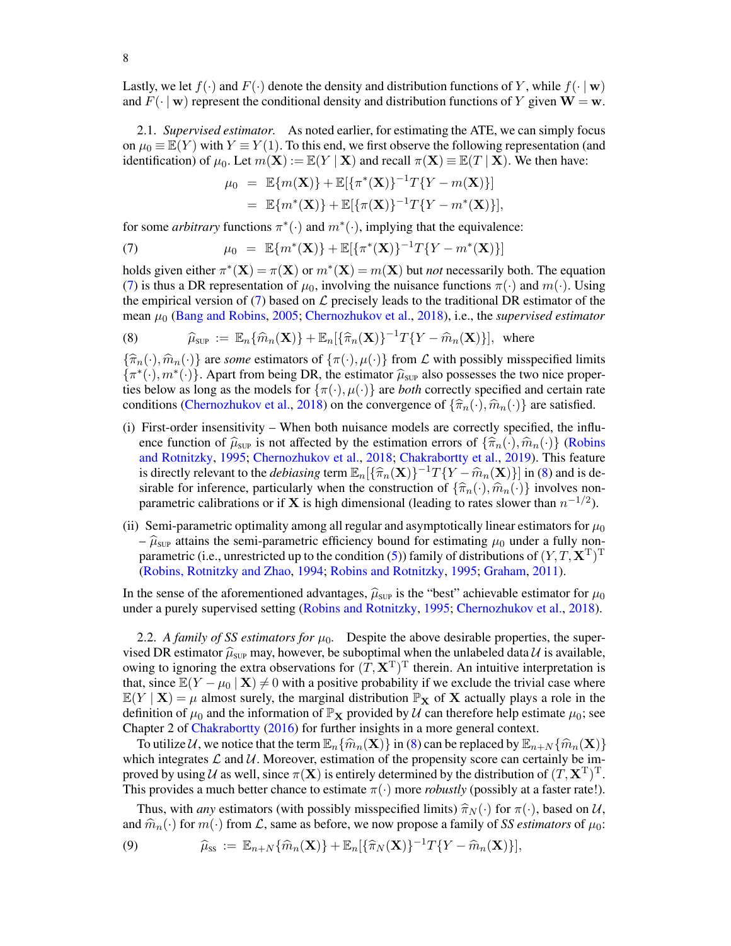Lastly, we let  $f(\cdot)$  and  $F(\cdot)$  denote the density and distribution functions of Y, while  $f(\cdot | \mathbf{w})$ and  $F(\cdot | \mathbf{w})$  represent the conditional density and distribution functions of Y given  $\mathbf{W} = \mathbf{w}$ .

<span id="page-7-0"></span>2.1. *Supervised estimator.* As noted earlier, for estimating the ATE, we can simply focus on  $\mu_0 \equiv \mathbb{E}(Y)$  with  $Y \equiv Y(1)$ . To this end, we first observe the following representation (and identification) of  $\mu_0$ . Let  $m(\mathbf{X}) := \mathbb{E}(Y | \mathbf{X})$  and recall  $\pi(\mathbf{X}) \equiv \mathbb{E}(T | \mathbf{X})$ . We then have:

<span id="page-7-1"></span>
$$
\mu_0 = \mathbb{E}\{m(\mathbf{X})\} + \mathbb{E}[\{\pi^*(\mathbf{X})\}^{-1}T\{Y - m(\mathbf{X})\}]
$$
  
=  $\mathbb{E}\{m^*(\mathbf{X})\} + \mathbb{E}[\{\pi(\mathbf{X})\}^{-1}T\{Y - m^*(\mathbf{X})\}],$ 

for some *arbitrary* functions  $\pi^*(\cdot)$  and  $m^*(\cdot)$ , implying that the equivalence:

(7) 
$$
\mu_0 = \mathbb{E}\{m^*(\mathbf{X})\} + \mathbb{E}[\{\pi^*(\mathbf{X})\}^{-1}T\{Y - m^*(\mathbf{X})\}]
$$

holds given either  $\pi^*(\mathbf{X}) = \pi(\mathbf{X})$  or  $m^*(\mathbf{X}) = m(\mathbf{X})$  but *not* necessarily both. The equation [\(7\)](#page-7-1) is thus a DR representation of  $\mu_0$ , involving the nuisance functions  $\pi(\cdot)$  and  $m(\cdot)$ . Using the empirical version of [\(7\)](#page-7-1) based on  $\mathcal L$  precisely leads to the traditional DR estimator of the mean µ<sup>0</sup> [\(Bang and Robins,](#page-55-2) [2005;](#page-55-2) [Chernozhukov et al.,](#page-56-19) [2018\)](#page-56-19), i.e., the *supervised estimator*

<span id="page-7-2"></span>(8) 
$$
\widehat{\mu}_{\text{SUP}} := \mathbb{E}_n\{\widehat{m}_n(\mathbf{X})\} + \mathbb{E}_n[\{\widehat{\pi}_n(\mathbf{X})\}^{-1}T\{Y - \widehat{m}_n(\mathbf{X})\}], \text{ where}
$$

 ${\lbrace \hat{\pi}_n(\cdot),\hat{m}_n(\cdot)\rbrace}$  are *some* estimators of  ${\lbrace \pi(\cdot), \mu(\cdot)\rbrace}$  from  $\mathcal L$  with possibly misspecified limits  $\{\pi^*(\cdot), m^*(\cdot)\}$ . Apart from being DR, the estimator  $\hat{\mu}_{\text{SUP}}$  also possesses the two nice properties below as long as the models for  $\{\pi(\cdot), \mu(\cdot)\}$  are *both* correctly specified and certain rate conditions [\(Chernozhukov et al.,](#page-56-19) [2018\)](#page-56-19) on the convergence of  $\{\hat{\pi}_n(\cdot),\hat{m}_n(\cdot)\}$  are satisfied.

- (i) First-order insensitivity When both nuisance models are correctly specified, the influence function of  $\hat{\mu}_{\text{sup}}$  is not affected by the estimation errors of  ${\{\hat{\pi}_n(\cdot),\hat{m}_n(\cdot)\}}$  [\(Robins](#page-57-10) [and Rotnitzky,](#page-57-10) [1995;](#page-57-10) [Chernozhukov et al.,](#page-56-19) [2018;](#page-56-19) [Chakrabortty et al.,](#page-56-26) [2019\)](#page-56-26). This feature is directly relevant to the *debiasing* term  $\mathbb{E}_n[\{\hat{\pi}_n(\mathbf{X})\}^{-1}T\{Y - \hat{m}_n(\mathbf{X})\}]$  in [\(8\)](#page-7-2) and is de-<br>simple for inference, particularly when the construction of  $f(\hat{\pi})$  (a)  $\hat{m}$  (a) involves nonsirable for inference, particularly when the construction of  $\{\widehat{\pi}_{n}(\cdot),\widehat{m}_{n}(\cdot)\}\$  involves nonparametric calibrations or if **X** is high dimensional (leading to rates slower than  $n^{-1/2}$ ).
- (ii) Semi-parametric optimality among all regular and asymptotically linear estimators for  $\mu_0$ –  $\hat{\mu}_{\text{SUP}}$  attains the semi-parametric efficiency bound for estimating  $\mu_0$  under a fully non-parametric (i.e., unrestricted up to the condition [\(5\)](#page-2-1)) family of distributions of  $(Y, T, \mathbf{X}^T)^T$ [\(Robins, Rotnitzky and Zhao,](#page-57-9) [1994;](#page-57-9) [Robins and Rotnitzky,](#page-57-10) [1995;](#page-57-10) [Graham,](#page-56-17) [2011\)](#page-56-17).

In the sense of the aforementioned advantages,  $\hat{\mu}_{\text{SUP}}$  is the "best" achievable estimator for  $\mu_0$ under a purely supervised setting [\(Robins and Rotnitzky,](#page-57-10) [1995;](#page-57-10) [Chernozhukov et al.,](#page-56-19) [2018\)](#page-56-19).

<span id="page-7-4"></span>2.2. *A family of SS estimators for*  $\mu_0$ . Despite the above desirable properties, the supervised DR estimator  $\hat{\mu}_{SUP}$  may, however, be suboptimal when the unlabeled data  $\mathcal{U}$  is available, owing to ignoring the extra observations for  $(T, \mathbf{X}^T)^T$  therein. An intuitive interpretation is that, since  $\mathbb{E}(Y - \mu_0 | \mathbf{X}) \neq 0$  with a positive probability if we exclude the trivial case where  $\mathbb{E}(Y | \mathbf{X}) = \mu$  almost surely, the marginal distribution  $\mathbb{P}_{\mathbf{X}}$  of **X** actually plays a role in the definition of  $\mu_0$  and the information of  $\mathbb{P}_X$  provided by U can therefore help estimate  $\mu_0$ ; see Chapter 2 of [Chakrabortty](#page-56-9) [\(2016\)](#page-56-9) for further insights in a more general context.

To utilize U, we notice that the term  $\mathbb{E}_n\{\widehat{m}_n(\mathbf{X})\}$  in [\(8\)](#page-7-2) can be replaced by  $\mathbb{E}_{n+N}\{\widehat{m}_n(\mathbf{X})\}$ which integrates  $\mathcal L$  and  $\mathcal U$ . Moreover, estimation of the propensity score can certainly be improved by using U as well, since  $\pi(\mathbf{X})$  is entirely determined by the distribution of  $(T,\mathbf{X}^T)^T$ . This provides a much better chance to estimate  $\pi(\cdot)$  more *robustly* (possibly at a faster rate!).

Thus, with *any* estimators (with possibly misspecified limits)  $\hat{\pi}_N(\cdot)$  for  $\pi(\cdot)$ , based on U, and  $\widehat{m}_n(\cdot)$  for  $m(\cdot)$  from  $\mathcal L$ , same as before, we now propose a family of *SS estimators* of  $\mu_0$ :

<span id="page-7-3"></span>(9) 
$$
\widehat{\mu}_{ss} := \mathbb{E}_{n+N} \{ \widehat{m}_n(\mathbf{X}) \} + \mathbb{E}_n [\{ \widehat{\pi}_N(\mathbf{X}) \}^{-1} T \{ Y - \widehat{m}_n(\mathbf{X}) \}],
$$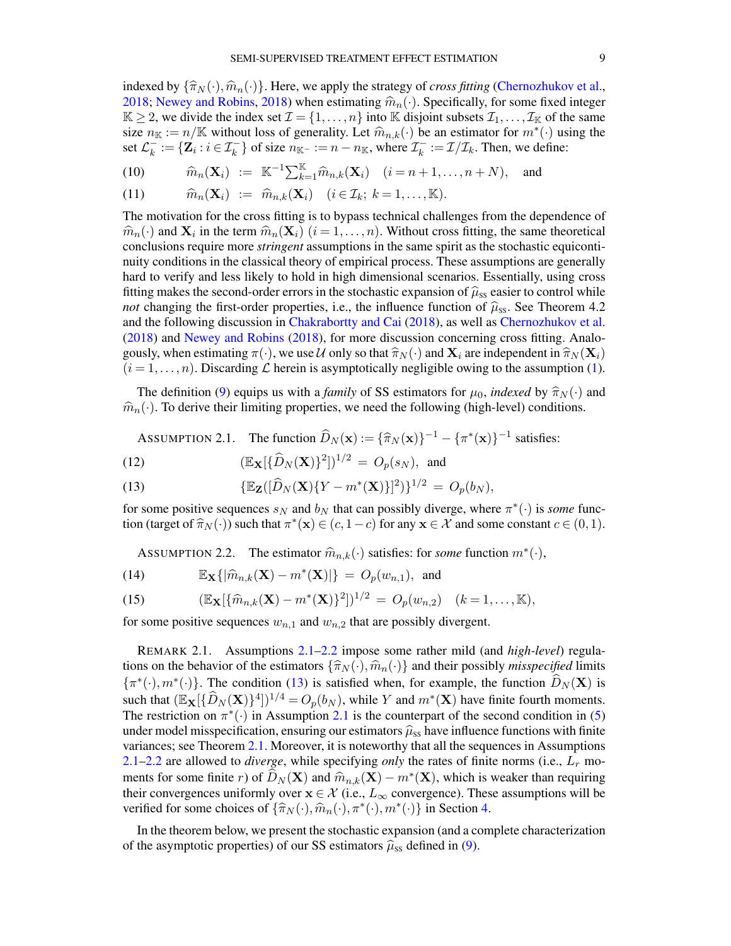indexed by  $\{\widehat{\pi}_{N}(\cdot),\widehat{m}_{n}(\cdot)\}\.$  Here, we apply the strategy of *cross fitting* [\(Chernozhukov et al.,](#page-56-19) [2018;](#page-56-19) [Newey and Robins,](#page-57-21) [2018\)](#page-57-21) when estimating  $\hat{m}_n(\cdot)$ . Specifically, for some fixed integer  $K \geq 2$ , we divide the index set  $\mathcal{I} = \{1, \ldots, n\}$  into K disjoint subsets  $\mathcal{I}_1, \ldots, \mathcal{I}_K$  of the same size  $n_k := n/\mathbb{K}$  without loss of generality. Let  $\widehat{m}_{n,k}(\cdot)$  be an estimator for  $m^*(\cdot)$  using the set  $C^- := \{Z : i \in \mathcal{T}^- \}$  of size  $n_{\mathcal{T}} := n - n_{\mathcal{T}}$ , where  $\mathcal{T}^- := \mathcal{T}/\mathcal{T}$ . Then we define: set  $\mathcal{L}_k^ \mathcal{L}_k^- := \{ \mathbf{Z}_i : i \in \mathcal{I}_k^- \}$  of size  $n_{\mathbb{K}^-} := n - n_{\mathbb{K}}$ , where  $\mathcal{I}_k^ \mathcal{I}_k^- := \mathcal{I}/\mathcal{I}_k$ . Then, we define:

<span id="page-8-3"></span>(10) 
$$
\widehat{m}_n(\mathbf{X}_i) := \mathbb{K}^{-1} \sum_{k=1}^{\mathbb{K}} \widehat{m}_{n,k}(\mathbf{X}_i) \quad (i = n+1, \ldots, n+N), \text{ and}
$$

(11) 
$$
\widehat{m}_n(\mathbf{X}_i) := \widehat{m}_{n,k}(\mathbf{X}_i) \quad (i \in \mathcal{I}_k; k = 1, ..., \mathbb{K}).
$$

The motivation for the cross fitting is to bypass technical challenges from the dependence of  $\hat{m}_n(\cdot)$  and  $\mathbf{X}_i$  in the term  $\hat{m}_n(\mathbf{X}_i)$   $(i = 1, ..., n)$ . Without cross fitting, the same theoretical conclusions require more stringent assumptions in the same spirit as the stochastic equiconticonclusions require more *stringent* assumptions in the same spirit as the stochastic equicontinuity conditions in the classical theory of empirical process. These assumptions are generally hard to verify and less likely to hold in high dimensional scenarios. Essentially, using cross fitting makes the second-order errors in the stochastic expansion of  $\hat{\mu}_{ss}$  easier to control while *not* changing the first-order properties, i.e., the influence function of  $\hat{\mu}_{ss}$ . See Theorem 4.2 and the following discussion in [Chakrabortty and Cai](#page-56-4) [\(2018\)](#page-56-4), as well as [Chernozhukov et al.](#page-56-19) [\(2018\)](#page-56-19) and [Newey and Robins](#page-57-21) [\(2018\)](#page-57-21), for more discussion concerning cross fitting. Analogously, when estimating  $\pi(\cdot)$ , we use U only so that  $\hat{\pi}_N(\cdot)$  and  $\mathbf{X}_i$  are independent in  $\hat{\pi}_N(\mathbf{X}_i)$  $(i = 1, \ldots, n)$ . Discarding  $\mathcal L$  herein is asymptotically negligible owing to the assumption [\(1\)](#page-1-0).

The definition [\(9\)](#page-7-3) equips us with a *family* of SS estimators for  $\mu_0$ , *indexed* by  $\hat{\pi}_N(\cdot)$  and  $\hat{m}_n(\cdot)$ . To derive their limiting properties, we need the following (high-level) conditions.

<span id="page-8-2"></span><span id="page-8-0"></span>Assumprion 2.1. The function 
$$
\widehat{D}_N(\mathbf{x}) := {\widehat{\pi}_N(\mathbf{x})}^{-1} - {\pi^*(\mathbf{x})}^{-1}
$$
 satisfies:

(12) 
$$
(\mathbb{E}_{\mathbf{X}}[\{\widehat{D}_N(\mathbf{X})\}^2])^{1/2} = O_p(s_N), \text{ and}
$$

(13) 
$$
\{\mathbb{E}_{\mathbf{Z}}([\widehat{D}_N(\mathbf{X})\{Y-m^*(\mathbf{X})\}]^2)\}^{1/2} = O_p(b_N),
$$

for some positive sequences  $s_N$  and  $b_N$  that can possibly diverge, where  $\pi^*(\cdot)$  is *some* function (target of  $\hat{\pi}_N(\cdot)$ ) such that  $\pi^*(\mathbf{x}) \in (c, 1-c)$  for any  $\mathbf{x} \in \mathcal{X}$  and some constant  $c \in (0, 1)$ .

<span id="page-8-4"></span><span id="page-8-1"></span>ASSUMPTION 2.2. The estimator  $\widehat{m}_{n,k}(\cdot)$  satisfies: for *some* function  $m^*(\cdot)$ ,

(14) 
$$
\mathbb{E}_{\mathbf{X}}\{\left|\widehat{m}_{n,k}(\mathbf{X})-m^*(\mathbf{X})\right|\} = O_p(w_{n,1}), \text{ and}
$$

(15) 
$$
(\mathbb{E}_{\mathbf{X}}[\{\widehat{m}_{n,k}(\mathbf{X})-m^*(\mathbf{X})\}^2])^{1/2} = O_p(w_{n,2}) \quad (k=1,\ldots,\mathbb{K}),
$$

for some positive sequences  $w_{n,1}$  and  $w_{n,2}$  that are possibly divergent.

REMARK 2.1. Assumptions [2.1–](#page-8-0)[2.2](#page-8-1) impose some rather mild (and *high-level*) regulations on the behavior of the estimators  $\{\hat{\pi}_N(\cdot),\hat{m}_n(\cdot)\}$  and their possibly *misspecified* limits  $\{\pi^*(\cdot), m^*(\cdot)\}\.$  The condition [\(13\)](#page-8-2) is satisfied when, for example, the function  $\widehat{D}_N(\mathbf{X})$  is such that  $(\mathbb{E}_{\mathbf{X}}[\{\widehat{D}_N(\mathbf{X})\}^4])^{1/4} = O_p(b_N)$ , while Y and  $m^*(\mathbf{X})$  have finite fourth moments. The restriction on  $\pi^*(\cdot)$  in Assumption [2.1](#page-8-0) is the counterpart of the second condition in [\(5\)](#page-2-1) under model misspecification, ensuring our estimators  $\hat{\mu}_{ss}$  have influence functions with finite variances; see Theorem [2.1.](#page-9-0) Moreover, it is noteworthy that all the sequences in Assumptions  $2.1-2.2$  $2.1-2.2$  are allowed to *diverge*, while specifying *only* the rates of finite norms (i.e.,  $L_r$  moments for some finite r) of  $\widehat{D}_N(\mathbf{X})$  and  $\widehat{m}_{n,k}(\mathbf{X}) - m^*(\mathbf{X})$ , which is weaker than requiring their convergences uniformly over  $\mathbf{x} \in \mathcal{X}$  (i.e. L. convergence). These assumptions will be their convergences uniformly over  $x \in \mathcal{X}$  (i.e.,  $L_{\infty}$  convergence). These assumptions will be verified for some choices of  $\{\widehat{\pi}_N(\cdot), \widehat{m}_n(\cdot), \pi^*(\cdot), m^*(\cdot)\}\)$  in Section [4.](#page-18-0)

In the theorem below, we present the stochastic expansion (and a complete characterization of the asymptotic properties) of our SS estimators  $\hat{\mu}_{ss}$  defined in [\(9\)](#page-7-3).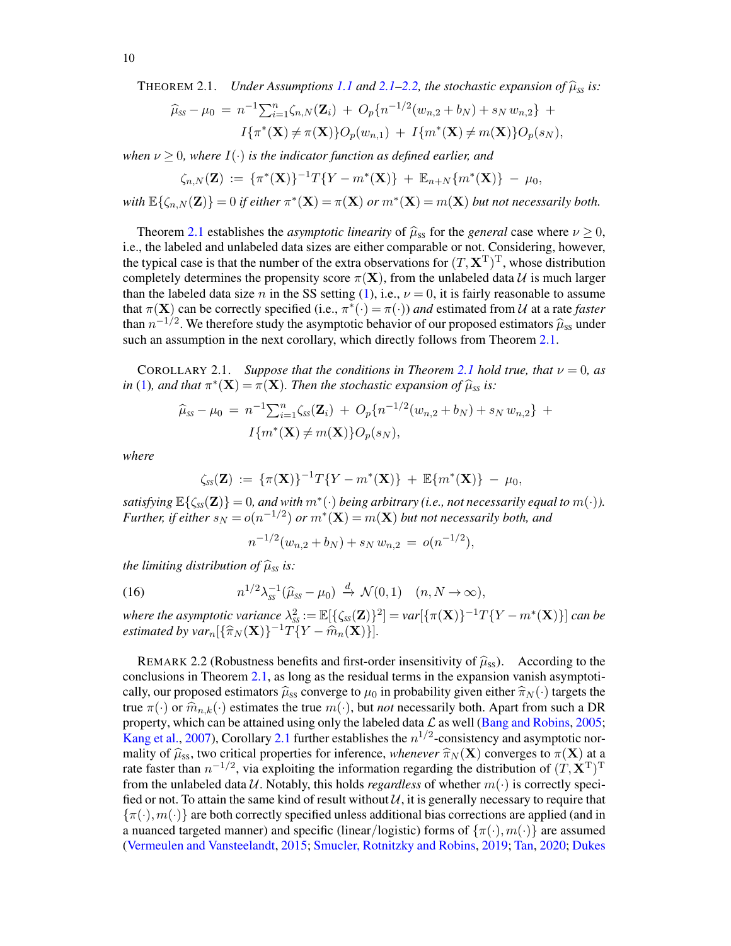<span id="page-9-0"></span>THEOREM 2.1. Under Assumptions 1.1 and 2.1–2.2, the stochastic expansion of 
$$
\hat{\mu}_{ss}
$$
 is:

$$
\hat{\mu}_{ss} - \mu_0 = n^{-1} \sum_{i=1}^n \zeta_{n,N}(\mathbf{Z}_i) + O_p\{n^{-1/2}(w_{n,2} + b_N) + s_N w_{n,2}\} +
$$
  

$$
I\{\pi^*(\mathbf{X}) \neq \pi(\mathbf{X})\}O_p(w_{n,1}) + I\{m^*(\mathbf{X}) \neq m(\mathbf{X})\}O_p(s_N),
$$

*when*  $\nu \geq 0$ *, where*  $I(\cdot)$  *is the indicator function as defined earlier, and* 

$$
\zeta_{n,N}(\mathbf{Z}) \, := \, \{ \pi^*(\mathbf{X}) \}^{-1} T \{ Y - m^*(\mathbf{X}) \} \, + \, \mathbb{E}_{n+N} \{ m^*(\mathbf{X}) \} \, - \, \mu_0,
$$

with  $\mathbb{E}\{\zeta_{n,N}(\mathbf{Z})\} = 0$  *if either*  $\pi^*(\mathbf{X}) = \pi(\mathbf{X})$  *or*  $m^*(\mathbf{X}) = m(\mathbf{X})$  *but not necessarily both.* 

Theorem [2.1](#page-9-0) establishes the *asymptotic linearity* of  $\hat{\mu}_{ss}$  for the *general* case where  $\nu \ge 0$ , i.e., the labeled and unlabeled data sizes are either comparable or not. Considering, however, the typical case is that the number of the extra observations for  $(T, \mathbf{X}^T)^T$ , whose distribution completely determines the propensity score  $\pi(\mathbf{X})$ , from the unlabeled data U is much larger than the labeled data size n in the SS setting [\(1\)](#page-1-0), i.e.,  $\nu = 0$ , it is fairly reasonable to assume that  $\pi(\mathbf{X})$  can be correctly specified (i.e.,  $\pi^*(\cdot) = \pi(\cdot)$ ) *and* estimated from U at a rate *faster* than  $n^{-1/2}$ . We therefore study the asymptotic behavior of our proposed estimators  $\hat{\mu}_{ss}$  under such an assumption in the next corollary, which directly follows from Theorem [2.1.](#page-9-0)

<span id="page-9-1"></span>COROLLARY [2.1](#page-9-0). *Suppose that the conditions in Theorem 2.1 hold true, that*  $\nu = 0$ *, as in* [\(1\)](#page-1-0)*, and that*  $\pi^*(\mathbf{X}) = \pi(\mathbf{X})$ *. Then the stochastic expansion of*  $\hat{\mu}_{ss}$  *is:* 

$$
\widehat{\mu}_{ss} - \mu_0 = n^{-1} \sum_{i=1}^n \zeta_{ss}(\mathbf{Z}_i) + O_p\{n^{-1/2}(w_{n,2} + b_N) + s_N w_{n,2}\} + I\{m^*(\mathbf{X}) \neq m(\mathbf{X})\}O_p(s_N),
$$

*where*

$$
\zeta_{ss}(\mathbf{Z}) := \{ \pi(\mathbf{X}) \}^{-1} T \{ Y - m^*(\mathbf{X}) \} + \mathbb{E} \{ m^*(\mathbf{X}) \} - \mu_0,
$$

*satisfying*  $\mathbb{E}\{\zeta_{ss}(\mathbf{Z})\}=0$ , and with  $m^*(\cdot)$  being arbitrary (i.e., not necessarily equal to  $m(\cdot)$ ). *Further, if either*  $s_N = o(n^{-1/2})$  *or*  $m^*(\mathbf{X}) = m(\mathbf{X})$  *but not necessarily both, and* 

<span id="page-9-3"></span>
$$
n^{-1/2}(w_{n,2} + b_N) + s_N w_{n,2} = o(n^{-1/2}),
$$

*the limiting distribution of*  $\widehat{\mu}_{SS}$  *is:* 

(16) 
$$
n^{1/2}\lambda_{ss}^{-1}(\widehat{\mu}_{ss}-\mu_0)\stackrel{d}{\rightarrow}\mathcal{N}(0,1) \quad (n,N\to\infty),
$$

where the asymptotic variance  $\lambda^2_{ss} := \mathbb{E}[\{\zeta_{ss}(\mathbf{Z})\}^2] = var[\{\pi(\mathbf{X})\}^{-1}T\{Y - m^*(\mathbf{X})\}]$  can be *estimated by var*<sub>n</sub> $\left[\{\widehat{\pi}_N(\mathbf{X})\}^{-1}T\widetilde{\{Y} - \widehat{m}_n(\mathbf{X})\}\right]$ .

<span id="page-9-2"></span>REMARK 2.2 (Robustness benefits and first-order insensitivity of  $\hat{\mu}_{SS}$ ). According to the conclusions in Theorem [2.1,](#page-9-0) as long as the residual terms in the expansion vanish asymptotically, our proposed estimators  $\hat{\mu}_{ss}$  converge to  $\mu_0$  in probability given either  $\hat{\pi}_N(\cdot)$  targets the true  $\pi(\cdot)$  or  $\widehat{m}_{n,k}(\cdot)$  estimates the true  $m(\cdot)$ , but *not* necessarily both. Apart from such a DR property, which can be attained using only the labeled data  $\mathcal L$  as well [\(Bang and Robins,](#page-55-2) [2005;](#page-55-2) [Kang et al.,](#page-57-13) [2007\)](#page-57-13), Corollary [2.1](#page-9-1) further establishes the  $n^{1/2}$ -consistency and asymptotic normality of  $\hat{\mu}_{SS}$ , two critical properties for inference, *whenever*  $\hat{\pi}_N(\mathbf{X})$  converges to  $\pi(\mathbf{X})$  at a rate faster than  $n^{-1/2}$ , via exploiting the information regarding the distribution of  $(T, \mathbf{X}^T)^T$ from the unlabeled data U. Notably, this holds *regardless* of whether  $m(\cdot)$  is correctly specified or not. To attain the same kind of result without  $\mathcal{U}$ , it is generally necessary to require that  $\{\pi(\cdot), m(\cdot)\}\$  are both correctly specified unless additional bias corrections are applied (and in a nuanced targeted manner) and specific (linear/logistic) forms of  $\{\pi(\cdot),m(\cdot)\}\$ are assumed [\(Vermeulen and Vansteelandt,](#page-58-3) [2015;](#page-58-3) [Smucler, Rotnitzky and Robins,](#page-57-14) [2019;](#page-57-14) [Tan,](#page-57-15) [2020;](#page-57-15) [Dukes](#page-56-20)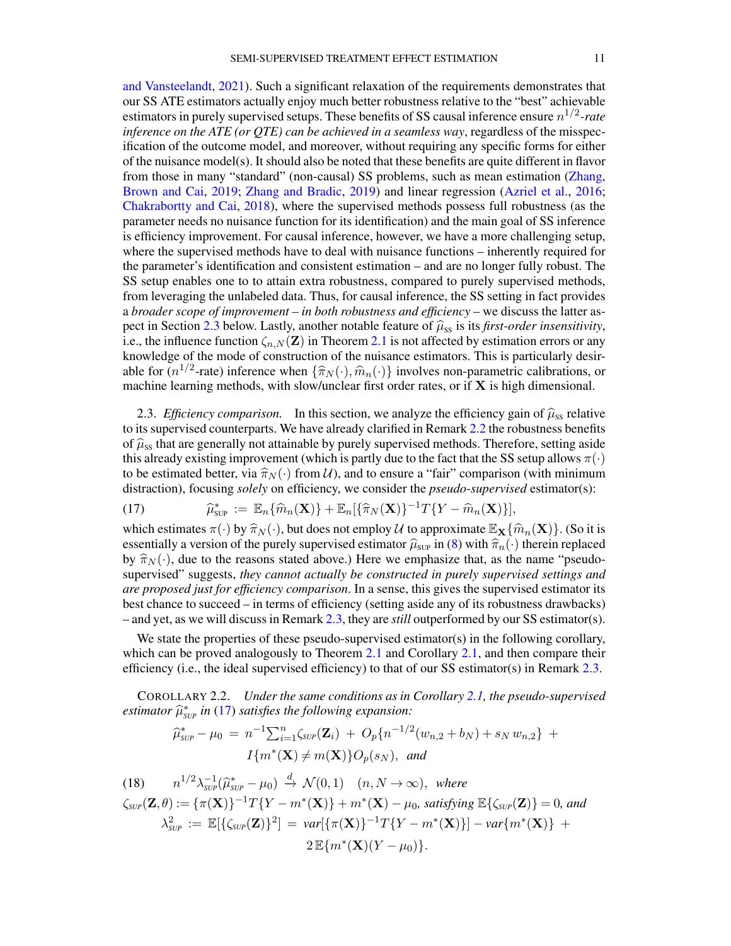[and Vansteelandt,](#page-56-20) [2021\)](#page-56-20). Such a significant relaxation of the requirements demonstrates that our SS ATE estimators actually enjoy much better robustness relative to the "best" achievable estimators in purely supervised setups. These benefits of SS causal inference ensure  $n^{1/2}$ -rate *inference on the ATE (or QTE) can be achieved in a seamless way*, regardless of the misspecification of the outcome model, and moreover, without requiring any specific forms for either of the nuisance model(s). It should also be noted that these benefits are quite different in flavor from those in many "standard" (non-causal) SS problems, such as mean estimation [\(Zhang,](#page-58-1) [Brown and Cai,](#page-58-1) [2019;](#page-58-1) [Zhang and Bradic,](#page-58-2) [2019\)](#page-58-2) and linear regression [\(Azriel et al.,](#page-55-1) [2016;](#page-55-1) [Chakrabortty and Cai,](#page-56-4) [2018\)](#page-56-4), where the supervised methods possess full robustness (as the parameter needs no nuisance function for its identification) and the main goal of SS inference is efficiency improvement. For causal inference, however, we have a more challenging setup, where the supervised methods have to deal with nuisance functions – inherently required for the parameter's identification and consistent estimation – and are no longer fully robust. The SS setup enables one to to attain extra robustness, compared to purely supervised methods, from leveraging the unlabeled data. Thus, for causal inference, the SS setting in fact provides a *broader scope of improvement – in both robustness and efficiency* – we discuss the latter as-pect in Section [2.3](#page-10-0) below. Lastly, another notable feature of  $\hat{\mu}_{SS}$  is its *first-order insensitivity*, i.e., the influence function  $\zeta_{n,N}(\mathbf{Z})$  in Theorem [2.1](#page-9-0) is not affected by estimation errors or any knowledge of the mode of construction of the nuisance estimators. This is particularly desirable for  $(n^{1/2}$ -rate) inference when  $\{\hat{\pi}_N(\cdot),\hat{m}_n(\cdot)\}$  involves non-parametric calibrations, or machine learning methods, with slow/unclear first order rates, or if  $X$  is high dimensional.

<span id="page-10-0"></span>2.3. *Efficiency comparison.* In this section, we analyze the efficiency gain of  $\hat{\mu}_{ss}$  relative to its supervised counterparts. We have already clarified in Remark [2.2](#page-9-2) the robustness benefits of  $\hat{\mu}_{ss}$  that are generally not attainable by purely supervised methods. Therefore, setting aside this already existing improvement (which is partly due to the fact that the SS setup allows  $\pi(\cdot)$ to be estimated better, via  $\hat{\pi}_N(\cdot)$  from U), and to ensure a "fair" comparison (with minimum distraction), focusing *solely* on efficiency, we consider the *pseudo-supervised* estimator(s):

<span id="page-10-1"></span>(17) 
$$
\widehat{\mu}_{\text{sup}}^* := \mathbb{E}_n \{ \widehat{m}_n(\mathbf{X}) \} + \mathbb{E}_n [\{ \widehat{\pi}_N(\mathbf{X}) \}^{-1} T \{ Y - \widehat{m}_n(\mathbf{X}) \}],
$$

which estimates  $\pi(\cdot)$  by  $\hat{\pi}_N(\cdot)$ , but does not employ U to approximate  $\mathbb{E}_{\mathbf{X}}\{\hat{m}_n(\mathbf{X})\}$ . (So it is essentially a version of the purely supervised estimator  $\hat{u}$  in (8) with  $\hat{\pi}$  (.) therein replac essentially a version of the purely supervised estimator  $\hat{\mu}_{SUP}$  in [\(8\)](#page-7-2) with  $\hat{\pi}_n(\cdot)$  therein replaced by  $\hat{\pi}_N(\cdot)$ , due to the reasons stated above.) Here we emphasize that, as the name "pseudosupervised" suggests, *they cannot actually be constructed in purely supervised settings and are proposed just for efficiency comparison*. In a sense, this gives the supervised estimator its best chance to succeed – in terms of efficiency (setting aside any of its robustness drawbacks) – and yet, as we will discuss in Remark [2.3,](#page-11-1) they are *still* outperformed by our SS estimator(s).

We state the properties of these pseudo-supervised estimator(s) in the following corollary, which can be proved analogously to Theorem [2.1](#page-9-0) and Corollary [2.1,](#page-9-1) and then compare their efficiency (i.e., the ideal supervised efficiency) to that of our SS estimator(s) in Remark [2.3.](#page-11-1)

<span id="page-10-3"></span>COROLLARY 2.2. *Under the same conditions as in Corollary [2.1,](#page-9-1) the pseudo-supervised*  $estimator \ \hat{\mu}_{SUP}^{*}$  *in* [\(17\)](#page-10-1) *satisfies the following expansion:* 

<span id="page-10-2"></span>
$$
\widehat{\mu}_{\text{SUP}}^* - \mu_0 = n^{-1} \sum_{i=1}^n \zeta_{\text{SUP}}(\mathbf{Z}_i) + O_p\{n^{-1/2}(w_{n,2} + b_N) + s_N w_{n,2}\} + I\{m^*(\mathbf{X}) \neq m(\mathbf{X})\}O_p(s_N), \text{ and}
$$

(18) 
$$
n^{1/2}\lambda_{\text{SUP}}^{-1}(\widehat{\mu}_{\text{SUP}}^* - \mu_0) \stackrel{d}{\rightarrow} \mathcal{N}(0,1) \quad (n,N \to \infty), \text{ where}
$$
  
\n
$$
\zeta_{\text{SUP}}(\mathbf{Z},\theta) := \{\pi(\mathbf{X})\}^{-1}T\{Y-m^*(\mathbf{X})\} + m^*(\mathbf{X}) - \mu_0, \text{ satisfying } \mathbb{E}\{\zeta_{\text{SUP}}(\mathbf{Z})\} = 0, \text{ and}
$$
  
\n
$$
\lambda_{\text{SUP}}^2 := \mathbb{E}[\{\zeta_{\text{SUP}}(\mathbf{Z})\}^2] = \text{var}[\{\pi(\mathbf{X})\}^{-1}T\{Y-m^*(\mathbf{X})\}] - \text{var}\{m^*(\mathbf{X})\} +
$$
  
\n
$$
2\mathbb{E}\{m^*(\mathbf{X})(Y-\mu_0)\}.
$$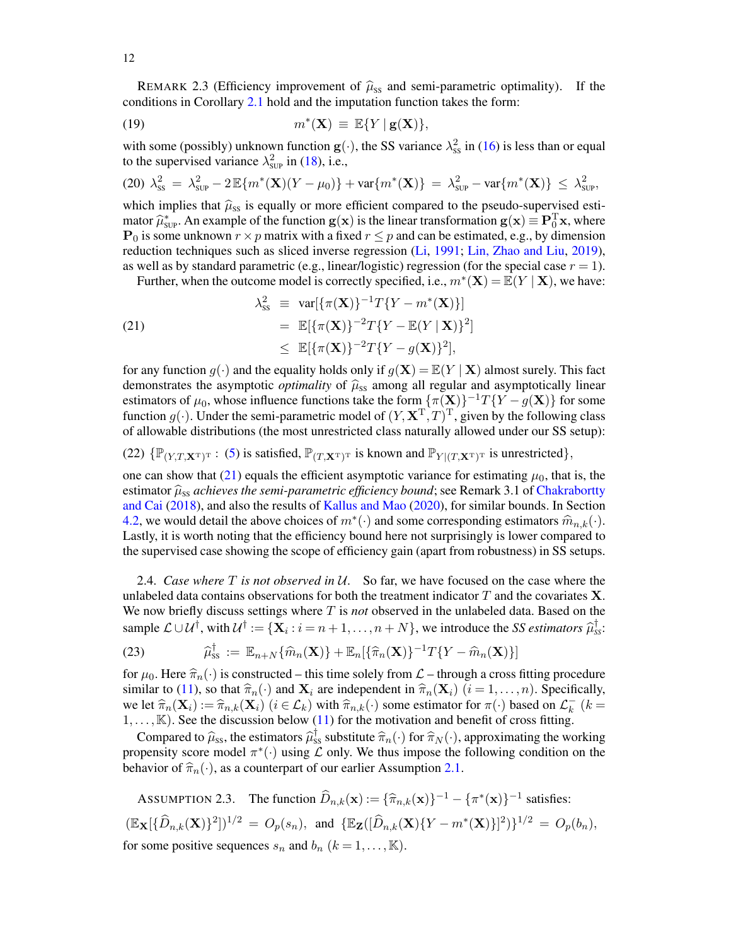<span id="page-11-1"></span>REMARK 2.3 (Efficiency improvement of  $\hat{\mu}_{SS}$  and semi-parametric optimality). If the conditions in Corollary [2.1](#page-9-1) hold and the imputation function takes the form:

(19) 
$$
m^*(\mathbf{X}) \equiv \mathbb{E}\{Y \mid \mathbf{g}(\mathbf{X})\},
$$

with some (possibly) unknown function  $g(\cdot)$ , the SS variance  $\lambda_{ss}^2$  in [\(16\)](#page-9-3) is less than or equal to the supervised variance  $\lambda_{\text{SUP}}^2$  in [\(18\)](#page-10-2), i.e.,

$$
(20) \ \lambda_{\rm SS}^2 = \lambda_{\rm SUP}^2 - 2 \, \mathbb{E} \{ m^*(\mathbf{X})(Y - \mu_0) \} + \text{var} \{ m^*(\mathbf{X}) \} = \lambda_{\rm SUP}^2 - \text{var} \{ m^*(\mathbf{X}) \} \leq \lambda_{\rm SUP}^2,
$$

which implies that  $\hat{\mu}_{ss}$  is equally or more efficient compared to the pseudo-supervised estimator  $\hat{\mu}_{\text{sup}}^*$ . An example of the function  $g(x)$  is the linear transformation  $g(x) \equiv P_0^T x$ , where  $P_0$  is some unknown  $x \times p$  matrix with a fixed  $x \leq p$  and can be estimated e.g. by dimension  $P_0$  is some unknown  $r \times p$  matrix with a fixed  $r \leq p$  and can be estimated, e.g., by dimension reduction techniques such as sliced inverse regression [\(Li,](#page-57-22) [1991;](#page-57-22) [Lin, Zhao and Liu,](#page-57-23) [2019\)](#page-57-23), as well as by standard parametric (e.g., linear/logistic) regression (for the special case  $r = 1$ ).

<span id="page-11-2"></span>Further, when the outcome model is correctly specified, i.e.,  $m^*(\mathbf{X}) = \mathbb{E}(Y | \mathbf{X})$ , we have:

(21)  
\n
$$
\lambda_{ss}^2 \equiv \text{var}[\{\pi(\mathbf{X})\}^{-1}T\{Y - m^*(\mathbf{X})\}]
$$
\n
$$
= \mathbb{E}[\{\pi(\mathbf{X})\}^{-2}T\{Y - \mathbb{E}(Y \mid \mathbf{X})\}^2]
$$
\n
$$
\leq \mathbb{E}[\{\pi(\mathbf{X})\}^{-2}T\{Y - g(\mathbf{X})\}^2],
$$

for any function  $g(\cdot)$  and the equality holds only if  $g(\mathbf{X}) = \mathbb{E}(Y | \mathbf{X})$  almost surely. This fact demonstrates the asymptotic *optimality* of  $\hat{\mu}_{ss}$  among all regular and asymptotically linear estimators of  $\mu_0$ , whose influence functions take the form  $\{\pi(\mathbf{X})\}^{-1}T\{Y - g(\mathbf{X})\}$  for some function  $g(\cdot)$ . Under the semi-parametric model of  $(Y, \mathbf{X}^T, T)^T$ , given by the following class of allowable distributions (the most unrestricted class naturally allowed under our SS setup):

<span id="page-11-5"></span>(22)  $\{\mathbb{P}_{(Y,T,\mathbf{X}^T)^T} : (5)$  $\{\mathbb{P}_{(Y,T,\mathbf{X}^T)^T} : (5)$  is satisfied,  $\mathbb{P}_{(T,\mathbf{X}^T)^T}$  is known and  $\mathbb{P}_{Y|(T,\mathbf{X}^T)^T}$  is unrestricted},

one can show that [\(21\)](#page-11-2) equals the efficient asymptotic variance for estimating  $\mu_0$ , that is, the estimator  $\hat{\mu}_{ss}$  *achieves the semi-parametric efficiency bound*; see Remark 3.1 of [Chakrabortty](#page-56-4) [and Cai](#page-56-4) [\(2018\)](#page-56-4), and also the results of [Kallus and Mao](#page-57-17) [\(2020\)](#page-57-17), for similar bounds. In Section [4.2,](#page-19-0) we would detail the above choices of  $m^*(\cdot)$  and some corresponding estimators  $\widehat{m}_{n,k}(\cdot)$ .<br>Lastly, it is worth noting that the efficiency bound here not surprisingly is lower compared to Lastly, it is worth noting that the efficiency bound here not surprisingly is lower compared to the supervised case showing the scope of efficiency gain (apart from robustness) in SS setups.

<span id="page-11-0"></span>2.4. *Case where* T *is not observed in* U*.* So far, we have focused on the case where the unlabeled data contains observations for both the treatment indicator  $T$  and the covariates  $X$ . We now briefly discuss settings where T is *not* observed in the unlabeled data. Based on the sample  $\mathcal{L} \cup \mathcal{U}^{\dagger}$ , with  $\mathcal{U}^{\dagger} := {\mathbf{X}_i : i = n+1, ..., n+N}$ , we introduce the *SS estimators*  $\hat{\mu}_{ss}^{\dagger}$ .

<span id="page-11-4"></span>(23) 
$$
\widehat{\mu}_{\text{ss}}^{\dagger} := \mathbb{E}_{n+N} \{ \widehat{m}_n(\mathbf{X}) \} + \mathbb{E}_n [\{ \widehat{\pi}_n(\mathbf{X}) \}^{-1} T \{ Y - \widehat{m}_n(\mathbf{X}) \}]
$$

for  $\mu_0$ . Here  $\hat{\pi}_n(\cdot)$  is constructed – this time solely from  $\mathcal{L}$  – through a cross fitting procedure similar to [\(11\)](#page-8-3), so that  $\hat{\pi}_n(\cdot)$  and  $\mathbf{X}_i$  are independent in  $\hat{\pi}_n(\mathbf{X}_i)$   $(i = 1, \dots, n)$ . Specifically, we let  $\hat{\pi}_n(\mathbf{X}_i) := \hat{\pi}_{n,k}(\mathbf{X}_i)$   $(i \in \mathcal{L}_k)$  with  $\hat{\pi}_{n,k}(\cdot)$  some estimator for  $\pi(\cdot)$  based on  $\mathcal{L}_k^-$ <br>1 [K]. See the discussion below (11) for the motivation and benefit of cross fitting  $\frac{1}{k}$  (k =  $1, \ldots, K$ ). See the discussion below [\(11\)](#page-8-3) for the motivation and benefit of cross fitting.

Compared to  $\hat{\mu}_{SS}$ , the estimators  $\hat{\mu}_{SS}^{\dagger}$  substitute  $\hat{\pi}_n(\cdot)$  for  $\hat{\pi}_N(\cdot)$ , approximating the working propensity score model  $\pi^*(\cdot)$  using  $\mathcal L$  only. We thus impose the following condition on the behavior of  $\hat{\pi}_n(\cdot)$ , as a counterpart of our earlier Assumption [2.1.](#page-8-0)

<span id="page-11-3"></span>ASSUMPTION 2.3. The function  $\widehat{D}_{n,k}(\mathbf{x}) := {\widehat{\pi}_{n,k}(\mathbf{x})}\{-1 - {\pi^*(\mathbf{x})}\}^{-1}$  satisfies:  $(\mathbb{E}_{\mathbf{X}}[\{\widehat{D}_{n,k}(\mathbf{X})\}^2])^{1/2} = O_p(s_n)$ , and  $\{\mathbb{E}_{\mathbf{Z}}([\widehat{D}_{n,k}(\mathbf{X})\{Y - m^*(\mathbf{X})\}]^2)\}^{1/2} = O_p(b_n)$ , for some positive sequences  $s_n$  and  $b_n$   $(k = 1, ..., K)$ .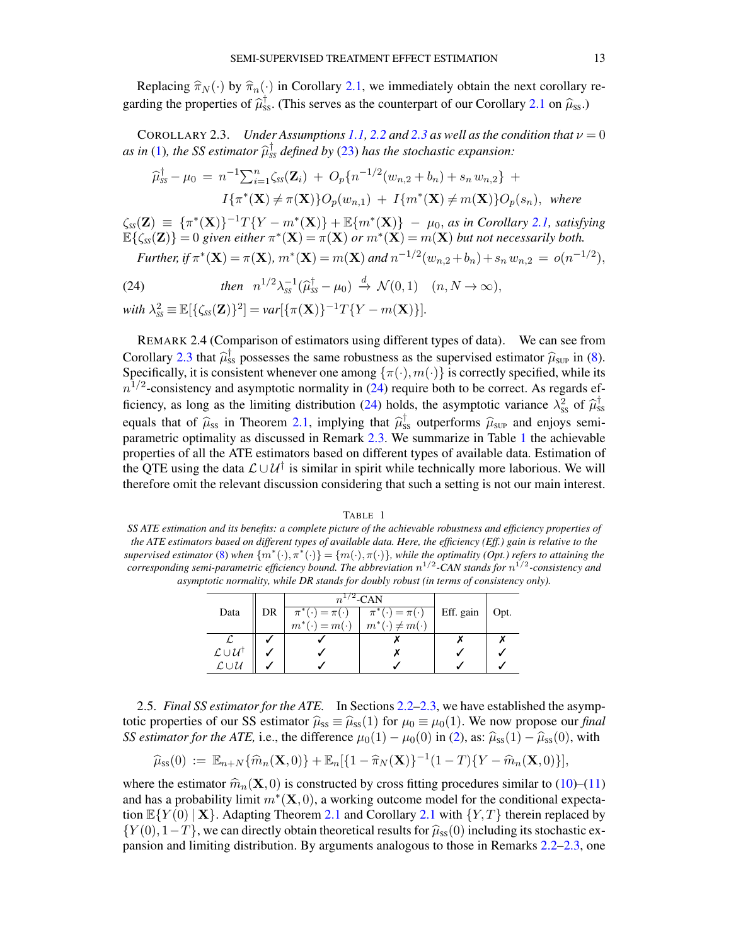Replacing  $\hat{\pi}_N(\cdot)$  by  $\hat{\pi}_n(\cdot)$  in Corollary [2.1,](#page-9-1) we immediately obtain the next corollary regarding the properties of  $\hat{\mu}_{ss}^{\dagger}$ . (This serves as the counterpart of our Corollary [2.1](#page-9-1) on  $\hat{\mu}_{ss}$ .)

<span id="page-12-2"></span>COROLLARY [2.3](#page-11-3). *Under Assumptions [1.1,](#page-2-4) [2.2](#page-8-1) and 2.3 as well as the condition that*  $\nu = 0$ *as in* [\(1\)](#page-1-0), the SS estimator  $\hat{\mu}_{ss}^{\dagger}$  defined by [\(23\)](#page-11-4) has the stochastic expansion:

$$
\hat{\mu}_{ss}^{\dagger} - \mu_0 = n^{-1} \sum_{i=1}^n \zeta_{ss}(\mathbf{Z}_i) + O_p\{n^{-1/2}(w_{n,2} + b_n) + s_n w_{n,2}\} +
$$
  

$$
I\{\pi^*(\mathbf{X}) \neq \pi(\mathbf{X})\}O_p(w_{n,1}) + I\{m^*(\mathbf{X}) \neq m(\mathbf{X})\}O_p(s_n), \text{ where}
$$

 $\zeta_{ss}(\mathbf{Z}) \equiv {\pi^*(\mathbf{X})}^{-1}T\{Y - m^*(\mathbf{X})\} + \mathbb{E}{m^*(\mathbf{X})} - \mu_0$ , *as in Corollary [2.1,](#page-9-1) satisfying*  $\mathbb{E}\{\zeta_{\text{SS}}(\mathbf{Z})\}=0$  given either  $\pi^*(\mathbf{X})=\pi(\mathbf{X})$  or  $m^*(\mathbf{X})=m(\mathbf{X})$  but not necessarily both. *Further,* if  $\pi^*(\mathbf{X}) = \pi(\mathbf{X})$ ,  $m^*(\mathbf{X}) = m(\mathbf{X})$  and  $n^{-1/2}(w_{n,2} + b_n) + s_n w_{n,2} = o(n^{-1/2})$ ,

<span id="page-12-3"></span>(24) *then* 
$$
n^{1/2}\lambda_{ss}^{-1}(\widehat{\mu}_{ss}^{\dagger} - \mu_0) \xrightarrow{d} \mathcal{N}(0,1)
$$
  $(n, N \to \infty),$ 

 $with \ \lambda_{ss}^2 \equiv \mathbb{E}[\{\zeta_{ss}(\mathbf{Z})\}^2] = var[\{\pi(\mathbf{X})\}^{-1}T\{Y - m(\mathbf{X})\}].$ 

REMARK 2.4 (Comparison of estimators using different types of data). We can see from Corollary [2.3](#page-12-2) that  $\hat{\mu}_{ss}^{\dagger}$  possesses the same robustness as the supervised estimator  $\hat{\mu}_{sup}$  in [\(8\)](#page-7-2).<br>Specifically it is consistent whenever one among  $f_{\pi}(\cdot)$  m(.) is correctly specified, while its Specifically, it is consistent whenever one among  $\{\pi(\cdot), m(\cdot)\}$  is correctly specified, while its  $n^{1/2}$ -consistency and asymptotic normality in [\(24\)](#page-12-3) require both to be correct. As regards ef-ficiency, as long as the limiting distribution [\(24\)](#page-12-3) holds, the asymptotic variance  $\lambda_{ss}^2$  of  $\hat{\mu}_{ss}^{\dagger}$ equals that of  $\hat{\mu}_{SS}$  in Theorem [2.1,](#page-9-0) implying that  $\hat{\mu}_{SS}^{\dagger}$  outperforms  $\hat{\mu}_{SUP}$  and enjoys semi-<br>parametric optimality as discussed in Remark 2.3. We summarize in Table 1 the achievable parametric optimality as discussed in Remark [2.3.](#page-11-1) We summarize in Table [1](#page-12-0) the achievable properties of all the ATE estimators based on different types of available data. Estimation of the QTE using the data  $\mathcal{L} \cup \mathcal{U}^{\dagger}$  is similar in spirit while technically more laborious. We will therefore omit the relevant discussion considering that such a setting is not our main interest.

### TABLE 1

<span id="page-12-0"></span>*SS ATE estimation and its benefits: a complete picture of the achievable robustness and efficiency properties of the ATE estimators based on different types of available data. Here, the efficiency (Eff.) gain is relative to the*  $supervised$  *estimator* [\(8\)](#page-7-2) when  $\{m^*(\cdot), \pi^*(\cdot)\} = \{m(\cdot), \pi(\cdot)\}$ , while the optimality (Opt.) refers to attaining the *corresponding semi-parametric efficiency bound. The abbreviation* n 1/2 *-CAN stands for* n 1/2 *-consistency and asymptotic normality, while DR stands for doubly robust (in terms of consistency only).*

|                                          |    | $n^{1/2}$ -CAN              |                             |           |      |
|------------------------------------------|----|-----------------------------|-----------------------------|-----------|------|
| Data                                     | DR | $\pi^*(\cdot) = \pi(\cdot)$ | $\pi^*(\cdot) = \pi(\cdot)$ | Eff. gain | Opt. |
|                                          |    | $m^*(\cdot) = m(\cdot)$     | $m^*(\cdot) \neq m(\cdot)$  |           |      |
|                                          |    |                             |                             |           |      |
| $\mathcal{L} \cup \mathcal{U}^{\dagger}$ |    |                             |                             |           |      |
| $\mathcal{L}\cup\mathcal{U}$             |    |                             |                             |           |      |

<span id="page-12-1"></span>2.5. *Final SS estimator for the ATE.* In Sections [2.2](#page-7-4)[–2.3,](#page-10-0) we have established the asymptotic properties of our SS estimator  $\hat{\mu}_{ss} \equiv \hat{\mu}_{ss}(1)$  for  $\mu_0 \equiv \mu_0(1)$ . We now propose our *final SS estimator for the ATE,* i.e., the difference  $\mu_0(1) - \mu_0(0)$  in [\(2\)](#page-2-5), as:  $\hat{\mu}_{ss}(1) - \hat{\mu}_{ss}(0)$ , with

$$
\widehat{\mu}_{ss}(0) := \mathbb{E}_{n+N} \{ \widehat{m}_n(\mathbf{X},0) \} + \mathbb{E}_n [\{ 1 - \widehat{\pi}_N(\mathbf{X}) \}^{-1} (1-T) \{ Y - \widehat{m}_n(\mathbf{X},0) \}],
$$

where the estimator  $\hat{m}_n(\mathbf{X}, 0)$  is constructed by cross fitting procedures similar to [\(10\)](#page-8-3)–[\(11\)](#page-8-3) and has a probability limit  $m^*(\mathbf{X},0)$ , a working outcome model for the conditional expectation  $\mathbb{E}\{Y(0) | \mathbf{X}\}\$ . Adapting Theorem [2.1](#page-9-1) and Corollary 2.1 with  $\{Y,T\}$  therein replaced by  $\{Y(0), 1-T\}$ , we can directly obtain theoretical results for  $\hat{\mu}_{ss}(0)$  including its stochastic expansion and limiting distribution. By arguments analogous to those in Remarks [2.2](#page-9-2)[–2.3,](#page-11-1) one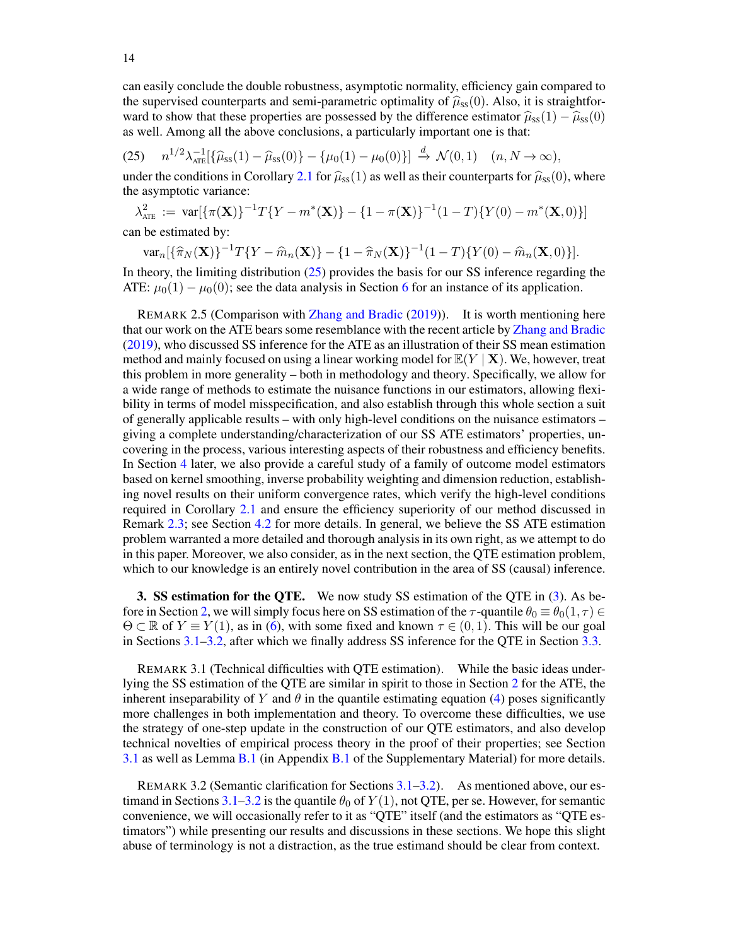can easily conclude the double robustness, asymptotic normality, efficiency gain compared to the supervised counterparts and semi-parametric optimality of  $\hat{\mu}_{ss}(0)$ . Also, it is straightforward to show that these properties are possessed by the difference estimator  $\hat{\mu}_{ss}(1) - \hat{\mu}_{ss}(0)$ as well. Among all the above conclusions, a particularly important one is that:

<span id="page-13-2"></span> $(25)$   $n^{1/2}\lambda_{\text{ATE}}^{-1}[\{\widehat{\mu}_{ss}(1) - \widehat{\mu}_{ss}(0)\} - {\mu_0(1) - \mu_0(0)}] \overset{d}{\rightarrow} \mathcal{N}(0, 1)$   $(n, N \to \infty),$ 

under the conditions in Corollary [2.1](#page-9-1) for  $\hat{\mu}_{ss}(1)$  as well as their counterparts for  $\hat{\mu}_{ss}(0)$ , where the asymptotic variance:

 $\lambda_{\text{ATE}}^2 := \text{ var}[\{\pi(\mathbf{X})\}^{-1}T\{Y - m^*(\mathbf{X})\} - \{1 - \pi(\mathbf{X})\}^{-1}(1 - T)\{Y(0) - m^*(\mathbf{X}, 0)\}]$ can be estimated by:

 $var_n[\{\hat{\pi}_N(\mathbf{X})\}^{-1}T\{Y - \hat{m}_n(\mathbf{X})\} - \{1 - \hat{\pi}_N(\mathbf{X})\}^{-1}(1 - T)\{Y(0) - \hat{m}_n(\mathbf{X}, 0)\}].$ 

In theory, the limiting distribution  $(25)$  provides the basis for our SS inference regarding the ATE:  $\mu_0(1) - \mu_0(0)$ ; see the data analysis in Section [6](#page-29-0) for an instance of its application.

<span id="page-13-0"></span>REMARK 2.5 (Comparison with [Zhang and Bradic](#page-58-2) [\(2019\)](#page-58-2)). It is worth mentioning here that our work on the ATE bears some resemblance with the recent article by [Zhang and Bradic](#page-58-2) [\(2019\)](#page-58-2), who discussed SS inference for the ATE as an illustration of their SS mean estimation method and mainly focused on using a linear working model for  $\mathbb{E}(Y | \mathbf{X})$ . We, however, treat this problem in more generality – both in methodology and theory. Specifically, we allow for a wide range of methods to estimate the nuisance functions in our estimators, allowing flexibility in terms of model misspecification, and also establish through this whole section a suit of generally applicable results – with only high-level conditions on the nuisance estimators – giving a complete understanding/characterization of our SS ATE estimators' properties, uncovering in the process, various interesting aspects of their robustness and efficiency benefits. In Section [4](#page-18-0) later, we also provide a careful study of a family of outcome model estimators based on kernel smoothing, inverse probability weighting and dimension reduction, establishing novel results on their uniform convergence rates, which verify the high-level conditions required in Corollary [2.1](#page-9-1) and ensure the efficiency superiority of our method discussed in Remark [2.3;](#page-11-1) see Section [4.2](#page-19-0) for more details. In general, we believe the SS ATE estimation problem warranted a more detailed and thorough analysis in its own right, as we attempt to do in this paper. Moreover, we also consider, as in the next section, the QTE estimation problem, which to our knowledge is an entirely novel contribution in the area of SS (causal) inference.

<span id="page-13-1"></span>3. SS estimation for the QTE. We now study SS estimation of the QTE in [\(3\)](#page-2-6). As be-fore in Section [2,](#page-6-0) we will simply focus here on SS estimation of the  $\tau$ -quantile  $\theta_0 \equiv \theta_0(1, \tau) \in$  $\Theta \subset \mathbb{R}$  of  $Y \equiv Y(1)$ , as in [\(6\)](#page-2-3), with some fixed and known  $\tau \in (0,1)$ . This will be our goal in Sections [3.1–](#page-14-0)[3.2,](#page-17-1) after which we finally address SS inference for the QTE in Section [3.3.](#page-18-1)

REMARK 3.1 (Technical difficulties with QTE estimation). While the basic ideas underlying the SS estimation of the QTE are similar in spirit to those in Section [2](#page-6-0) for the ATE, the inherent inseparability of Y and  $\theta$  in the quantile estimating equation [\(4\)](#page-2-2) poses significantly more challenges in both implementation and theory. To overcome these difficulties, we use the strategy of one-step update in the construction of our QTE estimators, and also develop technical novelties of empirical process theory in the proof of their properties; see Section [3.1](#page-14-0) as well as Lemma [B.1](#page-34-0) (in Appendix [B.1](#page-34-1) of the Supplementary Material) for more details.

REMARK 3.2 (Semantic clarification for Sections [3.1](#page-14-0)[–3.2\)](#page-17-1). As mentioned above, our es-timand in Sections [3.1–](#page-14-0)[3.2](#page-17-1) is the quantile  $\theta_0$  of  $Y(1)$ , not QTE, per se. However, for semantic convenience, we will occasionally refer to it as "QTE" itself (and the estimators as "QTE estimators") while presenting our results and discussions in these sections. We hope this slight abuse of terminology is not a distraction, as the true estimand should be clear from context.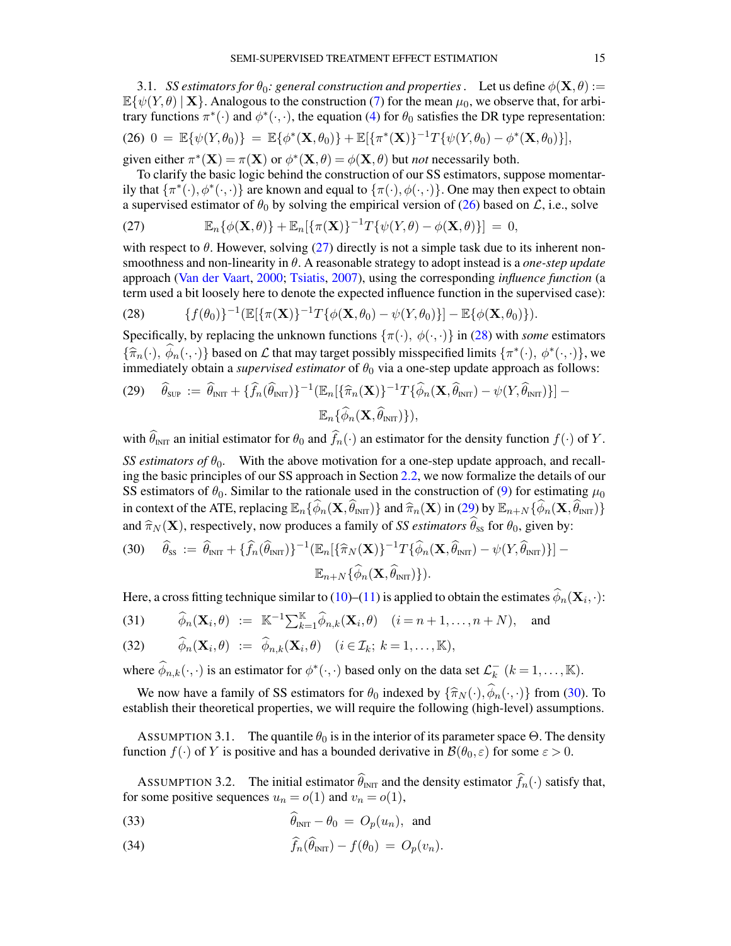<span id="page-14-0"></span>3.1. *SS estimators for*  $\theta_0$ *: general construction and properties* . Let us define  $\phi(\mathbf{X}, \theta) :=$  $\mathbb{E}\{\psi(Y,\theta) \mid \mathbf{X}\}\$ . Analogous to the construction [\(7\)](#page-7-1) for the mean  $\mu_0$ , we observe that, for arbitrary functions  $\pi^*(\cdot)$  and  $\phi^*(\cdot, \cdot)$ , the equation [\(4\)](#page-2-2) for  $\theta_0$  satisfies the DR type representation:

<span id="page-14-1"></span>(26) 
$$
0 = \mathbb{E}\{\psi(Y,\theta_0)\} = \mathbb{E}\{\phi^*(\mathbf{X},\theta_0)\} + \mathbb{E}[\{\pi^*(\mathbf{X})\}^{-1}T\{\psi(Y,\theta_0) - \phi^*(\mathbf{X},\theta_0)\}],
$$

given either  $\pi^*(\mathbf{X}) = \pi(\mathbf{X})$  or  $\phi^*(\mathbf{X}, \theta) = \phi(\mathbf{X}, \theta)$  but *not* necessarily both.

To clarify the basic logic behind the construction of our SS estimators, suppose momentarily that  $\{\pi^*(\cdot),\phi^*(\cdot,\cdot)\}$  are known and equal to  $\{\pi(\cdot),\phi(\cdot,\cdot)\}$ . One may then expect to obtain a supervised estimator of  $\theta_0$  by solving the empirical version of [\(26\)](#page-14-1) based on  $\mathcal{L}$ , i.e., solve

<span id="page-14-2"></span>(27) 
$$
\mathbb{E}_n\{\phi(\mathbf{X},\theta)\} + \mathbb{E}_n[\{\pi(\mathbf{X})\}^{-1}T\{\psi(Y,\theta) - \phi(\mathbf{X},\theta)\}] = 0,
$$

with respect to  $\theta$ . However, solving [\(27\)](#page-14-2) directly is not a simple task due to its inherent nonsmoothness and non-linearity in θ. A reasonable strategy to adopt instead is a *one-step update* approach [\(Van der Vaart,](#page-57-18) [2000;](#page-57-18) [Tsiatis,](#page-57-2) [2007\)](#page-57-2), using the corresponding *influence function* (a term used a bit loosely here to denote the expected influence function in the supervised case):

<span id="page-14-3"></span>(28) 
$$
\{f(\theta_0)\}^{-1}(\mathbb{E}[\{\pi(\mathbf{X})\}^{-1}T\{\phi(\mathbf{X},\theta_0)-\psi(Y,\theta_0)\}]-\mathbb{E}\{\phi(\mathbf{X},\theta_0)\}).
$$

Specifically, by replacing the unknown functions  $\{\pi(\cdot), \phi(\cdot, \cdot)\}\$  in [\(28\)](#page-14-3) with *some* estimators  ${\{\widehat{\pi}_{n}(\cdot), \widehat{\phi}_{n}(\cdot, \cdot)\}}$  based on L that may target possibly misspecified limits  ${\{\pi^*(\cdot), \phi^*(\cdot, \cdot)\}}$ , we immediately obtain a *supervised estimator* of  $\theta_0$  via a one-step undate approach as follows: immediately obtain a *supervised estimator* of  $\theta_0$  via a one-step update approach as follows:

<span id="page-14-4"></span>
$$
(29) \quad \widehat{\theta}_{\text{SUP}} := \widehat{\theta}_{\text{INT}} + {\{\widehat{f}_n(\widehat{\theta}_{\text{INT}})\}}^{-1} (\mathbb{E}_n[\{\widehat{\pi}_n(\mathbf{X})\}^{-1} T {\{\widehat{\phi}_n(\mathbf{X}, \widehat{\theta}_{\text{INT}}) - \psi(Y, \widehat{\theta}_{\text{INT}})\}}] - \mathbb{E}_n\{\widehat{\phi}_n(\mathbf{X}, \widehat{\theta}_{\text{INT}})\},
$$

with  $\widehat{\theta}_{\text{INT}}$  an initial estimator for  $\theta_0$  and  $\widehat{f}_n(\cdot)$  an estimator for the density function  $f(\cdot)$  of Y.

*SS estimators of*  $\theta_0$ . With the above motivation for a one-step update approach, and recalling the basic principles of our SS approach in Section [2.2,](#page-7-4) we now formalize the details of our SS estimators of  $\theta_0$ . Similar to the rationale used in the construction of [\(9\)](#page-7-3) for estimating  $\mu_0$ in context of the ATE, replacing  $\mathbb{E}_n\{\widehat{\phi}_n(\mathbf{X}, \widehat{\theta}_{\text{INT}})\}$  and  $\widehat{\pi}_n(\mathbf{X})$  in [\(29\)](#page-14-4) by  $\mathbb{E}_{n+N}\{\widehat{\phi}_n(\mathbf{X}, \widehat{\theta}_{\text{INT}})\}$ and  $\widehat{\pi}_N (\mathbf{X})$ , respectively, now produces a family of *SS estimators*  $\widehat{\theta}_{ss}$  for  $\theta_0$ , given by:

<span id="page-14-5"></span>(30) 
$$
\widehat{\theta}_{\text{ss}} := \widehat{\theta}_{\text{INT}} + \{\widehat{f}_n(\widehat{\theta}_{\text{INT}})\}^{-1} (\mathbb{E}_n[\{\widehat{\pi}_N(\mathbf{X})\}^{-1} T \{\widehat{\phi}_n(\mathbf{X}, \widehat{\theta}_{\text{INT}}) - \psi(Y, \widehat{\theta}_{\text{INT}})\}]-\mathbb{E}_{n+N} \{\widehat{\phi}_n(\mathbf{X}, \widehat{\theta}_{\text{INT}})\}).
$$

Here, a cross fitting technique similar to [\(10\)](#page-8-3)–[\(11\)](#page-8-3) is applied to obtain the estimates  $\phi_n(\mathbf{X}_i, \cdot)$ :

<span id="page-14-8"></span>(31) 
$$
\widehat{\phi}_n(\mathbf{X}_i, \theta) := \mathbb{K}^{-1} \sum_{k=1}^{\mathbb{K}} \widehat{\phi}_{n,k}(\mathbf{X}_i, \theta) \quad (i = n+1, \dots, n+N), \text{ and}
$$

(32) 
$$
\widehat{\phi}_n(\mathbf{X}_i, \theta) := \widehat{\phi}_{n,k}(\mathbf{X}_i, \theta) \quad (i \in \mathcal{I}_k; k = 1, \dots, \mathbb{K}),
$$

where  $\widehat{\phi}_{n,k}(\cdot,\cdot)$  is an estimator for  $\phi^*(\cdot,\cdot)$  based only on the data set  $\mathcal{L}_k^ \overline{k}$   $(k = 1, ..., \mathbb{K}).$ 

We now have a family of SS estimators for  $\theta_0$  indexed by  $\{\hat{\pi}_N(\cdot), \hat{\phi}_n(\cdot, \cdot)\}$  from [\(30\)](#page-14-5). To establish their theoretical properties, we will require the following (high-level) assumptions.

<span id="page-14-6"></span>ASSUMPTION 3.1. The quantile  $\theta_0$  is in the interior of its parameter space  $\Theta$ . The density function  $f(\cdot)$  of Y is positive and has a bounded derivative in  $\mathcal{B}(\theta_0, \varepsilon)$  for some  $\varepsilon > 0$ .

<span id="page-14-7"></span>ASSUMPTION 3.2. The initial estimator  $\widehat{\theta}_{\text{INT}}$  and the density estimator  $\widehat{f}_n(\cdot)$  satisfy that, for some positive sequences  $u_n = o(1)$  and  $v_n = o(1)$ ,

<span id="page-14-9"></span>(33) 
$$
\hat{\theta}_{\text{INT}} - \theta_0 = O_p(u_n), \text{ and}
$$

(34) 
$$
\widehat{f}_n(\widehat{\theta}_{\text{INT}}) - f(\theta_0) = O_p(v_n).
$$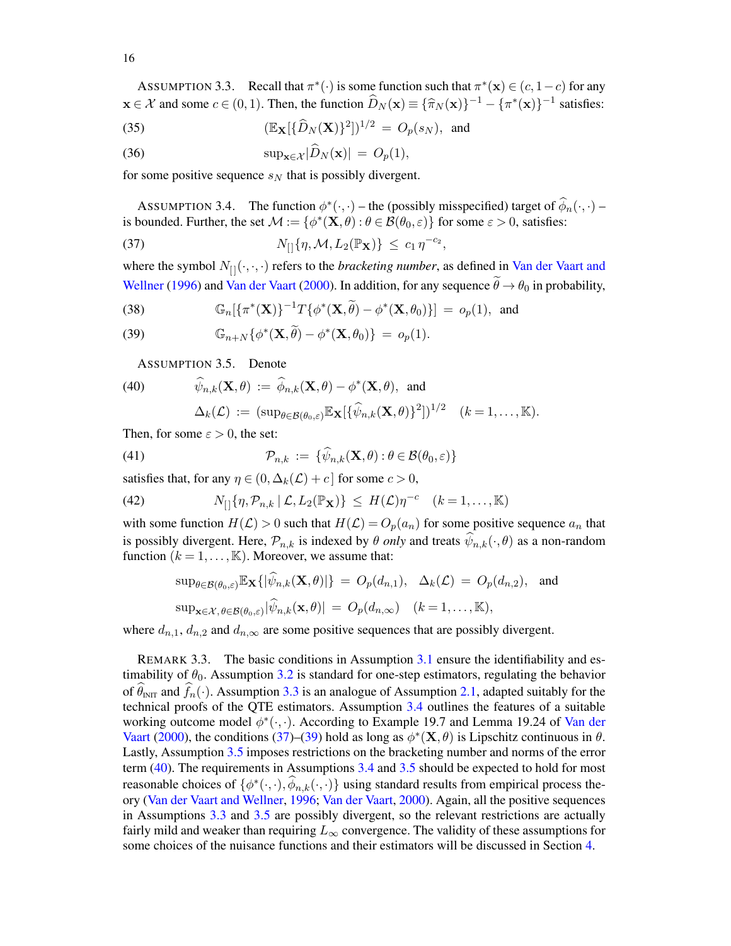<span id="page-15-0"></span>ASSUMPTION 3.3. Recall that  $\pi^*(\cdot)$  is some function such that  $\pi^*(\mathbf{x}) \in (c, 1-c)$  for any  $\mathbf{x} \in \mathcal{X}$  and some  $c \in (0, 1)$ . Then, the function  $\widehat{D}_N(\mathbf{x}) \equiv {\lbrace \widehat{\pi}_N(\mathbf{x}) \rbrace}^{-1} - {\lbrace \pi^*(\mathbf{x}) \rbrace}^{-1}$  satisfies:

<span id="page-15-9"></span>(35) 
$$
(\mathbb{E}_{\mathbf{X}}[\{\widehat{D}_N(\mathbf{X})\}^2])^{1/2} = O_p(s_N), \text{ and}
$$

(36) 
$$
\sup_{\mathbf{x}\in\mathcal{X}}|\widehat{D}_N(\mathbf{x})| = O_p(1),
$$

for some positive sequence  $s_N$  that is possibly divergent.

<span id="page-15-1"></span>ASSUMPTION 3.4. The function  $\phi^*(\cdot, \cdot)$  – the (possibly misspecified) target of  $\hat{\phi}_n(\cdot, \cdot)$  – is bounded. Further, the set  $\mathcal{M} := \{ \phi^*(\mathbf{X}, \theta) : \theta \in \mathcal{B}(\theta_0, \varepsilon) \}$  for some  $\varepsilon > 0$ , satisfies:

<span id="page-15-2"></span>
$$
N_{[]}{\eta, \mathcal{M}, L_2(\mathbb{P}_X)} \le c_1 \eta^{-c_2},
$$

where the symbol  $N_{[1]}(\cdot, \cdot, \cdot)$  refers to the *bracketing number*, as defined in [Van der Vaart and](#page-57-24) [Wellner](#page-57-24) [\(1996\)](#page-57-24) and [Van der Vaart](#page-57-18) [\(2000\)](#page-57-18). In addition, for any sequence  $\ddot{\theta} \rightarrow \theta_0$  in probability,

<span id="page-15-3"></span>(38) 
$$
\mathbb{G}_n[\{\pi^*(\mathbf{X})\}^{-1}T\{\phi^*(\mathbf{X},\widetilde{\theta})-\phi^*(\mathbf{X},\theta_0)\}]=o_p(1), \text{ and}
$$

(39) 
$$
\mathbb{G}_{n+N}\{\phi^*(\mathbf{X},\widetilde{\theta})-\phi^*(\mathbf{X},\theta_0)\} = o_p(1).
$$

<span id="page-15-5"></span><span id="page-15-4"></span>ASSUMPTION 3.5. Denote

(40) 
$$
\widehat{\psi}_{n,k}(\mathbf{X}, \theta) := \widehat{\phi}_{n,k}(\mathbf{X}, \theta) - \phi^*(\mathbf{X}, \theta), \text{ and}
$$

$$
\Delta_k(\mathcal{L}) := (\sup_{\theta \in \mathcal{B}(\theta_0, \varepsilon)} \mathbb{E}_{\mathbf{X}} [\{\widehat{\psi}_{n,k}(\mathbf{X}, \theta)\}^2])^{1/2} \quad (k = 1, ..., \mathbb{K}).
$$

Then, for some  $\varepsilon > 0$ , the set:

<span id="page-15-8"></span>(41) 
$$
\mathcal{P}_{n,k} := \{\widehat{\psi}_{n,k}(\mathbf{X},\theta): \theta \in \mathcal{B}(\theta_0,\varepsilon)\}
$$

satisfies that, for any  $\eta \in (0, \Delta_k(\mathcal{L}) + c]$  for some  $c > 0$ ,

<span id="page-15-7"></span>(42) 
$$
N_{[]}{\lbrace \eta, \mathcal{P}_{n,k} \mid \mathcal{L}, L_2(\mathbb{P}_{\mathbf{X}}) \rbrace} \leq H(\mathcal{L})\eta^{-c} \quad (k=1,\ldots,\mathbb{K})
$$

with some function  $H(\mathcal{L}) > 0$  such that  $H(\mathcal{L}) = O_p(a_n)$  for some positive sequence  $a_n$  that is possibly divergent. Here,  $\mathcal{P}_{n,k}$  is indexed by  $\theta$  *only* and treats  $\psi_{n,k}(\cdot,\theta)$  as a non-random function  $(k = 1, ..., K)$ . Moreover, we assume that:

<span id="page-15-6"></span>
$$
\sup_{\theta \in \mathcal{B}(\theta_0,\varepsilon)} \mathbb{E}_{\mathbf{X}}\{|\widehat{\psi}_{n,k}(\mathbf{X},\theta)|\} = O_p(d_{n,1}), \quad \Delta_k(\mathcal{L}) = O_p(d_{n,2}), \text{ and}
$$
  
\n
$$
\sup_{\mathbf{x} \in \mathcal{X}, \theta \in \mathcal{B}(\theta_0,\varepsilon)} |\widehat{\psi}_{n,k}(\mathbf{x},\theta)| = O_p(d_{n,\infty}) \quad (k = 1,\dots, \mathbb{K}),
$$

where  $d_{n,1}$ ,  $d_{n,2}$  and  $d_{n,\infty}$  are some positive sequences that are possibly divergent.

REMARK 3.3. The basic conditions in Assumption [3.1](#page-14-6) ensure the identifiability and estimability of  $\theta_0$ . Assumption [3.2](#page-14-7) is standard for one-step estimators, regulating the behavior of  $\widehat{\theta}_{INT}$  and  $\widehat{f}_n(\cdot)$ . Assumption [3.3](#page-15-0) is an analogue of Assumption [2.1,](#page-8-0) adapted suitably for the technical proofs of the QTE estimators. Assumption [3.4](#page-15-1) outlines the features of a suitable working outcome model  $\phi^*(\cdot, \cdot)$ . According to Example 19.7 and Lemma 19.24 of [Van der](#page-57-18) [Vaart](#page-57-18) [\(2000\)](#page-57-18), the conditions [\(37\)](#page-15-2)–[\(39\)](#page-15-3) hold as long as  $\phi^*(\mathbf{X}, \theta)$  is Lipschitz continuous in  $\theta$ . Lastly, Assumption [3.5](#page-15-4) imposes restrictions on the bracketing number and norms of the error term [\(40\)](#page-15-5). The requirements in Assumptions [3.4](#page-15-1) and [3.5](#page-15-4) should be expected to hold for most reasonable choices of  $\{\phi^*(\cdot,\cdot), \hat{\phi}_{n,k}(\cdot,\cdot)\}$  using standard results from empirical process theory [\(Van der Vaart and Wellner,](#page-57-24) [1996;](#page-57-24) [Van der Vaart,](#page-57-18) [2000\)](#page-57-18). Again, all the positive sequences in Assumptions [3.3](#page-15-0) and [3.5](#page-15-4) are possibly divergent, so the relevant restrictions are actually fairly mild and weaker than requiring  $L_{\infty}$  convergence. The validity of these assumptions for some choices of the nuisance functions and their estimators will be discussed in Section [4.](#page-18-0)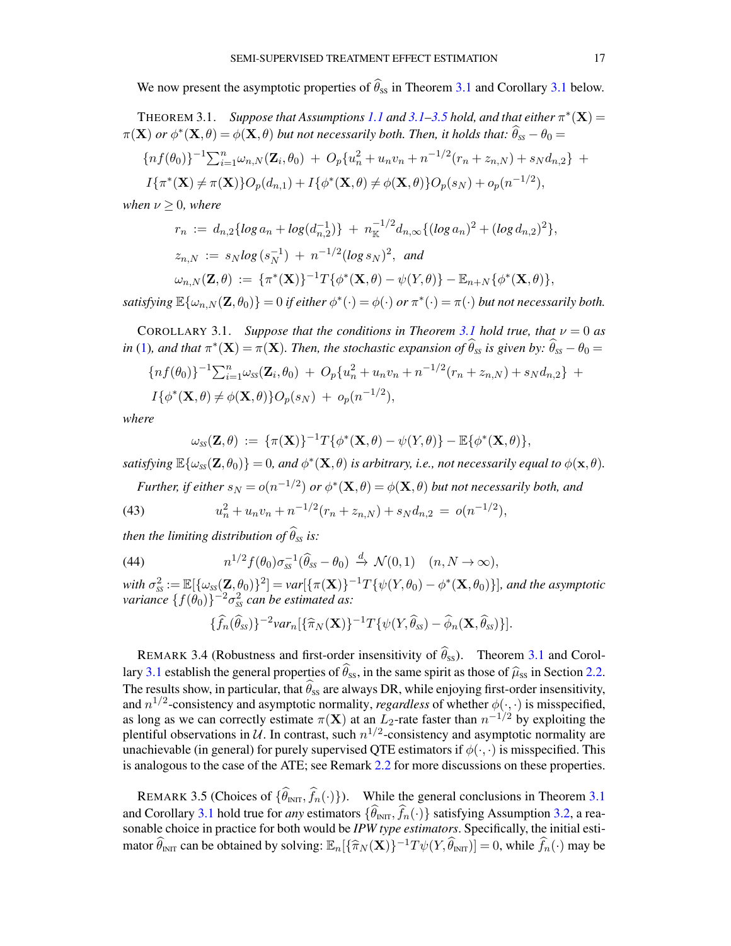We now present the asymptotic properties of  $\hat{\theta}_{ss}$  in Theorem [3.1](#page-16-1) and Corollary 3.1 below.

<span id="page-16-0"></span>THEOREM [3.1](#page-14-6). *Suppose that Assumptions [1.1](#page-2-4) and 3.1[–3.5](#page-15-4) hold, and that either*  $\pi^*(\mathbf{X}) =$  $\pi(\mathbf{X})$  *or*  $\phi^*(\mathbf{X}, \theta) = \phi(\mathbf{X}, \theta)$  *but not necessarily both. Then, it holds that:*  $\widehat{\theta}_{ss} - \theta_0 =$ 

$$
\{nf(\theta_0)\}^{-1} \sum_{i=1}^n \omega_{n,N}(\mathbf{Z}_i, \theta_0) + O_p\{u_n^2 + u_n v_n + n^{-1/2}(r_n + z_{n,N}) + s_N d_{n,2}\} +
$$
  

$$
I\{\pi^*(\mathbf{X}) \neq \pi(\mathbf{X})\}O_p(d_{n,1}) + I\{\phi^*(\mathbf{X}, \theta) \neq \phi(\mathbf{X}, \theta)\}O_p(s_N) + o_p(n^{-1/2}),
$$

$$
\{\pi^*(\mathbf{X}) \neq \pi(\mathbf{X})\} O_p(d_{n,1}) + I\{\phi^*(\mathbf{X}, \theta) \neq \phi(\mathbf{X}, \theta)\} O_p(s_N) + o_p(n^{-1/2}),
$$

*when*  $\nu \geq 0$ *, where* 

$$
r_n := d_{n,2} \{ \log a_n + \log (d_{n,2}^{-1}) \} + n_{\mathbb{K}}^{-1/2} d_{n,\infty} \{ (\log a_n)^2 + (\log d_{n,2})^2 \},
$$
  

$$
z_{n,N} := s_N \log (s_N^{-1}) + n^{-1/2} (\log s_N)^2, \text{ and}
$$

$$
\omega_{n,N}(\mathbf{Z},\theta) := \{\pi^*(\mathbf{X})\}^{-1}T\{\phi^*(\mathbf{X},\theta) - \psi(Y,\theta)\} - \mathbb{E}_{n+N}\{\phi^*(\mathbf{X},\theta)\},\
$$

satisfying  $\mathbb{E}\{\omega_{n,N}(\mathbf{Z},\theta_0)\}=0$  if either  $\phi^*(\cdot)=\phi(\cdot)$  or  $\pi^*(\cdot)=\pi(\cdot)$  but not necessarily both.

<span id="page-16-1"></span>COROLLARY [3.1](#page-16-0). *Suppose that the conditions in Theorem 3.1 hold true, that*  $\nu = 0$  *as*  $in$  [\(1\)](#page-1-0), and that  $\pi^*(\mathbf{X}) = \pi(\mathbf{X})$ . Then, the stochastic expansion of  $\widehat{\theta}_{ss}$  is given by:  $\widehat{\theta}_{ss} - \theta_0 =$ 

$$
{n f(\theta_0)}^{-1} \sum_{i=1}^n \omega_{ss}(\mathbf{Z}_i, \theta_0) + O_p\{u_n^2 + u_n v_n + n^{-1/2}(r_n + z_{n,N}) + s_N d_{n,2}\} + I\{\phi^*(\mathbf{X}, \theta) \neq \phi(\mathbf{X}, \theta)\} O_p(s_N) + o_p(n^{-1/2}),
$$

*where*

$$
\omega_{ss}(\mathbf{Z},\theta) := {\{\pi(\mathbf{X})\}}^{-1}T{\{\phi^*(\mathbf{X},\theta) - \psi(Y,\theta)\}} - \mathbb{E}{\{\phi^*(\mathbf{X},\theta)\}},
$$

satisfying  $\mathbb{E}\{\omega_{ss}(\mathbf{Z},\theta_0)\}=0$ , and  $\phi^*(\mathbf{X},\theta)$  is arbitrary, i.e., not necessarily equal to  $\phi(\mathbf{x},\theta)$ .

Further, if either  $s_N = o(n^{-1/2})$  or  $\phi^*(\mathbf{X}, \theta) = \phi(\mathbf{X}, \theta)$  but not necessarily both, and

(43) 
$$
u_n^2 + u_n v_n + n^{-1/2} (r_n + z_{n,N}) + s_N d_{n,2} = o(n^{-1/2}),
$$

*then the limiting distribution of*  $\widehat{\theta}_{ss}$  *is:* 

(44) 
$$
n^{1/2} f(\theta_0) \sigma_{ss}^{-1} (\widehat{\theta}_{ss} - \theta_0) \stackrel{d}{\to} \mathcal{N}(0, 1) \quad (n, N \to \infty),
$$

with  $\sigma_{ss}^2 := \mathbb{E}[\{\omega_{ss}(\mathbf{Z}, \theta_0)\}^2] = \text{var}[\{\pi(\mathbf{X})\}^{-1}T\{\psi(Y, \theta_0) - \phi^*(\mathbf{X}, \theta_0)\}]$ *, and the asymptotic*  $variance \{ f(\theta_0) \}^{-2} \sigma_{ss}^2$  *can be estimated as:* 

<span id="page-16-4"></span>
$$
\{\widehat{f}_n(\widehat{\theta}_{ss})\}^{-2}var_n[\{\widehat{\pi}_N(\mathbf{X})\}^{-1}T\{\psi(Y,\widehat{\theta}_{ss})-\widehat{\phi}_n(\mathbf{X},\widehat{\theta}_{ss})\}].
$$

<span id="page-16-2"></span>REMARK 3.4 (Robustness and first-order insensitivity of  $\hat{\theta}_{ss}$ ). Theorem [3.1](#page-16-0) and Corol-lary [3.1](#page-16-1) establish the general properties of  $\hat{\theta}_{ss}$ , in the same spirit as those of  $\hat{\mu}_{ss}$  in Section [2.2.](#page-7-4) The results show, in particular, that  $\hat{\theta}_{ss}$  are always DR, while enjoying first-order insensitivity, and  $n^{1/2}$ -consistency and asymptotic normality, *regardless* of whether  $\phi(\cdot, \cdot)$  is misspecified, as long as we can correctly estimate  $\pi(X)$  at an  $L_2$ -rate faster than  $n^{-1/2}$  by exploiting the plentiful observations in  $\mathcal U$ . In contrast, such  $n^{1/2}$ -consistency and asymptotic normality are unachievable (in general) for purely supervised QTE estimators if  $\phi(\cdot, \cdot)$  is misspecified. This is analogous to the case of the ATE; see Remark [2.2](#page-9-2) for more discussions on these properties.

<span id="page-16-3"></span>REMARK 3.5 (Choices of  $\{\widehat{\theta}_{INT}, \widehat{f}_n(\cdot)\}\)$ . While the general conclusions in Theorem [3.1](#page-16-0) and Corollary [3.1](#page-16-1) hold true for *any* estimators  $\{\widehat{\theta}_{\text{INT}}, \widehat{f}_n(\cdot)\}$  satisfying Assumption [3.2,](#page-14-7) a reasonable choice in practice for both would be *IPW type estimators*. Specifically, the initial estimator  $\widehat{\theta}_{INT}$  can be obtained by solving:  $\mathbb{E}_n[\{\widehat{\pi}_N(\mathbf{X})\}^{-1}T\psi(Y,\widehat{\theta}_{INT})] = 0$ , while  $\widehat{f}_n(\cdot)$  may be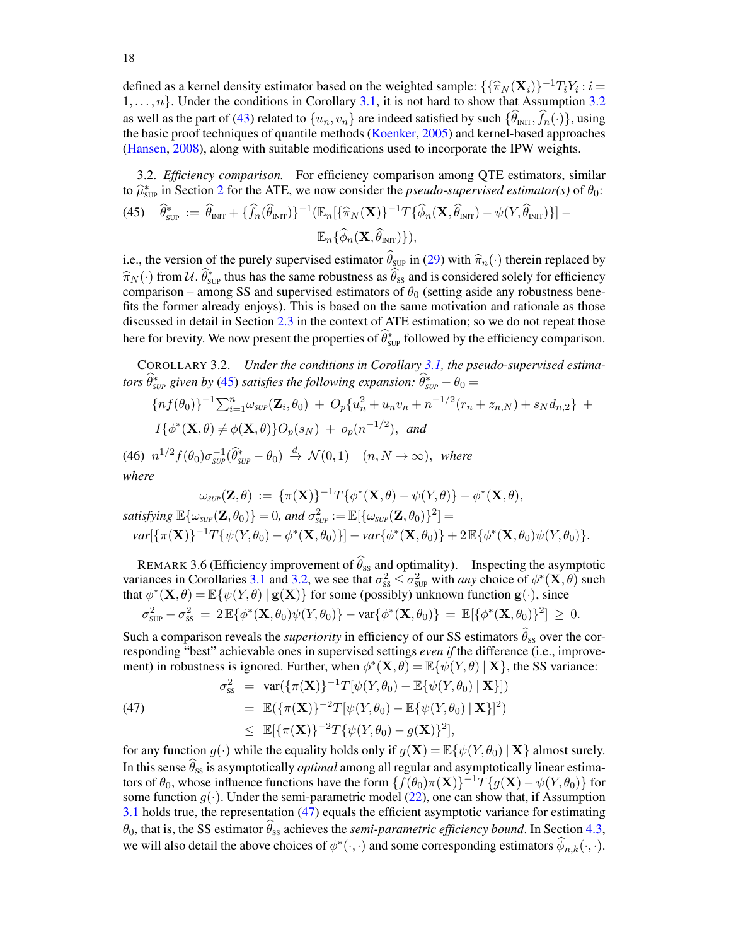defined as a kernel density estimator based on the weighted sample:  $\{\{\hat{\pi}_N (\mathbf{X}_i)\}^{-1}T_iY_i : i = 1, \dots, n\}$ . Under the conditions in Corollary 3.1, it is not hard to show that Assumption 3.2.  $1, \ldots, n$ . Under the conditions in Corollary [3.1,](#page-16-1) it is not hard to show that Assumption [3.2](#page-14-7) as well as the part of [\(43\)](#page-15-6) related to  $\{u_n, v_n\}$  are indeed satisfied by such  $\{\widehat{\theta}_{\text{INT}}, \widehat{f}_n(\cdot)\}\)$ , using the basic proof techniques of quantile methods [\(Koenker,](#page-57-25) [2005\)](#page-57-25) and kernel-based approaches [\(Hansen,](#page-56-27) [2008\)](#page-56-27), along with suitable modifications used to incorporate the IPW weights.

<span id="page-17-2"></span><span id="page-17-1"></span>3.2. *Efficiency comparison.* For efficiency comparison among QTE estimators, similar to  $\hat{\mu}_{\text{sup}}^*$  in Section [2](#page-6-0) for the ATE, we now consider the *pseudo-supervised estimator(s)* of  $\theta_0$ : (45)  $\hat{\theta}_{\text{sup}}^* := \hat{\theta}_{\text{INT}} + {\{\hat{f}_n(\hat{\theta}_{\text{INT}})\}}^{-1} (\mathbb{E}_n[\{\hat{\pi}_N(\mathbf{X})\}^{-1} T {\{\hat{\phi}_n(\mathbf{X}, \hat{\theta}_{\text{INT}}) - \psi(Y, \hat{\theta}_{\text{INT}})\}]-$ 

 $\mathbb{E}_n\{\widehat{\phi}_n(\mathbf{X}, \widehat{\theta}_{\text{INT}})\}\,$ 

i.e., the version of the purely supervised estimator  $\hat{\theta}_{\text{SUP}}$  in [\(29\)](#page-14-4) with  $\hat{\pi}_n(\cdot)$  therein replaced by  $\hat{\pi}_N(\cdot)$  from  $\mathcal{U}$ .  $\hat{\theta}_{\text{SVD}}^*$  thus has the same robustness as  $\hat{\theta}_{\text{SS}}$  and is considered solely for efficiency comparison – among SS and supervised estimators of  $\theta_0$  (setting aside any robustness benefits the former already enjoys). This is based on the same motivation and rationale as those discussed in detail in Section [2.3](#page-10-0) in the context of ATE estimation; so we do not repeat those here for brevity. We now present the properties of  $\hat{\theta}_{\text{sup}}^*$  followed by the efficiency comparison.

<span id="page-17-3"></span>COROLLARY 3.2. *Under the conditions in Corollary [3.1,](#page-16-1) the pseudo-supervised estimators*  $\widehat{\theta}_{\textit{SUP}}^*$  given by [\(45\)](#page-17-2) satisfies the following expansion:  $\widehat{\theta}_{\textit{SUP}}^* - \theta_0 =$ 

<span id="page-17-5"></span>
$$
\{nf(\theta_0)\}^{-1}\sum_{i=1}^n \omega_{\text{SUP}}(\mathbf{Z}_i, \theta_0) + O_p\{u_n^2 + u_n v_n + n^{-1/2}(r_n + z_{n,N}) + s_N d_{n,2}\} + I\{\phi^*(\mathbf{X}, \theta) \neq \phi(\mathbf{X}, \theta)\}O_p(s_N) + o_p(n^{-1/2}), \text{ and}
$$

(46)  $n^{1/2} f(\theta_0) \sigma_{\textit{SUP}}^{-1}(\widehat{\theta}_{\textit{SUP}}^* - \theta_0) \stackrel{d}{\rightarrow} \mathcal{N}(0, 1)$   $(n, N \rightarrow \infty)$ , where *where*

$$
\omega_{\text{SUP}}(\mathbf{Z}, \theta) := \{\pi(\mathbf{X})\}^{-1} T \{\phi^*(\mathbf{X}, \theta) - \psi(Y, \theta)\} - \phi^*(\mathbf{X}, \theta),
$$
\n
$$
\text{satisfying } \mathbb{E}\{\omega_{\text{SUP}}(\mathbf{Z}, \theta_0)\} = 0, \text{ and } \sigma_{\text{SUP}}^2 := \mathbb{E}[\{\omega_{\text{SUP}}(\mathbf{Z}, \theta_0)\}^2] =
$$
\n
$$
\text{Var}[\{\pi(\mathbf{X})\}^{-1} T \{\psi(Y, \theta_0) - \phi^*(\mathbf{X}, \theta_0)\}] - \text{var}\{\phi^*(\mathbf{X}, \theta_0)\} + 2 \mathbb{E}\{\phi^*(\mathbf{X}, \theta_0)\psi(Y, \theta_0)\}.
$$

<span id="page-17-0"></span>REMARK 3.6 (Efficiency improvement of  $\widehat{\theta}_{ss}$  and optimality). Inspecting the asymptotic variances in Corollaries [3.1](#page-16-1) and [3.2,](#page-17-3) we see that  $\sigma_{ss}^2 \leq \sigma_{sup}^2$  with *any* choice of  $\phi^*(\mathbf{X}, \theta)$  such that  $\phi^*(\mathbf{X}, \theta) = \mathbb{E}\{\psi(Y, \theta) \mid \mathbf{g}(\mathbf{X})\}$  for some (possibly) unknown function  $\mathbf{g}(\cdot)$ , since

$$
\sigma_{\text{SUP}}^2 - \sigma_{\text{SS}}^2 \ = \ 2 \, \mathbb{E} \{ \phi^*(\mathbf{X}, \theta_0) \psi(Y, \theta_0) \} - \text{var} \{ \phi^*(\mathbf{X}, \theta_0) \} \ = \ \mathbb{E} [ \{ \phi^*(\mathbf{X}, \theta_0) \}^2 ] \ \geq \ 0.
$$

Such a comparison reveals the *superiority* in efficiency of our SS estimators  $\theta_{ss}$  over the corresponding "best" achievable ones in supervised settings *even if* the difference (i.e., improvement) in robustness is ignored. Further, when  $\phi^*(\mathbf{X}, \theta) = \mathbb{E}\{\psi(Y, \theta) | \mathbf{X}\}\$ , the SS variance:

<span id="page-17-4"></span>(47)  

$$
\sigma_{ss}^2 = \text{var}(\{\pi(\mathbf{X})\}^{-1}T[\psi(Y,\theta_0) - \mathbb{E}\{\psi(Y,\theta_0) | \mathbf{X}\}])
$$

$$
= \mathbb{E}(\{\pi(\mathbf{X})\}^{-2}T[\psi(Y,\theta_0) - \mathbb{E}\{\psi(Y,\theta_0) | \mathbf{X}\}]^2)
$$

$$
\leq \mathbb{E}[\{\pi(\mathbf{X})\}^{-2}T\{\psi(Y,\theta_0) - g(\mathbf{X})\}^2],
$$

for any function  $g(\cdot)$  while the equality holds only if  $g(\mathbf{X}) = \mathbb{E}\{\psi(Y, \theta_0) | \mathbf{X}\}\$ almost surely. In this sense  $\widehat{\theta}_{ss}$  is asymptotically *optimal* among all regular and asymptotically linear estimators of  $\theta_0$ , whose influence functions have the form  $\{f(\theta_0)\pi(\mathbf{X})\}^{-1}\hat{T}\{g(\mathbf{X})-\psi(Y,\theta_0)\}$  for some function  $q(\cdot)$ . Under the semi-parametric model [\(22\)](#page-11-5), one can show that, if Assumption [3.1](#page-14-6) holds true, the representation [\(47\)](#page-17-4) equals the efficient asymptotic variance for estimating  $\theta_0$ , that is, the SS estimator  $\hat{\theta}_{ss}$  achieves the *semi-parametric efficiency bound*. In Section [4.3,](#page-21-0) we will also detail the above choices of  $\phi^*(\cdot, \cdot)$  and some corresponding estimators  $\hat{\phi}_{n,k}(\cdot, \cdot)$ .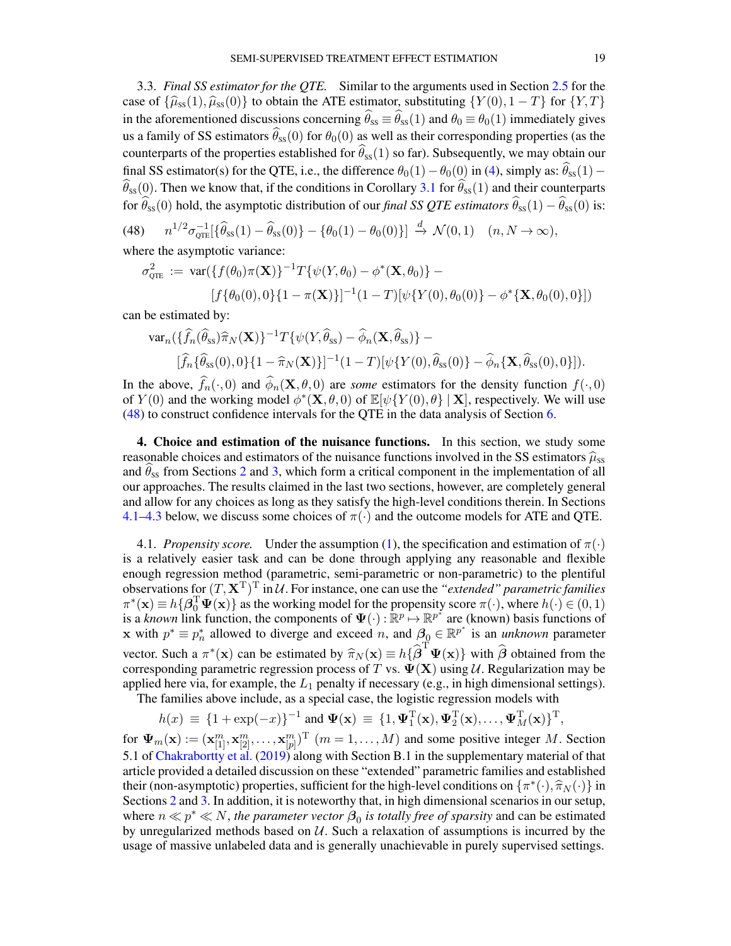<span id="page-18-1"></span>3.3. *Final SS estimator for the QTE.* Similar to the arguments used in Section [2.5](#page-12-1) for the case of  $\{\widehat{\mu}_{ss}(1),\widehat{\mu}_{ss}(0)\}$  to obtain the ATE estimator, substituting  $\{Y(0), 1 - T\}$  for  $\{Y, T\}$ in the aforementioned discussions concerning  $\hat{\theta}_{ss} \equiv \hat{\theta}_{ss}(1)$  and  $\theta_0 \equiv \theta_0(1)$  immediately gives us a family of SS estimators  $\widehat{\theta}_{ss}(0)$  for  $\theta_0(0)$  as well as their corresponding properties (as the counterparts of the properties established for  $\widehat{\theta}_{ss}(1)$  so far). Subsequently, we may obtain our final SS estimator(s) for the QTE, i.e., the difference  $\theta_0(1)-\theta_0(0)$  in [\(4\)](#page-2-2), simply as:  $\hat{\theta}_{ss}(1) \widehat{\theta}_{ss}(0)$ . Then we know that, if the conditions in Corollary [3.1](#page-16-1) for  $\widehat{\theta}_{ss}(1)$  and their counterparts for  $\hat{\theta}_{ss}(0)$  hold, the asymptotic distribution of our *final SS QTE estimators*  $\hat{\theta}_{ss}(1) - \hat{\theta}_{ss}(0)$  is:

<span id="page-18-2"></span>(48)  $n^{1/2}\sigma_{\text{QTE}}^{-1}[\{\widehat{\theta}_{ss}(1) - \widehat{\theta}_{ss}(0)\} - \{\theta_0(1) - \theta_0(0)\}] \stackrel{d}{\to} \mathcal{N}(0, 1) \quad (n, N \to \infty),$ where the asymptotic variance:

$$
\sigma_{QTE}^2 := \text{var}(\{f(\theta_0)\pi(\mathbf{X})\}^{-1}T\{\psi(Y,\theta_0) - \phi^*(\mathbf{X},\theta_0)\} - [f\{\theta_0(0),0\}\{1-\pi(\mathbf{X})\}]^{-1}(1-T)[\psi\{Y(0),\theta_0(0)\} - \phi^*(\mathbf{X},\theta_0(0),0)]
$$

can be estimated by:

$$
\operatorname{var}_n(\{\widehat{f}_n(\widehat{\theta}_{ss})\widehat{\pi}_N(\mathbf{X})\}^{-1}T\{\psi(Y,\widehat{\theta}_{ss})-\widehat{\phi}_n(\mathbf{X},\widehat{\theta}_{ss})\}-\\\qquad[\widehat{f}_n\{\widehat{\theta}_{ss}(0),0\}\{1-\widehat{\pi}_N(\mathbf{X})\}]^{-1}(1-T)[\psi\{Y(0),\widehat{\theta}_{ss}(0)\}-\widehat{\phi}_n\{\mathbf{X},\widehat{\theta}_{ss}(0),0\}]).
$$

In the above,  $f_n(\cdot, 0)$  and  $\phi_n(\mathbf{X}, \theta, 0)$  are *some* estimators for the density function  $f(\cdot, 0)$ of  $Y(0)$  and the working model  $\phi^*(\mathbf{X}, \theta, 0)$  of  $\mathbb{E}[\psi\{Y(0), \theta\} | \mathbf{X}]$ , respectively. We will use [\(48\)](#page-18-2) to construct confidence intervals for the QTE in the data analysis of Section [6.](#page-29-0)

<span id="page-18-0"></span>4. Choice and estimation of the nuisance functions. In this section, we study some reasonable choices and estimators of the nuisance functions involved in the SS estimators  $\hat{\mu}_{SS}$ and  $\theta_{ss}$  from Sections [2](#page-6-0) and [3,](#page-13-1) which form a critical component in the implementation of all our approaches. The results claimed in the last two sections, however, are completely general and allow for any choices as long as they satisfy the high-level conditions therein. In Sections [4.1–](#page-18-3)[4.3](#page-21-0) below, we discuss some choices of  $\pi(\cdot)$  and the outcome models for ATE and QTE.

<span id="page-18-3"></span>4.1. *Propensity score.* Under the assumption [\(1\)](#page-1-0), the specification and estimation of  $\pi(\cdot)$ is a relatively easier task and can be done through applying any reasonable and flexible enough regression method (parametric, semi-parametric or non-parametric) to the plentiful observations for  $(T, \mathbf{X}^T)^T$  in  $\mathcal{U}$ . For instance, one can use the "*extended" parametric families*  $\pi^*(\mathbf{x}) \equiv h\{\boldsymbol{\beta}_0^T\boldsymbol{\Psi}(\mathbf{x})\}$  as the working model for the propensity score  $\pi(\cdot)$ , where  $h(\cdot) \in (0,1)$ is a *known* link function, the components of  $\Psi(\cdot): \mathbb{R}^p \mapsto \mathbb{R}^{p^*}$  are (known) basis functions of x with  $p^* \equiv p_n^*$  allowed to diverge and exceed *n*, and  $\beta_0 \in \mathbb{R}^{p^*}$  is an *unknown* parameter vector. Such a  $\pi^*(\mathbf{x})$  can be estimated by  $\hat{\pi}_N(\mathbf{x}) \equiv h\{\hat{\boldsymbol{\beta}}^\text{T}\mathbf{\Psi}(\mathbf{x})\}$  with  $\hat{\boldsymbol{\beta}}$  obtained from the corresponding parametric regression process of T vs.  $\mathbf{\Psi}(\mathbf{X})$  using *U* Regularization may b corresponding parametric regression process of T vs.  $\Psi(\mathbf{X})$  using U. Regularization may be applied here via, for example, the  $L_1$  penalty if necessary (e.g., in high dimensional settings).

The families above include, as a special case, the logistic regression models with

$$
h(x) \equiv \{1 + \exp(-x)\}^{-1} \text{ and } \Psi(\mathbf{x}) \equiv \{1, \Psi_1^{\mathrm{T}}(\mathbf{x}), \Psi_2^{\mathrm{T}}(\mathbf{x}), \dots, \Psi_M^{\mathrm{T}}(\mathbf{x})\}^{\mathrm{T}},
$$

for  $\Psi_m(\mathbf{x}) := (\mathbf{x}_{[1]}^m, \mathbf{x}_{[2]}^m, \dots, \mathbf{x}_{[p]}^m)^T$   $(m = 1, \dots, M)$  and some positive integer M. Section 5.1 of [Chakrabortty et al.](#page-56-26) [\(2019\)](#page-56-26) along with Section B.1 in the supplementary material of that article provided a detailed discussion on these "extended" parametric families and established their (non-asymptotic) properties, sufficient for the high-level conditions on  $\{\pi^*(\cdot), \hat{\pi}_N(\cdot)\}$  in<br>Sections 2 and 3. In addition, it is noteworthy that, in high dimensional scenarios in our setup. Sections [2](#page-6-0) and [3.](#page-13-1) In addition, it is noteworthy that, in high dimensional scenarios in our setup, where  $n \ll p^* \ll N$ , *the parameter vector*  $\boldsymbol{\beta}_0$  *is totally free of sparsity* and can be estimated by unregularized methods based on  $U$ . Such a relaxation of assumptions is incurred by the usage of massive unlabeled data and is generally unachievable in purely supervised settings.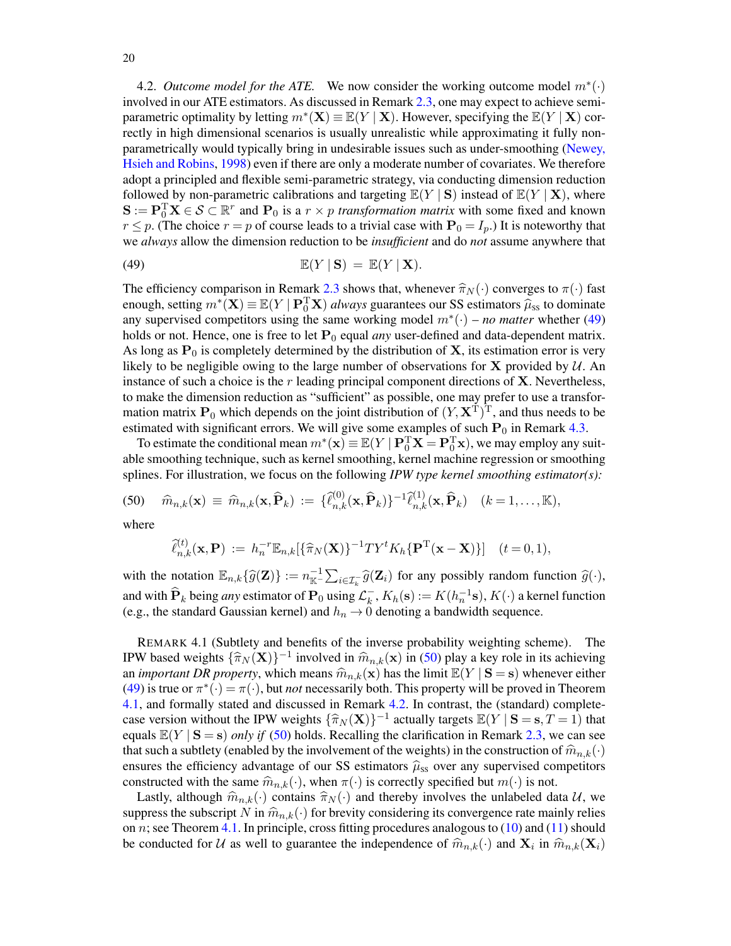<span id="page-19-0"></span>4.2. *Outcome model for the ATE*. We now consider the working outcome model  $m^*(\cdot)$ involved in our ATE estimators. As discussed in Remark [2.3,](#page-11-1) one may expect to achieve semiparametric optimality by letting  $m^*(\mathbf{X}) \equiv \mathbb{E}(Y | \mathbf{X})$ . However, specifying the  $\mathbb{E}(Y | \mathbf{X})$  correctly in high dimensional scenarios is usually unrealistic while approximating it fully nonparametrically would typically bring in undesirable issues such as under-smoothing [\(Newey,](#page-57-26) [Hsieh and Robins,](#page-57-26) [1998\)](#page-57-26) even if there are only a moderate number of covariates. We therefore adopt a principled and flexible semi-parametric strategy, via conducting dimension reduction followed by non-parametric calibrations and targeting  $\mathbb{E}(Y | S)$  instead of  $\mathbb{E}(Y | X)$ , where  $S := P_0^T X \in S \subset \mathbb{R}^r$  and  $P_0$  is a  $r \times p$  *transformation matrix* with some fixed and known  $r \leq p$ . (The choice  $r = p$  of course leads to a trivial case with  $P_0 = I_p$ .) It is noteworthy that we *always* allow the dimension reduction to be *insufficient* and do *not* assume anywhere that

<span id="page-19-1"></span>(49) 
$$
\mathbb{E}(Y \mid \mathbf{S}) = \mathbb{E}(Y \mid \mathbf{X}).
$$

The efficiency comparison in Remark [2.3](#page-11-1) shows that, whenever  $\hat{\pi}_N(\cdot)$  converges to  $\pi(\cdot)$  fast enough, setting  $m^*(\mathbf{X}) \equiv \mathbb{E}(Y \mid \mathbf{P}_0^T \mathbf{X})$  *always* guarantees our SS estimators  $\hat{\mu}_{ss}$  to dominate any supervised competitors using the same working model  $m^*(\cdot)$  – *no matter* whether [\(49\)](#page-19-1) holds or not. Hence, one is free to let  $P_0$  equal *any* user-defined and data-dependent matrix. As long as  $P_0$  is completely determined by the distribution of **X**, its estimation error is very likely to be negligible owing to the large number of observations for  $X$  provided by  $U$ . An instance of such a choice is the  $r$  leading principal component directions of  $X$ . Nevertheless, to make the dimension reduction as "sufficient" as possible, one may prefer to use a transformation matrix  $P_0$  which depends on the joint distribution of  $(Y, \mathbf{X}^T)^T$ , and thus needs to be estimated with significant errors. We will give some examples of such  $P_0$  in Remark [4.3.](#page-21-1)

To estimate the conditional mean  $m^*(\mathbf{x}) \equiv \mathbb{E}(Y \mid \mathbf{P}_0^T \mathbf{X} = \mathbf{P}_0^T \mathbf{x})$ , we may employ any suitable smoothing technique, such as kernel smoothing, kernel machine regression or smoothing splines. For illustration, we focus on the following *IPW type kernel smoothing estimator(s):*

<span id="page-19-2"></span>(50) 
$$
\widehat{m}_{n,k}(\mathbf{x}) \equiv \widehat{m}_{n,k}(\mathbf{x},\widehat{\mathbf{P}}_k) := \{\widehat{\ell}_{n,k}^{(0)}(\mathbf{x},\widehat{\mathbf{P}}_k)\}^{-1}\widehat{\ell}_{n,k}^{(1)}(\mathbf{x},\widehat{\mathbf{P}}_k) \quad (k=1,\ldots,\mathbb{K}),
$$

where

$$
\widehat{\ell}_{n,k}^{(t)}(\mathbf{x},\mathbf{P}) := h_n^{-r} \mathbb{E}_{n,k} [\{\widehat{\pi}_N(\mathbf{X})\}^{-1} T Y^t K_h \{\mathbf{P}^{\mathrm{T}}(\mathbf{x}-\mathbf{X})\}] \quad (t=0,1),
$$

with the notation  $\mathbb{E}_{n,k}\{\widehat{g}(\mathbf{Z})\} := n_{\mathbb{K}}^{-1}\sum_{i\in\mathcal{I}_k^{-}}\widehat{g}(\mathbf{Z}_i)$  for any possibly random function  $\widehat{g}(\cdot),$ and with  $\widehat{P}_k$  being *any* estimator of  $P_0$  using  $\mathcal{L}_k^$  $k<sub>k</sub>$ ,  $K<sub>h</sub>(s) := K(h<sub>n</sub><sup>-1</sup>s)$ ,  $K(\cdot)$  a kernel function (e.g., the standard Gaussian kernel) and  $h_n \to 0$  denoting a bandwidth sequence.

<span id="page-19-3"></span>REMARK 4.1 (Subtlety and benefits of the inverse probability weighting scheme). The IPW based weights  $\{\widehat{\pi}_N (\mathbf{X})\}^{-1}$  involved in  $\widehat{m}_{n,k}(\mathbf{x})$  in [\(50\)](#page-19-2) play a key role in its achieving an *important DR property*, which means  $\hat{m}_{n,k}(\mathbf{x})$  has the limit  $\mathbb{E}(Y | \mathbf{S} = \mathbf{s})$  whenever either [\(49\)](#page-19-1) is true or  $\pi^*(\cdot) = \pi(\cdot)$ , but *not* necessarily both. This property will be proved in Theorem [4.1,](#page-20-0) and formally stated and discussed in Remark [4.2.](#page-21-2) In contrast, the (standard) completecase version without the IPW weights  $\{\widehat{\pi}_N(\mathbf{X})\}^{-1}$  actually targets  $\mathbb{E}(Y | \mathbf{S} = \mathbf{s}, T = 1)$  that equals  $\mathbb{E}(Y | S = s)$  *only if* [\(50\)](#page-19-2) holds. Recalling the clarification in Remark [2.3,](#page-11-1) we can see that such a subtlety (enabled by the involvement of the weights) in the construction of  $\hat{m}_{n,k}(\cdot)$ ensures the efficiency advantage of our SS estimators  $\hat{\mu}_{ss}$  over any supervised competitors constructed with the same  $\hat{m}_{n,k}(\cdot)$ , when  $\pi(\cdot)$  is correctly specified but  $m(\cdot)$  is not.

Lastly, although  $\hat{m}_{n,k}(\cdot)$  contains  $\hat{\pi}_N(\cdot)$  and thereby involves the unlabeled data U, we suppress the subscript N in  $\hat{m}_{n,k}(\cdot)$  for brevity considering its convergence rate mainly relies on  $n$ ; see Theorem [4.1.](#page-20-0) In principle, cross fitting procedures analogous to  $(10)$  and  $(11)$  should be conducted for U as well to guarantee the independence of  $\hat{m}_{n,k}(\cdot)$  and  $\mathbf{X}_i$  in  $\hat{m}_{n,k}(\mathbf{X}_i)$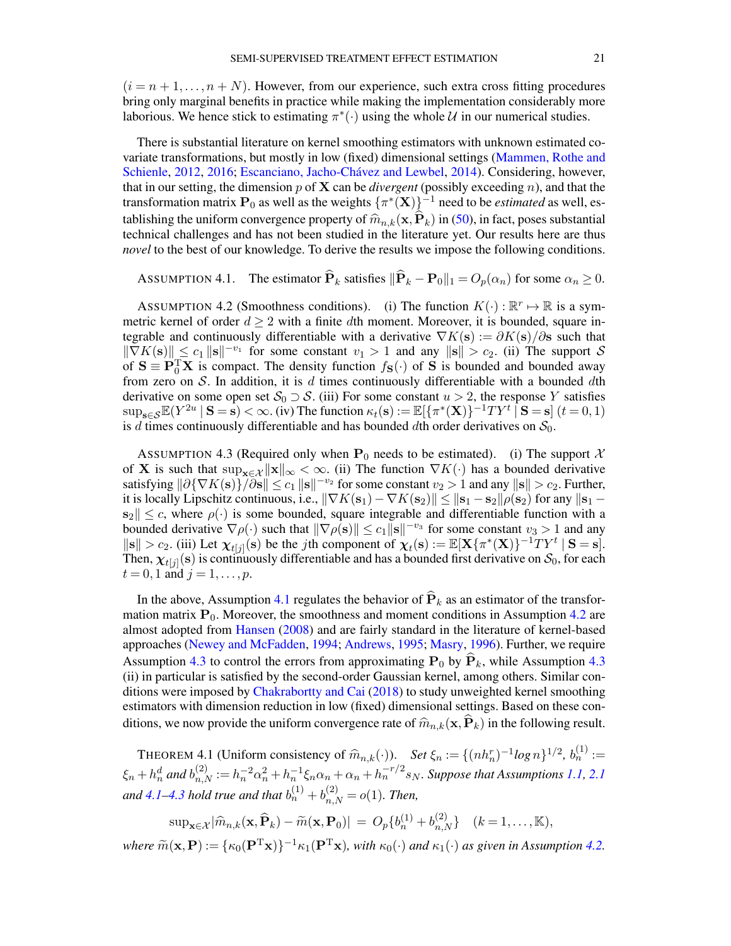$(i = n + 1, \ldots, n + N)$ . However, from our experience, such extra cross fitting procedures bring only marginal benefits in practice while making the implementation considerably more laborious. We hence stick to estimating  $\pi^*(\cdot)$  using the whole  $\mathcal U$  in our numerical studies.

There is substantial literature on kernel smoothing estimators with unknown estimated covariate transformations, but mostly in low (fixed) dimensional settings [\(Mammen, Rothe and](#page-57-19) [Schienle,](#page-57-19) [2012,](#page-57-19) [2016;](#page-57-20) [Escanciano, Jacho-Chávez and Lewbel,](#page-56-25) [2014\)](#page-56-25). Considering, however, that in our setting, the dimension  $p$  of  $X$  can be *divergent* (possibly exceeding  $n$ ), and that the transformation matrix  $P_0$  as well as the weights  $\{\pi^*(\mathbf{X})\}^{-1}$  need to be *estimated* as well, establishing the uniform convergence property of  $\hat{m}_{n,k}(\mathbf{x},\mathbf{P}_k)$  in [\(50\)](#page-19-2), in fact, poses substantial technical challenges and has not been studied in the literature yet. Our results here are thus *novel* to the best of our knowledge. To derive the results we impose the following conditions.

<span id="page-20-1"></span>ASSUMPTION 4.1. The estimator  $\widehat{\mathbf{P}}_k$  satisfies  $\|\widehat{\mathbf{P}}_k - \mathbf{P}_0\|_1 = O_p(\alpha_n)$  for some  $\alpha_n \geq 0$ .

<span id="page-20-2"></span>ASSUMPTION 4.2 (Smoothness conditions). (i) The function  $K(\cdot): \mathbb{R}^r \mapsto \mathbb{R}$  is a symmetric kernel of order  $d \geq 2$  with a finite dth moment. Moreover, it is bounded, square integrable and continuously differentiable with a derivative  $\nabla K(s) := \partial K(s)/\partial s$  such that  $\|\nabla K(\mathbf{s})\| \leq c_1 \| \mathbf{s} \|^{-v_1}$  for some constant  $v_1 > 1$  and any  $\|\mathbf{s}\| > c_2$ . (ii) The support S of  $S \equiv P_0^T X$  is compact. The density function  $f_S(\cdot)$  of S is bounded and bounded away from zero on S. In addition, it is d times continuously differentiable with a bounded dth derivative on some open set  $S_0 \supset S$ . (iii) For some constant  $u > 2$ , the response Y satisfies  $\sup_{\mathbf{s}\in\mathcal{S}}\mathbb{E}(Y^{2u}\mid \mathbf{S}=\mathbf{s})<\infty$ . (iv) The function  $\kappa_t(\mathbf{s}):=\mathbb{E}[\{\pi^*(\mathbf{X})\}^{-1}TY^t\mid \mathbf{S}=\mathbf{s}]$   $(t=0,1)$ is d times continuously differentiable and has bounded dth order derivatives on  $S_0$ .

<span id="page-20-3"></span>ASSUMPTION 4.3 (Required only when  $P_0$  needs to be estimated). (i) The support X of X is such that  $\sup_{x \in \mathcal{X}} \|x\|_{\infty} < \infty$ . (ii) The function  $\nabla K(\cdot)$  has a bounded derivative satisfying  $\|\partial \{\nabla K(\mathbf{s})\}/\partial \mathbf{s}\| \leq c_1 \|\mathbf{s}\|^{-v_2}$  for some constant  $v_2 > 1$  and any  $\|\mathbf{s}\| > c_2$ . Further, it is locally Lipschitz continuous, i.e.,  $\|\nabla K(\mathbf{s}_1) - \nabla K(\mathbf{s}_2)\| \leq ||\mathbf{s}_1 - \mathbf{s}_2|| \rho(\mathbf{s}_2)$  for any  $||\mathbf{s}_1 ||\mathbf{s}_2|| \leq c$ , where  $\rho(\cdot)$  is some bounded, square integrable and differentiable function with a bounded derivative  $\nabla \rho(\cdot)$  such that  $\|\nabla \rho(s)\| \le c_1 \|\mathbf{s}\|^{-v_3}$  for some constant  $v_3 > 1$  and any  $||\mathbf{s}|| > c_2$ . (iii) Let  $\chi_{t}[j]}(\mathbf{s})$  be the jth component of  $\chi_t(\mathbf{s}) := \mathbb{E}[\mathbf{X}\{\pi^*(\mathbf{X})\}^{-1}TY^t | \mathbf{S} = \mathbf{s}].$ Then,  $\chi_{t[j]}(\mathbf{s})$  is continuously differentiable and has a bounded first derivative on  $\mathcal{S}_0$ , for each  $t = 0, 1$  and  $j = 1, ..., p$ .

In the above, Assumption [4.1](#page-20-1) regulates the behavior of  $\hat{P}_k$  as an estimator of the transformation matrix  $P_0$ . Moreover, the smoothness and moment conditions in Assumption [4.2](#page-20-2) are almost adopted from [Hansen](#page-56-27) [\(2008\)](#page-56-27) and are fairly standard in the literature of kernel-based approaches [\(Newey and McFadden,](#page-57-27) [1994;](#page-57-27) [Andrews,](#page-55-7) [1995;](#page-55-7) [Masry,](#page-57-28) [1996\)](#page-57-28). Further, we require Assumption [4.3](#page-20-3) to control the errors from approximating  $P_0$  by  $\hat{P}_k$ , while Assumption 4.3 (ii) in particular is satisfied by the second-order Gaussian kernel, among others. Similar conditions were imposed by [Chakrabortty and Cai](#page-56-4) [\(2018\)](#page-56-4) to study unweighted kernel smoothing estimators with dimension reduction in low (fixed) dimensional settings. Based on these conditions, we now provide the uniform convergence rate of  $\hat{m}_{n,k}(\mathbf{x},\hat{P}_k)$  in the following result.

<span id="page-20-0"></span>THEOREM 4.1 (Uniform consistency of  $\hat{m}_{n,k}(\cdot)$ ). *Set*  $\xi_n := \{(nh_n^r)^{-1} \log n\}^{1/2}, b_n^{(1)} :=$  $\xi_n + h_n^d$  and  $b_{n,N}^{(2)} := h_n^{-2} \alpha_n^2 + h_n^{-1} \xi_n \alpha_n + \alpha_n + h_n^{-r/2} s_N$ . Suppose that Assumptions [1.1,](#page-2-4) [2.1](#page-8-0) and [4.1](#page-20-1)[–4.3](#page-20-3) hold true and that  $b_n^{(1)} + b_{n,N}^{(2)} = o(1)$ . Then,

$$
\sup_{\mathbf{x}\in\mathcal{X}}|\widehat{m}_{n,k}(\mathbf{x},\widehat{\mathbf{P}}_k)-\widetilde{m}(\mathbf{x},\mathbf{P}_0)|\ =\ O_p\{b_n^{(1)}+b_{n,N}^{(2)}\}\quad (k=1,\ldots,\mathbb{K}),
$$

 $where \ \widetilde{m}(\mathbf{x}, \mathbf{P}) := \{ \kappa_0(\mathbf{P}^T\mathbf{x}) \}^{-1} \kappa_1(\mathbf{P}^T\mathbf{x}), \ with \ \kappa_0(\cdot) \ and \ \kappa_1(\cdot) \ as \ given \ in \ Assumption \ 4.2.$  $where \ \widetilde{m}(\mathbf{x}, \mathbf{P}) := \{ \kappa_0(\mathbf{P}^T\mathbf{x}) \}^{-1} \kappa_1(\mathbf{P}^T\mathbf{x}), \ with \ \kappa_0(\cdot) \ and \ \kappa_1(\cdot) \ as \ given \ in \ Assumption \ 4.2.$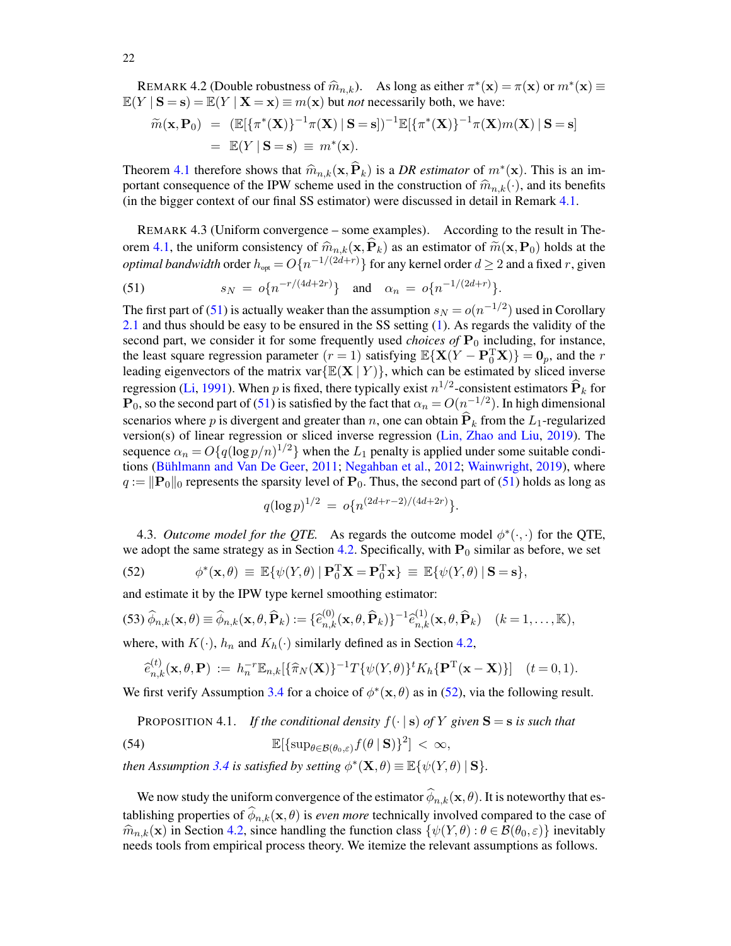<span id="page-21-2"></span>REMARK 4.2 (Double robustness of  $\hat{m}_{n,k}$ ). As long as either  $\pi^*(\mathbf{x}) = \pi(\mathbf{x})$  or  $m^*(\mathbf{x}) \equiv V | \mathbf{S} - \mathbf{s} \rangle - \mathbb{F}(V | \mathbf{X} - \mathbf{x}) = m(\mathbf{x})$  but not necessarily both, we have:  $\mathbb{E}(Y | S = s) = \mathbb{E}(Y | X = x) \equiv m(x)$  but *not* necessarily both, we have:

$$
\widetilde{m}(\mathbf{x}, \mathbf{P}_0) = (\mathbb{E}[\{\pi^*(\mathbf{X})\}^{-1}\pi(\mathbf{X}) \mid \mathbf{S} = \mathbf{s}])^{-1} \mathbb{E}[\{\pi^*(\mathbf{X})\}^{-1}\pi(\mathbf{X})m(\mathbf{X}) \mid \mathbf{S} = \mathbf{s}]
$$
  
=  $\mathbb{E}(Y \mid \mathbf{S} = \mathbf{s}) \equiv m^*(\mathbf{x}).$ 

Theorem [4.1](#page-20-0) therefore shows that  $\widehat{m}_{n,k}(\mathbf{x}, \widehat{\mathbf{P}}_k)$  is a *DR estimator* of  $m^*(\mathbf{x})$ . This is an im-<br>portant consequence of the IPW scheme used in the construction of  $\widehat{m}_{n,k}(\cdot)$  and its benefits portant consequence of the IPW scheme used in the construction of  $\widehat{m}_{n,k}(\cdot)$ , and its benefits (in the bigger context of our final SS estimator) were discussed in detail in Remark [4.1.](#page-19-3)

<span id="page-21-1"></span>REMARK 4.3 (Uniform convergence – some examples). According to the result in The-orem [4.1,](#page-20-0) the uniform consistency of  $\widehat{m}_{n,k}(\mathbf{x},\mathbf{P}_k)$  as an estimator of  $\widetilde{m}(\mathbf{x},\mathbf{P}_0)$  holds at the *optimal bandwidth* order  $h_{opt} = O\{n^{-1/(2d+r)}\}$  for any kernel order  $d \geq 2$  and a fixed r, given

<span id="page-21-3"></span>(51) 
$$
s_N = o\{n^{-r/(4d+2r)}\} \text{ and } \alpha_n = o\{n^{-1/(2d+r)}\}.
$$

The first part of [\(51\)](#page-21-3) is actually weaker than the assumption  $s_N = o(n^{-1/2})$  used in Corollary [2.1](#page-9-1) and thus should be easy to be ensured in the SS setting [\(1\)](#page-1-0). As regards the validity of the second part, we consider it for some frequently used *choices of*  $P_0$  including, for instance, the least square regression parameter  $(r = 1)$  satisfying  $\mathbb{E}\{X(Y - P_0^T X)\} = 0_p$ , and the r leading eigenvectors of the matrix var $\{E(X | Y)\}\$ , which can be estimated by sliced inverse regression [\(Li,](#page-57-22) [1991\)](#page-57-22). When p is fixed, there typically exist  $n^{1/2}$ -consistent estimators  $\widehat{\mathbf{P}}_k$  for  $\mathbf{P}_0$ , so the second part of [\(51\)](#page-21-3) is satisfied by the fact that  $\alpha_n = O(n^{-1/2})$ . In high dimensional scenarios where p is divergent and greater than n, one can obtain  $\hat{P}_k$  from the L<sub>1</sub>-regularized version(s) of linear regression or sliced inverse regression [\(Lin, Zhao and Liu,](#page-57-23) [2019\)](#page-57-23). The sequence  $\alpha_n = O\{q(\log p/n)^{1/2}\}\$  when the  $L_1$  penalty is applied under some suitable conditions [\(Bühlmann and Van De Geer,](#page-55-8) [2011;](#page-55-8) [Negahban et al.,](#page-57-29) [2012;](#page-57-29) [Wainwright,](#page-58-5) [2019\)](#page-58-5), where  $q := ||\mathbf{P}_0||_0$  represents the sparsity level of  $\mathbf{P}_0$ . Thus, the second part of [\(51\)](#page-21-3) holds as long as

$$
q(\log p)^{1/2} = o\{n^{(2d+r-2)/(4d+2r)}\}.
$$

<span id="page-21-0"></span>4.3. *Outcome model for the QTE*. As regards the outcome model  $\phi^*(\cdot, \cdot)$  for the QTE, we adopt the same strategy as in Section [4.2.](#page-19-0) Specifically, with  $P_0$  similar as before, we set

<span id="page-21-4"></span>(52) 
$$
\phi^*(\mathbf{x}, \theta) \equiv \mathbb{E}\{\psi(Y, \theta) | \mathbf{P}_0^T \mathbf{X} = \mathbf{P}_0^T \mathbf{x}\} \equiv \mathbb{E}\{\psi(Y, \theta) | \mathbf{S} = \mathbf{s}\},
$$

and estimate it by the IPW type kernel smoothing estimator:

<span id="page-21-5"></span>
$$
(53)\ \widehat{\phi}_{n,k}(\mathbf{x},\theta) \equiv \widehat{\phi}_{n,k}(\mathbf{x},\theta,\widehat{\mathbf{P}}_k) := \{\widehat{e}_{n,k}^{(0)}(\mathbf{x},\theta,\widehat{\mathbf{P}}_k)\}^{-1}\widehat{e}_{n,k}^{(1)}(\mathbf{x},\theta,\widehat{\mathbf{P}}_k) \quad (k=1,\ldots,\mathbb{K}),
$$

where, with  $K(\cdot)$ ,  $h_n$  and  $K_h(\cdot)$  similarly defined as in Section [4.2,](#page-19-0)

$$
\widehat{e}_{n,k}^{(t)}(\mathbf{x},\theta,\mathbf{P}) := h_n^{-r} \mathbb{E}_{n,k} [\{\widehat{\pi}_N(\mathbf{X})\}^{-1} T \{\psi(Y,\theta)\}^t K_h \{\mathbf{P}^T(\mathbf{x}-\mathbf{X})\}] \quad (t=0,1).
$$

We first verify Assumption [3.4](#page-15-1) for a choice of  $\phi^*(\mathbf{x}, \theta)$  as in [\(52\)](#page-21-4), via the following result.

<span id="page-21-7"></span><span id="page-21-6"></span>PROPOSITION 4.1. *If the conditional density*  $f(\cdot | s)$  *of* Y given  $S = s$  *is such that* 

(54) 
$$
\mathbb{E}[\{\sup_{\theta \in \mathcal{B}(\theta_0,\varepsilon)} f(\theta \mid \mathbf{S})\}^2] < \infty,
$$

*then Assumption* [3.4](#page-15-1) *is satisfied by setting*  $\phi^*(\mathbf{X}, \theta) \equiv \mathbb{E}\{\psi(Y, \theta) | \mathbf{S}\}.$ 

We now study the uniform convergence of the estimator  $\phi_{n,k}(\mathbf{x}, \theta)$ . It is noteworthy that establishing properties of  $\phi_{n,k}(\mathbf{x}, \theta)$  is *even more* technically involved compared to the case of  $\widehat{m}_{n,k}(\mathbf{x})$  in Section [4.2,](#page-19-0) since handling the function class  $\{\psi(Y,\theta): \theta \in \mathcal{B}(\theta_0,\varepsilon)\}\$ inevitably needs tools from empirical process theory. We itemize the relevant assumptions as follows.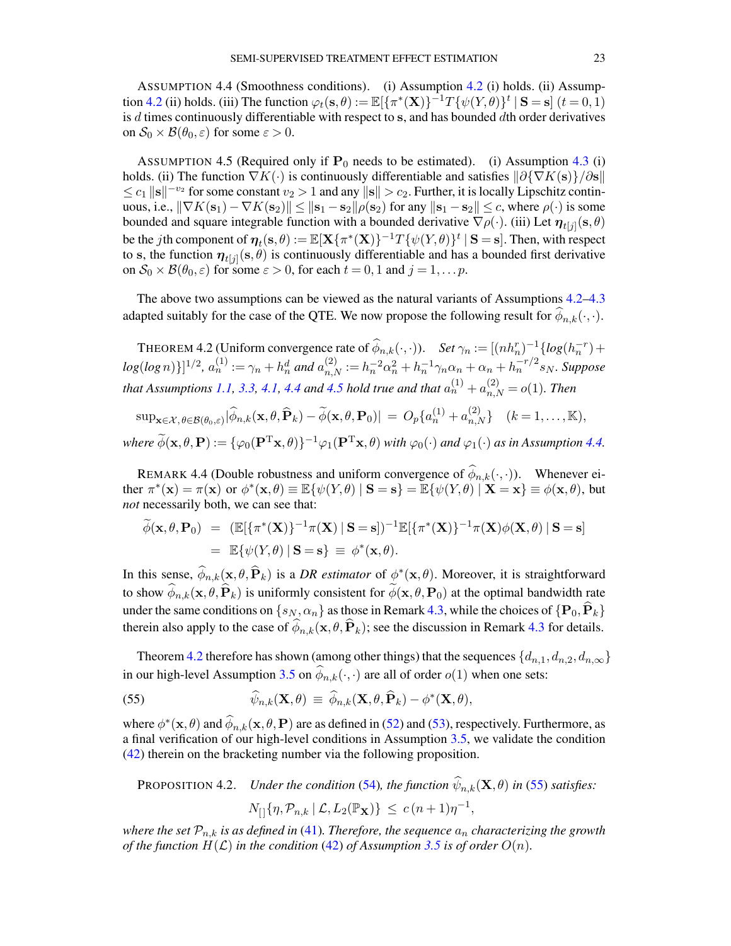<span id="page-22-1"></span>ASSUMPTION 4.4 (Smoothness conditions). (i) Assumption [4.2](#page-20-2) (i) holds. (ii) Assump-tion [4.2](#page-20-2) (ii) holds. (iii) The function  $\varphi_t(\mathbf{s}, \theta) := \mathbb{E}[\{\pi^*(\mathbf{X})\}^{-1}T\{\psi(Y, \theta)\}^t | \mathbf{S} = \mathbf{s}]$   $(t = 0, 1)$ is  $d$  times continuously differentiable with respect to  $s$ , and has bounded  $d$ th order derivatives on  $S_0 \times \mathcal{B}(\theta_0, \varepsilon)$  for some  $\varepsilon > 0$ .

<span id="page-22-2"></span>ASSUMPTION 4.5 (Required only if  $P_0$  needs to be estimated). (i) Assumption [4.3](#page-20-3) (i) holds. (ii) The function  $\nabla K(\cdot)$  is continuously differentiable and satisfies  $\frac{\partial \{\nabla K(\mathbf{s})\}}{\partial s}$  $\leq c_1 ||\mathbf{s}||^{-v_2}$  for some constant  $v_2 > 1$  and any  $||\mathbf{s}|| > c_2$ . Further, it is locally Lipschitz continuous, i.e.,  $\|\nabla K(\mathbf{s}_1) - \nabla K(\mathbf{s}_2)\| \leq \|\mathbf{s}_1 - \mathbf{s}_2\| \rho(\mathbf{s}_2)$  for any  $\|\mathbf{s}_1 - \mathbf{s}_2\| \leq c$ , where  $\rho(\cdot)$  is some bounded and square integrable function with a bounded derivative  $\nabla \rho(\cdot)$ . (iii) Let  $\eta_{t[j]}(s,\theta)$ be the *j*th component of  $\eta_t(s, \theta) := \mathbb{E}[\mathbf{X}\{\pi^*(\mathbf{X})\}^{-1}T\{\psi(Y, \theta)\}^t | S = s]$ . Then, with respect to s, the function  $\eta_{t[j]}(s,\theta)$  is continuously differentiable and has a bounded first derivative on  $S_0 \times \mathcal{B}(\theta_0, \varepsilon)$  for some  $\varepsilon > 0$ , for each  $t = 0, 1$  and  $j = 1, \dots p$ .

The above two assumptions can be viewed as the natural variants of Assumptions [4.2–](#page-20-2)[4.3](#page-20-3) adapted suitably for the case of the QTE. We now propose the following result for  $\phi_{n,k}(\cdot,\cdot)$ .

<span id="page-22-0"></span>THEOREM 4.2 (Uniform convergence rate of  $\widehat{\phi}_{n,k}(\cdot,\cdot)$ ). *Set*  $\gamma_n := [(nh_n^r)^{-1} \{ log(h_n^{-r}) +$  $log(log n)\}]^{1/2}, a_n^{(1)} := \gamma_n + h_n^d$  and  $a_{n,N}^{(2)} := h_n^{-2} \alpha_n^2 + h_n^{-1} \gamma_n \alpha_n + \alpha_n + h_n^{-r/2} s_N$ . Suppose *that Assumptions [1.1,](#page-2-4) [3.3,](#page-15-0) [4.1,](#page-20-1) [4.4](#page-22-1) and [4.5](#page-22-2) hold true and that*  $a_n^{(1)} + a_{n,N}^{(2)} = o(1)$ *. Then* 

$$
\sup_{\mathbf{x}\in\mathcal{X},\theta\in\mathcal{B}(\theta_0,\varepsilon)}|\widehat{\phi}_{n,k}(\mathbf{x},\theta,\widehat{\mathbf{P}}_k)-\widetilde{\phi}(\mathbf{x},\theta,\mathbf{P}_0)|=O_p\{a_n^{(1)}+a_{n,N}^{(2)}\}\quad (k=1,\ldots,\mathbb{K}),
$$

 $where \ \widetilde{\phi}(\mathbf{x}, \theta, \mathbf{P}) := \{ \varphi_0(\mathbf{P}^T\mathbf{x}, \theta) \}^{-1} \varphi_1(\mathbf{P}^T\mathbf{x}, \theta) \ with \ \varphi_0(\cdot) \ and \ \varphi_1(\cdot) \ as \ in \ Assumption \ 4.4.$  $where \ \widetilde{\phi}(\mathbf{x}, \theta, \mathbf{P}) := \{ \varphi_0(\mathbf{P}^T\mathbf{x}, \theta) \}^{-1} \varphi_1(\mathbf{P}^T\mathbf{x}, \theta) \ with \ \varphi_0(\cdot) \ and \ \varphi_1(\cdot) \ as \ in \ Assumption \ 4.4.$ 

REMARK 4.4 (Double robustness and uniform convergence of  $\phi_{n,k}(\cdot,\cdot)$ ). Whenever ei-<br> $\psi(\cdot,\cdot)$ ther  $\pi^*(\mathbf{x}) = \pi(\mathbf{x})$  or  $\phi^*(\mathbf{x}, \theta) \equiv \mathbb{E}\{\psi(Y, \theta) \mid \mathbf{S} = \mathbf{s}\} = \mathbb{E}\{\psi(Y, \theta) \mid \mathbf{X} = \mathbf{x}\} \equiv \phi(\mathbf{x}, \theta)$ , but *not* necessarily both, we can see that:

$$
\widetilde{\phi}(\mathbf{x}, \theta, \mathbf{P}_0) = (\mathbb{E}[\{\pi^*(\mathbf{X})\}^{-1}\pi(\mathbf{X}) \mid \mathbf{S} = \mathbf{s}])^{-1}\mathbb{E}[\{\pi^*(\mathbf{X})\}^{-1}\pi(\mathbf{X})\phi(\mathbf{X}, \theta) \mid \mathbf{S} = \mathbf{s}]
$$
  
=  $\mathbb{E}\{\psi(Y, \theta) \mid \mathbf{S} = \mathbf{s}\} \equiv \phi^*(\mathbf{x}, \theta).$ 

In this sense,  $\widehat{\phi}_{n,k}(\mathbf{x}, \theta, \widehat{\mathbf{P}}_k)$  is a *DR estimator* of  $\phi^*(\mathbf{x}, \theta)$ . Moreover, it is straightforward to show  $\phi_{n,k}(\mathbf{x}, \theta, \mathbf{P}_k)$  is uniformly consistent for  $\phi(\mathbf{x}, \theta, \mathbf{P}_0)$  at the optimal bandwidth rate under the same conditions on  $\{s_N, \alpha_n\}$  as those in Remark [4.3,](#page-21-1) while the choices of  $\{P_0, \widehat{P}_k\}$ therein also apply to the case of  $\phi_{n,k}(\mathbf{x}, \theta, \mathbf{P}_k)$ ; see the discussion in Remark [4.3](#page-21-1) for details.

Theorem [4.2](#page-22-0) therefore has shown (among other things) that the sequences  $\{d_{n,1}, d_{n,2}, d_{n,\infty}\}$ in our high-level Assumption [3.5](#page-15-4) on  $\phi_{n,k}(\cdot, \cdot)$  are all of order  $o(1)$  when one sets:

<span id="page-22-3"></span>(55) 
$$
\widehat{\psi}_{n,k}(\mathbf{X},\theta) \equiv \widehat{\phi}_{n,k}(\mathbf{X},\theta,\widehat{\mathbf{P}}_k) - \phi^*(\mathbf{X},\theta),
$$

where  $\phi^*(\mathbf{x}, \theta)$  and  $\widehat{\phi}_{n,k}(\mathbf{x}, \theta, \mathbf{P})$  are as defined in [\(52\)](#page-21-4) and [\(53\)](#page-21-5), respectively. Furthermore, as a final verification of our high-level conditions in Assumption [3.5,](#page-15-4) we validate the condition [\(42\)](#page-15-7) therein on the bracketing number via the following proposition.

<span id="page-22-4"></span>PROPOSITION 4.2. Under the condition (54), the function 
$$
\hat{\psi}_{n,k}(\mathbf{X}, \theta)
$$
 in (55) satisfies:  
\n
$$
N_{[]}\{\eta, \mathcal{P}_{n,k} \mid \mathcal{L}, L_2(\mathbb{P}_{\mathbf{X}})\} \le c(n+1)\eta^{-1},
$$

*where the set*  $\mathcal{P}_{n,k}$  *is as defined in* [\(41\)](#page-15-8). Therefore, the sequence  $a_n$  characterizing the growth *of the function*  $H(L)$  *in the condition* [\(42\)](#page-15-7) *of Assumption* [3.5](#page-15-4) *is of order*  $O(n)$ *.*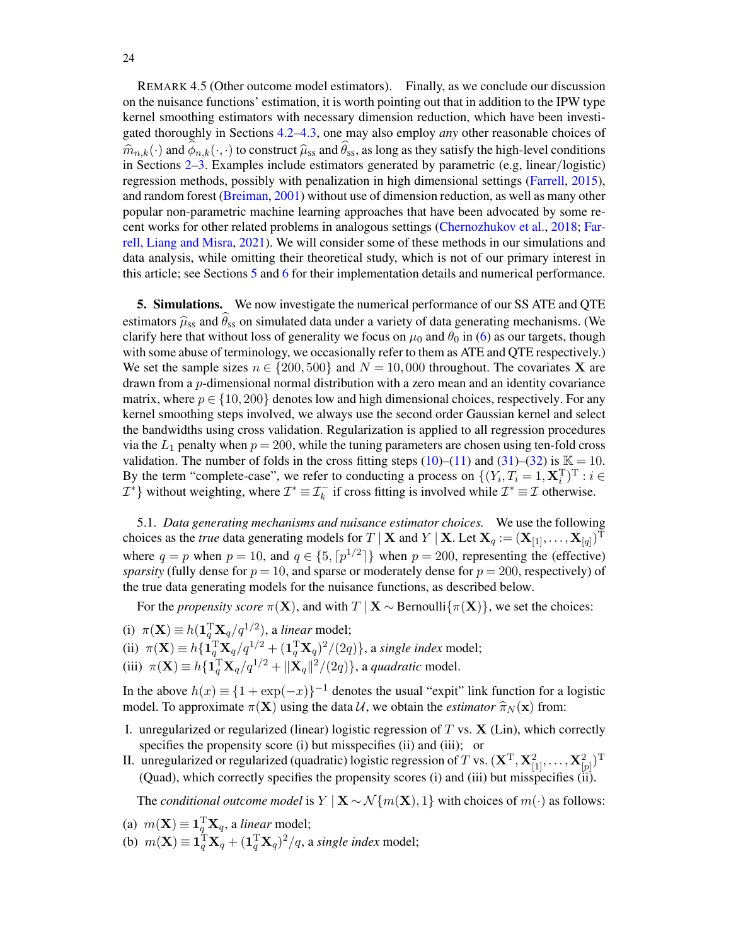REMARK 4.5 (Other outcome model estimators). Finally, as we conclude our discussion on the nuisance functions' estimation, it is worth pointing out that in addition to the IPW type kernel smoothing estimators with necessary dimension reduction, which have been investigated thoroughly in Sections [4.2–](#page-19-0)[4.3,](#page-21-0) one may also employ *any* other reasonable choices of  $\hat{m}_{n,k}(\cdot)$  and  $\phi_{n,k}(\cdot, \cdot)$  to construct  $\hat{\mu}_{ss}$  and  $\theta_{ss}$ , as long as they satisfy the high-level conditions in Sections 2–3. Examples include estimators generated by parametric (e.g. linear /logistic) in Sections [2–](#page-6-0)[3.](#page-13-1) Examples include estimators generated by parametric (e.g, linear/logistic) regression methods, possibly with penalization in high dimensional settings [\(Farrell,](#page-56-18) [2015\)](#page-56-18), and random forest [\(Breiman,](#page-55-9) [2001\)](#page-55-9) without use of dimension reduction, as well as many other popular non-parametric machine learning approaches that have been advocated by some recent works for other related problems in analogous settings [\(Chernozhukov et al.,](#page-56-19) [2018;](#page-56-19) [Far](#page-56-28)[rell, Liang and Misra,](#page-56-28) [2021\)](#page-56-28). We will consider some of these methods in our simulations and data analysis, while omitting their theoretical study, which is not of our primary interest in this article; see Sections [5](#page-23-0) and [6](#page-29-0) for their implementation details and numerical performance.

<span id="page-23-0"></span>5. Simulations. We now investigate the numerical performance of our SS ATE and QTE estimators  $\hat{\mu}_{ss}$  and  $\hat{\theta}_{ss}$  on simulated data under a variety of data generating mechanisms. (We clarify here that without loss of generality we focus on  $\mu_0$  and  $\theta_0$  in [\(6\)](#page-2-3) as our targets, though with some abuse of terminology, we occasionally refer to them as ATE and QTE respectively.) We set the sample sizes  $n \in \{200, 500\}$  and  $N = 10,000$  throughout. The covariates **X** are drawn from a p-dimensional normal distribution with a zero mean and an identity covariance matrix, where  $p \in \{10, 200\}$  denotes low and high dimensional choices, respectively. For any kernel smoothing steps involved, we always use the second order Gaussian kernel and select the bandwidths using cross validation. Regularization is applied to all regression procedures via the  $L_1$  penalty when  $p = 200$ , while the tuning parameters are chosen using ten-fold cross validation. The number of folds in the cross fitting steps [\(10\)](#page-8-3)–[\(11\)](#page-8-3) and [\(31\)](#page-14-8)–[\(32\)](#page-14-8) is  $\mathbb{K} = 10$ . By the term "complete-case", we refer to conducting a process on  $\{(Y_i, T_i = 1, \mathbf{X}_i^T)^T : i \in$  $\mathcal{I}^*$  without weighting, where  $\mathcal{I}^* \equiv \mathcal{I}^-_k$  if cross fitting is involved while  $\mathcal{I}^* \equiv \mathcal{I}$  otherwise.

5.1. *Data generating mechanisms and nuisance estimator choices.* We use the following choices as the *true* data generating models for T | **X** and Y | **X**. Let  $X_q := (X_{[1]}, \ldots, X_{[q]})^T$ where  $q = p$  when  $p = 10$ , and  $q \in \{5, \lceil p^{1/2} \rceil\}$  when  $p = 200$ , representing the (effective) *sparsity* (fully dense for  $p = 10$ , and sparse or moderately dense for  $p = 200$ , respectively) of the true data generating models for the nuisance functions, as described below.

For the *propensity score*  $\pi(\mathbf{X})$ , and with  $T | \mathbf{X} \sim \text{Bernoulli}\{\pi(\mathbf{X})\}$ , we set the choices:

- (i)  $\pi(\mathbf{X}) \equiv h(\mathbf{1}_q^T \mathbf{X}_q/q^{1/2})$ , a *linear* model;
- (ii)  $\pi(\mathbf{X}) \equiv h \{ \mathbf{1}_q^{\mathrm{T}} \mathbf{X}_q / q^{1/2} + (\mathbf{1}_q^{\mathrm{T}} \mathbf{X}_q)^2 / (2q) \}$ , a *single index* model;
- (iii)  $\pi(\mathbf{X}) \equiv h\{\mathbf{1}_q^T \mathbf{X}_q / q^{1/2} + ||\mathbf{X}_q||^2 / (2q)\}\$ , a *quadratic* model.

In the above  $h(x) \equiv \{1 + \exp(-x)\}^{-1}$  denotes the usual "expit" link function for a logistic model. To approximate  $\pi(\mathbf{X})$  using the data U, we obtain the *estimator*  $\hat{\pi}_N(\mathbf{x})$  from:

- I. unregularized or regularized (linear) logistic regression of  $T$  vs.  $X$  (Lin), which correctly specifies the propensity score (i) but misspecifies (ii) and (iii); or
- II. unregularized or regularized (quadratic) logistic regression of  $T$  vs.  $(\mathbf{X}^{\mathrm{T}},\mathbf{X}^2_{[1]},\ldots,\mathbf{X}^2_{[p]})^{\mathrm{T}}$ (Quad), which correctly specifies the propensity scores (i) and (iii) but misspecifies (ii).

The *conditional outcome model* is  $Y | X \sim \mathcal{N}{m(X), 1}$  with choices of  $m(\cdot)$  as follows:

- (a)  $m(\mathbf{X}) \equiv \mathbf{1}_q^{\mathrm{T}} \mathbf{X}_q$ , a *linear* model;
- (b)  $m(\mathbf{X}) \equiv \mathbf{1}_q^{\mathrm{T}} \mathbf{X}_q + (\mathbf{1}_q^{\mathrm{T}} \mathbf{X}_q)^2 / q$ , a *single index* model;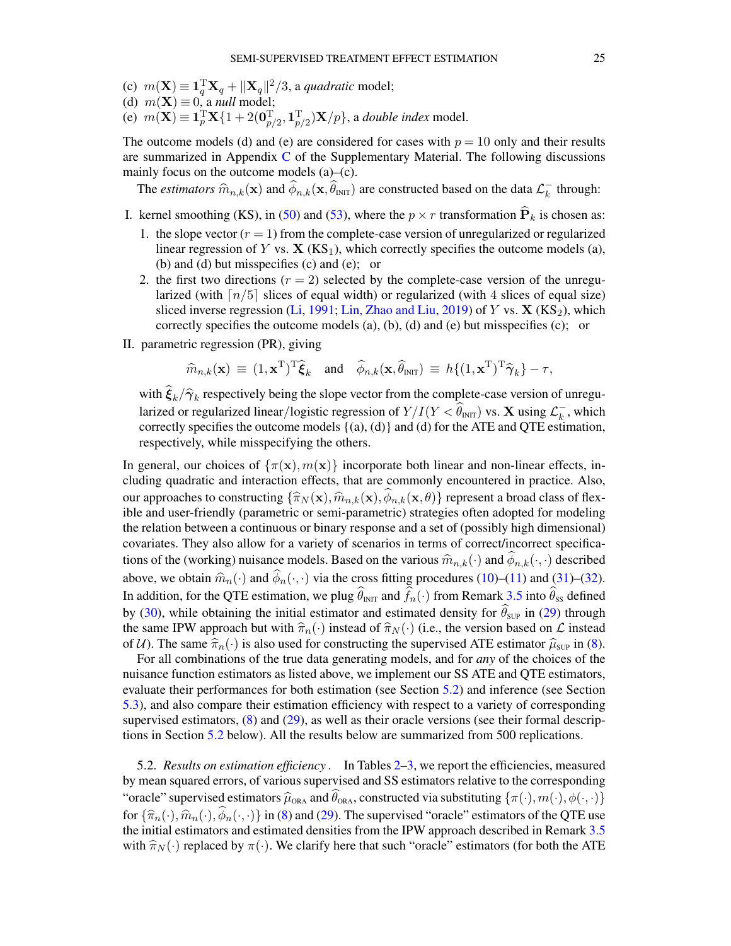- (c)  $m(\mathbf{X}) \equiv \mathbf{1}_q^{\mathrm{T}} \mathbf{X}_q + ||\mathbf{X}_q||^2/3$ , a *quadratic* model;
- (d)  $m(\mathbf{X}) \equiv 0$ , a *null* model;
- (e)  $m(\mathbf{X}) \equiv \mathbf{1}_p^{\mathrm{T}} \mathbf{X} \{1 + 2(\mathbf{0}_{p/2}^{\mathrm{T}}, \mathbf{1}_{p/2}^{\mathrm{T}}) \mathbf{X}/p\}$ , a *double index* model.

The outcome models (d) and (e) are considered for cases with  $p = 10$  only and their results are summarized in Appendix [C](#page-53-0) of the Supplementary Material. The following discussions mainly focus on the outcome models (a)–(c).

The *estimators*  $\widehat{m}_{n,k}(\mathbf{x})$  and  $\widehat{\phi}_{n,k}(\mathbf{x}, \widehat{\theta}_{\text{INT}})$  are constructed based on the data  $\mathcal{L}_k^ \overline{k}$  through:

- I. kernel smoothing (KS), in [\(50\)](#page-19-2) and [\(53\)](#page-21-5), where the  $p \times r$  transformation  $\widehat{P}_k$  is chosen as:
	- 1. the slope vector  $(r = 1)$  from the complete-case version of unregularized or regularized linear regression of Y vs.  $X$  (KS<sub>1</sub>), which correctly specifies the outcome models (a), (b) and (d) but misspecifies (c) and (e); or
	- 2. the first two directions  $(r = 2)$  selected by the complete-case version of the unregularized (with  $\lceil n/5 \rceil$  slices of equal width) or regularized (with 4 slices of equal size) sliced inverse regression [\(Li,](#page-57-22) [1991;](#page-57-22) [Lin, Zhao and Liu,](#page-57-23) [2019\)](#page-57-23) of Y vs.  $X$  (KS<sub>2</sub>), which correctly specifies the outcome models (a), (b), (d) and (e) but misspecifies (c); or
- II. parametric regression (PR), giving

$$
\widehat{m}_{n,k}(\mathbf{x}) \equiv (1,\mathbf{x}^{\mathrm{T}})^{\mathrm{T}} \widehat{\boldsymbol{\xi}}_k \quad \text{and} \quad \widehat{\phi}_{n,k}(\mathbf{x}, \widehat{\theta}_{\mathrm{INT}}) \equiv h\{(1,\mathbf{x}^{\mathrm{T}})^{\mathrm{T}} \widehat{\boldsymbol{\gamma}}_k\} - \tau,
$$

with  $\xi_k/\hat{\gamma}_k$  respectively being the slope vector from the complete-case version of unregu-<br>lating degree version of lating and lating the state of  $X/L(X, \hat{\alpha})$  and  $X$  with  $\hat{\alpha}$  and integret larized or regularized linear/logistic regression of  $Y/I(Y < \widehat{\theta}_{\text{INT}})$  vs. X using  $\mathcal{L}_k^ \overline{k}$ , which correctly specifies the outcome models  $\{(a), (d)\}$  and  $(d)$  for the ATE and QTE estimation, respectively, while misspecifying the others.

In general, our choices of  $\{\pi(\mathbf{x}), m(\mathbf{x})\}$  incorporate both linear and non-linear effects, including quadratic and interaction effects, that are commonly encountered in practice. Also, our approaches to constructing  $\{\hat{\pi}_N(\mathbf{x}),\hat{m}_{n,k}(\mathbf{x}),\phi_{n,k}(\mathbf{x},\theta)\}\$  represent a broad class of flex-<br>ible and user-friendly (parametric or semi-parametric) strategies often adopted for modeling ible and user-friendly (parametric or semi-parametric) strategies often adopted for modeling the relation between a continuous or binary response and a set of (possibly high dimensional) covariates. They also allow for a variety of scenarios in terms of correct/incorrect specifications of the (working) nuisance models. Based on the various  $\widehat{m}_{n,k}(\cdot)$  and  $\phi_{n,k}(\cdot,\cdot)$  described<br>the second trivial  $\widehat{m}_{n,k}(\cdot)$  and  $\widehat{m}_{n,k}(\cdot)$  and  $\widehat{m}_{n,k}(\cdot)$  and  $\widehat{m}_{n,k}(\cdot)$  and  $\widehat{m}_{n,k}(\cdot)$ above, we obtain  $\hat{m}_n(\cdot)$  and  $\hat{\phi}_n(\cdot, \cdot)$  via the cross fitting procedures [\(10\)](#page-8-3)–[\(11\)](#page-8-3) and [\(31\)](#page-14-8)–[\(32\)](#page-14-8). In addition, for the QTE estimation, we plug  $\hat{\theta}_{INT}$  and  $\hat{f}_n(\cdot)$  from Remark [3.5](#page-16-3) into  $\hat{\theta}_{SS}$  defined by [\(30\)](#page-14-5), while obtaining the initial estimator and estimated density for  $\hat{\theta}_{\text{SUP}}$  in [\(29\)](#page-14-4) through the same IPW approach but with  $\hat{\pi}_n(\cdot)$  instead of  $\hat{\pi}_N(\cdot)$  (i.e., the version based on  $\mathcal L$  instead of U). The same  $\hat{\pi}_n(\cdot)$  is also used for constructing the supervised ATE estimator  $\hat{\mu}_{\text{SUP}}$  in [\(8\)](#page-7-2).

For all combinations of the true data generating models, and for *any* of the choices of the nuisance function estimators as listed above, we implement our SS ATE and QTE estimators, evaluate their performances for both estimation (see Section [5.2\)](#page-24-0) and inference (see Section [5.3\)](#page-29-1), and also compare their estimation efficiency with respect to a variety of corresponding supervised estimators, [\(8\)](#page-7-2) and [\(29\)](#page-14-4), as well as their oracle versions (see their formal descriptions in Section [5.2](#page-24-0) below). All the results below are summarized from 500 replications.

<span id="page-24-0"></span>5.2. *Results on estimation efficiency .* In Tables [2–](#page-25-0)[3,](#page-26-0) we report the efficiencies, measured by mean squared errors, of various supervised and SS estimators relative to the corresponding "oracle" supervised estimators  $\hat{\mu}_{\text{ORA}}$  and  $\hat{\theta}_{\text{ORA}}$ , constructed via substituting  $\{\pi(\cdot),m(\cdot),\phi(\cdot,\cdot)\}$ for  $\{\widehat{\pi}_{n}(\cdot),\widehat{m}_{n}(\cdot),\widehat{\phi}_{n}(\cdot,\cdot)\}\$  in [\(8\)](#page-7-2) and [\(29\)](#page-14-4). The supervised "oracle" estimators of the QTE use the initial estimators and estimated densities from the IPW approach described in Remark [3.5](#page-16-3) with  $\hat{\pi}_N(\cdot)$  replaced by  $\pi(\cdot)$ . We clarify here that such "oracle" estimators (for both the ATE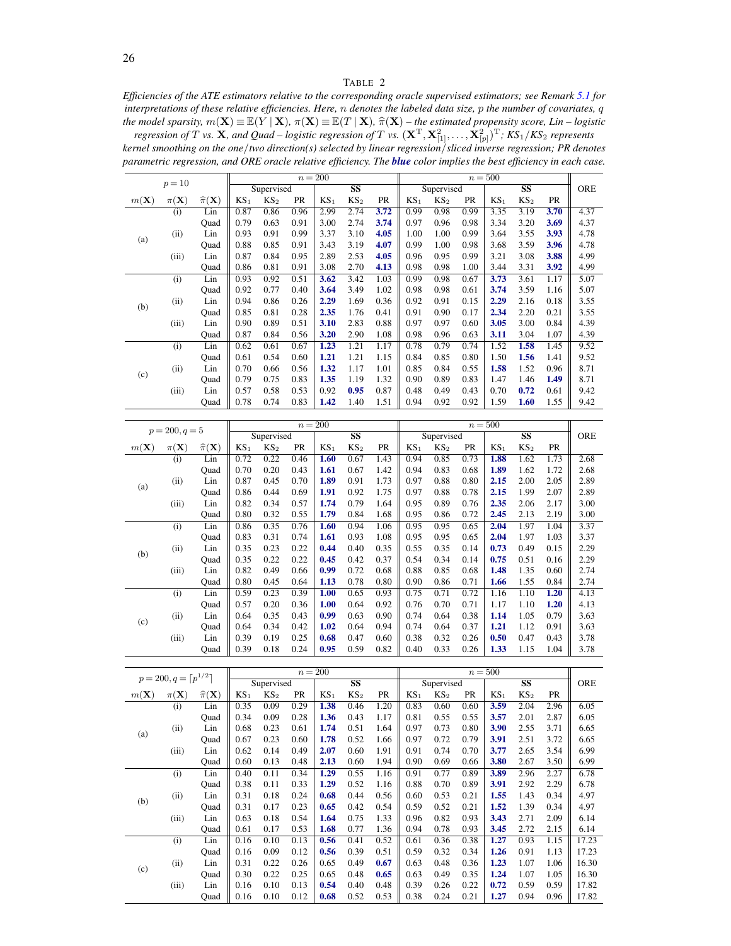## TABLE 2

<span id="page-25-0"></span>*Efficiencies of the ATE estimators relative to the corresponding oracle supervised estimators; see Remark [5.1](#page-28-0) for interpretations of these relative efficiencies. Here,* n *denotes the labeled data size,* p *the number of covariates,* q the model sparsity,  $m(\mathbf{X}) \equiv \mathbb{E}(Y | \mathbf{X})$ ,  $\pi(\mathbf{X}) \equiv \mathbb{E}(T | \mathbf{X})$ ,  $\hat{\pi}(\mathbf{X})$  – the estimated propensity score, Lin – logistic regression of T vs.  $\mathbf{X}$ , and Quad – logistic regression of T vs.  $(\mathbf{X}^T, \mathbf$ 

| kernel smoothing on the one/two direction(s) selected by linear regression/sliced inverse regression; PR denotes    |  |
|---------------------------------------------------------------------------------------------------------------------|--|
| parametric regression, and ORE oracle relative efficiency. The blue color implies the best efficiency in each case. |  |

|                 | $p=10$            |                             |                 |                 | $n=200$ |                 |                         |      |        | $n = 500$       |           |                 |                                   |           |            |
|-----------------|-------------------|-----------------------------|-----------------|-----------------|---------|-----------------|-------------------------|------|--------|-----------------|-----------|-----------------|-----------------------------------|-----------|------------|
|                 |                   |                             |                 | Supervised      |         |                 | $\overline{\textbf{S}}$ |      |        | Supervised      |           |                 | $\overline{\textbf{S}}\textbf{S}$ |           | <b>ORE</b> |
| $m(\mathbf{X})$ | $\pi(\mathbf{X})$ | $\widehat{\pi}(\mathbf{X})$ | KS <sub>1</sub> | KS <sub>2</sub> | PR      | KS <sub>1</sub> | KS <sub>2</sub>         | PR   | $KS_1$ | KS <sub>2</sub> | <b>PR</b> | KS <sub>1</sub> | KS <sub>2</sub>                   | <b>PR</b> |            |
|                 | (i)               | Lin                         | 0.87            | 0.86            | 0.96    | 2.99            | 2.74                    | 3.72 | 0.99   | 0.98            | 0.99      | 3.35            | 3.19                              | 3.70      | 4.37       |
|                 |                   | Quad                        | 0.79            | 0.63            | 0.91    | 3.00            | 2.74                    | 3.74 | 0.97   | 0.96            | 0.98      | 3.34            | 3.20                              | 3.69      | 4.37       |
|                 | (ii)              | Lin                         | 0.93            | 0.91            | 0.99    | 3.37            | 3.10                    | 4.05 | 1.00   | 1.00            | 0.99      | 3.64            | 3.55                              | 3.93      | 4.78       |
| (a)             |                   | Quad                        | 0.88            | 0.85            | 0.91    | 3.43            | 3.19                    | 4.07 | 0.99   | 1.00            | 0.98      | 3.68            | 3.59                              | 3.96      | 4.78       |
|                 | (iii)             | Lin                         | 0.87            | 0.84            | 0.95    | 2.89            | 2.53                    | 4.05 | 0.96   | 0.95            | 0.99      | 3.21            | 3.08                              | 3.88      | 4.99       |
|                 |                   | Quad                        | 0.86            | 0.81            | 0.91    | 3.08            | 2.70                    | 4.13 | 0.98   | 0.98            | 1.00      | 3.44            | 3.31                              | 3.92      | 4.99       |
|                 | (i)               | Lin                         | 0.93            | 0.92            | 0.51    | 3.62            | 3.42                    | 1.03 | 0.99   | 0.98            | 0.67      | 3.73            | 3.61                              | 1.17      | 5.07       |
|                 |                   | Quad                        | 0.92            | 0.77            | 0.40    | 3.64            | 3.49                    | 1.02 | 0.98   | 0.98            | 0.61      | 3.74            | 3.59                              | 1.16      | 5.07       |
|                 | (ii)              | Lin                         | 0.94            | 0.86            | 0.26    | 2.29            | 1.69                    | 0.36 | 0.92   | 0.91            | 0.15      | 2.29            | 2.16                              | 0.18      | 3.55       |
| (b)             |                   | Quad                        | 0.85            | 0.81            | 0.28    | 2.35            | 1.76                    | 0.41 | 0.91   | 0.90            | 0.17      | 2.34            | 2.20                              | 0.21      | 3.55       |
|                 | (iii)             | Lin                         | 0.90            | 0.89            | 0.51    | 3.10            | 2.83                    | 0.88 | 0.97   | 0.97            | 0.60      | 3.05            | 3.00                              | 0.84      | 4.39       |
|                 |                   | Ouad                        | 0.87            | 0.84            | 0.56    | 3.20            | 2.90                    | 1.08 | 0.98   | 0.96            | 0.63      | 3.11            | 3.04                              | 1.07      | 4.39       |
|                 | (i)               | Lin                         | 0.62            | 0.61            | 0.67    | 1.23            | 1.21                    | 1.17 | 0.78   | 0.79            | 0.74      | 1.52            | 1.58                              | 1.45      | 9.52       |
|                 |                   | Quad                        | 0.61            | 0.54            | 0.60    | 1.21            | 1.21                    | 1.15 | 0.84   | 0.85            | 0.80      | 1.50            | 1.56                              | 1.41      | 9.52       |
|                 | (ii)              | Lin                         | 0.70            | 0.66            | 0.56    | 1.32            | 1.17                    | 1.01 | 0.85   | 0.84            | 0.55      | 1.58            | 1.52                              | 0.96      | 8.71       |
| (c)             |                   | Quad                        | 0.79            | 0.75            | 0.83    | 1.35            | 1.19                    | 1.32 | 0.90   | 0.89            | 0.83      | 1.47            | 1.46                              | 1.49      | 8.71       |
|                 | (iii)             | Lin                         | 0.57            | 0.58            | 0.53    | 0.92            | 0.95                    | 0.87 | 0.48   | 0.49            | 0.43      | 0.70            | 0.72                              | 0.61      | 9.42       |
|                 |                   | Ouad                        | 0.78            | 0.74            | 0.83    | 1.42            | 1.40                    | 1.51 | 0.94   | 0.92            | 0.92      | 1.59            | 1.60                              | 1.55      | 9.42       |

|                 | $p = 200, q = 5$  |                             |                 |                 |      | $n=200$         |                         |      |                 |                 |      | $n = 500$       |                         |      |            |
|-----------------|-------------------|-----------------------------|-----------------|-----------------|------|-----------------|-------------------------|------|-----------------|-----------------|------|-----------------|-------------------------|------|------------|
|                 |                   |                             |                 | Supervised      |      |                 | $\overline{\textbf{S}}$ |      |                 | Supervised      |      |                 | $\overline{\textbf{S}}$ |      | <b>ORE</b> |
| $m(\mathbf{X})$ | $\pi(\mathbf{X})$ | $\widehat{\pi}(\mathbf{X})$ | KS <sub>1</sub> | KS <sub>2</sub> | PR   | KS <sub>1</sub> | KS <sub>2</sub>         | PR   | KS <sub>1</sub> | KS <sub>2</sub> | PR   | KS <sub>1</sub> | KS <sub>2</sub>         | PR   |            |
|                 | (i)               | Lin                         | 0.72            | 0.22            | 0.46 | 1.60            | 0.67                    | 1.43 | 0.94            | 0.85            | 0.73 | 1.88            | 1.62                    | 1.73 | 2.68       |
|                 |                   | Quad                        | 0.70            | 0.20            | 0.43 | 1.61            | 0.67                    | 1.42 | 0.94            | 0.83            | 0.68 | 1.89            | 1.62                    | 1.72 | 2.68       |
|                 | (ii)              | Lin                         | 0.87            | 0.45            | 0.70 | 1.89            | 0.91                    | 1.73 | 0.97            | 0.88            | 0.80 | 2.15            | 2.00                    | 2.05 | 2.89       |
| (a)             |                   | Quad                        | 0.86            | 0.44            | 0.69 | 1.91            | 0.92                    | 1.75 | 0.97            | 0.88            | 0.78 | 2.15            | 1.99                    | 2.07 | 2.89       |
|                 | (iii)             | Lin                         | 0.82            | 0.34            | 0.57 | 1.74            | 0.79                    | 1.64 | 0.95            | 0.89            | 0.76 | 2.35            | 2.06                    | 2.17 | 3.00       |
|                 |                   | Quad                        | 0.80            | 0.32            | 0.55 | 1.79            | 0.84                    | 1.68 | 0.95            | 0.86            | 0.72 | 2.45            | 2.13                    | 2.19 | 3.00       |
|                 | (i)               | Lin                         | 0.86            | 0.35            | 0.76 | 1.60            | 0.94                    | 1.06 | 0.95            | 0.95            | 0.65 | 2.04            | 1.97                    | 1.04 | 3.37       |
|                 |                   | Quad                        | 0.83            | 0.31            | 0.74 | 1.61            | 0.93                    | 1.08 | 0.95            | 0.95            | 0.65 | 2.04            | 1.97                    | 1.03 | 3.37       |
|                 | (ii)              | Lin                         | 0.35            | 0.23            | 0.22 | 0.44            | 0.40                    | 0.35 | 0.55            | 0.35            | 0.14 | 0.73            | 0.49                    | 0.15 | 2.29       |
| (b)             |                   | Ouad                        | 0.35            | 0.22            | 0.22 | 0.45            | 0.42                    | 0.37 | 0.54            | 0.34            | 0.14 | 0.75            | 0.51                    | 0.16 | 2.29       |
|                 | (iii)             | Lin                         | 0.82            | 0.49            | 0.66 | 0.99            | 0.72                    | 0.68 | 0.88            | 0.85            | 0.68 | 1.48            | 1.35                    | 0.60 | 2.74       |
|                 |                   | Quad                        | 0.80            | 0.45            | 0.64 | 1.13            | 0.78                    | 0.80 | 0.90            | 0.86            | 0.71 | 1.66            | 1.55                    | 0.84 | 2.74       |
|                 | (i)               | Lin                         | 0.59            | 0.23            | 0.39 | 1.00            | 0.65                    | 0.93 | 0.75            | 0.71            | 0.72 | 1.16            | 1.10                    | 1.20 | 4.13       |
|                 |                   | Quad                        | 0.57            | 0.20            | 0.36 | 1.00            | 0.64                    | 0.92 | 0.76            | 0.70            | 0.71 | 1.17            | 1.10                    | 1.20 | 4.13       |
|                 | (ii)              | Lin                         | 0.64            | 0.35            | 0.43 | 0.99            | 0.63                    | 0.90 | 0.74            | 0.64            | 0.38 | 1.14            | 1.05                    | 0.79 | 3.63       |
| (c)             |                   | Quad                        | 0.64            | 0.34            | 0.42 | 1.02            | 0.64                    | 0.94 | 0.74            | 0.64            | 0.37 | 1.21            | 1.12                    | 0.91 | 3.63       |
|                 | (iii)             | Lin                         | 0.39            | 0.19            | 0.25 | 0.68            | 0.47                    | 0.60 | 0.38            | 0.32            | 0.26 | 0.50            | 0.47                    | 0.43 | 3.78       |
|                 |                   | Quad                        | 0.39            | 0.18            | 0.24 | 0.95            | 0.59                    | 0.82 | 0.40            | 0.33            | 0.26 | 1.33            | 1.15                    | 1.04 | 3.78       |

|                 | $p = 200, q = \lceil p^{1/2} \rceil$ |                             |                 |                 |      | $n=200$         |                         |           |                 |                 |           | $n = 500$       |                         |           |       |
|-----------------|--------------------------------------|-----------------------------|-----------------|-----------------|------|-----------------|-------------------------|-----------|-----------------|-----------------|-----------|-----------------|-------------------------|-----------|-------|
|                 |                                      |                             |                 | Supervised      |      |                 | $\overline{\textbf{S}}$ |           |                 | Supervised      |           |                 | $\overline{\textbf{S}}$ |           | ORE   |
| $m(\mathbf{X})$ | $\pi(X)$                             | $\widehat{\pi}(\mathbf{X})$ | KS <sub>1</sub> | KS <sub>2</sub> | PR   | KS <sub>1</sub> | KS <sub>2</sub>         | <b>PR</b> | KS <sub>1</sub> | KS <sub>2</sub> | <b>PR</b> | KS <sub>1</sub> | KS <sub>2</sub>         | <b>PR</b> |       |
|                 | (i)                                  | Lin                         | 0.35            | 0.09            | 0.29 | 1.38            | 0.46                    | 1.20      | 0.83            | 0.60            | 0.60      | 3.59            | 2.04                    | 2.96      | 6.05  |
|                 |                                      | Ouad                        | 0.34            | 0.09            | 0.28 | 1.36            | 0.43                    | 1.17      | 0.81            | 0.55            | 0.55      | 3.57            | 2.01                    | 2.87      | 6.05  |
|                 | (ii)                                 | Lin                         | 0.68            | 0.23            | 0.61 | 1.74            | 0.51                    | 1.64      | 0.97            | 0.73            | 0.80      | 3.90            | 2.55                    | 3.71      | 6.65  |
| (a)             |                                      | Quad                        | 0.67            | 0.23            | 0.60 | 1.78            | 0.52                    | 1.66      | 0.97            | 0.72            | 0.79      | 3.91            | 2.51                    | 3.72      | 6.65  |
|                 | (iii)                                | Lin                         | 0.62            | 0.14            | 0.49 | 2.07            | 0.60                    | 1.91      | 0.91            | 0.74            | 0.70      | 3.77            | 2.65                    | 3.54      | 6.99  |
|                 |                                      | Quad                        | 0.60            | 0.13            | 0.48 | 2.13            | 0.60                    | 1.94      | 0.90            | 0.69            | 0.66      | 3.80            | 2.67                    | 3.50      | 6.99  |
|                 | (i)                                  | Lin                         | 0.40            | 0.11            | 0.34 | 1.29            | 0.55                    | 1.16      | 0.91            | 0.77            | 0.89      | 3.89            | 2.96                    | 2.27      | 6.78  |
|                 |                                      | Ouad                        | 0.38            | 0.11            | 0.33 | 1.29            | 0.52                    | 1.16      | 0.88            | 0.70            | 0.89      | 3.91            | 2.92                    | 2.29      | 6.78  |
|                 | (ii)                                 | Lin                         | 0.31            | 0.18            | 0.24 | 0.68            | 0.44                    | 0.56      | 0.60            | 0.53            | 0.21      | 1.55            | 1.43                    | 0.34      | 4.97  |
| (b)             |                                      | Quad                        | 0.31            | 0.17            | 0.23 | 0.65            | 0.42                    | 0.54      | 0.59            | 0.52            | 0.21      | 1.52            | 1.39                    | 0.34      | 4.97  |
|                 | (iii)                                | Lin                         | 0.63            | 0.18            | 0.54 | 1.64            | 0.75                    | 1.33      | 0.96            | 0.82            | 0.93      | 3.43            | 2.71                    | 2.09      | 6.14  |
|                 |                                      | Quad                        | 0.61            | 0.17            | 0.53 | 1.68            | 0.77                    | 1.36      | 0.94            | 0.78            | 0.93      | 3.45            | 2.72                    | 2.15      | 6.14  |
|                 | (i)                                  | Lin                         | 0.16            | 0.10            | 0.13 | 0.56            | 0.41                    | 0.52      | 0.61            | 0.36            | 0.38      | 1.27            | 0.93                    | 1.15      | 17.23 |
|                 |                                      | Quad                        | 0.16            | 0.09            | 0.12 | 0.56            | 0.39                    | 0.51      | 0.59            | 0.32            | 0.34      | 1.26            | 0.91                    | 1.13      | 17.23 |
| (c)             | (ii)                                 | Lin                         | 0.31            | 0.22            | 0.26 | 0.65            | 0.49                    | 0.67      | 0.63            | 0.48            | 0.36      | 1.23            | 1.07                    | 1.06      | 16.30 |
|                 |                                      | Quad                        | 0.30            | 0.22            | 0.25 | 0.65            | 0.48                    | 0.65      | 0.63            | 0.49            | 0.35      | 1.24            | 1.07                    | 1.05      | 16.30 |
|                 | (iii)                                | Lin                         | 0.16            | 0.10            | 0.13 | 0.54            | 0.40                    | 0.48      | 0.39            | 0.26            | 0.22      | 0.72            | 0.59                    | 0.59      | 17.82 |
|                 |                                      | Quad                        | 0.16            | 0.10            | 0.12 | 0.68            | 0.52                    | 0.53      | 0.38            | 0.24            | 0.21      | 1.27            | 0.94                    | 0.96      | 17.82 |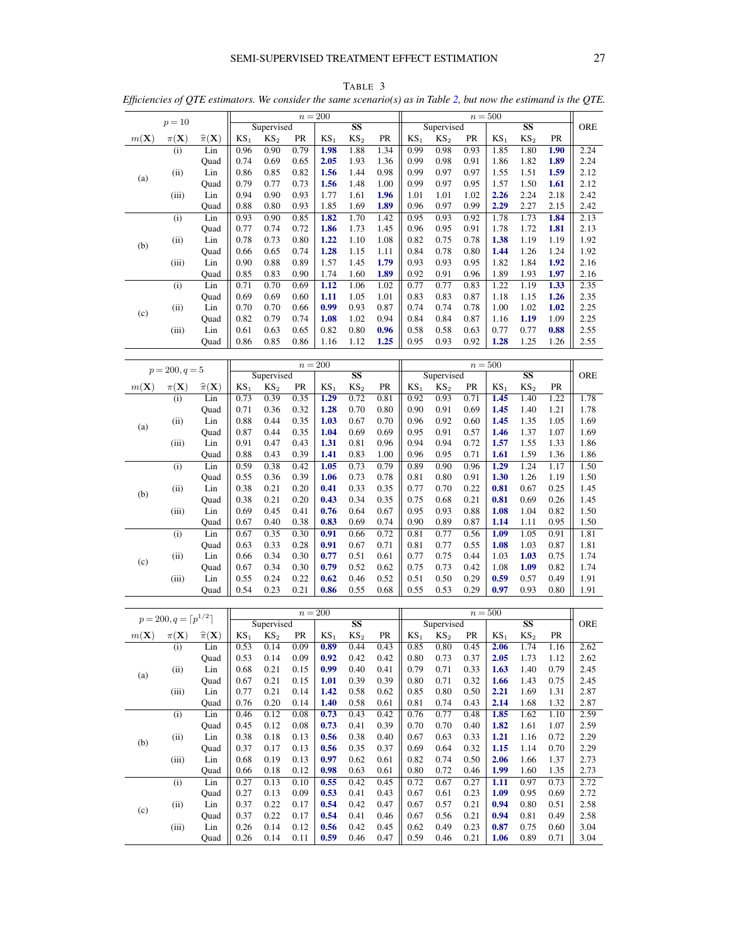# SEMI-SUPERVISED TREATMENT EFFECT ESTIMATION 27

|                 |                                      |                             |                 |                 |              | $n = 200$       |                        |              |                 |                               |              | $n=500$         |                                   |              |              |
|-----------------|--------------------------------------|-----------------------------|-----------------|-----------------|--------------|-----------------|------------------------|--------------|-----------------|-------------------------------|--------------|-----------------|-----------------------------------|--------------|--------------|
|                 | $p=10$                               |                             |                 | Supervised      |              |                 | SS                     |              |                 | Supervised                    |              |                 | SS                                |              | ORE          |
| $m(\mathbf{X})$ | $\pi(\mathbf{X})$                    | $\widehat{\pi}(\mathbf{X})$ | KS <sub>1</sub> | KS <sub>2</sub> | PR           | KS <sub>1</sub> | $KS_2$                 | PR           | KS <sub>1</sub> | KS <sub>2</sub>               | PR           | $KS_1$          | KS <sub>2</sub>                   | PR           |              |
|                 | (i)                                  | Lin                         | 0.96            | 0.90            | 0.79         | 1.98            | 1.88                   | 1.34         | 0.99            | 0.98                          | 0.93         | 1.85            | 1.80                              | 1.90         | 2.24         |
|                 |                                      | Quad                        | 0.74            | 0.69            | 0.65         | 2.05            | 1.93                   | 1.36         | 0.99            | 0.98                          | 0.91         | 1.86            | 1.82                              | 1.89         | 2.24         |
| (a)             | (ii)                                 | Lin                         | 0.86            | 0.85            | 0.82         | 1.56            | 1.44                   | 0.98         | 0.99            | 0.97                          | 0.97         | 1.55            | 1.51                              | 1.59         | 2.12         |
|                 |                                      | Quad                        | 0.79            | 0.77<br>0.90    | 0.73         | 1.56            | 1.48                   | 1.00         | 0.99            | 0.97                          | 0.95         | 1.57<br>2.26    | 1.50                              | 1.61         | 2.12<br>2.42 |
|                 | (iii)                                | Lin<br>Quad                 | 0.94<br>0.88    | 0.80            | 0.93<br>0.93 | 1.77<br>1.85    | 1.61<br>1.69           | 1.96<br>1.89 | 1.01<br>0.96    | 1.01<br>0.97                  | 1.02<br>0.99 | 2.29            | 2.24<br>2.27                      | 2.18<br>2.15 | 2.42         |
|                 | (i)                                  | Lin                         | 0.93            | 0.90            | 0.85         | 1.82            | 1.70                   | 1.42         | 0.95            | 0.93                          | 0.92         | 1.78            | 1.73                              | 1.84         | 2.13         |
|                 |                                      | Quad                        | 0.77            | 0.74            | 0.72         | 1.86            | 1.73                   | 1.45         | 0.96            | 0.95                          | 0.91         | 1.78            | 1.72                              | 1.81         | 2.13         |
|                 | (ii)                                 | Lin                         | 0.78            | 0.73            | 0.80         | 1.22            | 1.10                   | 1.08         | 0.82            | 0.75                          | 0.78         | 1.38            | 1.19                              | 1.19         | 1.92         |
| (b)             |                                      | Quad                        | 0.66            | 0.65            | 0.74         | 1.28            | 1.15                   | 1.11         | 0.84            | 0.78                          | 0.80         | 1.44            | 1.26                              | 1.24         | 1.92         |
|                 | (iii)                                | Lin                         | 0.90            | 0.88            | 0.89         | 1.57            | 1.45                   | 1.79         | 0.93            | 0.93                          | 0.95         | 1.82            | 1.84                              | 1.92         | 2.16         |
|                 |                                      | Quad                        | 0.85            | 0.83            | 0.90         | 1.74            | 1.60                   | 1.89         | 0.92            | 0.91                          | 0.96         | 1.89            | 1.93                              | 1.97         | 2.16         |
|                 | (i)                                  | Lin                         | 0.71            | 0.70            | 0.69         | 1.12            | 1.06                   | 1.02         | 0.77            | 0.77                          | 0.83         | 1.22            | 1.19                              | 1.33         | 2.35         |
|                 |                                      | Quad                        | 0.69            | 0.69            | 0.60         | 1.11            | 1.05                   | 1.01         | 0.83            | 0.83                          | 0.87         | 1.18            | 1.15                              | 1.26         | 2.35         |
| (c)             | (ii)                                 | Lin                         | 0.70            | 0.70            | 0.66         | 0.99            | 0.93                   | 0.87         | 0.74            | 0.74                          | 0.78         | 1.00            | 1.02                              | 1.02         | 2.25         |
|                 |                                      | Quad                        | 0.82            | 0.79            | 0.74         | 1.08            | 1.02                   | 0.94         | 0.84            | 0.84                          | 0.87         | 1.16            | 1.19                              | 1.09         | 2.25         |
|                 | (iii)                                | Lin                         | 0.61            | 0.63            | 0.65         | 0.82            | 0.80                   | 0.96         | 0.58            | 0.58                          | 0.63         | 0.77            | 0.77                              | 0.88         | 2.55         |
|                 |                                      | Quad                        | 0.86            | 0.85            | 0.86         | 1.16            | 1.12                   | 1.25         | 0.95            | 0.93                          | 0.92         | 1.28            | 1.25                              | 1.26         | 2.55         |
|                 |                                      |                             |                 |                 |              |                 |                        |              |                 |                               |              |                 |                                   |              |              |
|                 | $p = 200, q = 5$                     |                             |                 | Supervised      |              | $n=200$         | $\overline{\text{SS}}$ |              |                 |                               |              | $n=500$         | $\overline{\textbf{S}}\textbf{S}$ |              | ORE          |
|                 | $\pi(\mathbf{X})$                    | $\widehat{\pi}(\mathbf{X})$ | KS <sub>1</sub> | KS <sub>2</sub> | PR           | KS <sub>1</sub> | KS <sub>2</sub>        | PR           | KS <sub>1</sub> | Supervised<br>KS <sub>2</sub> | PR           | KS <sub>1</sub> | KS <sub>2</sub>                   | PR           |              |
| $m(\mathbf{X})$ | (i)                                  | Lin                         | 0.73            | 0.39            | 0.35         | 1.29            | 0.72                   | 0.81         | 0.92            | 0.93                          | 0.71         | 1.45            | 1.40                              | 1.22         | 1.78         |
|                 |                                      | Quad                        | 0.71            | 0.36            | 0.32         | 1.28            | 0.70                   | 0.80         | 0.90            | 0.91                          | 0.69         | 1.45            | 1.40                              | 1.21         | 1.78         |
|                 | (ii)                                 | Lin                         | 0.88            | 0.44            | 0.35         | 1.03            | 0.67                   | 0.70         | 0.96            | 0.92                          | 0.60         | 1.45            | 1.35                              | 1.05         | 1.69         |
| (a)             |                                      | Quad                        | 0.87            | 0.44            | 0.35         | 1.04            | 0.69                   | 0.69         | 0.95            | 0.91                          | 0.57         | 1.46            | 1.37                              | 1.07         | 1.69         |
|                 | (iii)                                | Lin                         | 0.91            | 0.47            | 0.43         | 1.31            | 0.81                   | 0.96         | 0.94            | 0.94                          | 0.72         | 1.57            | 1.55                              | 1.33         | 1.86         |
|                 |                                      | Quad                        | 0.88            | 0.43            | 0.39         | 1.41            | 0.83                   | 1.00         | 0.96            | 0.95                          | 0.71         | 1.61            | 1.59                              | 1.36         | 1.86         |
|                 | (i)                                  | Lin                         | 0.59            | 0.38            | 0.42         | 1.05            | 0.73                   | 0.79         | 0.89            | 0.90                          | 0.96         | 1.29            | 1.24                              | 1.17         | 1.50         |
|                 |                                      | Quad                        | 0.55            | 0.36            | 0.39         | 1.06            | 0.73                   | 0.78         | 0.81            | 0.80                          | 0.91         | 1.30            | 1.26                              | 1.19         | 1.50         |
| (b)             | (ii)                                 | Lin                         | 0.38            | 0.21            | 0.20         | 0.41            | 0.33                   | 0.35         | 0.77            | 0.70                          | 0.22         | 0.81            | 0.67                              | 0.25         | 1.45         |
|                 |                                      | Quad                        | 0.38            | 0.21            | 0.20         | 0.43            | 0.34                   | 0.35         | 0.75            | 0.68                          | 0.21         | 0.81            | 0.69                              | 0.26         | 1.45         |
|                 | (iii)                                | Lin                         | 0.69            | 0.45            | 0.41         | 0.76            | 0.64                   | 0.67         | 0.95            | 0.93                          | 0.88         | 1.08            | 1.04                              | 0.82         | 1.50         |
|                 |                                      | Quad                        | 0.67            | 0.40            | 0.38         | 0.83            | 0.69                   | 0.74         | 0.90            | 0.89                          | 0.87         | 1.14            | 1.11                              | 0.95         | 1.50         |
|                 | (i)                                  | Lin                         | 0.67<br>0.63    | 0.35<br>0.33    | 0.30<br>0.28 | 0.91<br>0.91    | 0.66<br>0.67           | 0.72<br>0.71 | 0.81<br>0.81    | 0.77<br>0.77                  | 0.56<br>0.55 | 1.09<br>1.08    | 1.05                              | 0.91<br>0.87 | 1.81<br>1.81 |
|                 | (ii)                                 | Quad<br>Lin                 | 0.66            | 0.34            | 0.30         | 0.77            | 0.51                   | 0.61         | 0.77            | 0.75                          | 0.44         | 1.03            | 1.03<br>1.03                      | 0.75         | 1.74         |
| (c)             |                                      | Quad                        | 0.67            | 0.34            | 0.30         | 0.79            | 0.52                   | 0.62         | 0.75            | 0.73                          | 0.42         | 1.08            | 1.09                              | 0.82         | 1.74         |
|                 | (iii)                                | Lin                         | 0.55            | 0.24            | 0.22         | 0.62            | 0.46                   | 0.52         | 0.51            | 0.50                          | 0.29         | 0.59            | 0.57                              | 0.49         | 1.91         |
|                 |                                      | Quad                        | 0.54            | 0.23            | 0.21         | 0.86            | 0.55                   | 0.68         | 0.55            | 0.53                          | 0.29         | 0.97            | 0.93                              | 0.80         | 1.91         |
|                 |                                      |                             |                 |                 |              |                 |                        |              |                 |                               |              |                 |                                   |              |              |
|                 | $p = 200, q = \lceil p^{1/2} \rceil$ |                             |                 |                 |              | $n=200$         |                        |              |                 |                               |              | $n = 500$       |                                   |              |              |
|                 |                                      |                             |                 | Supervised      |              |                 | SS                     |              |                 | Supervised                    |              |                 | SS                                |              | ORE          |
| $m(\mathbf{X})$ | $\pi(\mathbf{X})$                    | $\widehat{\pi}(\mathbf{X})$ | $KS_1$          | KS <sub>2</sub> | PR           | KS <sub>1</sub> | KS <sub>2</sub>        | PR           | KS <sub>1</sub> | $\mathrm{KS}_2$               | PR           | KS <sub>1</sub> | KS <sub>2</sub>                   | $\rm PR$     |              |
|                 | (i)                                  | Lin                         | 0.53            | 0.14            | 0.09         | 0.89            | 0.44                   | 0.43         | 0.85            | 0.80                          | 0.45         | 2.06            | 1.74                              | 1.16         | 2.62         |
|                 |                                      | Quad                        | 0.53            | 0.14            | 0.09         | 0.92            | 0.42                   | 0.42         | 0.80            | 0.73                          | 0.37         | 2.05            | 1.73                              | 1.12         | 2.62         |
| (a)             | (ii)                                 | Lin                         | 0.68            | 0.21            | 0.15         | 0.99            | 0.40                   | 0.41         | 0.79            | 0.71                          | 0.33         | 1.63            | 1.40                              | 0.79         | 2.45         |
|                 |                                      | Quad                        | 0.67            | 0.21            | 0.15         | 1.01            | 0.39                   | 0.39         | 0.80            | 0.71                          | 0.32         | 1.66            | 1.43                              | 0.75         | 2.45         |
|                 | (iii)                                | Lin                         | 0.77<br>0.76    | 0.21<br>0.20    | 0.14<br>0.14 | 1.42<br>1.40    | 0.58<br>0.58           | 0.62         | 0.85<br>0.81    | 0.80<br>0.74                  | 0.50         | 2.21<br>2.14    | 1.69                              | 1.31<br>1.32 | 2.87<br>2.87 |
|                 | (i)                                  | Quad<br>Lin                 | 0.46            | 0.12            | 0.08         | 0.73            | 0.43                   | 0.61<br>0.42 | 0.76            | 0.77                          | 0.43<br>0.48 | 1.85            | 1.68<br>1.62                      | 1.10         | 2.59         |
|                 |                                      | Quad                        | 0.45            | 0.12            | 0.08         | 0.73            | 0.41                   | 0.39         | 0.70            | 0.70                          | 0.40         | 1.82            | 1.61                              | 1.07         | 2.59         |
|                 | (ii)                                 | Lin                         | 0.38            | 0.18            | 0.13         | 0.56            | 0.38                   | 0.40         | 0.67            | 0.63                          | 0.33         | 1.21            | 1.16                              | 0.72         | 2.29         |
| (b)             |                                      | Quad                        | 0.37            | 0.17            | 0.13         | 0.56            | 0.35                   | 0.37         | 0.69            | 0.64                          | 0.32         | 1.15            | 1.14                              | 0.70         | 2.29         |
|                 | (iii)                                | Lin                         | 0.68            | 0.19            | 0.13         | 0.97            | 0.62                   | 0.61         | 0.82            | 0.74                          | 0.50         | 2.06            | 1.66                              | 1.37         | 2.73         |
|                 |                                      | Quad                        | 0.66            | 0.18            | 0.12         | 0.98            | 0.63                   | 0.61         | $0.80\,$        | 0.72                          | 0.46         | 1.99            | 1.60                              | 1.35         | 2.73         |
|                 | (i)                                  | Lin                         | 0.27            | 0.13            | 0.10         | 0.55            | 0.42                   | 0.45         | 0.72            | 0.67                          | 0.27         | 1.11            | 0.97                              | 0.73         | 2.72         |
|                 |                                      | Quad                        | 0.27            | 0.13            | 0.09         | 0.53            | 0.41                   | 0.43         | 0.67            | 0.61                          | 0.23         | 1.09            | 0.95                              | 0.69         | 2.72         |
| (c)             | (ii)                                 | Lin                         | 0.37            | 0.22            | 0.17         | 0.54            | 0.42                   | 0.47         | 0.67            | 0.57                          | 0.21         | 0.94            | 0.80                              | 0.51         | 2.58         |
|                 |                                      | Quad                        | 0.37            | 0.22            | 0.17         | 0.54            | 0.41                   | 0.46         | 0.67            | 0.56                          | 0.21         | 0.94            | 0.81                              | 0.49         | 2.58         |
|                 | (iii)                                | Lin                         | 0.26            | 0.14            | 0.12         | 0.56            | 0.42                   | 0.45         | 0.62            | 0.49                          | 0.23         | 0.87            | 0.75                              | 0.60         | 3.04         |
|                 |                                      | Quad                        | 0.26            | 0.14            | 0.11         | 0.59            | 0.46                   | 0.47         | 0.59            | 0.46                          | 0.21         | 1.06            | 0.89                              | 0.71         | 3.04         |

<span id="page-26-0"></span>TABLE 3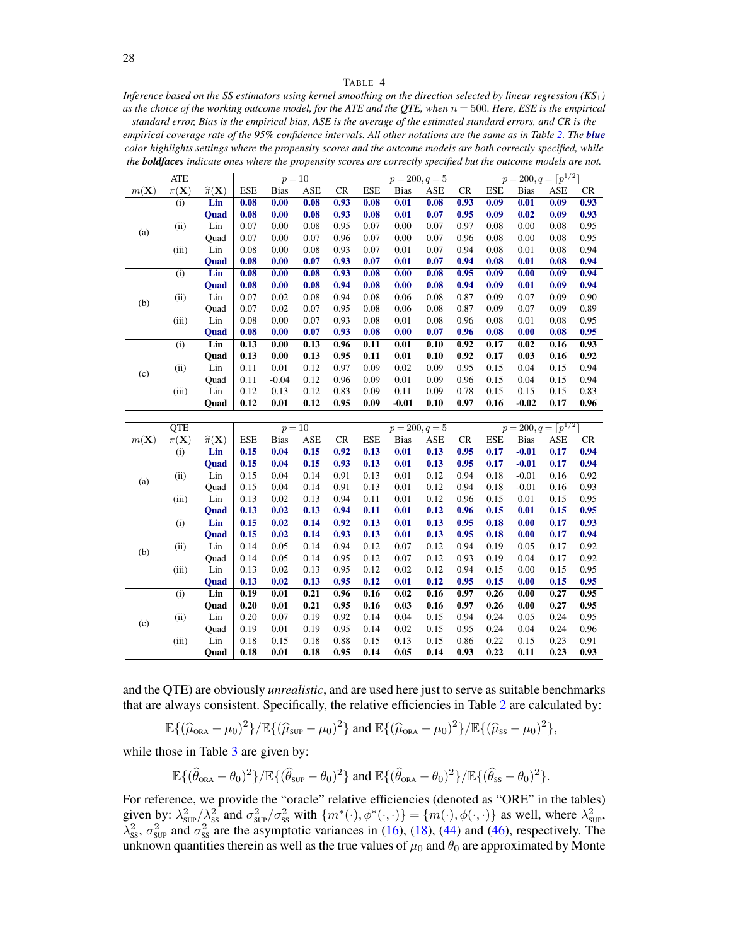#### TABLE 4

<span id="page-27-0"></span>*Inference based on the SS estimators using kernel smoothing on the direction selected by linear regression (KS*1*) as the choice of the working outcome model, for the ATE and the QTE, when*  $n = 500$ *. Here, ESE is the empirical* 

*standard error, Bias is the empirical bias, ASE is the average of the estimated standard errors, and CR is the empirical coverage rate of the 95% confidence intervals. All other notations are the same as in Table [2.](#page-25-0) The blue color highlights settings where the propensity scores and the outcome models are both correctly specified, while the boldfaces indicate ones where the propensity scores are correctly specified but the outcome models are not.*

|                 | <b>ATE</b>        |                             |            | $p=10$      |      |           |            |             | $p = 200, q = 5$ |           |            | $p = 200, q = \lceil p^{1/2} \rceil$ |      |           |
|-----------------|-------------------|-----------------------------|------------|-------------|------|-----------|------------|-------------|------------------|-----------|------------|--------------------------------------|------|-----------|
| $m(\mathbf{X})$ | $\pi(\mathbf{X})$ | $\widehat{\pi}(\mathbf{X})$ | <b>ESE</b> | <b>Bias</b> | ASE  | <b>CR</b> | <b>ESE</b> | <b>Bias</b> | ASE              | <b>CR</b> | <b>ESE</b> | <b>Bias</b>                          | ASE  | <b>CR</b> |
|                 | (i)               | Lin                         | 0.08       | 0.00        | 0.08 | 0.93      | 0.08       | 0.01        | 0.08             | 0.93      | 0.09       | 0.01                                 | 0.09 | 0.93      |
|                 |                   | <b>Ouad</b>                 | 0.08       | 0.00        | 0.08 | 0.93      | 0.08       | 0.01        | 0.07             | 0.95      | 0.09       | 0.02                                 | 0.09 | 0.93      |
| (a)             | (ii)              | Lin                         | 0.07       | 0.00        | 0.08 | 0.95      | 0.07       | 0.00        | 0.07             | 0.97      | 0.08       | 0.00                                 | 0.08 | 0.95      |
|                 |                   | Ouad                        | 0.07       | 0.00        | 0.07 | 0.96      | 0.07       | 0.00        | 0.07             | 0.96      | 0.08       | 0.00                                 | 0.08 | 0.95      |
|                 | (iii)             | Lin                         | 0.08       | 0.00        | 0.08 | 0.93      | 0.07       | 0.01        | 0.07             | 0.94      | 0.08       | 0.01                                 | 0.08 | 0.94      |
|                 |                   | <b>Ouad</b>                 | 0.08       | 0.00        | 0.07 | 0.93      | 0.07       | 0.01        | 0.07             | 0.94      | 0.08       | 0.01                                 | 0.08 | 0.94      |
|                 | (i)               | Lin                         | 0.08       | 0.00        | 0.08 | 0.93      | 0.08       | 0.00        | 0.08             | 0.95      | 0.09       | 0.00                                 | 0.09 | 0.94      |
| (b)             |                   | <b>Ouad</b>                 | 0.08       | 0.00        | 0.08 | 0.94      | 0.08       | 0.00        | 0.08             | 0.94      | 0.09       | 0.01                                 | 0.09 | 0.94      |
|                 | (ii)              | Lin                         | 0.07       | 0.02        | 0.08 | 0.94      | 0.08       | 0.06        | 0.08             | 0.87      | 0.09       | 0.07                                 | 0.09 | 0.90      |
|                 |                   | Ouad                        | 0.07       | 0.02        | 0.07 | 0.95      | 0.08       | 0.06        | 0.08             | 0.87      | 0.09       | 0.07                                 | 0.09 | 0.89      |
|                 | (iii)             | Lin                         | 0.08       | 0.00        | 0.07 | 0.93      | 0.08       | 0.01        | 0.08             | 0.96      | 0.08       | 0.01                                 | 0.08 | 0.95      |
|                 |                   | <b>Ouad</b>                 | 0.08       | 0.00        | 0.07 | 0.93      | 0.08       | 0.00        | 0.07             | 0.96      | 0.08       | 0.00                                 | 0.08 | 0.95      |
|                 | (i)               | Lin                         | 0.13       | 0.00        | 0.13 | 0.96      | 0.11       | 0.01        | 0.10             | 0.92      | 0.17       | 0.02                                 | 0.16 | 0.93      |
|                 |                   | Ouad                        | 0.13       | 0.00        | 0.13 | 0.95      | 0.11       | 0.01        | 0.10             | 0.92      | 0.17       | 0.03                                 | 0.16 | 0.92      |
|                 | (ii)              | Lin                         | 0.11       | 0.01        | 0.12 | 0.97      | 0.09       | 0.02        | 0.09             | 0.95      | 0.15       | 0.04                                 | 0.15 | 0.94      |
| (c)             |                   | Ouad                        | 0.11       | $-0.04$     | 0.12 | 0.96      | 0.09       | 0.01        | 0.09             | 0.96      | 0.15       | 0.04                                 | 0.15 | 0.94      |
|                 | (iii)             | Lin                         | 0.12       | 0.13        | 0.12 | 0.83      | 0.09       | 0.11        | 0.09             | 0.78      | 0.15       | 0.15                                 | 0.15 | 0.83      |
|                 |                   | Ouad                        | 0.12       | 0.01        | 0.12 | 0.95      | 0.09       | $-0.01$     | 0.10             | 0.97      | 0.16       | $-0.02$                              | 0.17 | 0.96      |

|                 | <b>QTE</b>        |                             |            | $p=10$      |      |      |            | $p = 200, q = 5$ |      |      |            | $p = 200, q = \lceil p^{1/2} \rceil$ |      |           |
|-----------------|-------------------|-----------------------------|------------|-------------|------|------|------------|------------------|------|------|------------|--------------------------------------|------|-----------|
| $m(\mathbf{X})$ | $\pi(\mathbf{X})$ | $\widehat{\pi}(\mathbf{X})$ | <b>ESE</b> | <b>Bias</b> | ASE  | CR   | <b>ESE</b> | <b>Bias</b>      | ASE  | CR   | <b>ESE</b> | <b>Bias</b>                          | ASE  | <b>CR</b> |
|                 | (i)               | Lin                         | 0.15       | 0.04        | 0.15 | 0.92 | 0.13       | 0.01             | 0.13 | 0.95 | 0.17       | $-0.01$                              | 0.17 | 0.94      |
|                 |                   | <b>Ouad</b>                 | 0.15       | 0.04        | 0.15 | 0.93 | 0.13       | 0.01             | 0.13 | 0.95 | 0.17       | $-0.01$                              | 0.17 | 0.94      |
|                 | (ii)              | Lin                         | 0.15       | 0.04        | 0.14 | 0.91 | 0.13       | 0.01             | 0.12 | 0.94 | 0.18       | $-0.01$                              | 0.16 | 0.92      |
| (a)             |                   | Ouad                        | 0.15       | 0.04        | 0.14 | 0.91 | 0.13       | 0.01             | 0.12 | 0.94 | 0.18       | $-0.01$                              | 0.16 | 0.93      |
|                 | (iii)             | Lin                         | 0.13       | 0.02        | 0.13 | 0.94 | 0.11       | 0.01             | 0.12 | 0.96 | 0.15       | 0.01                                 | 0.15 | 0.95      |
|                 |                   | <b>Ouad</b>                 | 0.13       | 0.02        | 0.13 | 0.94 | 0.11       | 0.01             | 0.12 | 0.96 | 0.15       | 0.01                                 | 0.15 | 0.95      |
|                 | (i)               | Lin                         | 0.15       | 0.02        | 0.14 | 0.92 | 0.13       | 0.01             | 0.13 | 0.95 | 0.18       | 0.00                                 | 0.17 | 0.93      |
| (b)             |                   | <b>Ouad</b>                 | 0.15       | 0.02        | 0.14 | 0.93 | 0.13       | 0.01             | 0.13 | 0.95 | 0.18       | 0.00                                 | 0.17 | 0.94      |
|                 | (ii)              | Lin                         | 0.14       | 0.05        | 0.14 | 0.94 | 0.12       | 0.07             | 0.12 | 0.94 | 0.19       | 0.05                                 | 0.17 | 0.92      |
|                 |                   | Ouad                        | 0.14       | 0.05        | 0.14 | 0.95 | 0.12       | 0.07             | 0.12 | 0.93 | 0.19       | 0.04                                 | 0.17 | 0.92      |
|                 | (iii)             | Lin                         | 0.13       | 0.02        | 0.13 | 0.95 | 0.12       | 0.02             | 0.12 | 0.94 | 0.15       | 0.00                                 | 0.15 | 0.95      |
|                 |                   | <b>Ouad</b>                 | 0.13       | 0.02        | 0.13 | 0.95 | 0.12       | 0.01             | 0.12 | 0.95 | 0.15       | 0.00                                 | 0.15 | 0.95      |
|                 | (i)               | Lin                         | 0.19       | 0.01        | 0.21 | 0.96 | 0.16       | 0.02             | 0.16 | 0.97 | 0.26       | 0.00                                 | 0.27 | 0.95      |
|                 |                   | Ouad                        | 0.20       | 0.01        | 0.21 | 0.95 | 0.16       | 0.03             | 0.16 | 0.97 | 0.26       | 0.00                                 | 0.27 | 0.95      |
|                 | (ii)              | Lin                         | 0.20       | 0.07        | 0.19 | 0.92 | 0.14       | 0.04             | 0.15 | 0.94 | 0.24       | 0.05                                 | 0.24 | 0.95      |
| (c)             |                   | Ouad                        | 0.19       | 0.01        | 0.19 | 0.95 | 0.14       | 0.02             | 0.15 | 0.95 | 0.24       | 0.04                                 | 0.24 | 0.96      |
|                 | (iii)             | Lin                         | 0.18       | 0.15        | 0.18 | 0.88 | 0.15       | 0.13             | 0.15 | 0.86 | 0.22       | 0.15                                 | 0.23 | 0.91      |
|                 |                   | Ouad                        | 0.18       | 0.01        | 0.18 | 0.95 | 0.14       | 0.05             | 0.14 | 0.93 | 0.22       | 0.11                                 | 0.23 | 0.93      |

and the QTE) are obviously *unrealistic*, and are used here just to serve as suitable benchmarks that are always consistent. Specifically, the relative efficiencies in Table [2](#page-25-0) are calculated by:

$$
\mathbb{E}\{(\widehat{\mu}_{\text{ORA}}-\mu_0)^2\}/\mathbb{E}\{(\widehat{\mu}_{\text{SUP}}-\mu_0)^2\}\text{ and }\mathbb{E}\{(\widehat{\mu}_{\text{ORA}}-\mu_0)^2\}/\mathbb{E}\{(\widehat{\mu}_{\text{SS}}-\mu_0)^2\},
$$

while those in Table [3](#page-26-0) are given by:

$$
\mathbb{E}\{(\widehat{\theta}_{\text{ORA}}-\theta_0)^2\}/\mathbb{E}\{(\widehat{\theta}_{\text{SUP}}-\theta_0)^2\} \text{ and } \mathbb{E}\{(\widehat{\theta}_{\text{ORA}}-\theta_0)^2\}/\mathbb{E}\{(\widehat{\theta}_{\text{SS}}-\theta_0)^2\}.
$$

For reference, we provide the "oracle" relative efficiencies (denoted as "ORE" in the tables) given by:  $\lambda_{\text{SUP}}^2/\lambda_{\text{SS}}^2$  and  $\sigma_{\text{SUP}}^2/\sigma_{\text{SS}}^2$  with  $\{m^*(\cdot), \phi^*(\cdot, \cdot)\} = \{m(\cdot), \phi(\cdot, \cdot)\}$  as well, where  $\lambda_{\text{SUP}}^2$  $\lambda_{ss}^2$ ,  $\sigma_{sup}^2$  and  $\sigma_{ss}^2$  are the asymptotic variances in [\(16\)](#page-9-3), [\(18\)](#page-10-2), [\(44\)](#page-16-4) and [\(46\)](#page-17-5), respectively. The unknown quantities therein as well as the true values of  $\mu_0$  and  $\theta_0$  are approximated by Monte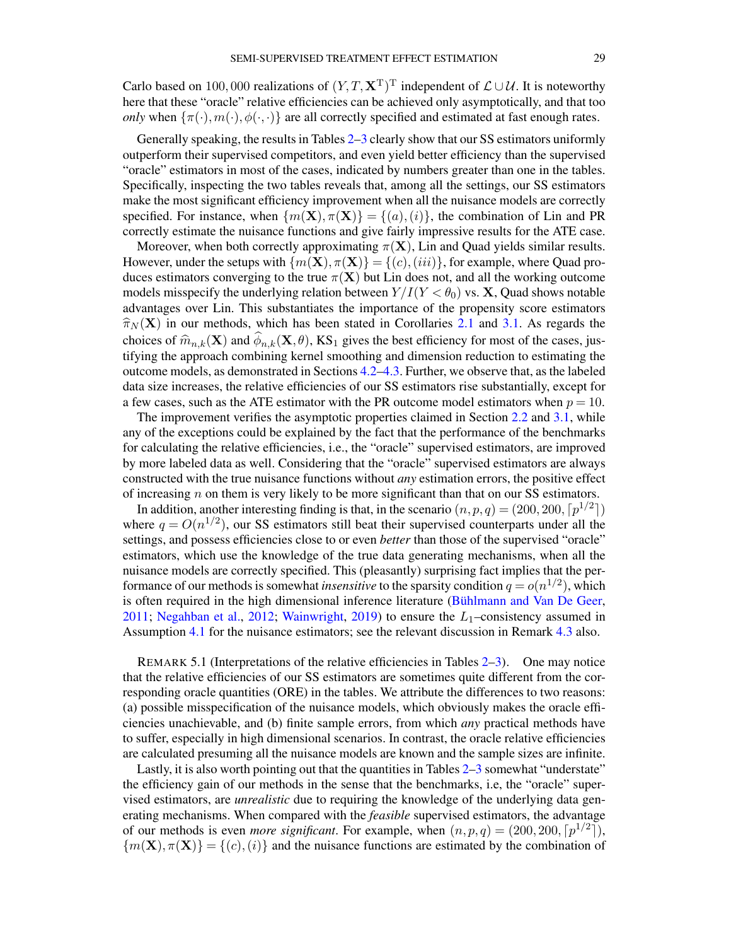Carlo based on 100,000 realizations of  $(Y, T, \mathbf{X}^T)^T$  independent of  $\mathcal{L} \cup \mathcal{U}$ . It is noteworthy here that these "oracle" relative efficiencies can be achieved only asymptotically, and that too *only* when  $\{\pi(\cdot), m(\cdot), \phi(\cdot, \cdot)\}$  are all correctly specified and estimated at fast enough rates.

Generally speaking, the results in Tables [2](#page-25-0)[–3](#page-26-0) clearly show that our SS estimators uniformly outperform their supervised competitors, and even yield better efficiency than the supervised "oracle" estimators in most of the cases, indicated by numbers greater than one in the tables. Specifically, inspecting the two tables reveals that, among all the settings, our SS estimators make the most significant efficiency improvement when all the nuisance models are correctly specified. For instance, when  $\{m(\mathbf{X}), \pi(\mathbf{X})\} = \{(a), (i)\}\$ , the combination of Lin and PR correctly estimate the nuisance functions and give fairly impressive results for the ATE case.

Moreover, when both correctly approximating  $\pi(X)$ , Lin and Quad yields similar results. However, under the setups with  $\{m(\mathbf{X}), \pi(\mathbf{X})\} = \{(c), (iii)\}\$ , for example, where Quad produces estimators converging to the true  $\pi(X)$  but Lin does not, and all the working outcome models misspecify the underlying relation between  $Y/I(Y < \theta_0)$  vs. X, Quad shows notable advantages over Lin. This substantiates the importance of the propensity score estimators  $\hat{\pi}_N(\mathbf{X})$  in our methods, which has been stated in Corollaries [2.1](#page-9-1) and [3.1.](#page-16-1) As regards the choices of  $\hat{m}_{n,k}(\mathbf{X})$  and  $\phi_{n,k}(\mathbf{X}, \theta)$ , KS<sub>1</sub> gives the best efficiency for most of the cases, jus-<br>titying the approach combining kernel smoothing and dimension reduction to estimating the tifying the approach combining kernel smoothing and dimension reduction to estimating the outcome models, as demonstrated in Sections [4.2–](#page-19-0)[4.3.](#page-21-0) Further, we observe that, as the labeled data size increases, the relative efficiencies of our SS estimators rise substantially, except for a few cases, such as the ATE estimator with the PR outcome model estimators when  $p = 10$ .

The improvement verifies the asymptotic properties claimed in Section [2.2](#page-7-4) and [3.1,](#page-14-0) while any of the exceptions could be explained by the fact that the performance of the benchmarks for calculating the relative efficiencies, i.e., the "oracle" supervised estimators, are improved by more labeled data as well. Considering that the "oracle" supervised estimators are always constructed with the true nuisance functions without *any* estimation errors, the positive effect of increasing  $n$  on them is very likely to be more significant than that on our SS estimators.

In addition, another interesting finding is that, in the scenario  $(n, p, q) = (200, 200, \lceil p^{1/2} \rceil)$ where  $q = O(n^{1/2})$ , our SS estimators still beat their supervised counterparts under all the settings, and possess efficiencies close to or even *better* than those of the supervised "oracle" estimators, which use the knowledge of the true data generating mechanisms, when all the nuisance models are correctly specified. This (pleasantly) surprising fact implies that the performance of our methods is somewhat *insensitive* to the sparsity condition  $q = o(n^{1/2})$ , which is often required in the high dimensional inference literature [\(Bühlmann and Van De Geer,](#page-55-8) [2011;](#page-55-8) [Negahban et al.,](#page-57-29) [2012;](#page-57-29) [Wainwright,](#page-58-5) [2019\)](#page-58-5) to ensure the  $L_1$ –consistency assumed in Assumption [4.1](#page-20-1) for the nuisance estimators; see the relevant discussion in Remark [4.3](#page-21-1) also.

<span id="page-28-0"></span>REMARK 5.1 (Interpretations of the relative efficiencies in Tables [2](#page-25-0)[–3\)](#page-26-0). One may notice that the relative efficiencies of our SS estimators are sometimes quite different from the corresponding oracle quantities (ORE) in the tables. We attribute the differences to two reasons: (a) possible misspecification of the nuisance models, which obviously makes the oracle efficiencies unachievable, and (b) finite sample errors, from which *any* practical methods have to suffer, especially in high dimensional scenarios. In contrast, the oracle relative efficiencies are calculated presuming all the nuisance models are known and the sample sizes are infinite.

Lastly, it is also worth pointing out that the quantities in Tables [2](#page-25-0)[–3](#page-26-0) somewhat "understate" the efficiency gain of our methods in the sense that the benchmarks, i.e, the "oracle" supervised estimators, are *unrealistic* due to requiring the knowledge of the underlying data generating mechanisms. When compared with the *feasible* supervised estimators, the advantage of our methods is even *more significant*. For example, when  $(n, p, q) = (200, 200, \lceil p^{1/2} \rceil)$ ,  $\{m(\mathbf{X}), \pi(\mathbf{X})\} = \{(c), (i)\}\$ and the nuisance functions are estimated by the combination of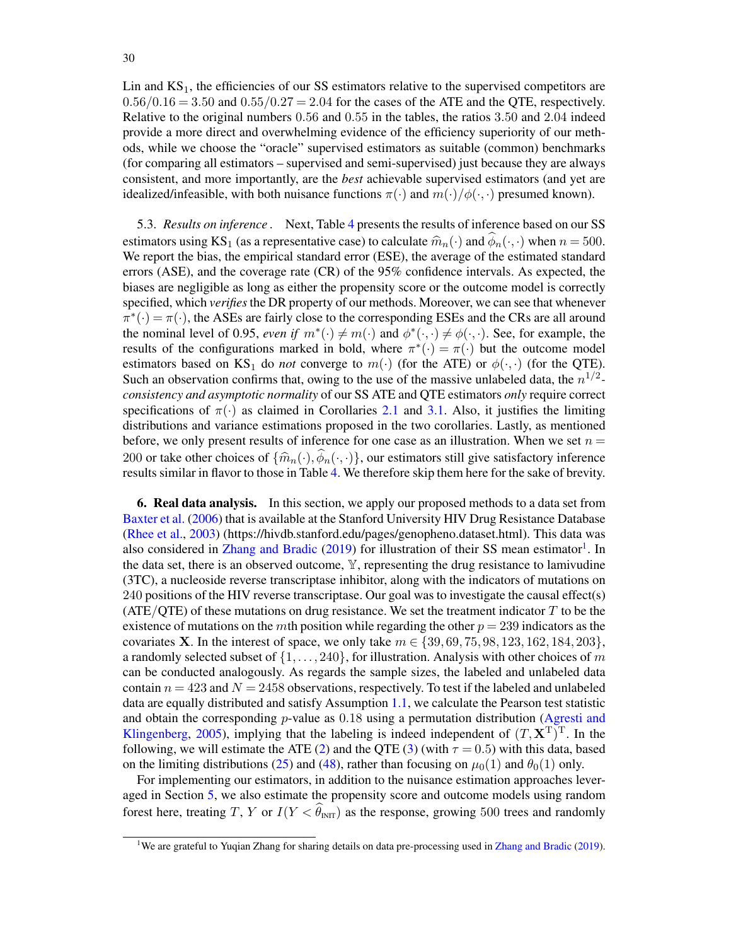30

Lin and  $KS<sub>1</sub>$ , the efficiencies of our SS estimators relative to the supervised competitors are  $0.56/0.16 = 3.50$  and  $0.55/0.27 = 2.04$  for the cases of the ATE and the QTE, respectively. Relative to the original numbers 0.56 and 0.55 in the tables, the ratios 3.50 and 2.04 indeed provide a more direct and overwhelming evidence of the efficiency superiority of our methods, while we choose the "oracle" supervised estimators as suitable (common) benchmarks (for comparing all estimators – supervised and semi-supervised) just because they are always consistent, and more importantly, are the *best* achievable supervised estimators (and yet are idealized/infeasible, with both nuisance functions  $\pi(\cdot)$  and  $m(\cdot)/\phi(\cdot, \cdot)$  presumed known).

<span id="page-29-1"></span>5.3. *Results on inference .* Next, Table [4](#page-27-0) presents the results of inference based on our SS estimators using KS<sub>1</sub> (as a representative case) to calculate  $\hat{m}_n(\cdot)$  and  $\hat{\phi}_n(\cdot, \cdot)$  when  $n = 500$ . We report the bias, the empirical standard error (ESE), the average of the estimated standard errors (ASE), and the coverage rate (CR) of the 95% confidence intervals. As expected, the biases are negligible as long as either the propensity score or the outcome model is correctly specified, which *verifies*the DR property of our methods. Moreover, we can see that whenever  $\pi^*(\cdot) = \pi(\cdot)$ , the ASEs are fairly close to the corresponding ESEs and the CRs are all around the nominal level of 0.95, *even if*  $m^*(\cdot) \neq m(\cdot)$  and  $\phi^*(\cdot, \cdot) \neq \phi(\cdot, \cdot)$ . See, for example, the results of the configurations marked in bold, where  $\pi^*(\cdot) = \pi(\cdot)$  but the outcome model estimators based on KS<sub>1</sub> do *not* converge to  $m(\cdot)$  (for the ATE) or  $\phi(\cdot, \cdot)$  (for the QTE). Such an observation confirms that, owing to the use of the massive unlabeled data, the  $n^{1/2}$ *consistency and asymptotic normality* of our SS ATE and QTE estimators *only* require correct specifications of  $\pi(\cdot)$  as claimed in Corollaries [2.1](#page-9-1) and [3.1.](#page-16-1) Also, it justifies the limiting distributions and variance estimations proposed in the two corollaries. Lastly, as mentioned before, we only present results of inference for one case as an illustration. When we set  $n =$ 200 or take other choices of  $\{\widehat{m}_n(\cdot), \widehat{\phi}_n(\cdot, \cdot)\}$ , our estimators still give satisfactory inference results similar in flavor to those in Table [4.](#page-27-0) We therefore skip them here for the sake of brevity.

<span id="page-29-0"></span>6. Real data analysis. In this section, we apply our proposed methods to a data set from [Baxter et al.](#page-55-10) [\(2006\)](#page-55-10) that is available at the Stanford University HIV Drug Resistance Database [\(Rhee et al.,](#page-57-30) [2003\)](#page-57-30) (https://hivdb.stanford.edu/pages/genopheno.dataset.html). This data was also considered in [Zhang and Bradic](#page-58-2) [\(2019\)](#page-58-2) for illustration of their SS mean estimator<sup>[1](#page-29-2)</sup>. In the data set, there is an observed outcome, Y, representing the drug resistance to lamivudine (3TC), a nucleoside reverse transcriptase inhibitor, along with the indicators of mutations on 240 positions of the HIV reverse transcriptase. Our goal was to investigate the causal effect(s) (ATE/QTE) of these mutations on drug resistance. We set the treatment indicator  $T$  to be the existence of mutations on the mth position while regarding the other  $p = 239$  indicators as the covariates **X**. In the interest of space, we only take  $m \in \{39, 69, 75, 98, 123, 162, 184, 203\}$ , a randomly selected subset of  $\{1, \ldots, 240\}$ , for illustration. Analysis with other choices of m can be conducted analogously. As regards the sample sizes, the labeled and unlabeled data contain  $n = 423$  and  $N = 2458$  observations, respectively. To test if the labeled and unlabeled data are equally distributed and satisfy Assumption [1.1,](#page-2-4) we calculate the Pearson test statistic and obtain the corresponding  $p$ -value as 0.18 using a permutation distribution [\(Agresti and](#page-55-11) [Klingenberg,](#page-55-11) [2005\)](#page-55-11), implying that the labeling is indeed independent of  $(T, \mathbf{X}^T)^T$ . In the following, we will estimate the ATE [\(2\)](#page-2-5) and the QTE [\(3\)](#page-2-6) (with  $\tau = 0.5$ ) with this data, based on the limiting distributions [\(25\)](#page-13-2) and [\(48\)](#page-18-2), rather than focusing on  $\mu_0(1)$  and  $\theta_0(1)$  only.

For implementing our estimators, in addition to the nuisance estimation approaches leveraged in Section [5,](#page-23-0) we also estimate the propensity score and outcome models using random forest here, treating T, Y or  $I(Y < \widehat{\theta}_{\text{INT}})$  as the response, growing 500 trees and randomly

<span id="page-29-2"></span><sup>&</sup>lt;sup>1</sup>We are grateful to Yuqian Zhang for sharing details on data pre-processing used in [Zhang and Bradic](#page-58-2) [\(2019\)](#page-58-2).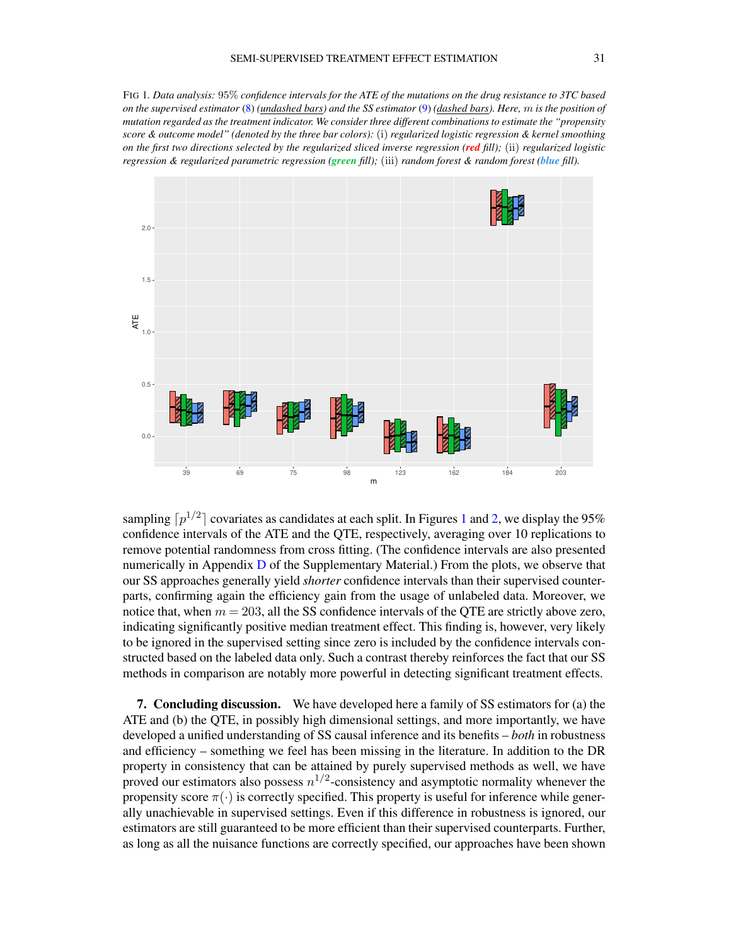<span id="page-30-1"></span>FIG 1*. Data analysis:* 95% *confidence intervals for the ATE of the mutations on the drug resistance to 3TC based on the supervised estimator* [\(8\)](#page-7-2) *(undashed bars) and the SS estimator* [\(9\)](#page-7-3) *(dashed bars). Here,* m *is the position of mutation regarded as the treatment indicator. We consider three different combinations to estimate the "propensity score & outcome model" (denoted by the three bar colors):* (i) *regularized logistic regression & kernel smoothing on the first two directions selected by the regularized sliced inverse regression (red fill);* (ii) *regularized logistic regression & regularized parametric regression (green fill);* (iii) *random forest & random forest (blue fill).*



sampling  $\lceil p^{1/2} \rceil$  $\lceil p^{1/2} \rceil$  $\lceil p^{1/2} \rceil$  covariates as candidates at each split. In Figures 1 and [2,](#page-31-0) we display the 95% confidence intervals of the ATE and the QTE, respectively, averaging over 10 replications to remove potential randomness from cross fitting. (The confidence intervals are also presented numerically in Appendix [D](#page-55-6) of the Supplementary Material.) From the plots, we observe that our SS approaches generally yield *shorter* confidence intervals than their supervised counterparts, confirming again the efficiency gain from the usage of unlabeled data. Moreover, we notice that, when  $m = 203$ , all the SS confidence intervals of the QTE are strictly above zero, indicating significantly positive median treatment effect. This finding is, however, very likely to be ignored in the supervised setting since zero is included by the confidence intervals constructed based on the labeled data only. Such a contrast thereby reinforces the fact that our SS methods in comparison are notably more powerful in detecting significant treatment effects.

<span id="page-30-0"></span>7. Concluding discussion. We have developed here a family of SS estimators for (a) the ATE and (b) the QTE, in possibly high dimensional settings, and more importantly, we have developed a unified understanding of SS causal inference and its benefits – *both* in robustness and efficiency – something we feel has been missing in the literature. In addition to the DR property in consistency that can be attained by purely supervised methods as well, we have proved our estimators also possess  $n^{1/2}$ -consistency and asymptotic normality whenever the propensity score  $\pi(\cdot)$  is correctly specified. This property is useful for inference while generally unachievable in supervised settings. Even if this difference in robustness is ignored, our estimators are still guaranteed to be more efficient than their supervised counterparts. Further, as long as all the nuisance functions are correctly specified, our approaches have been shown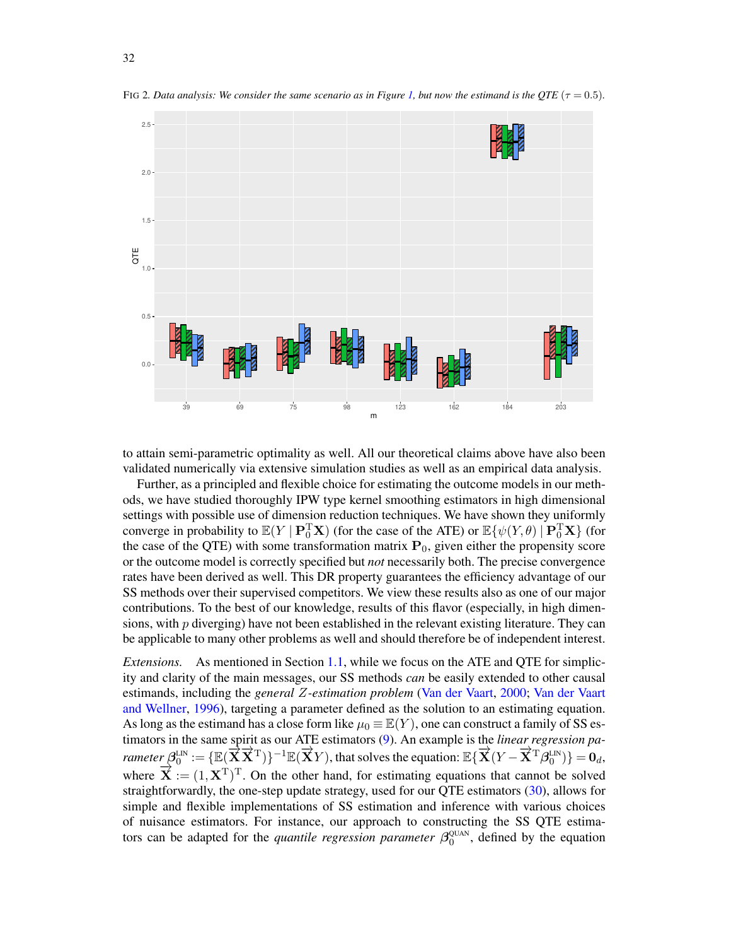

<span id="page-31-0"></span>FIG 2*. Data analysis:* We consider the same scenario as in Figure [1,](#page-30-1) but now the estimand is the OTE ( $\tau = 0.5$ ).

to attain semi-parametric optimality as well. All our theoretical claims above have also been validated numerically via extensive simulation studies as well as an empirical data analysis.

Further, as a principled and flexible choice for estimating the outcome models in our methods, we have studied thoroughly IPW type kernel smoothing estimators in high dimensional settings with possible use of dimension reduction techniques. We have shown they uniformly converge in probability to  $\mathbb{E}(Y \mid \mathbf{P}_0^T \mathbf{X})$  (for the case of the ATE) or  $\mathbb{E}\{\psi(Y, \theta) \mid \mathbf{P}_0^T \mathbf{X}\}\)$  (for the case of the QTE) with some transformation matrix  $P_0$ , given either the propensity score or the outcome model is correctly specified but *not* necessarily both. The precise convergence rates have been derived as well. This DR property guarantees the efficiency advantage of our SS methods over their supervised competitors. We view these results also as one of our major contributions. To the best of our knowledge, results of this flavor (especially, in high dimensions, with  $p$  diverging) have not been established in the relevant existing literature. They can be applicable to many other problems as well and should therefore be of independent interest.

*Extensions.* As mentioned in Section [1.1,](#page-1-1) while we focus on the ATE and QTE for simplicity and clarity of the main messages, our SS methods *can* be easily extended to other causal estimands, including the *general* Z*-estimation problem* [\(Van der Vaart,](#page-57-18) [2000;](#page-57-18) [Van der Vaart](#page-57-24) [and Wellner,](#page-57-24) [1996\)](#page-57-24), targeting a parameter defined as the solution to an estimating equation. As long as the estimand has a close form like  $\mu_0 \equiv \mathbb{E}(Y)$ , one can construct a family of SS estimators in the same spirit as our ATE estimators [\(9\)](#page-7-3). An example is the *linear regression parameter*  $\beta_0^{\text{LN}} := \{ \mathbb{E}(\overrightarrow{\mathbf{X}} \overrightarrow{\mathbf{X}}^T) \}^{-1} \mathbb{E}(\overrightarrow{\mathbf{X}} Y)$ , that solves the equation:  $\mathbb{E} \{ \overrightarrow{\mathbf{X}} (Y - \overrightarrow{\mathbf{X}}^T \beta_0^{\text{LN}}) \} = \mathbf{0}_d$ , where  $\overrightarrow{\mathbf{X}} := (1, \mathbf{X}^T)^T$ . On the other hand, for estimating equations that cannot be solved straightforwardly, the one-step update strategy, used for our QTE estimators [\(30\)](#page-14-5), allows for simple and flexible implementations of SS estimation and inference with various choices of nuisance estimators. For instance, our approach to constructing the SS QTE estimators can be adapted for the *quantile regression parameter*  $\beta_0^{\text{QUAN}}$ , defined by the equation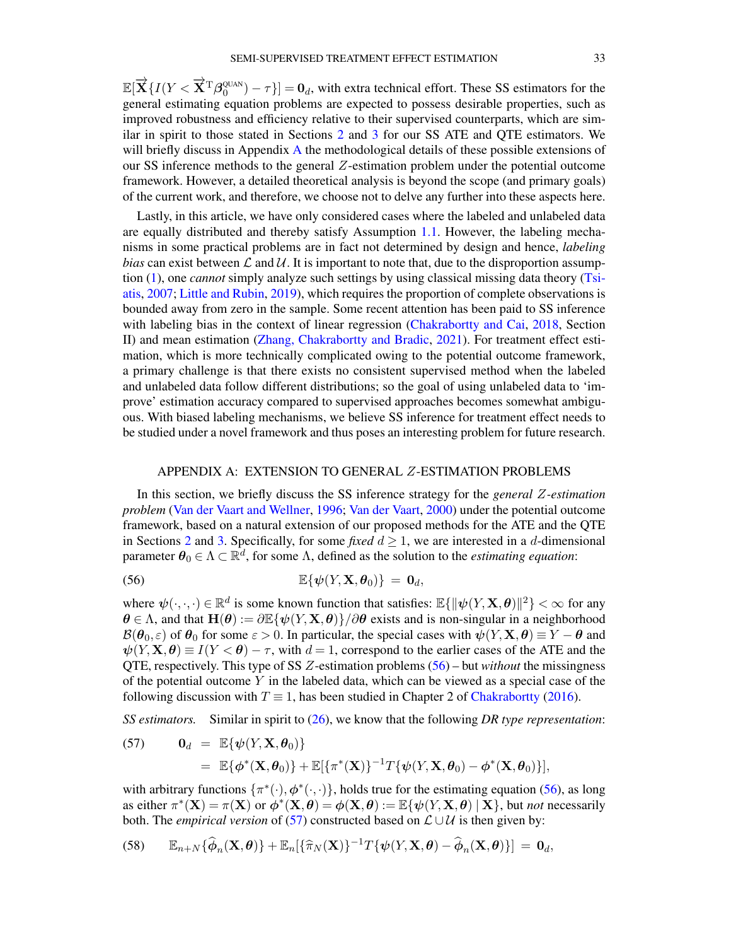$\mathbb{E}[\overrightarrow{\mathbf{X}}\{I(Y<\overrightarrow{\mathbf{X}}^{\text{T}}\boldsymbol{\beta}_0^{\text{QUAN}})-\tau\}]=\mathbf{0}_d$ , with extra technical effort. These SS estimators for the general estimating equation problems are expected to possess desirable properties, such as improved robustness and efficiency relative to their supervised counterparts, which are similar in spirit to those stated in Sections [2](#page-6-0) and [3](#page-13-1) for our SS ATE and QTE estimators. We will briefly discuss in [A](#page-32-0)ppendix A the methodological details of these possible extensions of our SS inference methods to the general Z-estimation problem under the potential outcome framework. However, a detailed theoretical analysis is beyond the scope (and primary goals) of the current work, and therefore, we choose not to delve any further into these aspects here.

Lastly, in this article, we have only considered cases where the labeled and unlabeled data are equally distributed and thereby satisfy Assumption [1.1.](#page-2-4) However, the labeling mechanisms in some practical problems are in fact not determined by design and hence, *labeling bias* can exist between  $\mathcal L$  and  $\mathcal U$ . It is important to note that, due to the disproportion assumption [\(1\)](#page-1-0), one *cannot* simply analyze such settings by using classical missing data theory [\(Tsi](#page-57-2)[atis,](#page-57-2) [2007;](#page-57-2) [Little and Rubin,](#page-57-3) [2019\)](#page-57-3), which requires the proportion of complete observations is bounded away from zero in the sample. Some recent attention has been paid to SS inference with labeling bias in the context of linear regression [\(Chakrabortty and Cai,](#page-56-4) [2018,](#page-56-4) Section II) and mean estimation [\(Zhang, Chakrabortty and Bradic,](#page-58-6) [2021\)](#page-58-6). For treatment effect estimation, which is more technically complicated owing to the potential outcome framework, a primary challenge is that there exists no consistent supervised method when the labeled and unlabeled data follow different distributions; so the goal of using unlabeled data to 'improve' estimation accuracy compared to supervised approaches becomes somewhat ambiguous. With biased labeling mechanisms, we believe SS inference for treatment effect needs to be studied under a novel framework and thus poses an interesting problem for future research.

### <span id="page-32-1"></span>APPENDIX A: EXTENSION TO GENERAL Z-ESTIMATION PROBLEMS

<span id="page-32-0"></span>In this section, we briefly discuss the SS inference strategy for the *general* Z*-estimation problem* [\(Van der Vaart and Wellner,](#page-57-24) [1996;](#page-57-24) [Van der Vaart,](#page-57-18) [2000\)](#page-57-18) under the potential outcome framework, based on a natural extension of our proposed methods for the ATE and the QTE in Sections [2](#page-6-0) and [3.](#page-13-1) Specifically, for some *fixed*  $d \ge 1$ , we are interested in a d-dimensional parameter  $\theta_0 \in \Lambda \subset \mathbb{R}^d$ , for some  $\Lambda$ , defined as the solution to the *estimating equation*:

(56) 
$$
\mathbb{E}\{\psi(Y, \mathbf{X}, \boldsymbol{\theta}_0)\} = \mathbf{0}_d,
$$

where  $\psi(\cdot,\cdot,\cdot) \in \mathbb{R}^d$  is some known function that satisfies:  $\mathbb{E}\{\|\psi(Y, \mathbf{X}, \boldsymbol{\theta})\|^2\} < \infty$  for any  $\theta \in \Lambda$ , and that  $\mathbf{H}(\theta) := \partial \mathbb{E}\{\psi(Y, X, \theta)\}/\partial \theta$  exists and is non-singular in a neighborhood  $\mathcal{B}(\theta_0, \varepsilon)$  of  $\theta_0$  for some  $\varepsilon > 0$ . In particular, the special cases with  $\psi(Y, X, \theta) \equiv Y - \theta$  and  $\psi(Y, \mathbf{X}, \boldsymbol{\theta}) \equiv I(Y \leq \boldsymbol{\theta}) - \tau$ , with  $d = 1$ , correspond to the earlier cases of the ATE and the QTE, respectively. This type of SS Z-estimation problems [\(56\)](#page-32-1) – but *without* the missingness of the potential outcome  $Y$  in the labeled data, which can be viewed as a special case of the following discussion with  $T \equiv 1$ , has been studied in Chapter 2 of [Chakrabortty](#page-56-9) [\(2016\)](#page-56-9).

*SS estimators.* Similar in spirit to [\(26\)](#page-14-1), we know that the following *DR type representation*:

<span id="page-32-2"></span>(57) 
$$
\mathbf{0}_d = \mathbb{E}\{\boldsymbol{\psi}(Y, \mathbf{X}, \boldsymbol{\theta}_0)\} = \mathbb{E}\{\boldsymbol{\phi}^*(\mathbf{X}, \boldsymbol{\theta}_0)\} + \mathbb{E}[\{\pi^*(\mathbf{X})\}^{-1}T\{\boldsymbol{\psi}(Y, \mathbf{X}, \boldsymbol{\theta}_0) - \boldsymbol{\phi}^*(\mathbf{X}, \boldsymbol{\theta}_0)\}],
$$

with arbitrary functions  $\{\pi^*(\cdot), \phi^*(\cdot, \cdot)\}$ , holds true for the estimating equation [\(56\)](#page-32-1), as long as either  $\pi^*(\mathbf{X}) = \pi(\mathbf{X})$  or  $\phi^*(\mathbf{X}, \theta) = \phi(\mathbf{X}, \theta) := \mathbb{E}\{\psi(Y, \mathbf{X}, \theta) \mid \mathbf{X}\}\)$ , but *not* necessarily both. The *empirical version* of [\(57\)](#page-32-2) constructed based on  $\mathcal{L} \cup \mathcal{U}$  is then given by:

<span id="page-32-3"></span>(58) 
$$
\mathbb{E}_{n+N}\{\widehat{\boldsymbol{\phi}}_n(\mathbf{X},\boldsymbol{\theta})\}+\mathbb{E}_n[\{\widehat{\pi}_N(\mathbf{X})\}^{-1}T\{\boldsymbol{\psi}(Y,\mathbf{X},\boldsymbol{\theta})-\widehat{\boldsymbol{\phi}}_n(\mathbf{X},\boldsymbol{\theta})\}] = \mathbf{0}_d,
$$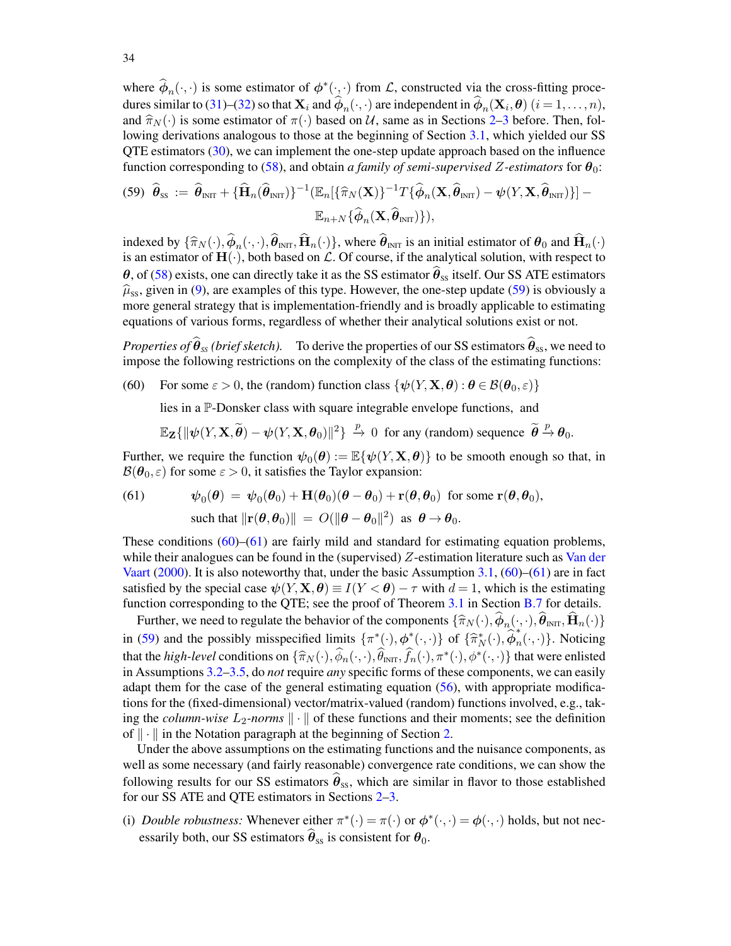where  $\hat{\phi}_n(\cdot, \cdot)$  is some estimator of  $\phi^*(\cdot, \cdot)$  from  $\mathcal{L}$ , constructed via the cross-fitting proce-dures similar to [\(31\)](#page-14-8)–[\(32\)](#page-14-8) so that  $X_i$  and  $\phi_n(\cdot, \cdot)$  are independent in  $\phi_n(\mathbf{X}_i, \boldsymbol{\theta})$   $(i = 1, \dots, n)$ , and  $\hat{\pi}_N(\cdot)$  is some estimator of  $\pi(\cdot)$  based on U, same as in Sections [2](#page-6-0)[–3](#page-13-1) before. Then, following derivations analogous to those at the beginning of Section [3.1,](#page-14-0) which yielded our SS QTE estimators [\(30\)](#page-14-5), we can implement the one-step update approach based on the influence function corresponding to [\(58\)](#page-32-3), and obtain *a family of semi-supervised* Z-estimators for  $\theta_0$ :

<span id="page-33-0"></span>
$$
(59) \quad \widehat{\boldsymbol{\theta}}_{\text{ss}} := \widehat{\boldsymbol{\theta}}_{\text{INT}} + {\{\widehat{\mathbf{H}}_n(\widehat{\boldsymbol{\theta}}_{\text{INT}})\}}^{-1} (\mathbb{E}_n[\{\widehat{\pi}_N(\mathbf{X})\}^{-1} T {\{\widehat{\boldsymbol{\phi}}_n(\mathbf{X}, \widehat{\boldsymbol{\theta}}_{\text{INT}}) - \psi(Y, \mathbf{X}, \widehat{\boldsymbol{\theta}}_{\text{INT}})\}]-\mathbb{E}_{n+N} {\{\widehat{\boldsymbol{\phi}}_n(\mathbf{X}, \widehat{\boldsymbol{\theta}}_{\text{INT}})\}},
$$

indexed by  $\{\widehat{\pi}_{N}(\cdot),\phi_{n}(\cdot,\cdot),\theta_{\text{INT}},\mathbf{H}_{n}(\cdot)\}$ , where  $\theta_{\text{INT}}$  is an initial estimator of  $\theta_{0}$  and  $\mathbf{H}_{n}(\cdot)$  is an estimator of  $\mathbf{H}(\cdot)$  both based on C. Of course, if the analytical solution, with re is an estimator of  $H(\cdot)$ , both based on  $\mathcal L$ . Of course, if the analytical solution, with respect to  $\theta$ , of [\(58\)](#page-32-3) exists, one can directly take it as the SS estimator  $\theta_{ss}$  itself. Our SS ATE estimators  $\hat{\mu}_{ss}$ , given in [\(9\)](#page-7-3), are examples of this type. However, the one-step update [\(59\)](#page-33-0) is obviously a more general strategy that is implementation-friendly and is broadly applicable to estimating equations of various forms, regardless of whether their analytical solutions exist or not.

*Properties of*  $\hat{\theta}_{ss}$  *(brief sketch).* To derive the properties of our SS estimators  $\hat{\theta}_{ss}$ , we need to impose the following restrictions on the complexity of the class of the estimating functions:

(60) For some  $\varepsilon > 0$ , the (random) function class  $\{\psi(Y, X, \theta) : \theta \in \mathcal{B}(\theta_0, \varepsilon)\}\$ 

<span id="page-33-1"></span>lies in a P-Donsker class with square integrable envelope functions, and

$$
\mathbb{E}_{\mathbf{Z}}\{\|\psi(Y,\mathbf{X},\widetilde{\boldsymbol{\theta}})-\psi(Y,\mathbf{X},\boldsymbol{\theta}_0)\|^2\}\overset{p}{\to} 0 \text{ for any (random) sequence } \widetilde{\boldsymbol{\theta}} \overset{p}{\to} \boldsymbol{\theta}_0.
$$

Further, we require the function  $\psi_0(\theta) := \mathbb{E}\{\psi(Y, \mathbf{X}, \theta)\}\$  to be smooth enough so that, in  $\mathcal{B}(\theta_0, \varepsilon)$  for some  $\varepsilon > 0$ , it satisfies the Taylor expansion:

<span id="page-33-2"></span>(61) 
$$
\psi_0(\theta) = \psi_0(\theta_0) + \mathbf{H}(\theta_0)(\theta - \theta_0) + \mathbf{r}(\theta, \theta_0) \text{ for some } \mathbf{r}(\theta, \theta_0),
$$
  
such that  $\|\mathbf{r}(\theta, \theta_0)\| = O(\|\theta - \theta_0\|^2) \text{ as } \theta \to \theta_0.$ 

These conditions  $(60)$ – $(61)$  are fairly mild and standard for estimating equation problems, while their analogues can be found in the (supervised)  $Z$ -estimation literature such as [Van der](#page-57-18) [Vaart](#page-57-18) [\(2000\)](#page-57-18). It is also noteworthy that, under the basic Assumption [3.1,](#page-14-6)  $(60)$ – $(61)$  are in fact satisfied by the special case  $\psi(Y, \mathbf{X}, \boldsymbol{\theta}) \equiv I(Y < \boldsymbol{\theta}) - \tau$  with  $d = 1$ , which is the estimating function corresponding to the QTE; see the proof of Theorem [3.1](#page-16-0) in Section [B.7](#page-38-0) for details.

Further, we need to regulate the behavior of the components  $\{\hat{\pi}_{N}(\cdot), \phi_{n}(\cdot, \cdot), \theta_{\text{INT}}, \mathbf{H}_{n}(\cdot)\}$ in [\(59\)](#page-33-0) and the possibly misspecified limits  $\{\pi^*(\cdot), \phi^*(\cdot, \cdot)\}$  of  $\{\hat{\pi}_N^*(\cdot), \hat{\phi}_n^*\}$  $_n(\cdot, \cdot)$ . Noticing that the *high-level* conditions on  $\{\widehat{\pi}_N(\cdot), \widehat{\phi}_n(\cdot, \cdot), \widehat{\theta}_{\text{INT}}, \widehat{f}_n(\cdot), \pi^*(\cdot), \phi^*(\cdot, \cdot)\}\)$  that were enlisted<br>in Assumptions 3.2, 3.5, do not require *any* specific forms of these components, we can easily in Assumptions [3.2](#page-14-7)[–3.5,](#page-15-4) do *not* require *any* specific forms of these components, we can easily adapt them for the case of the general estimating equation [\(56\)](#page-32-1), with appropriate modifications for the (fixed-dimensional) vector/matrix-valued (random) functions involved, e.g., taking the *column-wise*  $L_2$ -norms  $\|\cdot\|$  of these functions and their moments; see the definition of  $\|\cdot\|$  in the Notation paragraph at the beginning of Section [2.](#page-6-0)

Under the above assumptions on the estimating functions and the nuisance components, as well as some necessary (and fairly reasonable) convergence rate conditions, we can show the following results for our SS estimators  $\hat{\theta}_{ss}$ , which are similar in flavor to those established for our SS ATE and QTE estimators in Sections [2–](#page-6-0)[3.](#page-13-1)

(i) *Double robustness:* Whenever either  $\pi^*(\cdot) = \pi(\cdot)$  or  $\phi^*(\cdot, \cdot) = \phi(\cdot, \cdot)$  holds, but not necessarily both, our SS estimators  $\hat{\theta}_{ss}$  is consistent for  $\theta_0$ .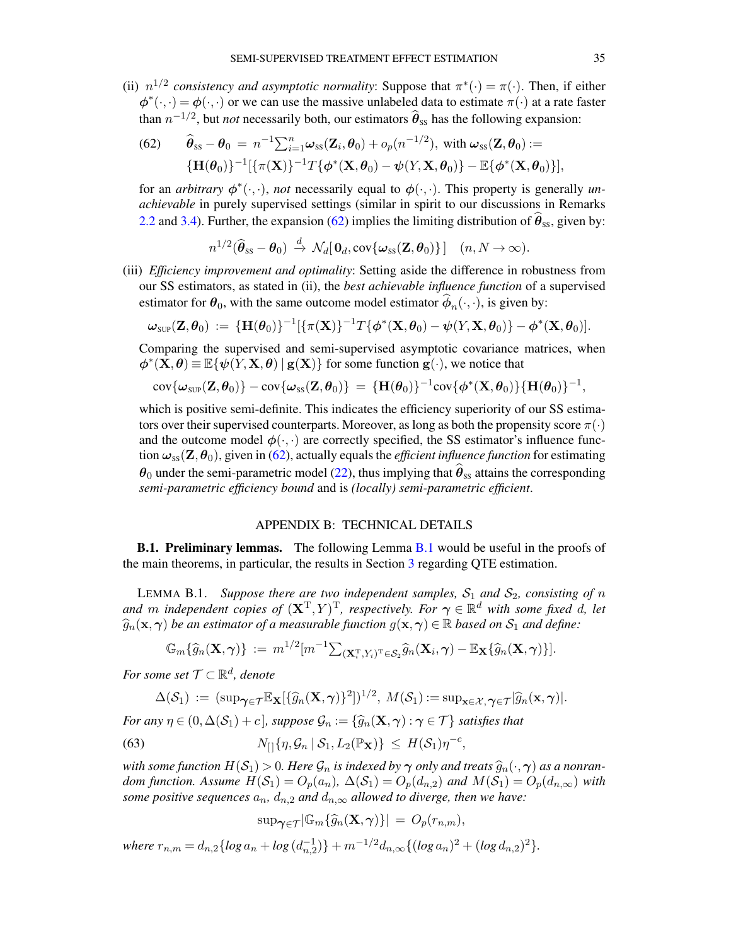(ii)  $n^{1/2}$  consistency and asymptotic normality: Suppose that  $\pi^*(\cdot) = \pi(\cdot)$ . Then, if either  $\phi^*(\cdot,\cdot) = \phi(\cdot,\cdot)$  or we can use the massive unlabeled data to estimate  $\pi(\cdot)$  at a rate faster than  $n^{-1/2}$ , but *not* necessarily both, our estimators  $\hat{\theta}_{ss}$  has the following expansion:

<span id="page-34-2"></span>(62) 
$$
\widehat{\boldsymbol{\theta}}_{\text{ss}} - \boldsymbol{\theta}_0 = n^{-1} \sum_{i=1}^n \boldsymbol{\omega}_{\text{ss}}(\mathbf{Z}_i, \boldsymbol{\theta}_0) + o_p(n^{-1/2}), \text{ with } \boldsymbol{\omega}_{\text{ss}}(\mathbf{Z}, \boldsymbol{\theta}_0) := \{\mathbf{H}(\boldsymbol{\theta}_0)\}^{-1} [\{\pi(\mathbf{X})\}^{-1} T \{\boldsymbol{\phi}^*(\mathbf{X}, \boldsymbol{\theta}_0) - \boldsymbol{\psi}(Y, \mathbf{X}, \boldsymbol{\theta}_0)\} - \mathbb{E} \{\boldsymbol{\phi}^*(\mathbf{X}, \boldsymbol{\theta}_0)\}],
$$

for an *arbitrary*  $\phi^*(\cdot, \cdot)$ , *not* necessarily equal to  $\phi(\cdot, \cdot)$ . This property is generally *unachievable* in purely supervised settings (similar in spirit to our discussions in Remarks [2.2](#page-9-2) and [3.4\)](#page-16-2). Further, the expansion [\(62\)](#page-34-2) implies the limiting distribution of  $\theta_{ss}$ , given by:

$$
n^{1/2}(\widehat{\boldsymbol{\theta}}_{ss}-\boldsymbol{\theta}_0) \stackrel{d}{\rightarrow} \mathcal{N}_d[\mathbf{0}_d,\text{cov}\{\boldsymbol{\omega}_{ss}(\mathbf{Z},\boldsymbol{\theta}_0)\}]\quad (n,N\to\infty).
$$

(iii) *Efficiency improvement and optimality*: Setting aside the difference in robustness from our SS estimators, as stated in (ii), the *best achievable influence function* of a supervised estimator for  $\theta_0$ , with the same outcome model estimator  $\phi_n(\cdot, \cdot)$ , is given by:

$$
\boldsymbol{\omega}_{\textnormal{sup}}(\mathbf{Z},\boldsymbol{\theta}_0) \, := \, \{ \mathbf{H}(\boldsymbol{\theta}_0) \}^{-1} [ \{ \pi(\mathbf{X}) \}^{-1} T \{ \boldsymbol{\phi}^*(\mathbf{X},\boldsymbol{\theta}_0) - \boldsymbol{\psi}(Y,\mathbf{X},\boldsymbol{\theta}_0) \} - \boldsymbol{\phi}^*(\mathbf{X},\boldsymbol{\theta}_0) ].
$$

Comparing the supervised and semi-supervised asymptotic covariance matrices, when  $\phi^*(\mathbf{X}, \theta) \equiv \mathbb{E}\{\psi(Y, \mathbf{X}, \theta) \mid \mathbf{g}(\mathbf{X})\}$  for some function  $\mathbf{g}(\cdot)$ , we notice that

$$
\text{cov}\{\boldsymbol{\omega}_{\text{sup}}(\mathbf{Z},\boldsymbol{\theta}_0)\}-\text{cov}\{\boldsymbol{\omega}_{\text{ss}}(\mathbf{Z},\boldsymbol{\theta}_0)\}\ =\ \{\mathbf{H}(\boldsymbol{\theta}_0)\}^{-1}\text{cov}\{\boldsymbol{\phi}^*(\mathbf{X},\boldsymbol{\theta}_0)\}\{\mathbf{H}(\boldsymbol{\theta}_0)\}^{-1},
$$

which is positive semi-definite. This indicates the efficiency superiority of our SS estimators over their supervised counterparts. Moreover, as long as both the propensity score  $\pi(\cdot)$ and the outcome model  $\phi(\cdot, \cdot)$  are correctly specified, the SS estimator's influence function  $\omega_{ss}(Z,\theta_0)$ , given in [\(62\)](#page-34-2), actually equals the *efficient influence function* for estimating  $\theta_0$  under the semi-parametric model [\(22\)](#page-11-5), thus implying that  $\hat{\theta}_{ss}$  attains the corresponding *semi-parametric efficiency bound* and is *(locally) semi-parametric efficient*.

# APPENDIX B: TECHNICAL DETAILS

<span id="page-34-1"></span>**[B.1](#page-34-0). Preliminary lemmas.** The following Lemma B.1 would be useful in the proofs of the main theorems, in particular, the results in Section [3](#page-13-1) regarding QTE estimation.

<span id="page-34-0"></span>LEMMA B.1. *Suppose there are two independent samples,*  $S_1$  *and*  $S_2$ *, consisting of* n *and* m independent copies of  $(X^T, Y)^T$ , respectively. For  $\gamma \in \mathbb{R}^d$  with some fixed d, let  $\widehat{g}_n(\mathbf{x}, \gamma)$  *be an estimator of a measurable function*  $g(\mathbf{x}, \gamma) \in \mathbb{R}$  *based on*  $\mathcal{S}_1$  *and define:* 

$$
\mathbb{G}_m\{\widehat{g}_n(\mathbf{X},\boldsymbol{\gamma})\} := m^{1/2}[m^{-1}\sum_{(\mathbf{X}_i^{\mathrm{T}},Y_i)^{\mathrm{T}}\in\mathcal{S}_2}\widehat{g}_n(\mathbf{X}_i,\boldsymbol{\gamma}) - \mathbb{E}_{\mathbf{X}}\{\widehat{g}_n(\mathbf{X},\boldsymbol{\gamma})\}].
$$

For some set  $\mathcal{T} \subset \mathbb{R}^d$ , denote

$$
\Delta(\mathcal{S}_1) := (\sup_{\boldsymbol{\gamma} \in \mathcal{T}} \mathbb{E}_{\mathbf{X}} [\{\widehat{g}_n(\mathbf{X}, \boldsymbol{\gamma})\}^2])^{1/2}, \ M(\mathcal{S}_1) := \sup_{\mathbf{x} \in \mathcal{X}, \, \boldsymbol{\gamma} \in \mathcal{T}} |\widehat{g}_n(\mathbf{x}, \boldsymbol{\gamma})|.
$$

*For any*  $\eta \in (0, \Delta(\mathcal{S}_1) + c]$ *, suppose*  $\mathcal{G}_n := \{ \widehat{g}_n(\mathbf{X}, \gamma) : \gamma \in \mathcal{T} \}$  *satisfies that* 

(63) 
$$
N_{\text{r}}\{\eta, \mathcal{G}_n \mid \mathcal{S}_1, L_2(\mathbb{P}_X)\} \leq H(\mathcal{S}_1)\eta^{-c},
$$

*with some function*  $H(S_1) > 0$ . Here  $\mathcal{G}_n$  *is indexed by*  $\gamma$  *only and treats*  $\widehat{g}_n(\cdot, \gamma)$  *as a nonrandom function. Assume*  $H(S_1) = O_p(a_n)$ ,  $\Delta(S_1) = O_p(d_{n,2})$  *and*  $M(S_1) = O_p(d_{n,\infty})$  *with some positive sequences*  $a_n$ ,  $d_{n,2}$  *and*  $d_{n,\infty}$  *allowed to diverge, then we have:* 

<span id="page-34-3"></span>
$$
\sup\negthinspace \gamma\in \tau^{\left|\mathbb{G}_{m}\left\{\widehat{g}_{n}(\mathbf{X},\boldsymbol{\gamma})\right\}\right| \,=\, O_{p}(r_{n,m}),
$$

 $where \ r_{n,m} = d_{n,2} \{log a_n + log (d_{n,2}^{-1})\} + m^{-1/2} d_{n,\infty} \{ (log a_n)^2 + (log d_{n,2})^2 \}.$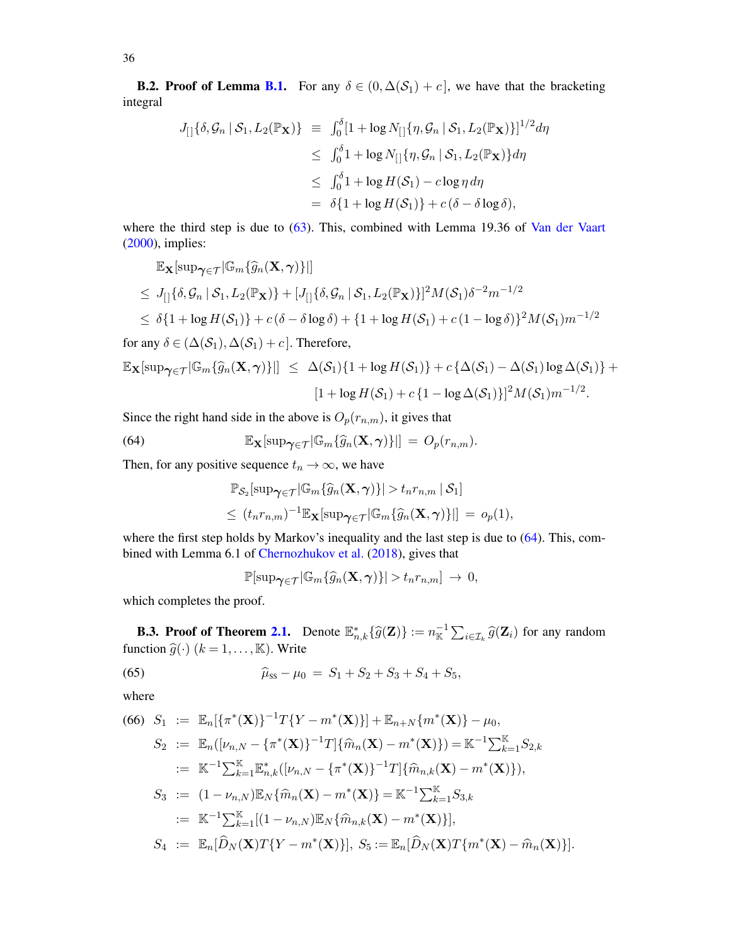**B.2. Proof of Lemma [B.1.](#page-34-0)** For any  $\delta \in (0, \Delta(S_1) + c]$ , we have that the bracketing integral

$$
J_{[]}{\delta, \mathcal{G}_n | \mathcal{S}_1, L_2(\mathbb{P}_\mathbf{X})} \equiv \int_0^{\delta} [1 + \log N_{[]}{\eta, \mathcal{G}_n | \mathcal{S}_1, L_2(\mathbb{P}_\mathbf{X})}]^{1/2} d\eta
$$
  
\n
$$
\leq \int_0^{\delta} 1 + \log N_{[]}{\eta, \mathcal{G}_n | \mathcal{S}_1, L_2(\mathbb{P}_\mathbf{X})} d\eta
$$
  
\n
$$
\leq \int_0^{\delta} 1 + \log H(\mathcal{S}_1) - c \log \eta d\eta
$$
  
\n
$$
= \delta \{1 + \log H(\mathcal{S}_1)\} + c(\delta - \delta \log \delta),
$$

where the third step is due to [\(63\)](#page-34-3). This, combined with Lemma 19.36 of [Van der Vaart](#page-57-18) [\(2000\)](#page-57-18), implies:

$$
\mathbb{E}_{\mathbf{X}}[\sup_{\boldsymbol{\gamma} \in \mathcal{T}} |\mathbb{G}_m\{\widehat{g}_n(\mathbf{X},\boldsymbol{\gamma})\} |]
$$
\n
$$
\leq J_{[]}\{\delta, \mathcal{G}_n \mid \mathcal{S}_1, L_2(\mathbb{P}_{\mathbf{X}})\} + [J_{[]}\{\delta, \mathcal{G}_n \mid \mathcal{S}_1, L_2(\mathbb{P}_{\mathbf{X}})\}]^2 M(\mathcal{S}_1) \delta^{-2} m^{-1/2}
$$
\n
$$
\leq \delta \{1 + \log H(\mathcal{S}_1)\} + c(\delta - \delta \log \delta) + \{1 + \log H(\mathcal{S}_1) + c(1 - \log \delta)\}^2 M(\mathcal{S}_1) m^{-1/2}
$$

for any  $\delta \in (\Delta(\mathcal{S}_1), \Delta(\mathcal{S}_1) + c]$ . Therefore,

$$
\mathbb{E}_{\mathbf{X}}[\sup_{\boldsymbol{\gamma} \in \mathcal{T}} |\mathbb{G}_m\{\widehat{g}_n(\mathbf{X},\boldsymbol{\gamma})\}|\] \leq \Delta(\mathcal{S}_1)\{1 + \log H(\mathcal{S}_1)\} + c\{\Delta(\mathcal{S}_1) - \Delta(\mathcal{S}_1)\log \Delta(\mathcal{S}_1)\} +
$$

$$
[1 + \log H(\mathcal{S}_1) + c\{1 - \log \Delta(\mathcal{S}_1)\}]^2 M(\mathcal{S}_1)m^{-1/2}.
$$

Since the right hand side in the above is  $O_p(r_{n,m})$ , it gives that

(64) 
$$
\mathbb{E}_{\mathbf{X}}[\sup_{\boldsymbol{\gamma}\in\mathcal{T}}|\mathbb{G}_m\{\widehat{g}_n(\mathbf{X},\boldsymbol{\gamma})\}|\] = O_p(r_{n,m}).
$$

Then, for any positive sequence  $t_n \to \infty$ , we have

<span id="page-35-0"></span>
$$
\mathbb{P}_{\mathcal{S}_2}[\sup_{\gamma \in \mathcal{T}} |\mathbb{G}_m\{\widehat{g}_n(\mathbf{X}, \gamma)\}| > t_n r_{n,m} | \mathcal{S}_1]
$$
  

$$
\leq (t_n r_{n,m})^{-1} \mathbb{E}_{\mathbf{X}}[\sup_{\gamma \in \mathcal{T}} |\mathbb{G}_m\{\widehat{g}_n(\mathbf{X}, \gamma)\}|] = o_p(1),
$$

where the first step holds by Markov's inequality and the last step is due to  $(64)$ . This, combined with Lemma 6.1 of [Chernozhukov et al.](#page-56-19) [\(2018\)](#page-56-19), gives that

<span id="page-35-1"></span>
$$
\mathbb{P}[\sup_{\boldsymbol{\gamma}\in\mathcal{T}}|\mathbb{G}_m\{\widehat{g}_n(\mathbf{X},\boldsymbol{\gamma})\}|>t_nr_{n,m}]\rightarrow 0,
$$

which completes the proof.

**B.3. Proof of Theorem [2.1.](#page-9-0)** Denote  $\mathbb{E}_{n,k}^* \{ \widehat{g}(\mathbf{Z}) \} := n_{\mathbb{K}}^{-1} \sum_{i \in \mathcal{I}_k} \widehat{g}(\mathbf{Z}_i)$  for any random function  $\widehat{g}(\cdot)$  ( $k = 1, \dots, K$ ). Write

(65) 
$$
\widehat{\mu}_{ss} - \mu_0 = S_1 + S_2 + S_3 + S_4 + S_5,
$$

where

<span id="page-35-2"></span>(66) 
$$
S_1 := \mathbb{E}_n[\{\pi^*(\mathbf{X})\}^{-1}T\{Y - m^*(\mathbf{X})\}] + \mathbb{E}_{n+N}\{m^*(\mathbf{X})\} - \mu_0,
$$
  
\n $S_2 := \mathbb{E}_n([\nu_{n,N} - {\pi^*(\mathbf{X})}^{-1}T]\{\hat{m}_n(\mathbf{X}) - m^*(\mathbf{X})\}) = \mathbb{K}^{-1}\sum_{k=1}^{\mathbb{K}}S_{2,k}$   
\n $:= \mathbb{K}^{-1}\sum_{k=1}^{\mathbb{K}}\mathbb{E}_{n,k}^*([\nu_{n,N} - {\pi^*(\mathbf{X})}^{-1}T]\{\hat{m}_{n,k}(\mathbf{X}) - m^*(\mathbf{X})\}),$   
\n $S_3 := (1 - \nu_{n,N})\mathbb{E}_N\{\hat{m}_n(\mathbf{X}) - m^*(\mathbf{X})\} = \mathbb{K}^{-1}\sum_{k=1}^{\mathbb{K}}S_{3,k}$   
\n $:= \mathbb{K}^{-1}\sum_{k=1}^{\mathbb{K}}[(1 - \nu_{n,N})\mathbb{E}_N\{\hat{m}_{n,k}(\mathbf{X}) - m^*(\mathbf{X})\}],$   
\n $S_4 := \mathbb{E}_n[\hat{D}_N(\mathbf{X})T\{Y - m^*(\mathbf{X})\}], S_5 := \mathbb{E}_n[\hat{D}_N(\mathbf{X})T\{m^*(\mathbf{X}) - \hat{m}_n(\mathbf{X})\}].$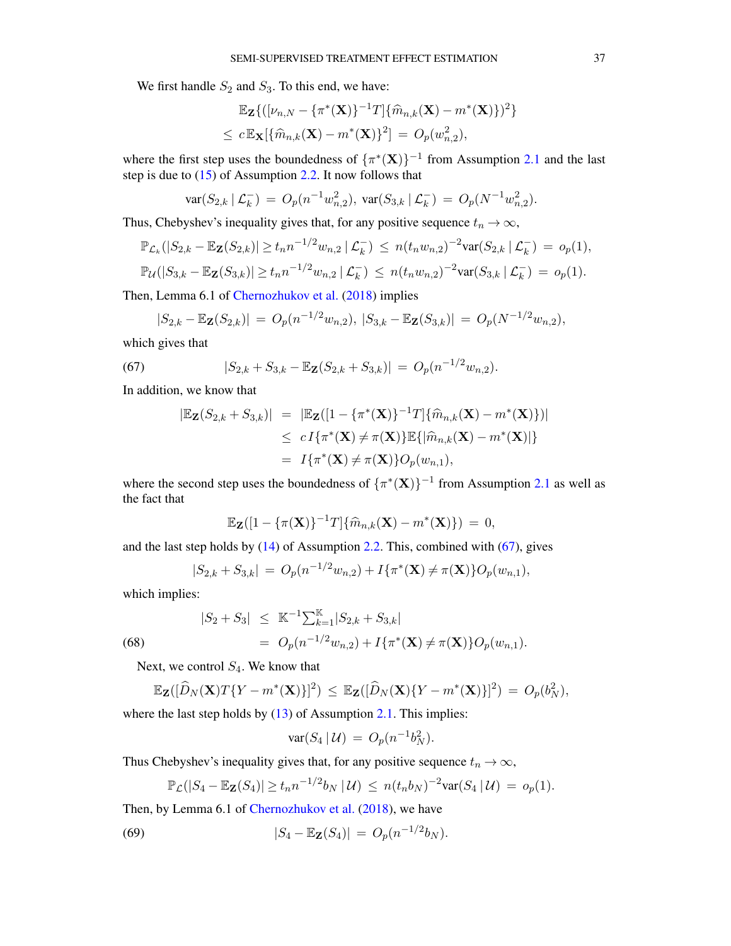We first handle  $S_2$  and  $S_3$ . To this end, we have:

$$
\mathbb{E}_{\mathbf{Z}}\{([\nu_{n,N}-\{\pi^*(\mathbf{X})\}^{-1}T]\{\widehat{m}_{n,k}(\mathbf{X})-m^*(\mathbf{X})\})^2\}
$$
  

$$
\leq c \mathbb{E}_{\mathbf{X}}[\{\widehat{m}_{n,k}(\mathbf{X})-m^*(\mathbf{X})\}^2] = O_p(w_{n,2}^2),
$$

where the first step uses the boundedness of  $\{\pi^*(\mathbf{X})\}^{-1}$  from Assumption [2.1](#page-8-0) and the last step is due to  $(15)$  of Assumption [2.2.](#page-8-1) It now follows that

$$
\text{var}(S_{2,k} \mid \mathcal{L}_k^-) = O_p(n^{-1} w_{n,2}^2), \ \text{var}(S_{3,k} \mid \mathcal{L}_k^-) = O_p(N^{-1} w_{n,2}^2).
$$

Thus, Chebyshev's inequality gives that, for any positive sequence  $t_n \to \infty$ ,

$$
\mathbb{P}_{\mathcal{L}_k}(|S_{2,k} - \mathbb{E}_{\mathbf{Z}}(S_{2,k})| \ge t_n n^{-1/2} w_{n,2} | \mathcal{L}_k^{-}) \le n (t_n w_{n,2})^{-2} \text{var}(S_{2,k} | \mathcal{L}_k^{-}) = o_p(1),
$$
  

$$
\mathbb{P}_{\mathcal{U}}(|S_{3,k} - \mathbb{E}_{\mathbf{Z}}(S_{3,k})| \ge t_n n^{-1/2} w_{n,2} | \mathcal{L}_k^{-}) \le n (t_n w_{n,2})^{-2} \text{var}(S_{3,k} | \mathcal{L}_k^{-}) = o_p(1).
$$

Then, Lemma 6.1 of [Chernozhukov et al.](#page-56-19) [\(2018\)](#page-56-19) implies

$$
|S_{2,k} - \mathbb{E}_{\mathbf{Z}}(S_{2,k})| = O_p(n^{-1/2}w_{n,2}), |S_{3,k} - \mathbb{E}_{\mathbf{Z}}(S_{3,k})| = O_p(N^{-1/2}w_{n,2}),
$$

which gives that

(67) 
$$
|S_{2,k} + S_{3,k} - \mathbb{E}_{\mathbf{Z}}(S_{2,k} + S_{3,k})| = O_p(n^{-1/2}w_{n,2}).
$$

In addition, we know that

<span id="page-36-0"></span>
$$
|\mathbb{E}_{\mathbf{Z}}(S_{2,k} + S_{3,k})| = |\mathbb{E}_{\mathbf{Z}}([1 - {\pi^*(\mathbf{X})}^{-1}T] {\hat{m}_{n,k}(\mathbf{X}) - m^*(\mathbf{X})})|
$$
  
\n
$$
\le c I{\pi^*(\mathbf{X}) \neq \pi(\mathbf{X})} \mathbb{E}{\{\hat{m}_{n,k}(\mathbf{X}) - m^*(\mathbf{X})\}}
$$
  
\n
$$
= I{\pi^*(\mathbf{X}) \neq \pi(\mathbf{X})} O_p(w_{n,1}),
$$

where the second step uses the boundedness of  $\{\pi^*(\mathbf{X})\}^{-1}$  from Assumption [2.1](#page-8-0) as well as the fact that

$$
\mathbb{E}_{\mathbf{Z}}([1-\{\pi(\mathbf{X})\}^{-1}T]\{\widehat{m}_{n,k}(\mathbf{X})-m^*(\mathbf{X})\})=0,
$$

and the last step holds by [\(14\)](#page-8-4) of Assumption [2.2.](#page-8-1) This, combined with [\(67\)](#page-36-0), gives

<span id="page-36-2"></span>
$$
|S_{2,k} + S_{3,k}| = O_p(n^{-1/2}w_{n,2}) + I\{\pi^*(\mathbf{X}) \neq \pi(\mathbf{X})\} O_p(w_{n,1}),
$$

which implies:

(68) 
$$
|S_2 + S_3| \leq \mathbb{K}^{-1} \sum_{k=1}^{\mathbb{K}} |S_{2,k} + S_{3,k}|
$$

$$
= O_p(n^{-1/2}w_{n,2}) + I\{\pi^*(\mathbf{X}) \neq \pi(\mathbf{X})\} O_p(w_{n,1}).
$$

Next, we control  $S_4$ . We know that

$$
\mathbb{E}_{\mathbf{Z}}([\widehat{D}_N(\mathbf{X})T\{Y-m^*(\mathbf{X})\}]^2) \leq \mathbb{E}_{\mathbf{Z}}([\widehat{D}_N(\mathbf{X})\{Y-m^*(\mathbf{X})\}]^2) = O_p(b_N^2),
$$

where the last step holds by [\(13\)](#page-8-2) of Assumption [2.1.](#page-8-0) This implies:

<span id="page-36-1"></span>
$$
\text{var}(S_4 \,|\, \mathcal{U}) \,=\, O_p(n^{-1}b_N^2).
$$

Thus Chebyshev's inequality gives that, for any positive sequence  $t_n \to \infty$ ,

$$
\mathbb{P}_{\mathcal{L}}(|S_4 - \mathbb{E}_{\mathbf{Z}}(S_4)| \ge t_n n^{-1/2} b_N \, | \, \mathcal{U}) \le n (t_n b_N)^{-2} \text{var}(S_4 \, | \, \mathcal{U}) = o_p(1).
$$

Then, by Lemma 6.1 of [Chernozhukov et al.](#page-56-19) [\(2018\)](#page-56-19), we have

(69) 
$$
|S_4 - \mathbb{E}_{\mathbf{Z}}(S_4)| = O_p(n^{-1/2}b_N).
$$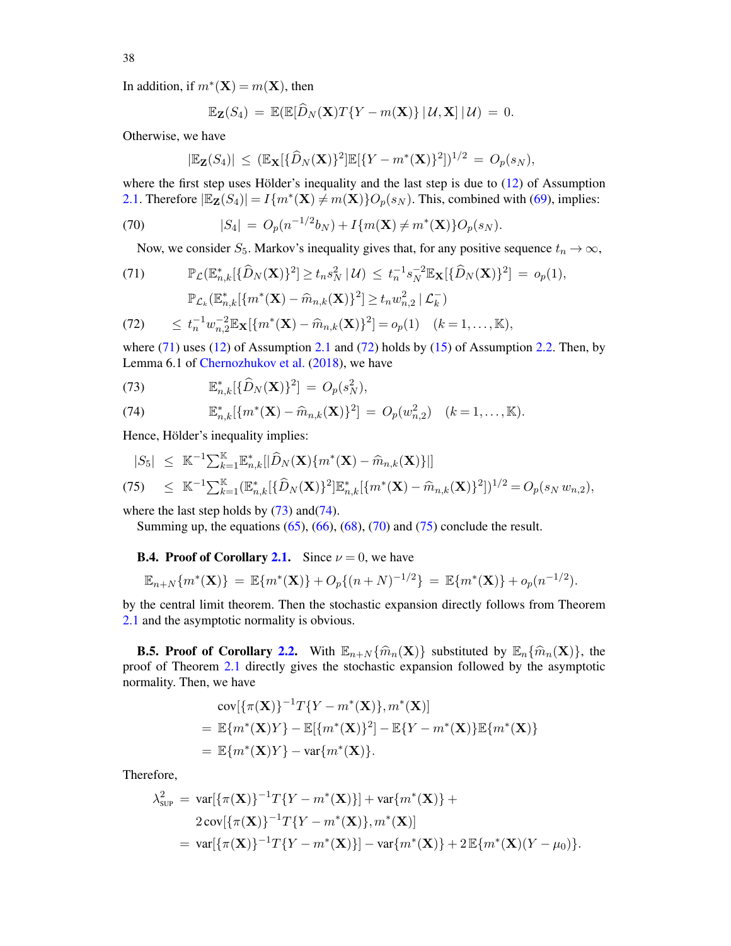In addition, if  $m^*(\mathbf{X}) = m(\mathbf{X})$ , then

$$
\mathbb{E}_{\mathbf{Z}}(S_4) = \mathbb{E}(\mathbb{E}[\widehat{D}_N(\mathbf{X})T\{Y-m(\mathbf{X})\} | \mathcal{U}, \mathbf{X}] | \mathcal{U}) = 0.
$$

Otherwise, we have

<span id="page-37-2"></span>
$$
|\mathbb{E}_{\mathbf{Z}}(S_4)| \leq ( \mathbb{E}_{\mathbf{X}}[\{\widehat{D}_N(\mathbf{X})\}^2] \mathbb{E}[\{Y - m^*(\mathbf{X})\}^2])^{1/2} = O_p(s_N),
$$

where the first step uses Hölder's inequality and the last step is due to  $(12)$  of Assumption [2.1.](#page-8-0) Therefore  $|\mathbb{E}_{\mathbf{Z}}(S_4)| = I\{m^*(\mathbf{X})\}\overline{\neq} m(\mathbf{X})\}O_p(s_N)$ . This, combined with [\(69\)](#page-36-1), implies:

(70) 
$$
|S_4| = O_p(n^{-1/2}b_N) + I\{m(\mathbf{X}) \neq m^*(\mathbf{X})\}O_p(s_N).
$$

<span id="page-37-0"></span>Now, we consider  $S_5$ . Markov's inequality gives that, for any positive sequence  $t_n \to \infty$ ,

(71) 
$$
\mathbb{P}_{\mathcal{L}}(\mathbb{E}_{n,k}^*[\{\widehat{D}_N(\mathbf{X})\}^2] \ge t_n s_N^2 \,|\, \mathcal{U}) \le t_n^{-1} s_N^{-2} \mathbb{E}_{\mathbf{X}}[\{\widehat{D}_N(\mathbf{X})\}^2] = o_p(1),
$$

$$
\mathbb{P}_{\mathcal{L}_k}(\mathbb{E}_{n,k}^*[\{m^*(\mathbf{X}) - \widehat{m}_{n,k}(\mathbf{X})\}^2] \ge t_n w_{n,2}^2 \,|\, \mathcal{L}_k^-)
$$

(72) 
$$
\leq t_n^{-1} w_{n,2}^{-2} \mathbb{E}_{\mathbf{X}} [\{m^*(\mathbf{X}) - \widehat{m}_{n,k}(\mathbf{X})\}^2] = o_p(1) \quad (k = 1, ..., \mathbb{K}),
$$

where  $(71)$  uses  $(12)$  of Assumption [2.1](#page-8-0) and  $(72)$  holds by  $(15)$  of Assumption [2.2.](#page-8-1) Then, by Lemma 6.1 of [Chernozhukov et al.](#page-56-19) [\(2018\)](#page-56-19), we have

<span id="page-37-1"></span>(73) 
$$
\mathbb{E}_{n,k}^*[\{\widehat{D}_N(\mathbf{X})\}^2] = O_p(s_N^2),
$$

(74) 
$$
\mathbb{E}_{n,k}^*[\{m^*(\mathbf{X}) - \widehat{m}_{n,k}(\mathbf{X})\}^2] = O_p(w_{n,2}^2) \quad (k = 1, ..., \mathbb{K}).
$$

Hence, Hölder's inequality implies:

<span id="page-37-3"></span>
$$
|S_5| \leq \mathbb{K}^{-1} \sum_{k=1}^{\mathbb{K}} \mathbb{E}_{n,k}^* [|\widehat{D}_N(\mathbf{X})\{m^*(\mathbf{X}) - \widehat{m}_{n,k}(\mathbf{X})\}]|
$$
  
(75) 
$$
\leq \mathbb{K}^{-1} \sum_{k=1}^{\mathbb{K}} (\mathbb{E}_{n,k}^* [\{\widehat{D}_N(\mathbf{X})\}^2] \mathbb{E}_{n,k}^* [\{m^*(\mathbf{X}) - \widehat{m}_{n,k}(\mathbf{X})\}^2])^{1/2} = O_p(s_N w_{n,2}),
$$

where the last step holds by  $(73)$  and $(74)$ .

Summing up, the equations  $(65)$ ,  $(66)$ ,  $(68)$ ,  $(70)$  and  $(75)$  conclude the result.

**B.4. Proof of Corollary [2.1.](#page-9-1)** Since  $\nu = 0$ , we have

$$
\mathbb{E}_{n+N}\{m^*(\mathbf{X})\} = \mathbb{E}\{m^*(\mathbf{X})\} + O_p\{(n+N)^{-1/2}\} = \mathbb{E}\{m^*(\mathbf{X})\} + o_p(n^{-1/2}).
$$

by the central limit theorem. Then the stochastic expansion directly follows from Theorem [2.1](#page-9-0) and the asymptotic normality is obvious.

**B.5. Proof of Corollary [2.2.](#page-10-3)** With  $\mathbb{E}_{n+N} \{\hat{m}_n(\mathbf{X})\}$  substituted by  $\mathbb{E}_n \{\hat{m}_n(\mathbf{X})\}$ , the proof of Theorem [2.1](#page-9-0) directly gives the stochastic expansion followed by the asymptotic normality. Then, we have

$$
\text{cov}[\{\pi(\mathbf{X})\}^{-1}T\{Y - m^*(\mathbf{X})\}, m^*(\mathbf{X})]
$$
  
= 
$$
\mathbb{E}\{m^*(\mathbf{X})Y\} - \mathbb{E}[\{m^*(\mathbf{X})\}^2] - \mathbb{E}\{Y - m^*(\mathbf{X})\}\mathbb{E}\{m^*(\mathbf{X})\}
$$
  
= 
$$
\mathbb{E}\{m^*(\mathbf{X})Y\} - \text{var}\{m^*(\mathbf{X})\}.
$$

Therefore,

$$
\lambda_{\text{SUP}}^2 = \text{var}[\{\pi(\mathbf{X})\}^{-1}T\{Y - m^*(\mathbf{X})\}] + \text{var}\{m^*(\mathbf{X})\} +
$$
  
2 cov $[\{\pi(\mathbf{X})\}^{-1}T\{Y - m^*(\mathbf{X})\}, m^*(\mathbf{X})]$   
= var $[\{\pi(\mathbf{X})\}^{-1}T\{Y - m^*(\mathbf{X})\}] - \text{var}\{m^*(\mathbf{X})\} + 2 \mathbb{E}\{m^*(\mathbf{X})(Y - \mu_0)\}.$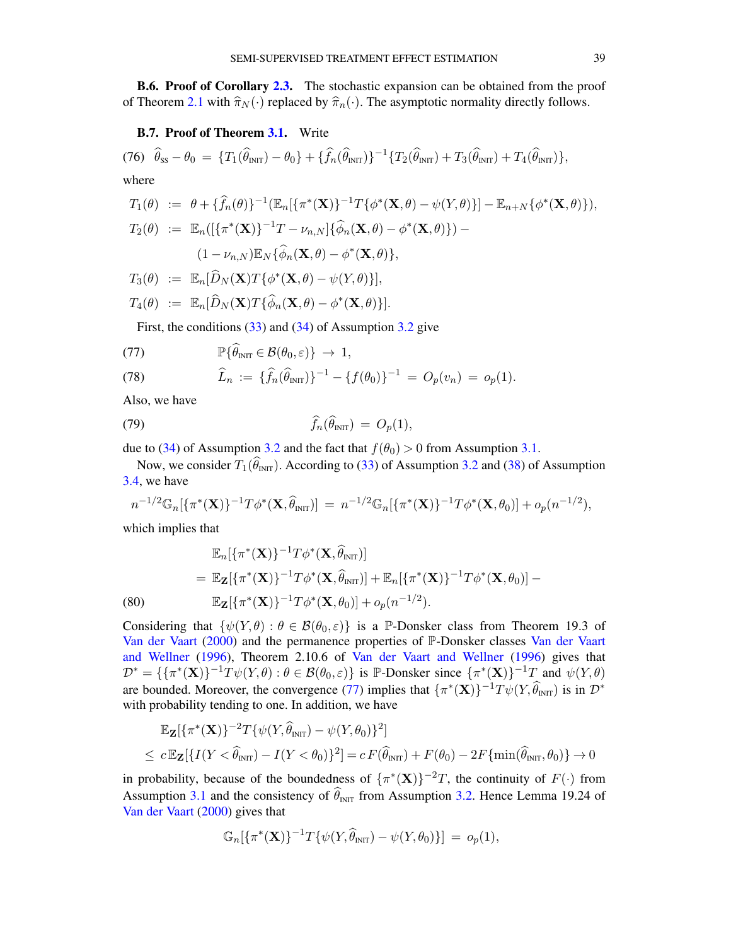B.6. Proof of Corollary [2.3.](#page-12-2) The stochastic expansion can be obtained from the proof of Theorem [2.1](#page-9-0) with  $\hat{\pi}_N(\cdot)$  replaced by  $\hat{\pi}_n(\cdot)$ . The asymptotic normality directly follows.

### <span id="page-38-0"></span>B.7. Proof of Theorem [3.1.](#page-16-0) Write

(76) 
$$
\hat{\theta}_{ss} - \theta_0 = \{T_1(\hat{\theta}_{INT}) - \theta_0\} + \{\hat{f}_n(\hat{\theta}_{INT})\}^{-1} \{T_2(\hat{\theta}_{INT}) + T_3(\hat{\theta}_{INT}) + T_4(\hat{\theta}_{INT})\},
$$
  
where

$$
T_1(\theta) := \theta + \{\widehat{f}_n(\theta)\}^{-1} (\mathbb{E}_n[\{\pi^*(\mathbf{X})\}^{-1} T\{\phi^*(\mathbf{X}, \theta) - \psi(Y, \theta)\}] - \mathbb{E}_{n+N}\{\phi^*(\mathbf{X}, \theta)\},
$$
  
\n
$$
T_2(\theta) := \mathbb{E}_n([\{\pi^*(\mathbf{X})\}^{-1} T - \nu_{n,N}]\{\widehat{\phi}_n(\mathbf{X}, \theta) - \phi^*(\mathbf{X}, \theta)\}) -
$$
  
\n
$$
(1 - \nu_{n,N}) \mathbb{E}_N\{\widehat{\phi}_n(\mathbf{X}, \theta) - \phi^*(\mathbf{X}, \theta)\},
$$

$$
T_3(\theta) := \mathbb{E}_n[\widehat{D}_N(\mathbf{X})T\{\phi^*(\mathbf{X}, \theta) - \psi(Y, \theta)\}],
$$
  

$$
T_4(\theta) := \mathbb{E}_n[\widehat{D}_N(\mathbf{X})T\{\widehat{\phi}_n(\mathbf{X}, \theta) - \phi^*(\mathbf{X}, \theta)\}].
$$

<span id="page-38-1"></span>First, the conditions [\(33\)](#page-14-9) and [\(34\)](#page-14-9) of Assumption [3.2](#page-14-7) give

(77) 
$$
\mathbb{P}\{\widehat{\theta}_{INT} \in \mathcal{B}(\theta_0,\varepsilon)\} \rightarrow 1,
$$

(78) 
$$
\widehat{L}_n := \{\widehat{f}_n(\widehat{\theta}_{\text{INT}})\}^{-1} - \{f(\theta_0)\}^{-1} = O_p(v_n) = o_p(1).
$$

Also, we have

<span id="page-38-3"></span>
$$
\widehat{f}_n(\widehat{\theta}_{\text{INT}}) = O_p(1),
$$

due to [\(34\)](#page-14-9) of Assumption [3.2](#page-14-7) and the fact that  $f(\theta_0) > 0$  from Assumption [3.1.](#page-14-6)

Now, we consider  $T_1(\hat{\theta}_{\text{INT}})$ . According to [\(33\)](#page-14-9) of Assumption [3.2](#page-14-7) and [\(38\)](#page-15-3) of Assumption [3.4,](#page-15-1) we have

$$
n^{-1/2} \mathbb{G}_n[\{\pi^*(\mathbf{X})\}^{-1} T \phi^*(\mathbf{X}, \widehat{\theta}_{\text{INT}})] = n^{-1/2} \mathbb{G}_n[\{\pi^*(\mathbf{X})\}^{-1} T \phi^*(\mathbf{X}, \theta_0)] + o_p(n^{-1/2}),
$$

which implies that

<span id="page-38-2"></span>
$$
\mathbb{E}_n[\{\pi^*(\mathbf{X})\}^{-1}T\phi^*(\mathbf{X},\widehat{\theta}_{\text{INT}})]
$$
\n
$$
= \mathbb{E}_{\mathbf{Z}}[\{\pi^*(\mathbf{X})\}^{-1}T\phi^*(\mathbf{X},\widehat{\theta}_{\text{INT}})] + \mathbb{E}_n[\{\pi^*(\mathbf{X})\}^{-1}T\phi^*(\mathbf{X},\theta_0)] - \mathbb{E}_{\mathbf{Z}}[\{\pi^*(\mathbf{X})\}^{-1}T\phi^*(\mathbf{X},\theta_0)] + o_p(n^{-1/2}).
$$
\n(80)

Considering that  $\{\psi(Y,\theta): \theta \in \mathcal{B}(\theta_0,\varepsilon)\}\$ is a P-Donsker class from Theorem 19.3 of [Van der Vaart](#page-57-18) [\(2000\)](#page-57-18) and the permanence properties of P-Donsker classes [Van der Vaart](#page-57-24) [and Wellner](#page-57-24) [\(1996\)](#page-57-24), Theorem 2.10.6 of [Van der Vaart and Wellner](#page-57-24) [\(1996\)](#page-57-24) gives that  $\mathcal{D}^* = \{ {\{\pi^*(\mathbf{X})\}}^{-1}T\psi(Y,\theta) : \theta \in \mathcal{B}(\theta_0,\varepsilon) \}$  is P-Donsker since  ${\{\pi^*(\mathbf{X})\}}^{-1}T$  and  $\psi(Y,\theta)$ are bounded. Moreover, the convergence [\(77\)](#page-38-1) implies that  $\{\pi^*(\mathbf{X})\}^{-1}T\psi(Y,\widehat{\theta}_{\text{INT}})$  is in  $\mathcal{D}^*$ with probability tending to one. In addition, we have

$$
\mathbb{E}_{\mathbf{Z}}[\{\pi^*(\mathbf{X})\}^{-2}T\{\psi(Y,\widehat{\theta}_{\text{INT}}) - \psi(Y,\theta_0)\}^2]
$$
  
\n
$$
\leq c \mathbb{E}_{\mathbf{Z}}[\{I(Y < \widehat{\theta}_{\text{INT}}) - I(Y < \theta_0)\}^2] = c F(\widehat{\theta}_{\text{INT}}) + F(\theta_0) - 2F\{\min(\widehat{\theta}_{\text{INT}}, \theta_0)\} \to 0
$$

in probability, because of the boundedness of  $\{\pi^*(\mathbf{X})\}^{-2}T$ , the continuity of  $F(\cdot)$  from Assumption [3.1](#page-14-6) and the consistency of  $\widehat{\theta}_{\text{NIT}}$  from Assumption [3.2.](#page-14-7) Hence Lemma 19.24 of [Van der Vaart](#page-57-18) [\(2000\)](#page-57-18) gives that

$$
\mathbb{G}_n[\{\pi^*(\mathbf{X})\}^{-1}T\{\psi(Y,\widehat{\theta}_{\text{INT}}) - \psi(Y,\theta_0)\}] = o_p(1),
$$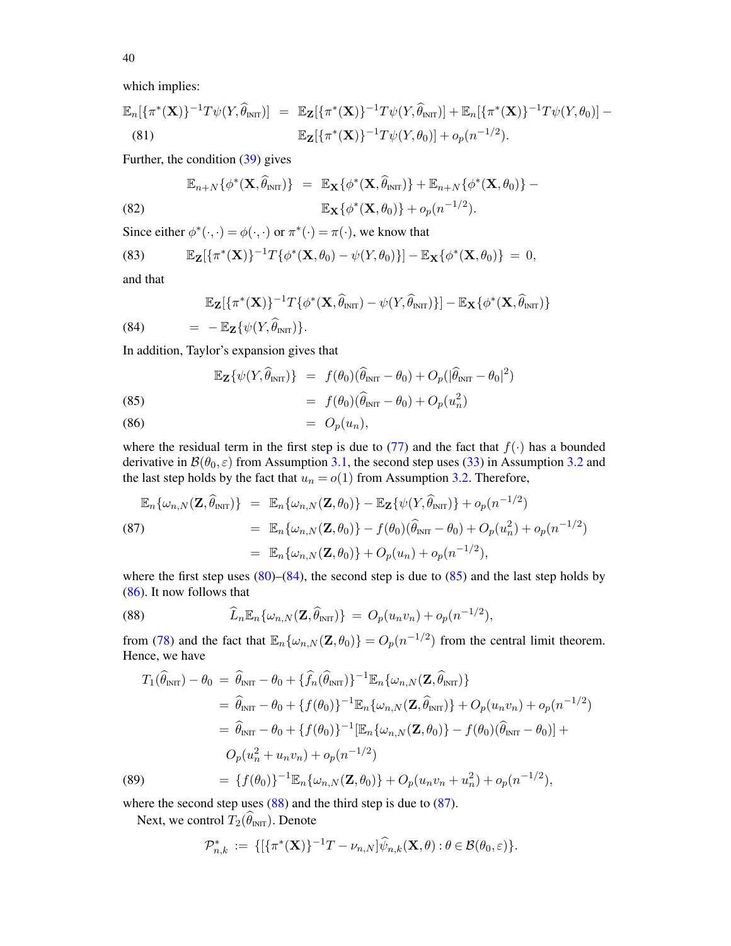40

which implies:

$$
\mathbb{E}_n[\{\pi^*(\mathbf{X})\}^{-1}T\psi(Y,\widehat{\theta}_{\text{INT}})] = \mathbb{E}_{\mathbf{Z}}[\{\pi^*(\mathbf{X})\}^{-1}T\psi(Y,\widehat{\theta}_{\text{INT}})] + \mathbb{E}_n[\{\pi^*(\mathbf{X})\}^{-1}T\psi(Y,\theta_0)] - \mathbb{E}_{\mathbf{Z}}[\{\pi^*(\mathbf{X})\}^{-1}T\psi(Y,\theta_0)] + o_p(n^{-1/2}).
$$
\n(81)

Further, the condition [\(39\)](#page-15-3) gives

(82) 
$$
\mathbb{E}_{n+N}\{\phi^*(\mathbf{X},\widehat{\theta}_{\text{INT}})\} = \mathbb{E}_{\mathbf{X}}\{\phi^*(\mathbf{X},\widehat{\theta}_{\text{INT}})\} + \mathbb{E}_{n+N}\{\phi^*(\mathbf{X},\theta_0)\} - \mathbb{E}_{\mathbf{X}}\{\phi^*(\mathbf{X},\theta_0)\} + o_p(n^{-1/2}).
$$

Since either  $\phi^*(\cdot, \cdot) = \phi(\cdot, \cdot)$  or  $\pi^*(\cdot) = \pi(\cdot)$ , we know that

(83) 
$$
\mathbb{E}_{\mathbf{Z}}[\{\pi^*(\mathbf{X})\}^{-1}T\{\phi^*(\mathbf{X},\theta_0)-\psi(Y,\theta_0)\}]-\mathbb{E}_{\mathbf{X}}\{\phi^*(\mathbf{X},\theta_0)\}=0,
$$

and that

<span id="page-39-0"></span>
$$
\mathbb{E}_{\mathbf{Z}}[\{\pi^*(\mathbf{X})\}^{-1}T\{\phi^*(\mathbf{X},\widehat{\theta}_{\text{INT}}) - \psi(Y,\widehat{\theta}_{\text{INT}})\}] - \mathbb{E}_{\mathbf{X}}\{\phi^*(\mathbf{X},\widehat{\theta}_{\text{INT}})\}\
$$

(84)  $= -\mathbb{E}_{\mathbf{Z}}\{\psi(Y,\theta_{\text{INT}})\}.$ 

In addition, Taylor's expansion gives that

<span id="page-39-1"></span>
$$
\mathbb{E}_{\mathbf{Z}}\{\psi(Y,\widehat{\theta}_{\text{INT}})\}\ =\ f(\theta_0)(\widehat{\theta}_{\text{INT}}-\theta_0)+O_p(|\widehat{\theta}_{\text{INT}}-\theta_0|^2)
$$

(85) 
$$
= f(\theta_0)(\widehat{\theta}_{INT} - \theta_0) + O_p(u_n^2)
$$

$$
(86) \qquad \qquad = \ O_p(u_n),
$$

where the residual term in the first step is due to [\(77\)](#page-38-1) and the fact that  $f(\cdot)$  has a bounded derivative in  $\mathcal{B}(\theta_0, \varepsilon)$  from Assumption [3.1,](#page-14-6) the second step uses [\(33\)](#page-14-9) in Assumption [3.2](#page-14-7) and the last step holds by the fact that  $u_n = o(1)$  from Assumption [3.2.](#page-14-7) Therefore,

<span id="page-39-3"></span>
$$
\mathbb{E}_{n}\{\omega_{n,N}(\mathbf{Z},\hat{\theta}_{\text{INT}})\} = \mathbb{E}_{n}\{\omega_{n,N}(\mathbf{Z},\theta_{0})\} - \mathbb{E}_{\mathbf{Z}}\{\psi(Y,\hat{\theta}_{\text{INT}})\} + o_{p}(n^{-1/2})
$$
\n
$$
= \mathbb{E}_{n}\{\omega_{n,N}(\mathbf{Z},\theta_{0})\} - f(\theta_{0})(\hat{\theta}_{\text{INT}} - \theta_{0}) + O_{p}(u_{n}^{2}) + o_{p}(n^{-1/2})
$$
\n
$$
= \mathbb{E}_{n}\{\omega_{n,N}(\mathbf{Z},\theta_{0})\} + O_{p}(u_{n}) + o_{p}(n^{-1/2}),
$$

where the first step uses  $(80)$ – $(84)$ , the second step is due to  $(85)$  and the last step holds by [\(86\)](#page-39-1). It now follows that

<span id="page-39-2"></span>(88) 
$$
\widehat{L}_n \mathbb{E}_n \{ \omega_{n,N}(\mathbf{Z}, \widehat{\theta}_{\text{INT}}) \} = O_p(u_n v_n) + o_p(n^{-1/2}),
$$

from [\(78\)](#page-38-1) and the fact that  $\mathbb{E}_n\{\omega_{n,N}(\mathbf{Z}, \theta_0)\} = O_p(n^{-1/2})$  from the central limit theorem. Hence, we have

<span id="page-39-4"></span>
$$
T_{1}(\hat{\theta}_{\text{INT}}) - \theta_{0} = \hat{\theta}_{\text{INT}} - \theta_{0} + {\hat{f}_{n}(\hat{\theta}_{\text{INT}})}^{-1} \mathbb{E}_{n} \{\omega_{n,N}(\mathbf{Z}, \hat{\theta}_{\text{INT}}) \}
$$
  
\n
$$
= \hat{\theta}_{\text{INT}} - \theta_{0} + {f(\theta_{0})}^{-1} \mathbb{E}_{n} \{\omega_{n,N}(\mathbf{Z}, \hat{\theta}_{\text{INT}}) \} + O_{p}(u_{n}v_{n}) + o_{p}(n^{-1/2})
$$
  
\n
$$
= \hat{\theta}_{\text{INT}} - \theta_{0} + {f(\theta_{0})}^{-1} [\mathbb{E}_{n} \{\omega_{n,N}(\mathbf{Z}, \theta_{0})\} - f(\theta_{0})(\hat{\theta}_{\text{INT}} - \theta_{0})] +
$$
  
\n
$$
O_{p}(u_{n}^{2} + u_{n}v_{n}) + o_{p}(n^{-1/2})
$$
  
\n
$$
= {f(\theta_{0})}^{-1} \mathbb{E}_{n} \{\omega_{n,N}(\mathbf{Z}, \theta_{0})\} + O_{p}(u_{n}v_{n} + u_{n}^{2}) + o_{p}(n^{-1/2}),
$$

where the second step uses [\(88\)](#page-39-2) and the third step is due to [\(87\)](#page-39-3).

Next, we control  $T_2(\widehat{\theta}_{\text{INT}})$ . Denote

$$
\mathcal{P}_{n,k}^* := \{ [\{\pi^*(\mathbf{X})\}^{-1}T - \nu_{n,N}]\widehat{\psi}_{n,k}(\mathbf{X},\theta) : \theta \in \mathcal{B}(\theta_0,\varepsilon) \}.
$$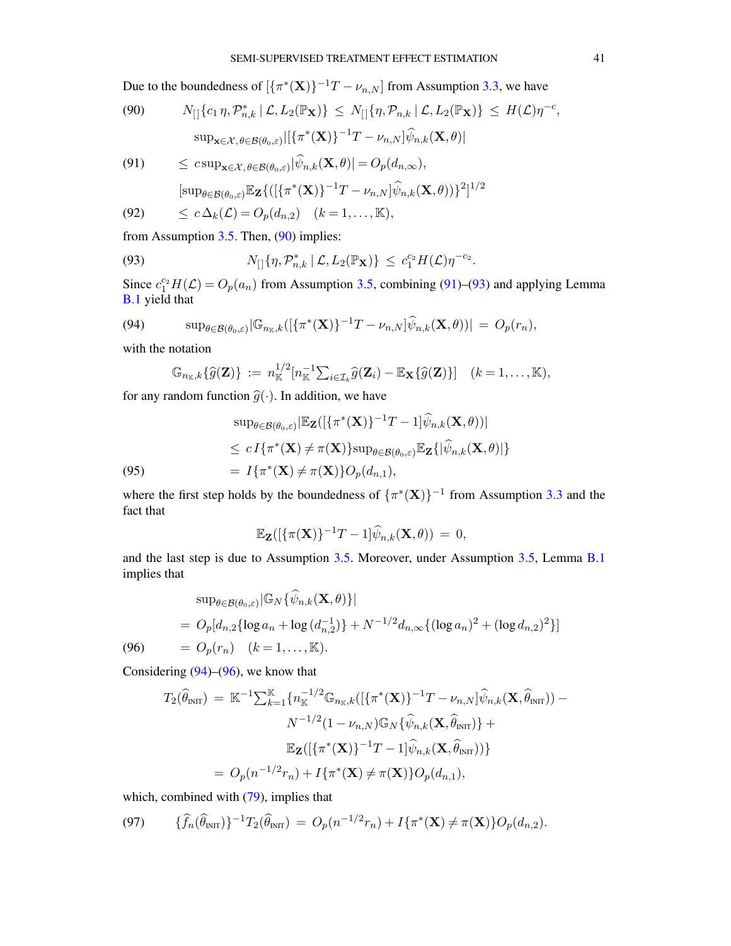Due to the boundedness of  $\left[\{\pi^*(\mathbf{X})\}^{-1}T - \nu_{n,N}\right]$  from Assumption [3.3,](#page-15-0) we have

<span id="page-40-0"></span>(90) 
$$
N_{[]}\{c_1\eta, \mathcal{P}_{n,k}^* | \mathcal{L}, L_2(\mathbb{P}_{\mathbf{X}})\} \leq N_{[]}\{\eta, \mathcal{P}_{n,k} | \mathcal{L}, L_2(\mathbb{P}_{\mathbf{X}})\} \leq H(\mathcal{L})\eta^{-c},
$$

$$
\sup_{\mathbf{x}\in\mathcal{X}, \theta\in\mathcal{B}(\theta_0,\varepsilon)} |[\{\pi^*(\mathbf{X})\}^{-1}T - \nu_{n,N}]\widehat{\psi}_{n,k}(\mathbf{X},\theta)|
$$

(91) 
$$
\leq c \sup_{\mathbf{x}\in\mathcal{X},\theta\in\mathcal{B}(\theta_0,\varepsilon)} |\psi_{n,k}(\mathbf{X},\theta)| = O_p(d_{n,\infty}),
$$

<span id="page-40-1"></span>
$$
[\sup\nolimits_{\theta\in\mathcal{B}(\theta_0,\varepsilon)}\mathbb{E}_{\mathbf{Z}}\{([\{\pi^*(\mathbf{X})\}^{-1}T-\nu_{n,N}]\widehat{\psi}_{n,k}(\mathbf{X},\theta))\}^2]^{1/2}
$$

$$
(92) \qquad \leq c \,\Delta_k(\mathcal{L}) = O_p(d_{n,2}) \quad (k = 1, \dots, \mathbb{K}),
$$

from Assumption [3.5.](#page-15-4) Then, [\(90\)](#page-40-0) implies:

(93) 
$$
N_{[]}\{\eta, \mathcal{P}_{n,k}^* \mid \mathcal{L}, L_2(\mathbb{P}_{\mathbf{X}})\}\leq c_1^{c_2} H(\mathcal{L})\eta^{-c_2}.
$$

Since  $c_1^{c_2}H(\mathcal{L}) = O_p(a_n)$  from Assumption [3.5,](#page-15-4) combining [\(91\)](#page-40-0)–[\(93\)](#page-40-1) and applying Lemma [B.1](#page-34-0) yield that

(94) 
$$
\sup_{\theta \in \mathcal{B}(\theta_0,\varepsilon)} |\mathbb{G}_{n_{\mathbb{K}},k}([\{\pi^*(\mathbf{X})\}^{-1}T-\nu_{n,N}]\widehat{\psi}_{n,k}(\mathbf{X},\theta))| = O_p(r_n),
$$

with the notation

<span id="page-40-2"></span>
$$
\mathbb{G}_{n_{\mathbb{K}},k}\{\widehat{g}(\mathbf{Z})\} := n_{\mathbb{K}}^{1/2}[n_{\mathbb{K}}^{-1}\sum_{i\in\mathcal{I}_k}\widehat{g}(\mathbf{Z}_i)-\mathbb{E}_{\mathbf{X}}\{\widehat{g}(\mathbf{Z})\}] \quad (k=1,\ldots,\mathbb{K}),
$$

for any random function  $\hat{g}(\cdot)$ . In addition, we have

$$
\sup_{\theta \in \mathcal{B}(\theta_0,\varepsilon)} |\mathbb{E}_{\mathbf{Z}}([\{\pi^*(\mathbf{X})\}^{-1}T - 1]\widehat{\psi}_{n,k}(\mathbf{X},\theta))|
$$
  
\n
$$
\leq c I\{\pi^*(\mathbf{X}) \neq \pi(\mathbf{X})\} \sup_{\theta \in \mathcal{B}(\theta_0,\varepsilon)} \mathbb{E}_{\mathbf{Z}}\{|\widehat{\psi}_{n,k}(\mathbf{X},\theta)|\}
$$
  
\n(95) 
$$
= I\{\pi^*(\mathbf{X}) \neq \pi(\mathbf{X})\} O_p(d_{n,1}),
$$

where the first step holds by the boundedness of  $\{\pi^*(\mathbf{X})\}^{-1}$  from Assumption [3.3](#page-15-0) and the fact that

$$
\mathbb{E}_{\mathbf{Z}}([\{\pi(\mathbf{X})\}^{-1}T-1]\widehat{\psi}_{n,k}(\mathbf{X},\theta))\,=\,0,
$$

and the last step is due to Assumption [3.5.](#page-15-4) Moreover, under Assumption [3.5,](#page-15-4) Lemma [B.1](#page-34-0) implies that

<span id="page-40-3"></span>
$$
\sup_{\theta \in \mathcal{B}(\theta_0, \varepsilon)} |\mathbb{G}_N\{\widehat{\psi}_{n,k}(\mathbf{X}, \theta)\}|
$$
  
=  $O_p[d_{n,2}\{\log a_n + \log (d_{n,2}^{-1})\} + N^{-1/2}d_{n,\infty}\{(\log a_n)^2 + (\log d_{n,2})^2\}]$   
(96) =  $O_p(r_n)$  ( $k = 1, ..., \mathbb{K}$ ).

Considering  $(94)$ – $(96)$ , we know that

$$
T_2(\widehat{\theta}_{\text{INT}}) = \mathbb{K}^{-1} \sum_{k=1}^{\mathbb{K}} \{n_{\mathbb{K}}^{-1/2} \mathbb{G}_{n_{\mathbb{K}},k}([\{\pi^*(\mathbf{X})\}^{-1}T - \nu_{n,N}]\widehat{\psi}_{n,k}(\mathbf{X}, \widehat{\theta}_{\text{INT}})) - N^{-1/2}(1 - \nu_{n,N})\mathbb{G}_N\{\widehat{\psi}_{n,k}(\mathbf{X}, \widehat{\theta}_{\text{INT}})\} + \mathbb{E}_{\mathbf{Z}}([\{\pi^*(\mathbf{X})\}^{-1}T - 1]\widehat{\psi}_{n,k}(\mathbf{X}, \widehat{\theta}_{\text{INT}}))\}
$$
  
=  $O_p(n^{-1/2}r_n) + I\{\pi^*(\mathbf{X}) \neq \pi(\mathbf{X})\}O_p(d_{n,1}),$ 

which, combined with  $(79)$ , implies that

<span id="page-40-4"></span>(97) 
$$
\{\widehat{f}_n(\widehat{\theta}_{\text{INT}})\}^{-1}T_2(\widehat{\theta}_{\text{INT}}) = O_p(n^{-1/2}r_n) + I\{\pi^*(\mathbf{X}) \neq \pi(\mathbf{X})\}O_p(d_{n,2}).
$$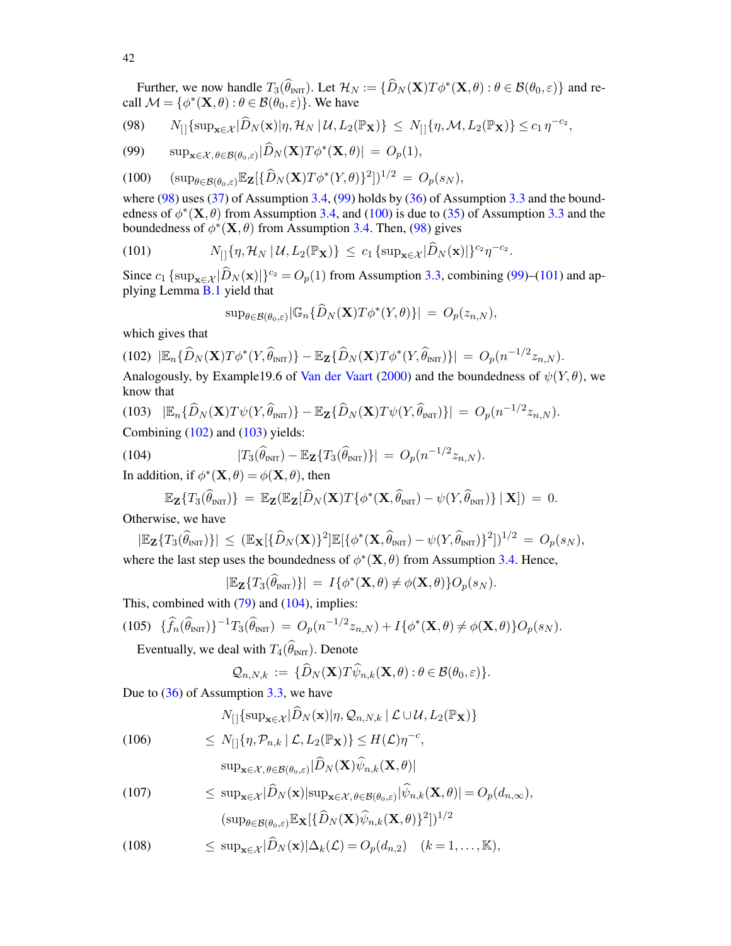Further, we now handle  $T_3(\hat{\theta}_{\text{INT}})$ . Let  $\mathcal{H}_N := {\{\hat{D}_N (\mathbf{X})T\phi^*(\mathbf{X}, \theta) : \theta \in \mathcal{B}(\theta_0, \varepsilon) \}}$  and recall  $\mathcal{M} = \{ \phi^*(\mathbf{X}, \theta) : \theta \in \mathcal{B}(\theta_0, \varepsilon) \}.$  We have

<span id="page-41-0"></span>
$$
(98) \qquad N_{[]}\{\sup_{\mathbf{x}\in\mathcal{X}}|\widehat{D}_{N}(\mathbf{x})|\eta,\mathcal{H}_{N}\,|\,\mathcal{U},L_{2}(\mathbb{P}_{\mathbf{X}})\}\,\leq\,N_{[]}\{\eta,\mathcal{M},L_{2}(\mathbb{P}_{\mathbf{X}})\}\leq c_{1}\,\eta^{-c_{2}},
$$

(99) 
$$
\sup_{\mathbf{x}\in\mathcal{X},\theta\in\mathcal{B}(\theta_0,\varepsilon)}|\widehat{D}_N(\mathbf{X})T\phi^*(\mathbf{X},\theta)|=O_p(1),
$$

(100) 
$$
(\sup_{\theta \in \mathcal{B}(\theta_0,\varepsilon)} \mathbb{E}_{\mathbf{Z}}[\{\widehat{D}_N(\mathbf{X})T\phi^*(Y,\theta)\}^2])^{1/2} = O_p(s_N),
$$

where  $(98)$  uses  $(37)$  of Assumption [3.4,](#page-15-1)  $(99)$  holds by  $(36)$  of Assumption [3.3](#page-15-0) and the boundedness of  $\phi^*(\mathbf{X}, \theta)$  from Assumption [3.4,](#page-15-1) and [\(100\)](#page-41-0) is due to [\(35\)](#page-15-9) of Assumption [3.3](#page-15-0) and the boundedness of  $\phi^*(\mathbf{X}, \theta)$  from Assumption [3.4.](#page-15-1) Then, [\(98\)](#page-41-0) gives

(101) 
$$
N_{[]}{\eta, \mathcal{H}_N | \mathcal{U}, L_2(\mathbb{P}_\mathbf{X})} \leq c_1 \left\{ \sup_{\mathbf{x} \in \mathcal{X}} |\widehat{D}_N(\mathbf{x})| \right\}^{c_2} \eta^{-c_2}.
$$

Since  $c_1$  {sup<sub>x∈X</sub> | $\widehat{D}_N(\mathbf{x})$ }<sup>c<sub>2</sub> =  $O_p(1)$  from Assumption [3.3,](#page-15-0) combining [\(99\)](#page-41-0)–[\(101\)](#page-41-1) and ap-</sup> plying Lemma [B.1](#page-34-0) yield that

<span id="page-41-1"></span>
$$
\sup_{\theta \in \mathcal{B}(\theta_0,\varepsilon)} |\mathbb{G}_n\{\widehat{D}_N(\mathbf{X})T\phi^*(Y,\theta)\}| = O_p(z_{n,N}),
$$

which gives that

<span id="page-41-2"></span>
$$
(102)\ |\mathbb{E}_n\{\widehat{D}_N(\mathbf{X})T\phi^*(Y,\widehat{\theta}_{\text{INT}})\}-\mathbb{E}_{\mathbf{Z}}\{\widehat{D}_N(\mathbf{X})T\phi^*(Y,\widehat{\theta}_{\text{INT}})\}|=O_p(n^{-1/2}z_{n,N}).
$$

Analogously, by Example19.6 of [Van der Vaart](#page-57-18) [\(2000\)](#page-57-18) and the boundedness of  $\psi(Y, \theta)$ , we know that

<span id="page-41-3"></span>(103) 
$$
|\mathbb{E}_n\{\widehat{D}_N(\mathbf{X})T\psi(Y,\widehat{\theta}_{\text{INT}})\}-\mathbb{E}_{\mathbf{Z}}\{\widehat{D}_N(\mathbf{X})T\psi(Y,\widehat{\theta}_{\text{INT}})\}| = O_p(n^{-1/2}z_{n,N}).
$$
  
Combining (102) and (103) yields:

(104) 
$$
|T_3(\widehat{\theta}_{\text{INT}}) - \mathbb{E}_{\mathbf{Z}}\{T_3(\widehat{\theta}_{\text{INT}})\}| = O_p(n^{-1/2}z_{n,N}).
$$

In addition, if  $\phi^*(\mathbf{X}, \theta) = \phi(\mathbf{X}, \theta)$ , then

<span id="page-41-4"></span>
$$
\mathbb{E}_{\mathbf{Z}}\{T_3(\widehat{\theta}_{\text{INIT}})\} = \mathbb{E}_{\mathbf{Z}}(\mathbb{E}_{\mathbf{Z}}[\widehat{D}_N(\mathbf{X})T\{\phi^*(\mathbf{X},\widehat{\theta}_{\text{INIT}}) - \psi(Y,\widehat{\theta}_{\text{INIT}})\} | \mathbf{X}]) = 0.
$$

Otherwise, we have

$$
|\mathbb{E}_{\mathbf{Z}}\{T_3(\hat{\theta}_{\text{INT}})\}| \leq (\mathbb{E}_{\mathbf{X}}[\{\hat{D}_N(\mathbf{X})\}^2]\mathbb{E}[\{\phi^*(\mathbf{X},\hat{\theta}_{\text{INT}}) - \psi(Y,\hat{\theta}_{\text{INT}})\}^2])^{1/2} = O_p(s_N),
$$
  
where the last step uses the boundedness of  $\phi^*(\mathbf{X}, \theta)$  from Assumption 3.4. Hence,

$$
|\mathbb{E}_{\mathbf{Z}}\{T_3(\widehat{\theta}_{\text{INT}})\}| = I\{\phi^*(\mathbf{X}, \theta) \neq \phi(\mathbf{X}, \theta)\} O_p(s_N).
$$

This, combined with  $(79)$  and  $(104)$ , implies:

<span id="page-41-6"></span>
$$
(105) \quad \{\widehat{f}_n(\widehat{\theta}_{\text{INT}})\}^{-1}T_3(\widehat{\theta}_{\text{INT}}) = O_p(n^{-1/2}z_{n,N}) + I\{\phi^*(\mathbf{X},\theta) \neq \phi(\mathbf{X},\theta)\}O_p(s_N).
$$

Eventually, we deal with  $T_4(\theta_{\text{INIT}})$ . Denote

$$
\mathcal{Q}_{n,N,k} := \{\widehat{D}_N(\mathbf{X})T\widehat{\psi}_{n,k}(\mathbf{X},\theta): \theta \in \mathcal{B}(\theta_0,\varepsilon)\}.
$$

Due to [\(36\)](#page-15-9) of Assumption [3.3,](#page-15-0) we have

<span id="page-41-5"></span>
$$
N_{[]}\{\sup_{\mathbf{x}\in\mathcal{X}}|\widehat{D}_N(\mathbf{x})|\eta,\mathcal{Q}_{n,N,k}\,|\,\mathcal{L}\cup\mathcal{U},L_2(\mathbb{P}_{\mathbf{X}})\}\
$$

(106) 
$$
\leq N_{[]}\{\eta, \mathcal{P}_{n,k} \mid \mathcal{L}, L_2(\mathbb{P}_{\mathbf{X}})\} \leq H(\mathcal{L})\eta^{-c},
$$

$$
\text{sup}_{\mathbf{x} \in \mathcal{X}, \, \theta \in \mathcal{B}(\theta_0, \varepsilon)} |D_N(\mathbf{X}) \psi_{n,k}(\mathbf{X}, \theta)|
$$

(107) 
$$
\leq \sup_{\mathbf{x}\in\mathcal{X}}|D_N(\mathbf{x})|\sup_{\mathbf{x}\in\mathcal{X},\theta\in\mathcal{B}(\theta_0,\varepsilon)}|\psi_{n,k}(\mathbf{X},\theta)| = O_p(d_{n,\infty}),
$$

$$
(\sup_{\theta\in\mathcal{B}(\theta_0,\varepsilon)}\mathbb{E}_{\mathbf{X}}[\{\widehat{D}_N(\mathbf{X})\widehat{\psi}_{n,k}(\mathbf{X},\theta)\}]^2]^{1/2}
$$

(108) 
$$
\leq \sup_{\mathbf{x}\in\mathcal{X}}|\widehat{D}_N(\mathbf{x})|\Delta_k(\mathcal{L})=O_p(d_{n,2}) \quad (k=1,\ldots,\mathbb{K}),
$$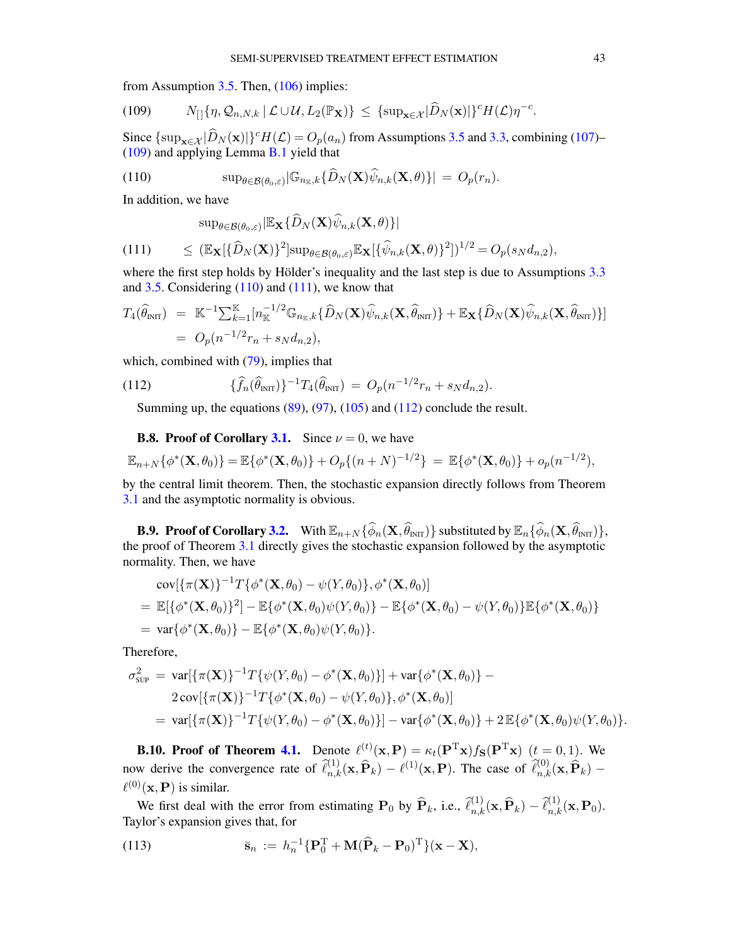from Assumption [3.5.](#page-15-4) Then, [\(106\)](#page-41-5) implies:

<span id="page-42-0"></span>(109) 
$$
N_{[]}\{\eta, \mathcal{Q}_{n,N,k} \mid \mathcal{L} \cup \mathcal{U}, L_2(\mathbb{P}_{\mathbf{X}})\} \leq \{\sup_{\mathbf{x} \in \mathcal{X}} |\widehat{D}_N(\mathbf{x})| \}^c H(\mathcal{L}) \eta^{-c}.
$$

Since  $\{\sup_{\mathbf{x}\in\mathcal{X}}|\widehat{D}_N(\mathbf{x})|\}^c H(\mathcal{L}) = O_p(a_n)$  from Assumptions [3.5](#page-15-4) and [3.3,](#page-15-0) combining [\(107\)](#page-41-5)– [\(109\)](#page-42-0) and applying Lemma [B.1](#page-34-0) yield that

<span id="page-42-1"></span>(110) 
$$
\sup_{\theta \in \mathcal{B}(\theta_0,\varepsilon)} |\mathbb{G}_{n_{\mathbb{K}},k} \{\widehat{D}_N(\mathbf{X})\widehat{\psi}_{n,k}(\mathbf{X},\theta)\}| = O_p(r_n).
$$

In addition, we have

<span id="page-42-2"></span>
$$
\sup_{\theta \in \mathcal{B}(\theta_0,\varepsilon)} |\mathbb{E}_{\mathbf{X}}\{\widehat{D}_N(\mathbf{X})\widehat{\psi}_{n,k}(\mathbf{X},\theta)\}|
$$
\n
$$
\leq (\mathbb{E}_{\mathbf{X}}[\{\widehat{D}_N(\mathbf{X})\}^2] \sup_{\theta \in \mathcal{B}(\theta_0,\varepsilon)} \mathbb{E}_{\mathbf{X}}[\{\widehat{\psi}_{n,k}(\mathbf{X},\theta)\}^2])^{1/2} = O_p(s_N d_{n,2}),
$$

where the first step holds by Hölder's inequality and the last step is due to Assumptions [3.3](#page-15-0) and  $3.5$ . Considering  $(110)$  and  $(111)$ , we know that

$$
T_4(\widehat{\theta}_{\text{INT}}) = \mathbb{K}^{-1} \sum_{k=1}^{\mathbb{K}} [n_{\mathbb{K}}^{-1/2} \mathbb{G}_{n_{\mathbb{K}},k} {\{\widehat{D}_{N}(\mathbf{X})\widehat{\psi}_{n,k}(\mathbf{X},\widehat{\theta}_{\text{INT}})\} } + \mathbb{E}_{\mathbf{X}} {\{\widehat{D}_{N}(\mathbf{X})\widehat{\psi}_{n,k}(\mathbf{X},\widehat{\theta}_{\text{INT}})\}}]
$$
  
=  $O_p(n^{-1/2}r_n + s_Nd_{n,2}),$ 

which, combined with  $(79)$ , implies that

(112) 
$$
\{\widehat{f}_n(\widehat{\theta}_{\text{INT}})\}^{-1}T_4(\widehat{\theta}_{\text{INT}}) = O_p(n^{-1/2}r_n + s_Nd_{n,2}).
$$

<span id="page-42-3"></span>Summing up, the equations  $(89)$ ,  $(97)$ ,  $(105)$  and  $(112)$  conclude the result.

### **B.8. Proof of Corollary [3.1.](#page-16-1)** Since  $\nu = 0$ , we have

$$
\mathbb{E}_{n+N}\{\phi^*(\mathbf{X},\theta_0)\}=\mathbb{E}\{\phi^*(\mathbf{X},\theta_0)\}+O_p\{(n+N)^{-1/2}\}=\mathbb{E}\{\phi^*(\mathbf{X},\theta_0)\}+o_p(n^{-1/2}),
$$

by the central limit theorem. Then, the stochastic expansion directly follows from Theorem [3.1](#page-16-0) and the asymptotic normality is obvious.

**B.9. Proof of Corollary [3.2.](#page-17-3)** With  $\mathbb{E}_{n+N} \{\widehat{\phi}_n(\mathbf{X}, \widehat{\theta}_{\text{INT}})\}$  substituted by  $\mathbb{E}_n \{\widehat{\phi}_n(\mathbf{X}, \widehat{\theta}_{\text{INT}})\},$ the proof of Theorem [3.1](#page-16-0) directly gives the stochastic expansion followed by the asymptotic normality. Then, we have

$$
\text{cov}[\{\pi(\mathbf{X})\}^{-1}T\{\phi^*(\mathbf{X},\theta_0) - \psi(Y,\theta_0)\},\phi^*(\mathbf{X},\theta_0)]
$$
  
= 
$$
\mathbb{E}[\{\phi^*(\mathbf{X},\theta_0)\}^2] - \mathbb{E}\{\phi^*(\mathbf{X},\theta_0)\psi(Y,\theta_0)\} - \mathbb{E}\{\phi^*(\mathbf{X},\theta_0) - \psi(Y,\theta_0)\}\mathbb{E}\{\phi^*(\mathbf{X},\theta_0)\}
$$
  
= 
$$
\text{var}\{\phi^*(\mathbf{X},\theta_0)\} - \mathbb{E}\{\phi^*(\mathbf{X},\theta_0)\psi(Y,\theta_0)\}.
$$

Therefore,

$$
\sigma_{\text{SUP}}^2 = \text{var}[\{\pi(\mathbf{X})\}^{-1}T\{\psi(Y,\theta_0) - \phi^*(\mathbf{X},\theta_0)\}] + \text{var}\{\phi^*(\mathbf{X},\theta_0)\} -
$$
  
\n
$$
2\text{cov}[\{\pi(\mathbf{X})\}^{-1}T\{\phi^*(\mathbf{X},\theta_0) - \psi(Y,\theta_0)\},\phi^*(\mathbf{X},\theta_0)]
$$
  
\n
$$
= \text{var}[\{\pi(\mathbf{X})\}^{-1}T\{\psi(Y,\theta_0) - \phi^*(\mathbf{X},\theta_0)\}] - \text{var}\{\phi^*(\mathbf{X},\theta_0)\} + 2\mathbb{E}\{\phi^*(\mathbf{X},\theta_0)\psi(Y,\theta_0)\}.
$$

**B.10. Proof of Theorem [4.1.](#page-20-0)** Denote  $\ell^{(t)}(\mathbf{x}, \mathbf{P}) = \kappa_t(\mathbf{P}^{T}\mathbf{x})f_{S}(\mathbf{P}^{T}\mathbf{x})$   $(t = 0, 1)$ . We now derive the convergence rate of  $\hat{\ell}_{n,k}^{(1)}(\mathbf{x}, \hat{\mathbf{P}}_k) - \ell^{(1)}(\mathbf{x}, \mathbf{P})$ . The case of  $\hat{\ell}_{n,k}^{(0)}(\mathbf{x}, \hat{\mathbf{P}}_k)$  –  $\ell^{(0)}(\mathbf{x},\mathbf{P})$  is similar.

We first deal with the error from estimating  $\mathbf{P}_0$  by  $\widehat{\mathbf{P}}_k$ , i.e.,  $\widehat{\ell}_{n,k}^{(1)}(\mathbf{x}, \widehat{\mathbf{P}}_k) - \widehat{\ell}_{n,k}^{(1)}(\mathbf{x}, \mathbf{P}_0)$ . Taylor's expansion gives that, for

<span id="page-42-4"></span>(113) 
$$
\bar{\mathbf{s}}_n := h_n^{-1} \{ \mathbf{P}_0^{\mathrm{T}} + \mathbf{M} (\widehat{\mathbf{P}}_k - \mathbf{P}_0)^{\mathrm{T}} \} (\mathbf{x} - \mathbf{X}),
$$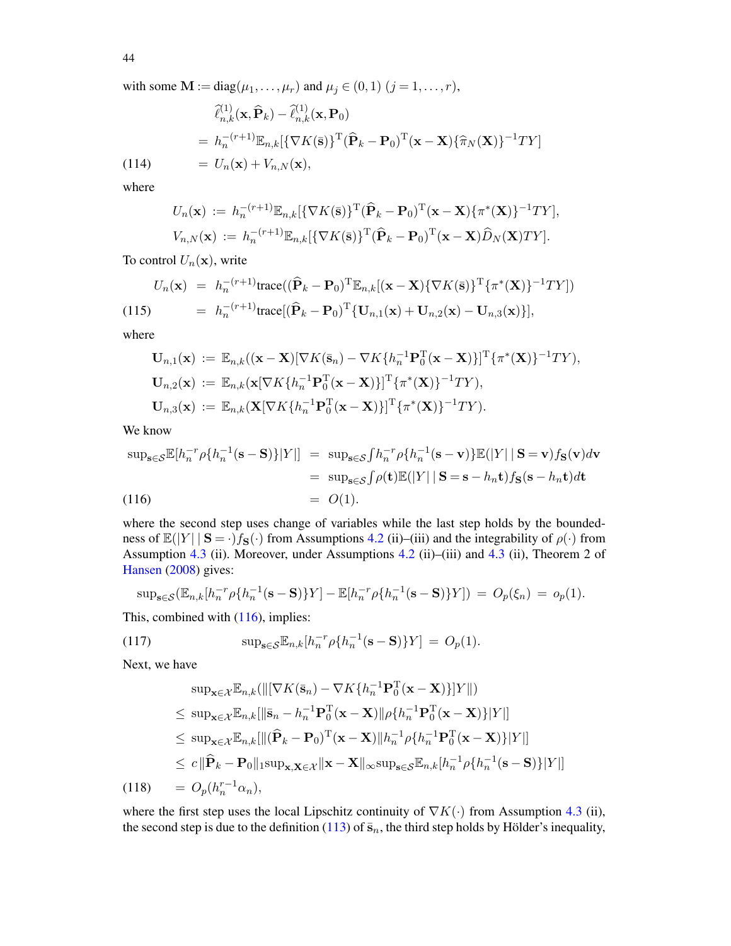44

with some  $\mathbf{M} := \text{diag}(\mu_1, \dots, \mu_r)$  and  $\mu_j \in (0, 1)$   $(j = 1, \dots, r)$ ,

<span id="page-43-4"></span>
$$
\begin{aligned}\n\widehat{\ell}_{n,k}^{(1)}(\mathbf{x},\widehat{\mathbf{P}}_k) - \widehat{\ell}_{n,k}^{(1)}(\mathbf{x},\mathbf{P}_0) \\
&= h_n^{-(r+1)} \mathbb{E}_{n,k} [\{\nabla K(\bar{\mathbf{s}})\}^{\mathrm{T}} (\widehat{\mathbf{P}}_k - \mathbf{P}_0)^{\mathrm{T}} (\mathbf{x} - \mathbf{X}) \{\widehat{\pi}_N(\mathbf{X})\}^{-1} T Y] \\
&= U_n(\mathbf{x}) + V_{n,N}(\mathbf{x}),\n\end{aligned}
$$

where

$$
U_n(\mathbf{x}) := h_n^{-(r+1)} \mathbb{E}_{n,k} [\{\nabla K(\bar{\mathbf{s}})\}^{\mathrm{T}} (\hat{\mathbf{P}}_k - \mathbf{P}_0)^{\mathrm{T}} (\mathbf{x} - \mathbf{X}) \{\pi^*(\mathbf{X})\}^{-1} T Y],
$$
  

$$
V_{n,N}(\mathbf{x}) := h_n^{-(r+1)} \mathbb{E}_{n,k} [\{\nabla K(\bar{\mathbf{s}})\}^{\mathrm{T}} (\hat{\mathbf{P}}_k - \mathbf{P}_0)^{\mathrm{T}} (\mathbf{x} - \mathbf{X}) \hat{D}_N (\mathbf{X}) T Y].
$$

To control  $U_n(\mathbf{x})$ , write

<span id="page-43-3"></span>
$$
U_n(\mathbf{x}) = h_n^{-(r+1)} \text{trace}((\widehat{\mathbf{P}}_k - \mathbf{P}_0)^{\mathrm{T}} \mathbb{E}_{n,k}[(\mathbf{x} - \mathbf{X}) \{\nabla K(\bar{\mathbf{s}})\}^{\mathrm{T}} \{\pi^*(\mathbf{X})\}^{-1} TY])
$$
  
(115) 
$$
= h_n^{-(r+1)} \text{trace}[(\widehat{\mathbf{P}}_k - \mathbf{P}_0)^{\mathrm{T}} \{\mathbf{U}_{n,1}(\mathbf{x}) + \mathbf{U}_{n,2}(\mathbf{x}) - \mathbf{U}_{n,3}(\mathbf{x})\}],
$$

where

$$
\mathbf{U}_{n,1}(\mathbf{x}) := \mathbb{E}_{n,k}((\mathbf{x}-\mathbf{X})[\nabla K(\bar{\mathbf{s}}_n) - \nabla K\{h_n^{-1}\mathbf{P}_0^T(\mathbf{x}-\mathbf{X})\}]^T\{\pi^*(\mathbf{X})\}^{-1}TY),
$$
  
\n
$$
\mathbf{U}_{n,2}(\mathbf{x}) := \mathbb{E}_{n,k}(\mathbf{x}[\nabla K\{h_n^{-1}\mathbf{P}_0^T(\mathbf{x}-\mathbf{X})\}]^T\{\pi^*(\mathbf{X})\}^{-1}TY),
$$
  
\n
$$
\mathbf{U}_{n,3}(\mathbf{x}) := \mathbb{E}_{n,k}(\mathbf{X}[\nabla K\{h_n^{-1}\mathbf{P}_0^T(\mathbf{x}-\mathbf{X})\}]^T\{\pi^*(\mathbf{X})\}^{-1}TY).
$$

We know

<span id="page-43-0"></span>
$$
\sup_{\mathbf{s}\in\mathcal{S}}\mathbb{E}[h_n^{-r}\rho\{h_n^{-1}(\mathbf{s}-\mathbf{S})\}|Y|] = \sup_{\mathbf{s}\in\mathcal{S}}\int h_n^{-r}\rho\{h_n^{-1}(\mathbf{s}-\mathbf{v})\}\mathbb{E}(|Y|\,|\,\mathbf{S}=\mathbf{v})f_{\mathbf{S}}(\mathbf{v})d\mathbf{v}
$$
  
\n
$$
= \sup_{\mathbf{s}\in\mathcal{S}}\int\rho(\mathbf{t})\mathbb{E}(|Y|\,|\,\mathbf{S}=\mathbf{s}-h_n\mathbf{t})f_{\mathbf{S}}(\mathbf{s}-h_n\mathbf{t})d\mathbf{t}
$$
  
\n(116)  
\n
$$
= O(1).
$$

where the second step uses change of variables while the last step holds by the boundedness of  $\mathbb{E}(|Y| \mid S = \cdot)f_S(\cdot)$  from Assumptions [4.2](#page-20-2) (ii)–(iii) and the integrability of  $\rho(\cdot)$  from Assumption [4.3](#page-20-3) (ii). Moreover, under Assumptions [4.2](#page-20-2) (ii)–(iii) and [4.3](#page-20-3) (ii), Theorem 2 of [Hansen](#page-56-27) [\(2008\)](#page-56-27) gives:

$$
\sup_{s \in \mathcal{S}} (\mathbb{E}_{n,k}[h_n^{-r} \rho \{ h_n^{-1}(s - S) \} Y] - \mathbb{E}[h_n^{-r} \rho \{ h_n^{-1}(s - S) \} Y]) = O_p(\xi_n) = o_p(1).
$$

This, combined with  $(116)$ , implies:

<span id="page-43-1"></span>(117) 
$$
\sup_{\mathbf{s}\in\mathcal{S}} \mathbb{E}_{n,k}[h_n^{-r}\rho\{h_n^{-1}(\mathbf{s}-\mathbf{S})\}Y] = O_p(1).
$$

Next, we have

<span id="page-43-2"></span>
$$
\sup_{\mathbf{x}\in\mathcal{X}}\mathbb{E}_{n,k}(\|[\nabla K(\bar{\mathbf{s}}_n) - \nabla K\{h_n^{-1}\mathbf{P}_0^T(\mathbf{x}-\mathbf{X})\}]Y\|)
$$
\n
$$
\leq \sup_{\mathbf{x}\in\mathcal{X}}\mathbb{E}_{n,k}[\|\bar{\mathbf{s}}_n - h_n^{-1}\mathbf{P}_0^T(\mathbf{x}-\mathbf{X})\|\rho\{h_n^{-1}\mathbf{P}_0^T(\mathbf{x}-\mathbf{X})\}|Y|\]
$$
\n
$$
\leq \sup_{\mathbf{x}\in\mathcal{X}}\mathbb{E}_{n,k}[\|(\widehat{\mathbf{P}}_k - \mathbf{P}_0)^T(\mathbf{x}-\mathbf{X})\|h_n^{-1}\rho\{h_n^{-1}\mathbf{P}_0^T(\mathbf{x}-\mathbf{X})\}|Y|\]
$$
\n
$$
\leq c\|\widehat{\mathbf{P}}_k - \mathbf{P}_0\|_1 \sup_{\mathbf{x},\mathbf{X}\in\mathcal{X}}\|\mathbf{x}-\mathbf{X}\|_\infty \sup_{\mathbf{s}\in\mathcal{S}}\mathbb{E}_{n,k}[h_n^{-1}\rho\{h_n^{-1}(\mathbf{s}-\mathbf{S})\}|Y|\]
$$
\n(118) 
$$
= O_p(h_n^{r-1}\alpha_n),
$$

where the first step uses the local Lipschitz continuity of  $\nabla K(\cdot)$  from Assumption [4.3](#page-20-3) (ii), the second step is due to the definition [\(113\)](#page-42-4) of  $\bar{s}_n$ , the third step holds by Hölder's inequality,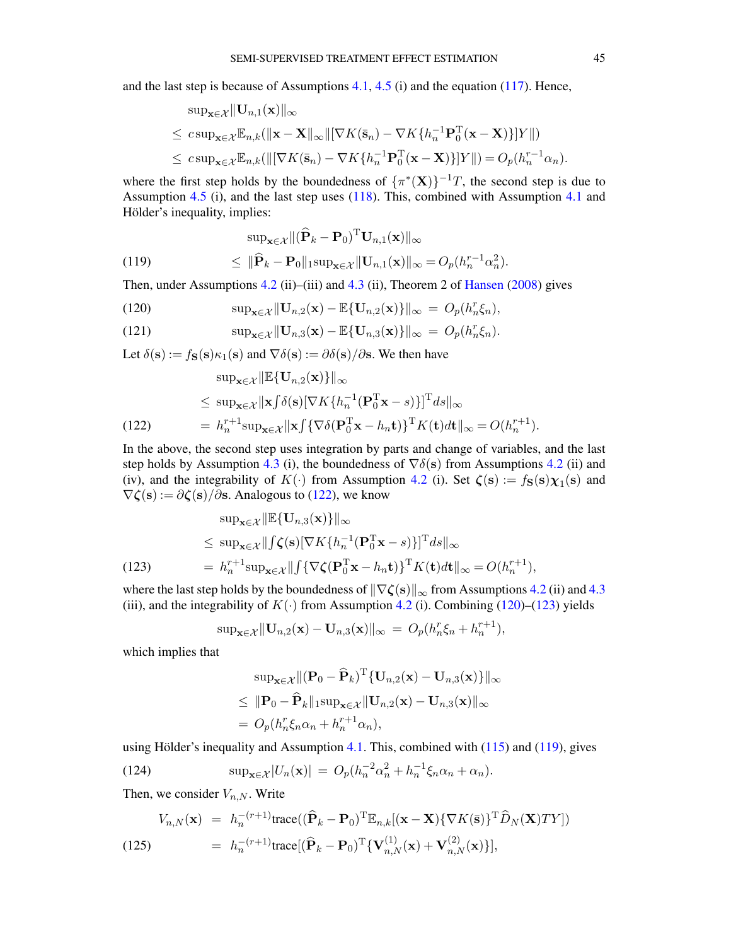and the last step is because of Assumptions  $4.1$ ,  $4.5$  (i) and the equation [\(117\)](#page-43-1). Hence,

$$
\begin{aligned}\n\sup_{\mathbf{x}\in\mathcal{X}} \|\mathbf{U}_{n,1}(\mathbf{x})\|_{\infty} \\
&\leq c \sup_{\mathbf{x}\in\mathcal{X}} \mathbb{E}_{n,k}(\|\mathbf{x}-\mathbf{X}\|_{\infty} \|[\nabla K(\bar{\mathbf{s}}_n) - \nabla K\{h_n^{-1}\mathbf{P}_0^{\mathrm{T}}(\mathbf{x}-\mathbf{X})\}]Y\|) \\
&\leq c \sup_{\mathbf{x}\in\mathcal{X}} \mathbb{E}_{n,k}(\|[\nabla K(\bar{\mathbf{s}}_n) - \nabla K\{h_n^{-1}\mathbf{P}_0^{\mathrm{T}}(\mathbf{x}-\mathbf{X})\}]Y\|) = O_p(h_n^{r-1}\alpha_n).\n\end{aligned}
$$

where the first step holds by the boundedness of  $\{\pi^*(\mathbf{X})\}^{-1}T$ , the second step is due to Assumption [4.5](#page-22-2) (i), and the last step uses [\(118\)](#page-43-2). This, combined with Assumption [4.1](#page-20-1) and Hölder's inequality, implies:

(119) 
$$
\sup_{\mathbf{x}\in\mathcal{X}}\|(\widehat{\mathbf{P}}_k - \mathbf{P}_0)^{\mathrm{T}}\mathbf{U}_{n,1}(\mathbf{x})\|_{\infty} \leq \|\widehat{\mathbf{P}}_k - \mathbf{P}_0\|_1 \sup_{\mathbf{x}\in\mathcal{X}}\|\mathbf{U}_{n,1}(\mathbf{x})\|_{\infty} = O_p(h_n^{r-1}\alpha_n^2).
$$

<span id="page-44-3"></span> $\lambda$ 

Then, under Assumptions [4.2](#page-20-2) (ii)–(iii) and [4.3](#page-20-3) (ii), Theorem 2 of [Hansen](#page-56-27) [\(2008\)](#page-56-27) gives

<span id="page-44-1"></span>(120) 
$$
\sup_{\mathbf{x}\in\mathcal{X}}\|\mathbf{U}_{n,2}(\mathbf{x})-\mathbb{E}\{\mathbf{U}_{n,2}(\mathbf{x})\}\|_{\infty} = O_p(h_n^r\xi_n),
$$

(121) 
$$
\sup_{\mathbf{x}\in\mathcal{X}}\|\mathbf{U}_{n,3}(\mathbf{x})-\mathbb{E}\{\mathbf{U}_{n,3}(\mathbf{x})\}\|_{\infty} = O_p(h_n^r\xi_n).
$$

Let  $\delta(s) := f_{S}(s) \kappa_1(s)$  and  $\nabla \delta(s) := \partial \delta(s) / \partial s$ . We then have

<span id="page-44-0"></span>
$$
\sup_{\mathbf{x}\in\mathcal{X}}\|\mathbb{E}\{\mathbf{U}_{n,2}(\mathbf{x})\}\|_{\infty} \leq \sup_{\mathbf{x}\in\mathcal{X}}\|\mathbf{x}\int\delta(\mathbf{s})[\nabla K\{h_{n}^{-1}(\mathbf{P}_{0}^{T}\mathbf{x}-s)\}]^{T}ds\|_{\infty} = h_{n}^{r+1}\sup_{\mathbf{x}\in\mathcal{X}}\|\mathbf{x}\int\{\nabla\delta(\mathbf{P}_{0}^{T}\mathbf{x}-h_{n}\mathbf{t})\}^{T}K(\mathbf{t})d\mathbf{t}\|_{\infty}=O(h_{n}^{r+1}).
$$

In the above, the second step uses integration by parts and change of variables, and the last step holds by Assumption [4.3](#page-20-3) (i), the boundedness of  $\nabla \delta(s)$  from Assumptions [4.2](#page-20-2) (ii) and (iv), and the integrability of  $K(\cdot)$  from Assumption [4.2](#page-20-2) (i). Set  $\zeta(s) := f_{S}(s)\chi_1(s)$  and  $\nabla \zeta(\mathbf{s}) := \partial \zeta(\mathbf{s}) / \partial \mathbf{s}$ . Analogous to [\(122\)](#page-44-0), we know

<span id="page-44-2"></span>
$$
\sup_{\mathbf{x}\in\mathcal{X}}\|\mathbb{E}\{\mathbf{U}_{n,3}(\mathbf{x})\}\|_{\infty} \leq \sup_{\mathbf{x}\in\mathcal{X}}\|\int \zeta(\mathbf{s})[\nabla K\{h_{n}^{-1}(\mathbf{P}_{0}^{T}\mathbf{x}-s)\}]^{T}ds\|_{\infty} = h_{n}^{r+1}\sup_{\mathbf{x}\in\mathcal{X}}\|\int \{\nabla \zeta(\mathbf{P}_{0}^{T}\mathbf{x}-h_{n}\mathbf{t})\}^{T}K(\mathbf{t})d\mathbf{t}\|_{\infty} = O(h_{n}^{r+1}),
$$

where the last step holds by the boundedness of  $\|\nabla \zeta(s)\|_{\infty}$  from Assumptions [4.2](#page-20-2) (ii) and [4.3](#page-20-3) (iii), and the integrability of  $K(\cdot)$  from Assumption [4.2](#page-20-2) (i). Combining [\(120\)](#page-44-1)–[\(123\)](#page-44-2) yields

$$
\sup_{\mathbf{x}\in\mathcal{X}}\|\mathbf{U}_{n,2}(\mathbf{x})-\mathbf{U}_{n,3}(\mathbf{x})\|_{\infty} = O_p(h_n^r\xi_n+h_n^{r+1}),
$$

which implies that

<span id="page-44-5"></span>
$$
\sup_{\mathbf{x}\in\mathcal{X}}\|(\mathbf{P}_0-\widehat{\mathbf{P}}_k)^{\mathrm{T}}\{\mathbf{U}_{n,2}(\mathbf{x})-\mathbf{U}_{n,3}(\mathbf{x})\}\|_{\infty} \leq \|\mathbf{P}_0-\widehat{\mathbf{P}}_k\|_1 \sup_{\mathbf{x}\in\mathcal{X}}\|\mathbf{U}_{n,2}(\mathbf{x})-\mathbf{U}_{n,3}(\mathbf{x})\|_{\infty} = O_p(h_n^r \xi_n \alpha_n + h_n^{r+1} \alpha_n),
$$

using Hölder's inequality and Assumption [4.1.](#page-20-1) This, combined with [\(115\)](#page-43-3) and [\(119\)](#page-44-3), gives

(124) 
$$
\sup_{\mathbf{x}\in\mathcal{X}}|U_n(\mathbf{x})| = O_p(h_n^{-2}\alpha_n^2 + h_n^{-1}\xi_n\alpha_n + \alpha_n).
$$

Then, we consider  $V_{n,N}$ . Write

<span id="page-44-4"></span>(125) 
$$
V_{n,N}(\mathbf{x}) = h_n^{-(r+1)} \text{trace}((\widehat{\mathbf{P}}_k - \mathbf{P}_0)^{\mathrm{T}} \mathbb{E}_{n,k}[(\mathbf{x} - \mathbf{X}) \{ \nabla K(\bar{\mathbf{s}}) \}^{\mathrm{T}} \widehat{D}_N(\mathbf{X}) T Y])
$$

$$
= h_n^{-(r+1)} \text{trace}[(\widehat{\mathbf{P}}_k - \mathbf{P}_0)^{\mathrm{T}} \{ \mathbf{V}_{n,N}^{(1)}(\mathbf{x}) + \mathbf{V}_{n,N}^{(2)}(\mathbf{x}) \}],
$$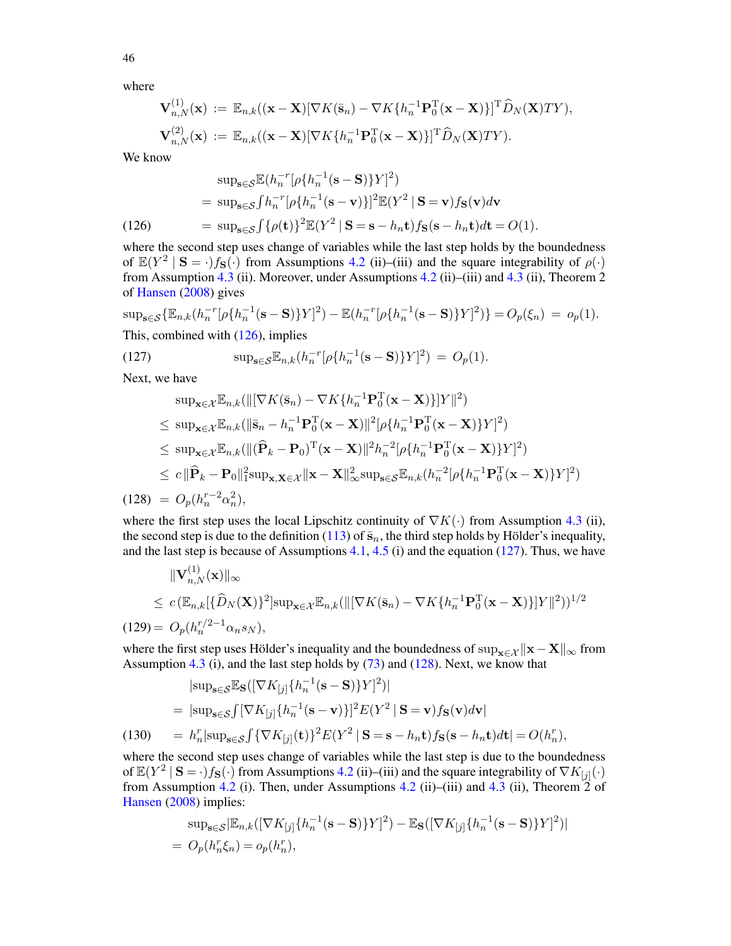where

$$
\mathbf{V}_{n,N}^{(1)}(\mathbf{x}) := \mathbb{E}_{n,k}((\mathbf{x}-\mathbf{X})[\nabla K(\bar{\mathbf{s}}_n) - \nabla K\{h_n^{-1}\mathbf{P}_0^{\mathrm{T}}(\mathbf{x}-\mathbf{X})\}]^{\mathrm{T}}\widehat{D}_N(\mathbf{X})TY),
$$
  

$$
\mathbf{V}_{n,N}^{(2)}(\mathbf{x}) := \mathbb{E}_{n,k}((\mathbf{x}-\mathbf{X})[\nabla K\{h_n^{-1}\mathbf{P}_0^{\mathrm{T}}(\mathbf{x}-\mathbf{X})\}]^{\mathrm{T}}\widehat{D}_N(\mathbf{X})TY).
$$

We know

<span id="page-45-0"></span>
$$
\sup_{\mathbf{s}\in\mathcal{S}} \mathbb{E}(h_n^{-r}[\rho\{h_n^{-1}(\mathbf{s}-\mathbf{S})\}Y]^2)
$$
  
= 
$$
\sup_{\mathbf{s}\in\mathcal{S}} \int h_n^{-r}[\rho\{h_n^{-1}(\mathbf{s}-\mathbf{v})\}]^2 \mathbb{E}(Y^2 \mid \mathbf{S}=\mathbf{v})f_{\mathbf{S}}(\mathbf{v})d\mathbf{v}
$$
  
(126) = 
$$
\sup_{\mathbf{s}\in\mathcal{S}} \int {\{\rho(\mathbf{t})\}}^2 \mathbb{E}(Y^2 \mid \mathbf{S}=\mathbf{s}-h_n\mathbf{t})f_{\mathbf{S}}(\mathbf{s}-h_n\mathbf{t})d\mathbf{t}=O(1).
$$

where the second step uses change of variables while the last step holds by the boundedness of  $\mathbb{E}(Y^2 \mid S = \cdot)f_S(\cdot)$  from Assumptions [4.2](#page-20-2) (ii)–(iii) and the square integrability of  $\rho(\cdot)$ from Assumption [4.3](#page-20-3) (ii). Moreover, under Assumptions [4.2](#page-20-2) (ii)–(iii) and [4.3](#page-20-3) (ii), Theorem 2 of [Hansen](#page-56-27) [\(2008\)](#page-56-27) gives

$$
\sup_{s \in \mathcal{S}} \{ \mathbb{E}_{n,k}(h_n^{-r} [\rho \{ h_n^{-1}(\mathbf{s} - \mathbf{S}) \} Y]^2) - \mathbb{E}(h_n^{-r} [\rho \{ h_n^{-1}(\mathbf{s} - \mathbf{S}) \} Y]^2) \} = O_p(\xi_n) = o_p(1).
$$
  
This, combined with (126), implies

<span id="page-45-1"></span>(127) 
$$
\sup_{\mathbf{s}\in\mathcal{S}} \mathbb{E}_{n,k}(h_n^{-r}[\rho\{h_n^{-1}(\mathbf{s}-\mathbf{S})\}Y]^2) = O_p(1).
$$

Next, we have

<span id="page-45-2"></span>
$$
\sup_{\mathbf{x}\in\mathcal{X}}\mathbb{E}_{n,k}(\|\nabla K(\bar{\mathbf{s}}_n) - \nabla K\{h_n^{-1}\mathbf{P}_0^T(\mathbf{x}-\mathbf{X})\}|Y\|^2)
$$
\n
$$
\leq \sup_{\mathbf{x}\in\mathcal{X}}\mathbb{E}_{n,k}(\|\bar{\mathbf{s}}_n - h_n^{-1}\mathbf{P}_0^T(\mathbf{x}-\mathbf{X})\|^2[\rho\{h_n^{-1}\mathbf{P}_0^T(\mathbf{x}-\mathbf{X})\}Y]^2)
$$
\n
$$
\leq \sup_{\mathbf{x}\in\mathcal{X}}\mathbb{E}_{n,k}(\|(\widehat{\mathbf{P}}_k - \mathbf{P}_0)^T(\mathbf{x}-\mathbf{X})\|^2 h_n^{-2}[\rho\{h_n^{-1}\mathbf{P}_0^T(\mathbf{x}-\mathbf{X})\}Y]^2)
$$
\n
$$
\leq c\|\widehat{\mathbf{P}}_k - \mathbf{P}_0\|_1^2 \sup_{\mathbf{x},\mathbf{X}\in\mathcal{X}}\|\mathbf{x}-\mathbf{X}\|_\infty^2 \sup_{\mathbf{s}\in\mathcal{S}}\mathbb{E}_{n,k}(h_n^{-2}[\rho\{h_n^{-1}\mathbf{P}_0^T(\mathbf{x}-\mathbf{X})\}Y]^2)
$$
\n(128) =  $O_p(h_n^{r-2}\alpha_n^2)$ ,

where the first step uses the local Lipschitz continuity of  $\nabla K(\cdot)$  from Assumption [4.3](#page-20-3) (ii), the second step is due to the definition [\(113\)](#page-42-4) of  $\bar{s}_n$ , the third step holds by Hölder's inequality, and the last step is because of Assumptions  $4.1$ ,  $4.5$  (i) and the equation [\(127\)](#page-45-1). Thus, we have

<span id="page-45-4"></span>
$$
\begin{aligned}\n\|\mathbf{V}_{n,N}^{(1)}(\mathbf{x})\|_{\infty} \\
&\leq c \left(\mathbb{E}_{n,k}[\{\hat{D}_N(\mathbf{X})\}^2] \sup_{\mathbf{x}\in\mathcal{X}} \mathbb{E}_{n,k}(\|[\nabla K(\bar{\mathbf{s}}_n) - \nabla K \{h_n^{-1} \mathbf{P}_0^{\mathrm{T}}(\mathbf{x} - \mathbf{X})\}]Y\|^2)\right)^{1/2} \\
(129) &= O_p(h_n^{r/2-1} \alpha_n s_N),\n\end{aligned}
$$

where the first step uses Hölder's inequality and the boundedness of sup<sub>x∈ $\chi$ </sub> ||**x** − **X**||<sub>∞</sub> from Assumption [4.3](#page-20-3) (i), and the last step holds by [\(73\)](#page-37-1) and [\(128\)](#page-45-2). Next, we know that

<span id="page-45-3"></span>
$$
|\sup_{\mathbf{s}\in\mathcal{S}}\mathbb{E}_{\mathbf{S}}([\nabla K_{[j]} \{h_n^{-1}(\mathbf{s}-\mathbf{S})\}Y]^2)|
$$
  
=  $|\sup_{\mathbf{s}\in\mathcal{S}}\int [\nabla K_{[j]} \{h_n^{-1}(\mathbf{s}-\mathbf{v})\}]^2 E(Y^2 | \mathbf{S}=\mathbf{v})f_{\mathbf{S}}(\mathbf{v})d\mathbf{v}|$   
(130) =  $h_n^r |\sup_{\mathbf{s}\in\mathcal{S}}\int {\{\nabla K_{[j]}(\mathbf{t})\}^2 E(Y^2 | \mathbf{S}=\mathbf{s}-h_n\mathbf{t})f_{\mathbf{S}}(\mathbf{s}-h_n\mathbf{t})d\mathbf{t}|} = O(h_n^r),$ 

where the second step uses change of variables while the last step is due to the boundedness of  $\mathbb{E}(Y^2 \mid S = \cdot)f_S(\cdot)$  from Assumptions [4.2](#page-20-2) (ii)–(iii) and the square integrability of  $\nabla K_{[j]}(\cdot)$ from Assumption [4.2](#page-20-2) (i). Then, under Assumptions 4.2 (ii)–(iii) and [4.3](#page-20-3) (ii), Theorem  $\tilde{2}$  of [Hansen](#page-56-27) [\(2008\)](#page-56-27) implies:

$$
\sup_{\mathbf{s}\in\mathcal{S}}|\mathbb{E}_{n,k}([\nabla K_{[j]}{\hbar_n^{-1}(\mathbf{s}-\mathbf{S})}Y]^2) - \mathbb{E}_{\mathbf{S}}([\nabla K_{[j]}{\hbar_n^{-1}(\mathbf{s}-\mathbf{S})}Y]^2)|
$$
  
=  $O_p(h_n^r\xi_n) = o_p(h_n^r)$ ,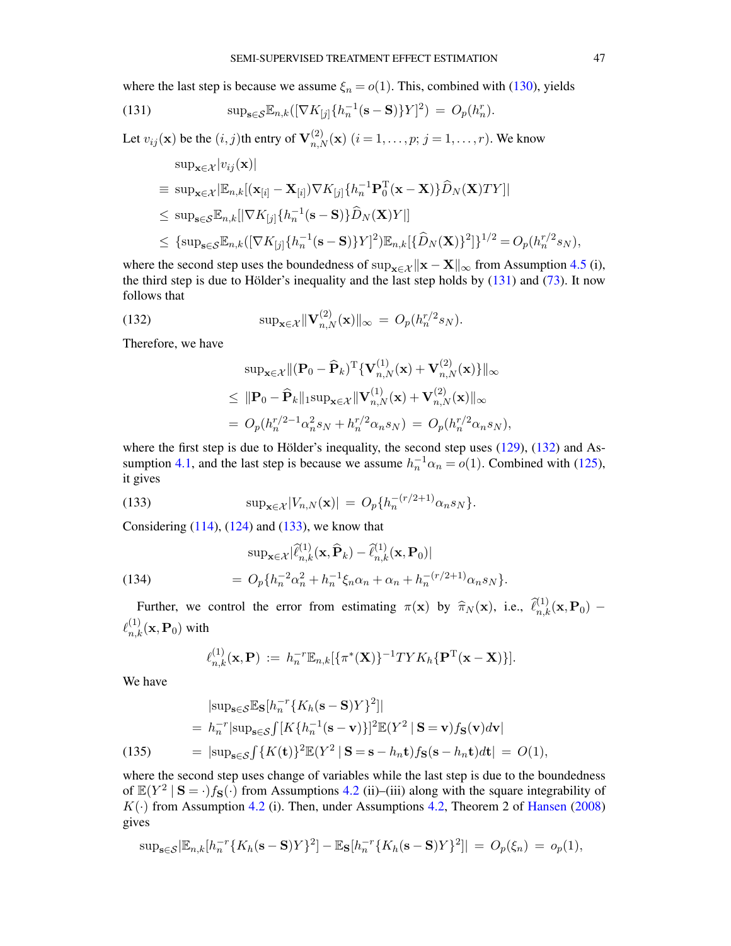where the last step is because we assume  $\xi_n = o(1)$ . This, combined with [\(130\)](#page-45-3), yields

(131) 
$$
\sup_{s \in \mathcal{S}} \mathbb{E}_{n,k}([\nabla K_{[j]} \{h_n^{-1}(s - S)\}Y]^2) = O_p(h_n^r).
$$

Let  $v_{ij}(\mathbf{x})$  be the  $(i, j)$ th entry of  $\mathbf{V}_{n,N}^{(2)}(\mathbf{x})$   $(i = 1, \dots, p; j = 1, \dots, r)$ . We know  $\sin \frac{1}{2} \left| \cos \left( \mathbf{x} \right) \right|$ 

<span id="page-46-0"></span>
$$
\sup_{\mathbf{x}\in\mathcal{X}}\sup_{v_{ij}(\mathbf{x})}|\n= \sup_{\mathbf{x}\in\mathcal{X}}\sup_{\mathbf{E}_{n,k}}[(\mathbf{x}_{[i]} - \mathbf{X}_{[i]})\nabla K_{[j]} \{h_{n}^{-1}\mathbf{P}_{0}^{T}(\mathbf{x} - \mathbf{X})\}\hat{D}_{N}(\mathbf{X})TY]|\n\n\leq \sup_{\mathbf{s}\in\mathcal{S}}\mathbb{E}_{n,k}[|\nabla K_{[j]} \{h_{n}^{-1}(\mathbf{s} - \mathbf{S})\}\hat{D}_{N}(\mathbf{X})Y]|\n\n\leq \{\sup_{\mathbf{s}\in\mathcal{S}}\mathbb{E}_{n,k}([\nabla K_{[j]} \{h_{n}^{-1}(\mathbf{s} - \mathbf{S})\}Y]^2)\mathbb{E}_{n,k}[\{\hat{D}_{N}(\mathbf{X})\}^2]\}^{1/2} = O_p(h_{n}^{r/2}s_N),
$$

where the second step uses the boundedness of sup<sub> $\mathbf{x} \in \mathcal{X} \parallel \mathbf{x} - \mathbf{X} \parallel_{\infty}$  from Assumption [4.5](#page-22-2) (i),</sub> the third step is due to Hölder's inequality and the last step holds by  $(131)$  and  $(73)$ . It now follows that

(132) 
$$
\sup_{\mathbf{x}\in\mathcal{X}} \|\mathbf{V}_{n,N}^{(2)}(\mathbf{x})\|_{\infty} = O_p(h_n^{r/2}s_N).
$$

Therefore, we have

<span id="page-46-1"></span>
$$
\sup_{\mathbf{x}\in\mathcal{X}}\|(\mathbf{P}_0-\widehat{\mathbf{P}}_k)^{\mathrm{T}}\{\mathbf{V}_{n,N}^{(1)}(\mathbf{x})+\mathbf{V}_{n,N}^{(2)}(\mathbf{x})\}\|_{\infty} \leq \|\mathbf{P}_0-\widehat{\mathbf{P}}_k\|_1 \sup_{\mathbf{x}\in\mathcal{X}}\|\mathbf{V}_{n,N}^{(1)}(\mathbf{x})+\mathbf{V}_{n,N}^{(2)}(\mathbf{x})\|_{\infty} = O_p(h_n^{r/2-1}\alpha_n^2 s_N + h_n^{r/2}\alpha_n s_N) = O_p(h_n^{r/2}\alpha_n s_N),
$$

where the first step is due to Hölder's inequality, the second step uses  $(129)$ ,  $(132)$  and As-sumption [4.1,](#page-20-1) and the last step is because we assume  $h_n^{-1} \alpha_n = o(1)$ . Combined with [\(125\)](#page-44-4), it gives

<span id="page-46-2"></span>(133) 
$$
\sup_{\mathbf{x}\in\mathcal{X}}|V_{n,N}(\mathbf{x})| = O_p\{h_n^{-(r/2+1)}\alpha_n s_N\}.
$$

Considering  $(114)$ ,  $(124)$  and  $(133)$ , we know that

<span id="page-46-4"></span>(134) 
$$
\sup_{\mathbf{x}\in\mathcal{X}}|\hat{\ell}_{n,k}^{(1)}(\mathbf{x},\hat{\mathbf{P}}_k)-\hat{\ell}_{n,k}^{(1)}(\mathbf{x},\mathbf{P}_0)|
$$

$$
=O_p\{h_n^{-2}\alpha_n^2+h_n^{-1}\xi_n\alpha_n+\alpha_n+h_n^{-(r/2+1)}\alpha_ns_N\}.
$$

Further, we control the error from estimating  $\pi(\mathbf{x})$  by  $\hat{\pi}_N(\mathbf{x})$ , i.e.,  $\hat{\ell}_{n,k}^{(1)}(\mathbf{x},\mathbf{P}_0)$  –  $\ell_{n,k}^{(1)}(\mathbf{x},\mathbf{P}_0)$  with

<span id="page-46-3"></span>
$$
\ell_{n,k}^{(1)}(\mathbf{x},\mathbf{P}) := h_n^{-r} \mathbb{E}_{n,k} [\{\pi^*(\mathbf{X})\}^{-1} T Y K_h \{\mathbf{P}^{T}(\mathbf{x}-\mathbf{X})\}].
$$

We have

$$
|\text{sup}_{\mathbf{s}\in\mathcal{S}}\mathbb{E}_{\mathbf{S}}[h_n^{-r}\{K_h(\mathbf{s}-\mathbf{S})Y\}^2]|
$$
  
=  $h_n^{-r}|\text{sup}_{\mathbf{s}\in\mathcal{S}}\int [K\{h_n^{-1}(\mathbf{s}-\mathbf{v})\}]^2 \mathbb{E}(Y^2 | \mathbf{S}=\mathbf{v})f_{\mathbf{S}}(\mathbf{v})d\mathbf{v}|$   
(135) =  $|\text{sup}_{\mathbf{s}\in\mathcal{S}}\int \{K(\mathbf{t})\}^2 \mathbb{E}(Y^2 | \mathbf{S}=\mathbf{s}-h_n\mathbf{t})f_{\mathbf{S}}(\mathbf{s}-h_n\mathbf{t})d\mathbf{t}| = O(1),$ 

where the second step uses change of variables while the last step is due to the boundedness of  $\mathbb{E}(Y^2 \mid S = \cdot)f_S(\cdot)$  from Assumptions [4.2](#page-20-2) (ii)–(iii) along with the square integrability of  $K(\cdot)$  from Assumption [4.2](#page-20-2) (i). Then, under Assumptions [4.2,](#page-20-2) Theorem 2 of [Hansen](#page-56-27) [\(2008\)](#page-56-27) gives

$$
\sup_{\mathbf{s}\in\mathcal{S}}|\mathbb{E}_{n,k}[h_n^{-r}\lbrace K_h(\mathbf{s}-\mathbf{S})Y\rbrace^2]-\mathbb{E}_{\mathbf{S}}[h_n^{-r}\lbrace K_h(\mathbf{s}-\mathbf{S})Y\rbrace^2]|=O_p(\xi_n)=o_p(1),
$$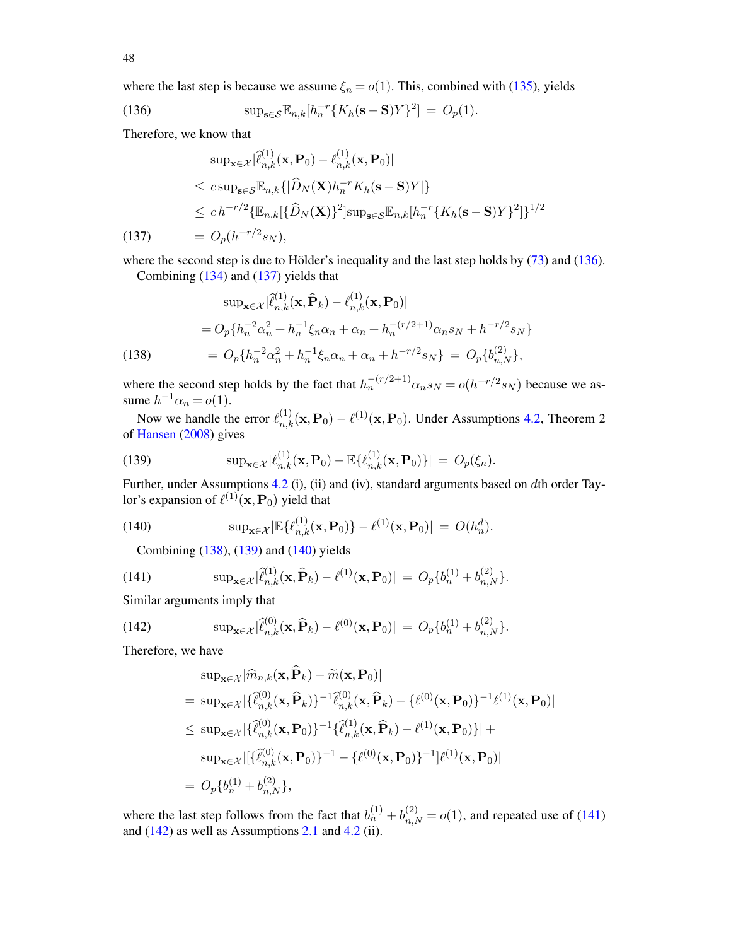where the last step is because we assume  $\xi_n = o(1)$ . This, combined with [\(135\)](#page-46-3), yields

<span id="page-47-0"></span>(136) 
$$
\sup_{s \in \mathcal{S}} \mathbb{E}_{n,k}[h_n^{-r} \{ K_h(s - S)Y \}^2] = O_p(1).
$$

Therefore, we know that

<span id="page-47-1"></span>
$$
\sup_{\mathbf{x}\in\mathcal{X}}|\hat{\ell}_{n,k}^{(1)}(\mathbf{x},\mathbf{P}_0)-\ell_{n,k}^{(1)}(\mathbf{x},\mathbf{P}_0)|
$$
\n
$$
\leq c\sup_{\mathbf{s}\in\mathcal{S}}\mathbb{E}_{n,k}\{|\widehat{D}_N(\mathbf{X})h_n^{-r}K_h(\mathbf{s}-\mathbf{S})Y|\}
$$
\n
$$
\leq ch^{-r/2}\{\mathbb{E}_{n,k}|\{\widehat{D}_N(\mathbf{X})\}^2\}\sup_{\mathbf{s}\in\mathcal{S}}\mathbb{E}_{n,k}[h_n^{-r}\{K_h(\mathbf{s}-\mathbf{S})Y\}^2]\}^{1/2}
$$
\n(137)\n
$$
= O_p(h^{-r/2}s_N),
$$

where the second step is due to Hölder's inequality and the last step holds by [\(73\)](#page-37-1) and [\(136\)](#page-47-0). Combining [\(134\)](#page-46-4) and [\(137\)](#page-47-1) yields that

<span id="page-47-2"></span>(138)  
\n
$$
\sup_{\mathbf{x}\in\mathcal{X}}|\hat{\ell}_{n,k}^{(1)}(\mathbf{x},\hat{\mathbf{P}}_k)-\ell_{n,k}^{(1)}(\mathbf{x},\mathbf{P}_0)|
$$
\n
$$
=O_p\{h_n^{-2}\alpha_n^2+h_n^{-1}\xi_n\alpha_n+\alpha_n+h_n^{-(r/2+1)}\alpha_ns_N+h^{-r/2}s_N\}
$$
\n
$$
=O_p\{h_n^{-2}\alpha_n^2+h_n^{-1}\xi_n\alpha_n+\alpha_n+h^{-r/2}s_N\}=O_p\{b_{n,N}^{(2)}\},
$$

where the second step holds by the fact that  $h_n^{-(r/2+1)} \alpha_n s_N = o(h^{-r/2} s_N)$  because we assume  $h^{-1}\alpha_n = o(1)$ .

Now we handle the error  $\ell_{n,k}^{(1)}(\mathbf{x},\mathbf{P}_0) - \ell^{(1)}(\mathbf{x},\mathbf{P}_0)$ . Under Assumptions [4.2,](#page-20-2) Theorem 2 of [Hansen](#page-56-27) [\(2008\)](#page-56-27) gives

<span id="page-47-3"></span>(139) 
$$
\sup_{\mathbf{x}\in\mathcal{X}}|\ell_{n,k}^{(1)}(\mathbf{x},\mathbf{P}_0)-\mathbb{E}\{\ell_{n,k}^{(1)}(\mathbf{x},\mathbf{P}_0)\}|=O_p(\xi_n).
$$

Further, under Assumptions [4.2](#page-20-2) (i), (ii) and (iv), standard arguments based on dth order Taylor's expansion of  $\ell^{(1)}(\mathbf{x},\mathbf{P}_0)$  yield that

(140) 
$$
\sup_{\mathbf{x}\in\mathcal{X}}\left|\mathbb{E}\{\ell_{n,k}^{(1)}(\mathbf{x},\mathbf{P}_0)\}-\ell^{(1)}(\mathbf{x},\mathbf{P}_0)\right| = O(h_n^d).
$$

<span id="page-47-5"></span><span id="page-47-4"></span>Combining [\(138\)](#page-47-2), [\(139\)](#page-47-3) and [\(140\)](#page-47-4) yields

(141) 
$$
\sup_{\mathbf{x}\in\mathcal{X}}|\hat{\ell}_{n,k}^{(1)}(\mathbf{x},\hat{\mathbf{P}}_k)-\ell^{(1)}(\mathbf{x},\mathbf{P}_0)|=O_p\{b_n^{(1)}+b_{n,N}^{(2)}\}.
$$

Similar arguments imply that

(142) 
$$
\sup_{\mathbf{x}\in\mathcal{X}}|\hat{\ell}_{n,k}^{(0)}(\mathbf{x},\widehat{\mathbf{P}}_k)-\ell^{(0)}(\mathbf{x},\mathbf{P}_0)|=O_p\{b_n^{(1)}+b_{n,N}^{(2)}\}.
$$

Therefore, we have

<span id="page-47-6"></span>
$$
\sup_{\mathbf{x}\in\mathcal{X}}|\widehat{m}_{n,k}(\mathbf{x},\mathbf{P}_k)-\widetilde{m}(\mathbf{x},\mathbf{P}_0)|
$$
\n
$$
= \sup_{\mathbf{x}\in\mathcal{X}}|\{\widehat{\ell}_{n,k}^{(0)}(\mathbf{x},\widehat{\mathbf{P}}_k)\}^{-1}\widehat{\ell}_{n,k}^{(0)}(\mathbf{x},\widehat{\mathbf{P}}_k)-\{\ell^{(0)}(\mathbf{x},\mathbf{P}_0)\}^{-1}\ell^{(1)}(\mathbf{x},\mathbf{P}_0)|
$$
\n
$$
\leq \sup_{\mathbf{x}\in\mathcal{X}}|\{\widehat{\ell}_{n,k}^{(0)}(\mathbf{x},\mathbf{P}_0)\}^{-1}\{\widehat{\ell}_{n,k}^{(1)}(\mathbf{x},\widehat{\mathbf{P}}_k)-\ell^{(1)}(\mathbf{x},\mathbf{P}_0)\}|+
$$
\n
$$
\sup_{\mathbf{x}\in\mathcal{X}}|[\{\widehat{\ell}_{n,k}^{(0)}(\mathbf{x},\mathbf{P}_0)\}^{-1}-\{\ell^{(0)}(\mathbf{x},\mathbf{P}_0)\}^{-1}]\ell^{(1)}(\mathbf{x},\mathbf{P}_0)|
$$
\n
$$
= O_p\{b_n^{(1)}+b_{n,N}^{(2)}\},
$$

where the last step follows from the fact that  $b_n^{(1)} + b_{n,N}^{(2)} = o(1)$ , and repeated use of [\(141\)](#page-47-5) and  $(142)$  as well as Assumptions [2.1](#page-8-0) and [4.2](#page-20-2) (ii).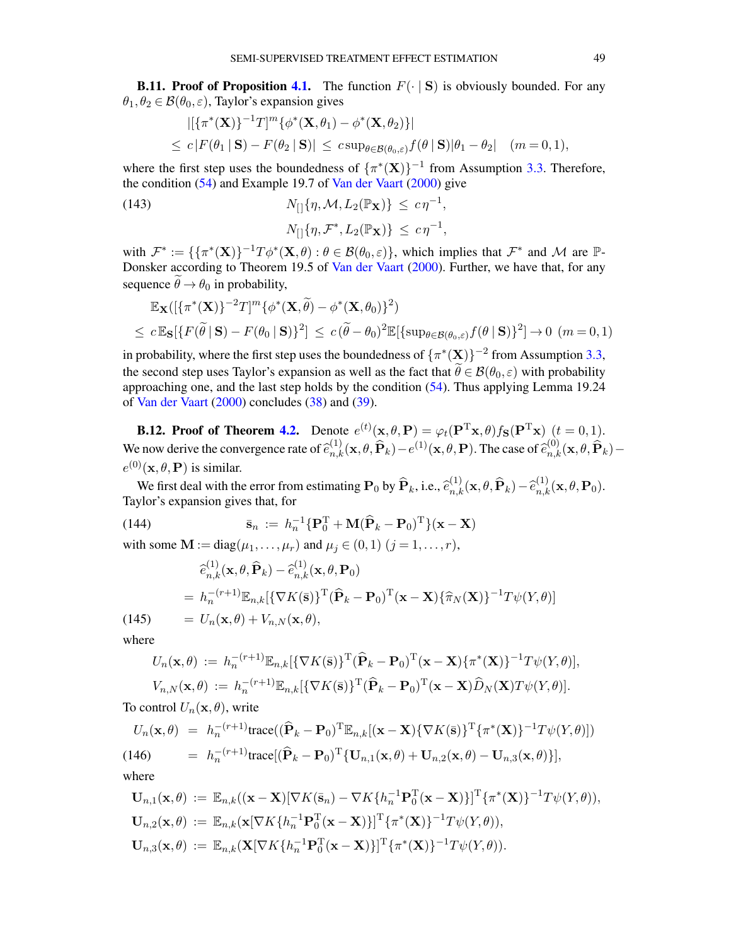**B.11. Proof of Proposition [4.1.](#page-21-7)** The function  $F(\cdot | S)$  is obviously bounded. For any  $\theta_1, \theta_2 \in \mathcal{B}(\theta_0, \varepsilon)$ , Taylor's expansion gives

<span id="page-48-3"></span>
$$
\begin{aligned}\n&\left|\left[\left\{\pi^*(\mathbf{X})\right\}^{-1}T\right]^m\left\{\phi^*(\mathbf{X},\theta_1)-\phi^*(\mathbf{X},\theta_2)\right\}\right| \\
&\leq c\left|F(\theta_1 \mid \mathbf{S})-F(\theta_2 \mid \mathbf{S})\right| \leq c \sup_{\theta \in \mathcal{B}(\theta_0,\varepsilon)} f(\theta \mid \mathbf{S})|\theta_1-\theta_2|\quad (m=0,1),\n\end{aligned}
$$

where the first step uses the boundedness of  $\{\pi^*(\mathbf{X})\}^{-1}$  from Assumption [3.3.](#page-15-0) Therefore, the condition [\(54\)](#page-21-6) and Example 19.7 of [Van der Vaart](#page-57-18) [\(2000\)](#page-57-18) give

(143) 
$$
N_{[]}{\eta, \mathcal{M}, L_2(\mathbb{P}_\mathbf{X})} \le c\eta^{-1},
$$

$$
N_{[]}{\eta, \mathcal{F}^*, L_2(\mathbb{P}_\mathbf{X})} \le c\eta^{-1},
$$

with  $\mathcal{F}^* := \{ {\{\pi^*(\mathbf{X})\}}^{-1}T\phi^*(\mathbf{X}, \theta) : \theta \in \mathcal{B}(\theta_0, \varepsilon) \}$ , which implies that  $\mathcal{F}^*$  and M are  $\mathbb{P}$ -Donsker according to Theorem 19.5 of [Van der Vaart](#page-57-18) [\(2000\)](#page-57-18). Further, we have that, for any sequence  $\tilde{\theta} \rightarrow \theta_0$  in probability,

$$
\mathbb{E}_{\mathbf{X}}([\{\pi^*(\mathbf{X})\}^{-2}T]^m \{\phi^*(\mathbf{X}, \widetilde{\theta}) - \phi^*(\mathbf{X}, \theta_0)\}^2)
$$
  

$$
\leq c \mathbb{E}_{\mathbf{S}}[\{F(\widetilde{\theta} \mid \mathbf{S}) - F(\theta_0 \mid \mathbf{S})\}^2] \leq c(\widetilde{\theta} - \theta_0)^2 \mathbb{E}[\{\sup_{\theta \in \mathcal{B}(\theta_0, \varepsilon)} f(\theta \mid \mathbf{S})\}^2] \to 0 \ (m = 0, 1)
$$

in probability, where the first step uses the boundedness of  $\{\pi^*(\mathbf{X})\}^{-2}$  from Assumption [3.3,](#page-15-0) the second step uses Taylor's expansion as well as the fact that  $\tilde{\theta} \in \mathcal{B}(\theta_0, \varepsilon)$  with probability approaching one, and the last step holds by the condition [\(54\)](#page-21-6). Thus applying Lemma 19.24 of [Van der Vaart](#page-57-18) [\(2000\)](#page-57-18) concludes [\(38\)](#page-15-3) and [\(39\)](#page-15-3).

**B.12. Proof of Theorem [4.2.](#page-22-0)** Denote  $e^{(t)}(\mathbf{x}, \theta, \mathbf{P}) = \varphi_t(\mathbf{P}^T \mathbf{x}, \theta) f_{\mathbf{S}}(\mathbf{P}^T \mathbf{x})$   $(t = 0, 1)$ . We now derive the convergence rate of  $\hat{e}_{n,k}^{(1)}(\mathbf{x}, \theta, \hat{\mathbf{P}}_k) - e^{(1)}(\mathbf{x}, \theta, \mathbf{P})$ . The case of  $\hat{e}_{n,k}^{(0)}(\mathbf{x}, \theta, \hat{\mathbf{P}}_k)$  $e^{(0)}(\mathbf{x}, \theta, \mathbf{P})$  is similar.

We first deal with the error from estimating  $P_0$  by  $\hat{P}_k$ , i.e.,  $\hat{e}_{n,k}^{(1)}(\mathbf{x}, \theta, \hat{\mathbf{P}}_k) - \hat{e}_{n,k}^{(1)}(\mathbf{x}, \theta, \mathbf{P}_0)$ . Taylor's expansion gives that, for

<span id="page-48-0"></span>(144) 
$$
\bar{\mathbf{s}}_n := h_n^{-1} \{ \mathbf{P}_0^{\mathrm{T}} + \mathbf{M} (\widehat{\mathbf{P}}_k - \mathbf{P}_0)^{\mathrm{T}} \} (\mathbf{x} - \mathbf{X})
$$

with some  $M := diag(\mu_1, ..., \mu_r)$  and  $\mu_j \in (0, 1)$   $(j = 1, ..., r)$ ,

<span id="page-48-2"></span>
$$
\begin{aligned}\n\hat{e}_{n,k}^{(1)}(\mathbf{x}, \theta, \widehat{\mathbf{P}}_k) - \hat{e}_{n,k}^{(1)}(\mathbf{x}, \theta, \mathbf{P}_0) \\
&= h_n^{-(r+1)} \mathbb{E}_{n,k} [\{\nabla K(\bar{\mathbf{s}})\}^{\mathrm{T}} (\widehat{\mathbf{P}}_k - \mathbf{P}_0)^{\mathrm{T}} (\mathbf{x} - \mathbf{X}) \{\widehat{\pi}_N(\mathbf{X})\}^{-1} T \psi(Y, \theta)] \\
(145) \qquad &= U_n(\mathbf{x}, \theta) + V_{n,N}(\mathbf{x}, \theta),\n\end{aligned}
$$

where

$$
U_n(\mathbf{x},\theta) := h_n^{-(r+1)} \mathbb{E}_{n,k} [\{\nabla K(\bar{\mathbf{s}})\}^{\mathrm{T}} (\hat{\mathbf{P}}_k - \mathbf{P}_0)^{\mathrm{T}} (\mathbf{x} - \mathbf{X}) \{\pi^*(\mathbf{X})\}^{-1} T \psi(Y,\theta)],
$$
  
\n
$$
V_{n,N}(\mathbf{x},\theta) := h_n^{-(r+1)} \mathbb{E}_{n,k} [\{\nabla K(\bar{\mathbf{s}})\}^{\mathrm{T}} (\hat{\mathbf{P}}_k - \mathbf{P}_0)^{\mathrm{T}} (\mathbf{x} - \mathbf{X}) \hat{D}_N(\mathbf{X}) T \psi(Y,\theta)].
$$

To control  $U_n(\mathbf{x}, \theta)$ , write

<span id="page-48-1"></span>
$$
U_n(\mathbf{x}, \theta) = h_n^{-(r+1)} \text{trace}((\widehat{\mathbf{P}}_k - \mathbf{P}_0)^{\mathrm{T}} \mathbb{E}_{n,k}[(\mathbf{x} - \mathbf{X}) \{ \nabla K(\bar{\mathbf{s}}) \}^{\mathrm{T}} \{ \pi^*(\mathbf{X}) \}^{-1} T \psi(Y, \theta)]
$$
  
(146) 
$$
= h_n^{-(r+1)} \text{trace}[(\widehat{\mathbf{P}}_k - \mathbf{P}_0)^{\mathrm{T}} \{ \mathbf{U}_{n,1}(\mathbf{x}, \theta) + \mathbf{U}_{n,2}(\mathbf{x}, \theta) - \mathbf{U}_{n,3}(\mathbf{x}, \theta) \}],
$$
  
where

$$
\mathbf{U}_{n,1}(\mathbf{x},\theta) := \mathbb{E}_{n,k}((\mathbf{x}-\mathbf{X})[\nabla K(\bar{\mathbf{s}}_n) - \nabla K\{h_n^{-1}\mathbf{P}_0^T(\mathbf{x}-\mathbf{X})\}]^T \{\pi^*(\mathbf{X})\}^{-1} T\psi(Y,\theta)),
$$
  
\n
$$
\mathbf{U}_{n,2}(\mathbf{x},\theta) := \mathbb{E}_{n,k}(\mathbf{x}[\nabla K\{h_n^{-1}\mathbf{P}_0^T(\mathbf{x}-\mathbf{X})\}]^T \{\pi^*(\mathbf{X})\}^{-1} T\psi(Y,\theta)),
$$
  
\n
$$
\mathbf{U}_{n,3}(\mathbf{x},\theta) := \mathbb{E}_{n,k}(\mathbf{X}[\nabla K\{h_n^{-1}\mathbf{P}_0^T(\mathbf{x}-\mathbf{X})\}]^T \{\pi^*(\mathbf{X})\}^{-1} T\psi(Y,\theta)).
$$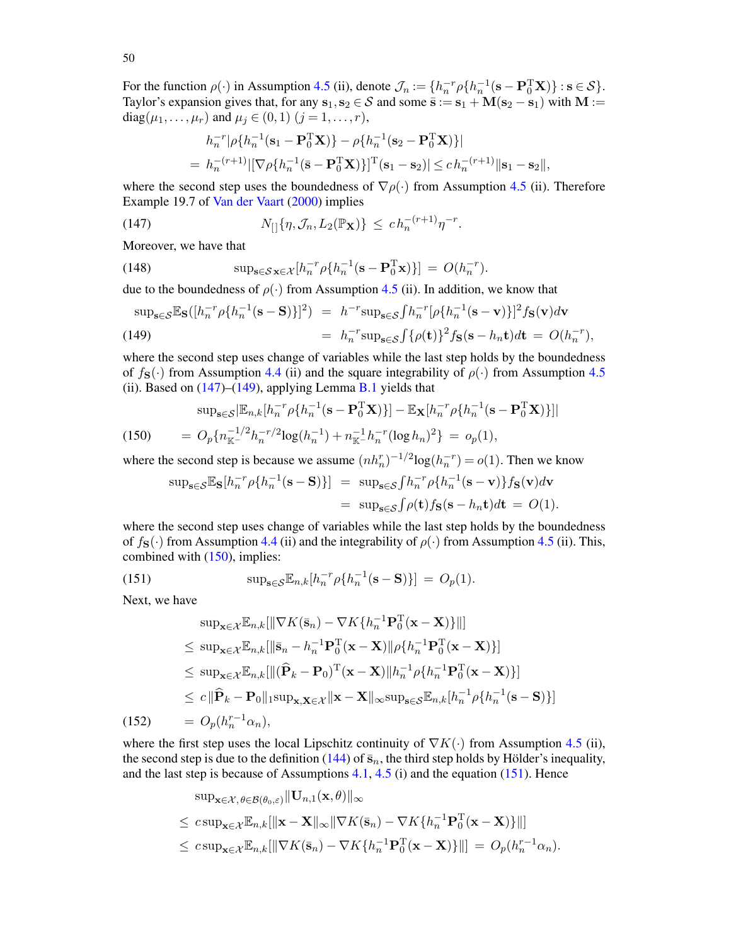For the function  $\rho(\cdot)$  in Assumption [4.5](#page-22-2) (ii), denote  $\mathcal{J}_n := \{h_n^{-r} \rho \{h_n^{-1}(\mathbf{s} - \mathbf{P}_0^{\mathrm{T}} \mathbf{X})\} : \mathbf{s} \in \mathcal{S}\}.$ Taylor's expansion gives that, for any  $s_1, s_2 \in S$  and some  $\bar{s} := s_1 + M(s_2 - s_1)$  with  $M :=$ diag( $\mu_1, ..., \mu_r$ ) and  $\mu_j \in (0, 1)$  ( $j = 1, ..., r$ ),

<span id="page-49-0"></span>
$$
h_n^{-r} |\rho\{h_n^{-1}(\mathbf{s}_1 - \mathbf{P}_0^{\mathrm{T}} \mathbf{X})\} - \rho\{h_n^{-1}(\mathbf{s}_2 - \mathbf{P}_0^{\mathrm{T}} \mathbf{X})\}|
$$
  
=  $h_n^{-(r+1)} |[\nabla \rho\{h_n^{-1}(\bar{\mathbf{s}} - \mathbf{P}_0^{\mathrm{T}} \mathbf{X})\}]^{\mathrm{T}}(\mathbf{s}_1 - \mathbf{s}_2)| \le c h_n^{-(r+1)} ||\mathbf{s}_1 - \mathbf{s}_2||,$ 

where the second step uses the boundedness of  $\nabla \rho(\cdot)$  from Assumption [4.5](#page-22-2) (ii). Therefore Example 19.7 of [Van der Vaart](#page-57-18) [\(2000\)](#page-57-18) implies

(147) 
$$
N_{[]}\{\eta, \mathcal{J}_n, L_2(\mathbb{P}_X)\} \leq ch_n^{-(r+1)}\eta^{-r}.
$$

Moreover, we have that

(148) 
$$
\sup_{\mathbf{s}\in\mathcal{S}}\sum_{\mathbf{x}\in\mathcal{X}}[h_n^{-r}\rho\{h_n^{-1}(\mathbf{s}-\mathbf{P}_0^T\mathbf{x})\}] = O(h_n^{-r}).
$$

due to the boundedness of  $\rho(\cdot)$  from Assumption [4.5](#page-22-2) (ii). In addition, we know that

<span id="page-49-1"></span>
$$
\begin{aligned} \sup_{\mathbf{s}\in\mathcal{S}} \mathbb{E}_{\mathbf{S}}([h_n^{-r}\rho\{h_n^{-1}(\mathbf{s}-\mathbf{S})\}]^2) &= h^{-r}\sup_{\mathbf{s}\in\mathcal{S}}\int h_n^{-r}[\rho\{h_n^{-1}(\mathbf{s}-\mathbf{v})\}]^2 f_{\mathbf{S}}(\mathbf{v})d\mathbf{v} \\ &= h_n^{-r}\sup_{\mathbf{s}\in\mathcal{S}}\int \{\rho(\mathbf{t})\}^2 f_{\mathbf{S}}(\mathbf{s}-h_n\mathbf{t})d\mathbf{t} = O(h_n^{-r}), \end{aligned}
$$

where the second step uses change of variables while the last step holds by the boundedness of  $f_{\mathbf{S}}(\cdot)$  from Assumption [4.4](#page-22-1) (ii) and the square integrability of  $\rho(\cdot)$  from Assumption [4.5](#page-22-2) (ii). Based on  $(147)$ – $(149)$ , applying Lemma [B.1](#page-34-0) yields that

<span id="page-49-2"></span>(150) 
$$
\sup_{\mathbf{s}\in\mathcal{S}}\left[\mathbb{E}_{n,k}[h_{n}^{-r}\rho\{h_{n}^{-1}(\mathbf{s}-\mathbf{P}_{0}^{T}\mathbf{X})\}]-\mathbb{E}_{\mathbf{X}}[h_{n}^{-r}\rho\{h_{n}^{-1}(\mathbf{s}-\mathbf{P}_{0}^{T}\mathbf{X})\}]\right]
$$

$$
=O_{p}\{n_{\mathbb{K}^{-}}^{-1/2}h_{n}^{-r/2}\log(h_{n}^{-1})+n_{\mathbb{K}^{-}}^{-1}h_{n}^{-r}(\log h_{n})^{2}\}=o_{p}(1),
$$

where the second step is because we assume  $(nh_n^r)^{-1/2} \log(h_n^{-r}) = o(1)$ . Then we know

<span id="page-49-3"></span>
$$
\sup_{\mathbf{s}\in\mathcal{S}}\mathbb{E}_{\mathbf{S}}[h_n^{-r}\rho\{h_n^{-1}(\mathbf{s}-\mathbf{S})\}] = \sup_{\mathbf{s}\in\mathcal{S}}\int h_n^{-r}\rho\{h_n^{-1}(\mathbf{s}-\mathbf{v})\}f_{\mathbf{S}}(\mathbf{v})d\mathbf{v}
$$
  
= 
$$
\sup_{\mathbf{s}\in\mathcal{S}}\int\rho(\mathbf{t})f_{\mathbf{S}}(\mathbf{s}-h_n\mathbf{t})d\mathbf{t} = O(1).
$$

where the second step uses change of variables while the last step holds by the boundedness of  $f_{\mathbf{S}}(\cdot)$  from Assumption [4.4](#page-22-1) (ii) and the integrability of  $\rho(\cdot)$  from Assumption [4.5](#page-22-2) (ii). This, combined with [\(150\)](#page-49-2), implies:

(151) 
$$
\sup_{\mathbf{s}\in\mathcal{S}} \mathbb{E}_{n,k}[h_n^{-r}\rho\{h_n^{-1}(\mathbf{s}-\mathbf{S})\}] = O_p(1).
$$

Next, we have

<span id="page-49-4"></span>
$$
\sup_{\mathbf{x}\in\mathcal{X}}\mathbb{E}_{n,k}[\|\nabla K(\bar{\mathbf{s}}_n) - \nabla K\{h_n^{-1}\mathbf{P}_0^T(\mathbf{x}-\mathbf{X})\}\|]
$$
\n
$$
\leq \sup_{\mathbf{x}\in\mathcal{X}}\mathbb{E}_{n,k}[\|\bar{\mathbf{s}}_n - h_n^{-1}\mathbf{P}_0^T(\mathbf{x}-\mathbf{X})\|\rho\{h_n^{-1}\mathbf{P}_0^T(\mathbf{x}-\mathbf{X})\}]
$$
\n
$$
\leq \sup_{\mathbf{x}\in\mathcal{X}}\mathbb{E}_{n,k}[\|(\widehat{\mathbf{P}}_k - \mathbf{P}_0)^T(\mathbf{x}-\mathbf{X})\|h_n^{-1}\rho\{h_n^{-1}\mathbf{P}_0^T(\mathbf{x}-\mathbf{X})\}]
$$
\n
$$
\leq c\|\widehat{\mathbf{P}}_k - \mathbf{P}_0\|_1 \sup_{\mathbf{x},\mathbf{X}\in\mathcal{X}}\|\mathbf{x}-\mathbf{X}\|_\infty \sup_{\mathbf{s}\in\mathcal{S}}\mathbb{E}_{n,k}[h_n^{-1}\rho\{h_n^{-1}(\mathbf{s}-\mathbf{S})\}]
$$
\n(152) 
$$
= O_p(h_n^{r-1}\alpha_n),
$$

where the first step uses the local Lipschitz continuity of  $\nabla K(\cdot)$  from Assumption [4.5](#page-22-2) (ii), the second step is due to the definition [\(144\)](#page-48-0) of  $\bar{s}_n$ , the third step holds by Hölder's inequality, and the last step is because of Assumptions  $4.1$ ,  $4.5$  (i) and the equation [\(151\)](#page-49-3). Hence

$$
\begin{aligned}\n&\sup_{\mathbf{x}\in\mathcal{X},\theta\in\mathcal{B}(\theta_0,\varepsilon)}\|\mathbf{U}_{n,1}(\mathbf{x},\theta)\|_{\infty} \\
&\leq c\sup_{\mathbf{x}\in\mathcal{X}}\mathbb{E}_{n,k}[\|\mathbf{x}-\mathbf{X}\|_{\infty}\|\nabla K(\bar{\mathbf{s}}_n)-\nabla K\{h_n^{-1}\mathbf{P}_0^{\mathrm{T}}(\mathbf{x}-\mathbf{X})\}|\] \\
&\leq c\sup_{\mathbf{x}\in\mathcal{X}}\mathbb{E}_{n,k}[\|\nabla K(\bar{\mathbf{s}}_n)-\nabla K\{h_n^{-1}\mathbf{P}_0^{\mathrm{T}}(\mathbf{x}-\mathbf{X})\}|\] = O_p(h_n^{r-1}\alpha_n).\n\end{aligned}
$$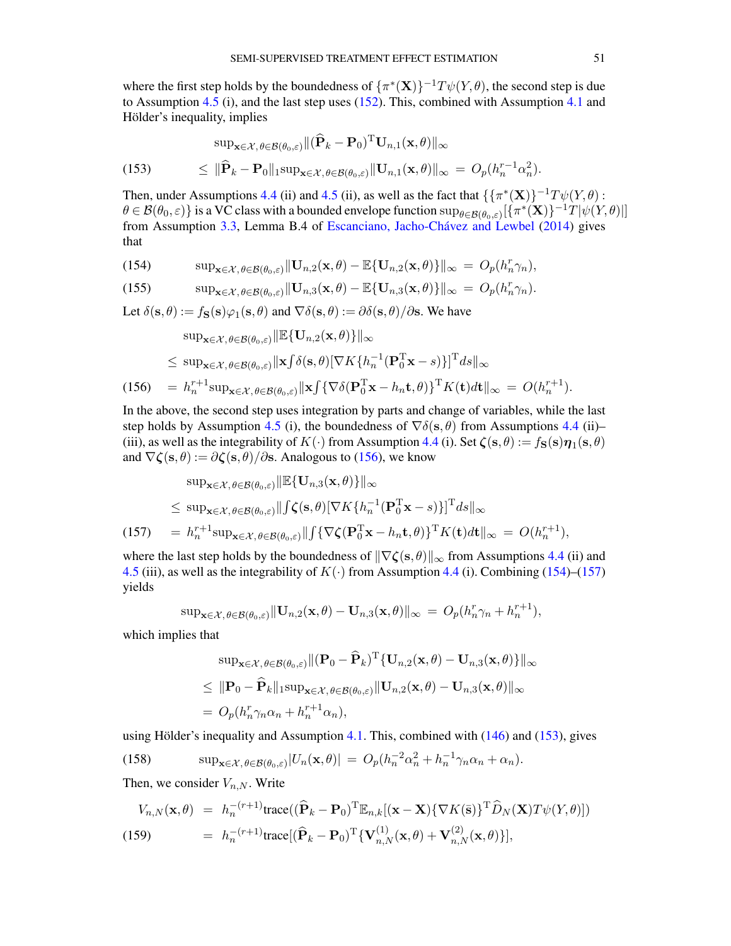where the first step holds by the boundedness of  $\{\pi^*(\mathbf{X})\}^{-1}T\psi(Y,\theta)$ , the second step is due to Assumption [4.5](#page-22-2) (i), and the last step uses [\(152\)](#page-49-4). This, combined with Assumption [4.1](#page-20-1) and Hölder's inequality, implies

<span id="page-50-3"></span>(153) 
$$
\sup_{\mathbf{x}\in\mathcal{X},\theta\in\mathcal{B}(\theta_0,\varepsilon)} \|(\widehat{\mathbf{P}}_k - \mathbf{P}_0)^{\mathrm{T}} \mathbf{U}_{n,1}(\mathbf{x},\theta)\|_{\infty} \leq \|\widehat{\mathbf{P}}_k - \mathbf{P}_0\|_1 \sup_{\mathbf{x}\in\mathcal{X},\theta\in\mathcal{B}(\theta_0,\varepsilon)} \|\mathbf{U}_{n,1}(\mathbf{x},\theta)\|_{\infty} = O_p(h_n^{r-1}\alpha_n^2).
$$

Then, under Assumptions [4.4](#page-22-1) (ii) and [4.5](#page-22-2) (ii), as well as the fact that  $\{\{\pi^*(\mathbf{X})\}^{-1}T\psi(Y,\theta)$ :  $\theta \in \mathcal{B}(\theta_0,\varepsilon)$ } is a VC class with a bounded envelope function  $\sup_{\theta \in \mathcal{B}(\theta_0,\varepsilon)}[\{\pi^*(\mathbf{X})\}^{-1}T|\psi(Y,\theta)|]$ from Assumption [3.3,](#page-15-0) Lemma B.4 of [Escanciano, Jacho-Chávez and Lewbel](#page-56-25) [\(2014\)](#page-56-25) gives that

<span id="page-50-1"></span>(154) 
$$
\sup_{\mathbf{x}\in\mathcal{X},\theta\in\mathcal{B}(\theta_0,\varepsilon)}\|\mathbf{U}_{n,2}(\mathbf{x},\theta)-\mathbb{E}\{\mathbf{U}_{n,2}(\mathbf{x},\theta)\}\|_{\infty} = O_p(h_n^r\gamma_n),
$$

(155) 
$$
\sup_{\mathbf{x}\in\mathcal{X},\theta\in\mathcal{B}(\theta_0,\varepsilon)}\|\mathbf{U}_{n,3}(\mathbf{x},\theta)-\mathbb{E}\{\mathbf{U}_{n,3}(\mathbf{x},\theta)\}\|_{\infty} = O_p(h_n^r\gamma_n).
$$

Let  $\delta(\mathbf{s}, \theta) := f_{\mathbf{S}}(\mathbf{s}) \varphi_1(\mathbf{s}, \theta)$  and  $\nabla \delta(\mathbf{s}, \theta) := \partial \delta(\mathbf{s}, \theta) / \partial \mathbf{s}$ . We have

<span id="page-50-0"></span>
$$
\sup_{\mathbf{x}\in\mathcal{X},\theta\in\mathcal{B}(\theta_0,\varepsilon)}\|\mathbb{E}\{\mathbf{U}_{n,2}(\mathbf{x},\theta)\}\|_{\infty} \n\leq \sup_{\mathbf{x}\in\mathcal{X},\theta\in\mathcal{B}(\theta_0,\varepsilon)}\|\mathbf{x}\int\delta(\mathbf{s},\theta)[\nabla K\{h_n^{-1}(\mathbf{P}_0^T\mathbf{x}-s)\}]^{\mathrm{T}}ds\|_{\infty} \n(156) = h_n^{r+1}\sup_{\mathbf{x}\in\mathcal{X},\theta\in\mathcal{B}(\theta_0,\varepsilon)}\|\mathbf{x}\int\{\nabla\delta(\mathbf{P}_0^T\mathbf{x}-h_n\mathbf{t},\theta)\}^{\mathrm{T}}K(\mathbf{t})d\mathbf{t}\|_{\infty} = O(h_n^{r+1}).
$$

In the above, the second step uses integration by parts and change of variables, while the last step holds by Assumption [4.5](#page-22-2) (i), the boundedness of  $\nabla \delta(s, \theta)$  from Assumptions [4.4](#page-22-1) (ii)– (iii), as well as the integrability of  $K(\cdot)$  from Assumption [4.4](#page-22-1) (i). Set  $\zeta(s, \theta) := f_S(s)\eta_1(s, \theta)$ and  $\nabla \zeta(\mathbf{s}, \theta) := \partial \zeta(\mathbf{s}, \theta) / \partial \mathbf{s}$ . Analogous to [\(156\)](#page-50-0), we know

<span id="page-50-2"></span>
$$
\sup_{\mathbf{x}\in\mathcal{X},\theta\in\mathcal{B}(\theta_{0},\varepsilon)}\|\mathbb{E}\{\mathbf{U}_{n,3}(\mathbf{x},\theta)\}\|_{\infty} \leq \sup_{\mathbf{x}\in\mathcal{X},\theta\in\mathcal{B}(\theta_{0},\varepsilon)}\|f\zeta(\mathbf{s},\theta)[\nabla K\{h_{n}^{-1}(\mathbf{P}_{0}^{T}\mathbf{x}-s)\}]^{T}ds\|_{\infty} \n(157) = h_{n}^{r+1}\sup_{\mathbf{x}\in\mathcal{X},\theta\in\mathcal{B}(\theta_{0},\varepsilon)}\|f\{\nabla\zeta(\mathbf{P}_{0}^{T}\mathbf{x}-h_{n}\mathbf{t},\theta)\}^{T}K(\mathbf{t})d\mathbf{t}\|_{\infty} = O(h_{n}^{r+1}),
$$

where the last step holds by the boundedness of  $\|\nabla \zeta(s, \theta)\|_{\infty}$  from Assumptions [4.4](#page-22-1) (ii) and [4.5](#page-22-2) (iii), as well as the integrability of  $K(\cdot)$  from Assumption [4.4](#page-22-1) (i). Combining [\(154\)](#page-50-1)–[\(157\)](#page-50-2) yields

$$
\sup\nolimits_{\mathbf{x}\in\mathcal{X},\,\theta\in\mathcal{B}(\theta_0,\varepsilon)}\|\mathbf{U}_{n,2}(\mathbf{x},\theta)-\mathbf{U}_{n,3}(\mathbf{x},\theta)\|_{\infty} = O_p(h_n^r\gamma_n+h_n^{r+1}),
$$

which implies that

$$
\sup_{\mathbf{x}\in\mathcal{X},\theta\in\mathcal{B}(\theta_0,\varepsilon)} \| (\mathbf{P}_0 - \widehat{\mathbf{P}}_k)^{\mathrm{T}} \{\mathbf{U}_{n,2}(\mathbf{x},\theta) - \mathbf{U}_{n,3}(\mathbf{x},\theta)\} \|_{\infty} \leq \| \mathbf{P}_0 - \widehat{\mathbf{P}}_k \|_1 \sup_{\mathbf{x}\in\mathcal{X},\theta\in\mathcal{B}(\theta_0,\varepsilon)} \| \mathbf{U}_{n,2}(\mathbf{x},\theta) - \mathbf{U}_{n,3}(\mathbf{x},\theta) \|_{\infty} = O_p(h_n^r \gamma_n \alpha_n + h_n^{r+1} \alpha_n),
$$

using Hölder's inequality and Assumption [4.1.](#page-20-1) This, combined with [\(146\)](#page-48-1) and [\(153\)](#page-50-3), gives

<span id="page-50-5"></span>(158) 
$$
\sup_{\mathbf{x}\in\mathcal{X},\theta\in\mathcal{B}(\theta_0,\varepsilon)}|U_n(\mathbf{x},\theta)| = O_p(h_n^{-2}\alpha_n^2 + h_n^{-1}\gamma_n\alpha_n + \alpha_n).
$$

Then, we consider  $V_{n,N}$ . Write

<span id="page-50-4"></span>
$$
V_{n,N}(\mathbf{x},\theta) = h_n^{-(r+1)} \text{trace}((\widehat{\mathbf{P}}_k - \mathbf{P}_0)^{\mathrm{T}} \mathbb{E}_{n,k}[(\mathbf{x} - \mathbf{X}) \{\nabla K(\bar{\mathbf{s}})\}^{\mathrm{T}} \widehat{D}_N(\mathbf{X}) T \psi(Y,\theta)]
$$
  
(159) 
$$
= h_n^{-(r+1)} \text{trace}[(\widehat{\mathbf{P}}_k - \mathbf{P}_0)^{\mathrm{T}} \{\mathbf{V}_{n,N}^{(1)}(\mathbf{x},\theta) + \mathbf{V}_{n,N}^{(2)}(\mathbf{x},\theta)\}],
$$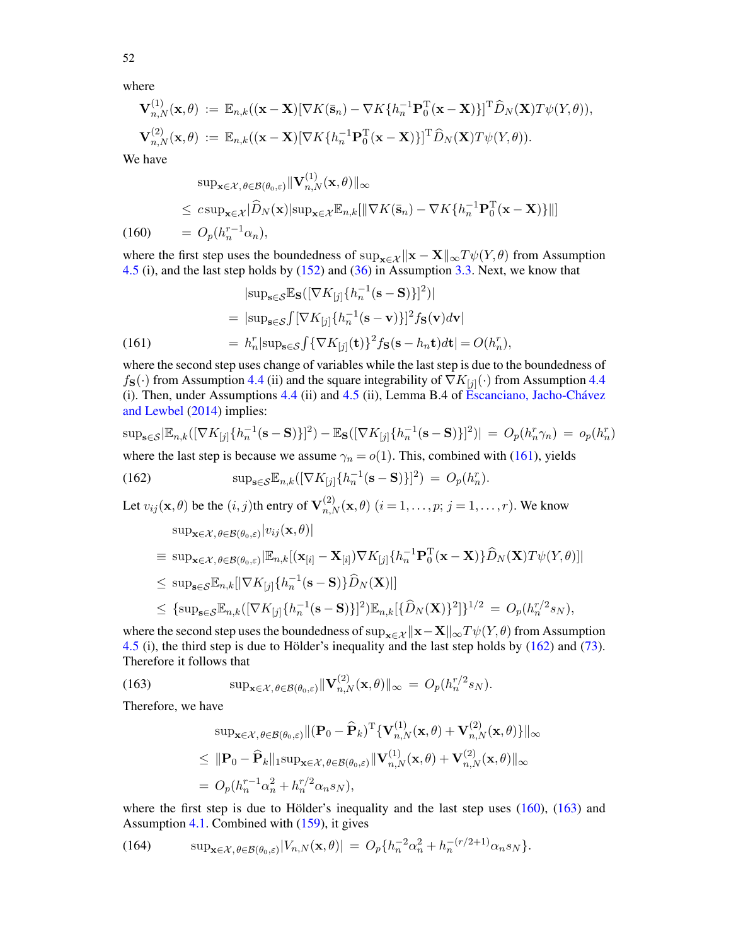where

$$
\mathbf{V}_{n,N}^{(1)}(\mathbf{x},\theta) := \mathbb{E}_{n,k}((\mathbf{x}-\mathbf{X})[\nabla K(\bar{\mathbf{s}}_n) - \nabla K\{h_n^{-1}\mathbf{P}_0^{\mathrm{T}}(\mathbf{x}-\mathbf{X})\}]^{\mathrm{T}}\widehat{D}_N(\mathbf{X})T\psi(Y,\theta)),
$$
  

$$
\mathbf{V}_{n,N}^{(2)}(\mathbf{x},\theta) := \mathbb{E}_{n,k}((\mathbf{x}-\mathbf{X})[\nabla K\{h_n^{-1}\mathbf{P}_0^{\mathrm{T}}(\mathbf{x}-\mathbf{X})\}]^{\mathrm{T}}\widehat{D}_N(\mathbf{X})T\psi(Y,\theta)).
$$

We have

<span id="page-51-2"></span>
$$
\sup_{\mathbf{x}\in\mathcal{X},\theta\in\mathcal{B}(\theta_0,\varepsilon)}\|\mathbf{V}_{n,N}^{(1)}(\mathbf{x},\theta)\|_{\infty} \leq c\sup_{\mathbf{x}\in\mathcal{X}}\|\widehat{D}_N(\mathbf{x})|\sup_{\mathbf{x}\in\mathcal{X}}\mathbb{E}_{n,k}[\|\nabla K(\bar{\mathbf{s}}_n) - \nabla K\{h_n^{-1}\mathbf{P}_0^{\mathrm{T}}(\mathbf{x}-\mathbf{X})\}||]
$$
\n(160) 
$$
= O_p(h_n^{r-1}\alpha_n),
$$

where the first step uses the boundedness of sup<sub> $x \in \mathbf{X} \parallel \mathbf{x} - \mathbf{X} \parallel_{\infty} T \psi(Y, \theta)$  from Assumption</sub> [4.5](#page-22-2) (i), and the last step holds by [\(152\)](#page-49-4) and [\(36\)](#page-15-9) in Assumption [3.3.](#page-15-0) Next, we know that

<span id="page-51-0"></span>
$$
|\text{sup}_{\mathbf{s}\in\mathcal{S}}\mathbb{E}_{\mathbf{S}}([\nabla K_{[j]}\lbrace h_n^{-1}(\mathbf{s}-\mathbf{S})\rbrace]^2)|
$$
  
=  $|\text{sup}_{\mathbf{s}\in\mathcal{S}}\int [\nabla K_{[j]}\lbrace h_n^{-1}(\mathbf{s}-\mathbf{v})\rbrace]^2 f_{\mathbf{S}}(\mathbf{v})d\mathbf{v}|$   
=  $h_n^r |\text{sup}_{\mathbf{s}\in\mathcal{S}}\int {\nabla K_{[j]}(\mathbf{t})}\rbrace^2 f_{\mathbf{S}}(\mathbf{s}-h_n\mathbf{t})d\mathbf{t}| = O(h_n^r),$ 

where the second step uses change of variables while the last step is due to the boundedness of  $f_{\mathbf{S}}(\cdot)$  from Assumption [4.4](#page-22-1) (ii) and the square integrability of  $\nabla K_{[j]}(\cdot)$  from Assumption 4.4 (i). Then, under Assumptions [4.4](#page-22-1) (ii) and [4.5](#page-22-2) (ii), Lemma B.4 of [Escanciano, Jacho-Chávez](#page-56-25) [and Lewbel](#page-56-25) [\(2014\)](#page-56-25) implies:

$$
\sup_{\mathbf{s}\in\mathcal{S}}|\mathbb{E}_{n,k}([\nabla K_{[j]}\lbrace h_n^{-1}(\mathbf{s}-\mathbf{S})\rbrace]^2) - \mathbb{E}_{\mathbf{S}}([\nabla K_{[j]}\lbrace h_n^{-1}(\mathbf{s}-\mathbf{S})\rbrace]^2)| = O_p(h_n^r\gamma_n) = o_p(h_n^r)
$$
  
where the last step is because we assume  $\gamma_n = o(1)$ . This, combined with (161), yields

(162) 
$$
\sup_{\mathbf{s}\in\mathcal{S}} \mathbb{E}_{n,k}([\nabla K_{[j]} \{h_n^{-1}(\mathbf{s}-\mathbf{S})\}]^2) = O_p(h_n^r).
$$

Let  $v_{ij}(\mathbf{x},\theta)$  be the  $(i, j)$ th entry of  $\mathbf{V}_{n,N}^{(2)}(\mathbf{x},\theta)$   $(i = 1,\ldots,p; j = 1,\ldots,r)$ . We know

<span id="page-51-1"></span>
$$
\sup_{\mathbf{x}\in\mathcal{X},\theta\in\mathcal{B}(\theta_{0},\varepsilon)}|v_{ij}(\mathbf{x},\theta)|
$$
\n
$$
\equiv \sup_{\mathbf{x}\in\mathcal{X},\theta\in\mathcal{B}(\theta_{0},\varepsilon)}|\mathbb{E}_{n,k}[(\mathbf{x}_{[i]}-\mathbf{X}_{[i]})\nabla K_{[j]}\{h_{n}^{-1}\mathbf{P}_{0}^{T}(\mathbf{x}-\mathbf{X})\}\hat{D}_{N}(\mathbf{X})T\psi(Y,\theta)]|
$$
\n
$$
\leq \sup_{\mathbf{s}\in\mathcal{S}}\mathbb{E}_{n,k}[|\nabla K_{[j]}\{h_{n}^{-1}(\mathbf{s}-\mathbf{S})\}\hat{D}_{N}(\mathbf{X})|]
$$
\n
$$
\leq {\sup_{\mathbf{s}\in\mathcal{S}}}\mathbb{E}_{n,k}([\nabla K_{[j]}\{h_{n}^{-1}(\mathbf{s}-\mathbf{S})\}]^{2})\mathbb{E}_{n,k}[\{\hat{D}_{N}(\mathbf{X})\}^{2}]\}^{1/2} = O_{p}(h_{n}^{r/2}s_{N}),
$$

where the second step uses the boundedness of sup<sub>x∈X</sub>  $\|\mathbf{x}-\mathbf{X}\|_{\infty}T\psi(Y,\theta)$  from Assumption [4.5](#page-22-2) (i), the third step is due to Hölder's inequality and the last step holds by [\(162\)](#page-51-1) and [\(73\)](#page-37-1). Therefore it follows that

(163) 
$$
\sup_{\mathbf{x}\in\mathcal{X},\theta\in\mathcal{B}(\theta_0,\varepsilon)}\|\mathbf{V}_{n,N}^{(2)}(\mathbf{x},\theta)\|_{\infty} = O_p(h_n^{r/2}s_N).
$$

Therefore, we have

<span id="page-51-3"></span>
$$
\sup_{\mathbf{x}\in\mathcal{X},\theta\in\mathcal{B}(\theta_0,\varepsilon)} \|(\mathbf{P}_0 - \widehat{\mathbf{P}}_k)^{\mathrm{T}} \{\mathbf{V}_{n,N}^{(1)}(\mathbf{x},\theta) + \mathbf{V}_{n,N}^{(2)}(\mathbf{x},\theta)\}\|_{\infty} \leq \| \mathbf{P}_0 - \widehat{\mathbf{P}}_k \|_1 \sup_{\mathbf{x}\in\mathcal{X},\theta\in\mathcal{B}(\theta_0,\varepsilon)} \| \mathbf{V}_{n,N}^{(1)}(\mathbf{x},\theta) + \mathbf{V}_{n,N}^{(2)}(\mathbf{x},\theta) \|_{\infty} = O_p(h_n^{r-1}\alpha_n^2 + h_n^{r/2}\alpha_n s_N),
$$

where the first step is due to Hölder's inequality and the last step uses [\(160\)](#page-51-2), [\(163\)](#page-51-3) and Assumption [4.1.](#page-20-1) Combined with [\(159\)](#page-50-4), it gives

<span id="page-51-4"></span>(164) 
$$
\sup_{\mathbf{x}\in\mathcal{X},\theta\in\mathcal{B}(\theta_0,\varepsilon)}|V_{n,N}(\mathbf{x},\theta)| = O_p\{h_n^{-2}\alpha_n^2 + h_n^{-(r/2+1)}\alpha_n s_N\}.
$$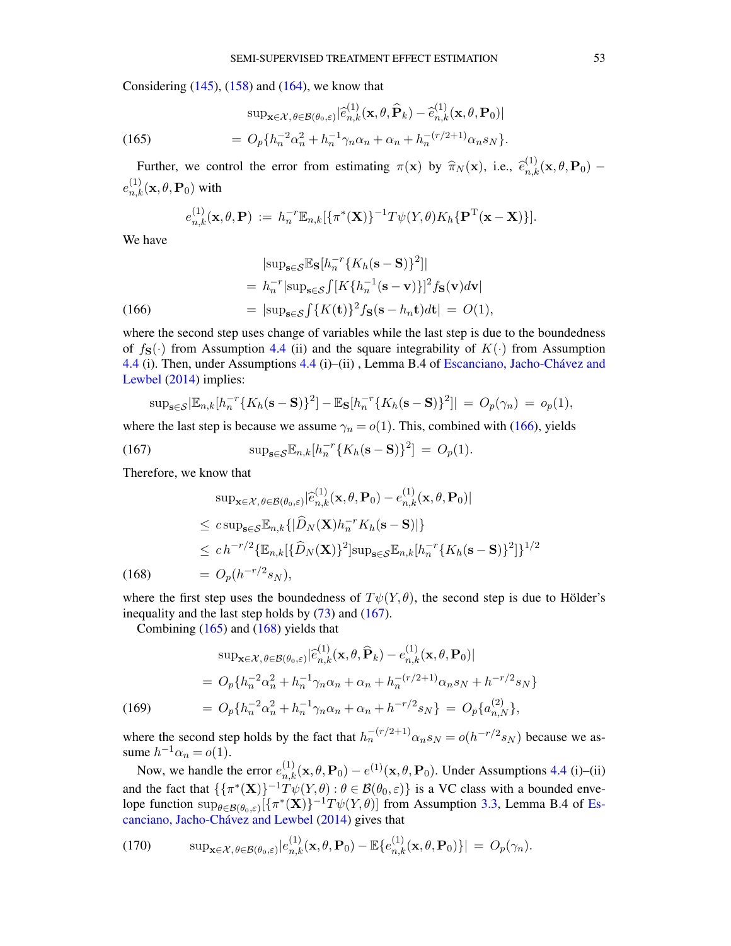Considering  $(145)$ ,  $(158)$  and  $(164)$ , we know that

<span id="page-52-2"></span>(165) 
$$
\sup_{\mathbf{x}\in\mathcal{X},\theta\in\mathcal{B}(\theta_0,\varepsilon)}|\widehat{e}_{n,k}^{(1)}(\mathbf{x},\theta,\widehat{\mathbf{P}}_k)-\widehat{e}_{n,k}^{(1)}(\mathbf{x},\theta,\mathbf{P}_0)|
$$

$$
=O_p\{h_n^{-2}\alpha_n^2+h_n^{-1}\gamma_n\alpha_n+\alpha_n+h_n^{-(r/2+1)}\alpha_ns_N\}.
$$

Further, we control the error from estimating  $\pi(\mathbf{x})$  by  $\hat{\pi}_N(\mathbf{x})$ , i.e.,  $\hat{e}_{n,k}^{(1)}(\mathbf{x}, \theta, \mathbf{P}_0)$  –  $e^{(1)}_{n,k}(\mathbf{x},\theta,\mathbf{P}_0)$  with

<span id="page-52-0"></span>
$$
e_{n,k}^{(1)}(\mathbf{x},\theta,\mathbf{P}) := h_n^{-r} \mathbb{E}_{n,k} [\{\pi^*(\mathbf{X})\}^{-1} T \psi(Y,\theta) K_h \{\mathbf{P}^T(\mathbf{x}-\mathbf{X})\}].
$$

We have

$$
|\text{sup}_{\mathbf{s}\in\mathcal{S}}\mathbb{E}_{\mathbf{S}}[h_n^{-r}\{K_h(\mathbf{s}-\mathbf{S})\}^2]|
$$
  
=  $h_n^{-r}|\text{sup}_{\mathbf{s}\in\mathcal{S}}\int [K\{h_n^{-1}(\mathbf{s}-\mathbf{v})\}]^2 f_{\mathbf{S}}(\mathbf{v})d\mathbf{v}|$   
=  $|\text{sup}_{\mathbf{s}\in\mathcal{S}}\int \{K(\mathbf{t})\}^2 f_{\mathbf{S}}(\mathbf{s}-h_n\mathbf{t})d\mathbf{t}| = O(1),$ 

where the second step uses change of variables while the last step is due to the boundedness of  $f_{\mathbf{S}}(\cdot)$  from Assumption [4.4](#page-22-1) (ii) and the square integrability of  $K(\cdot)$  from Assumption [4.4](#page-22-1) (i). Then, under Assumptions [4.4](#page-22-1) (i)–(ii) , Lemma B.4 of [Escanciano, Jacho-Chávez and](#page-56-25) [Lewbel](#page-56-25) [\(2014\)](#page-56-25) implies:

<span id="page-52-1"></span>
$$
\sup_{\mathbf{s}\in\mathcal{S}}\left|\mathbb{E}_{n,k}[h_n^{-r}\{K_h(\mathbf{s}-\mathbf{S})\}^2\right]-\mathbb{E}_{\mathbf{S}}[h_n^{-r}\{K_h(\mathbf{s}-\mathbf{S})\}^2]\right|=O_p(\gamma_n)=o_p(1),
$$

where the last step is because we assume  $\gamma_n = o(1)$ . This, combined with [\(166\)](#page-52-0), yields

(167) 
$$
\sup_{s \in \mathcal{S}} \mathbb{E}_{n,k}[h_n^{-r} \{ K_h(s - S) \}^2] = O_p(1).
$$

Therefore, we know that

<span id="page-52-3"></span>
$$
\sup_{\mathbf{x}\in\mathcal{X},\theta\in\mathcal{B}(\theta_0,\varepsilon)}|\hat{e}_{n,k}^{(1)}(\mathbf{x},\theta,\mathbf{P}_0)-e_{n,k}^{(1)}(\mathbf{x},\theta,\mathbf{P}_0)|
$$
\n
$$
\leq c\sup_{\mathbf{s}\in\mathcal{S}}\mathbb{E}_{n,k}\{|\hat{D}_N(\mathbf{X})h_n^{-r}K_h(\mathbf{s}-\mathbf{S})|\}
$$
\n
$$
\leq ch^{-r/2}\{\mathbb{E}_{n,k}[\{\hat{D}_N(\mathbf{X})\}^2]\sup_{\mathbf{s}\in\mathcal{S}}\mathbb{E}_{n,k}[h_n^{-r}\{K_h(\mathbf{s}-\mathbf{S})\}^2]\}^{1/2}
$$
\n(168)\n
$$
= O_p(h^{-r/2}s_N),
$$

where the first step uses the boundedness of  $T\psi(Y,\theta)$ , the second step is due to Hölder's inequality and the last step holds by [\(73\)](#page-37-1) and [\(167\)](#page-52-1).

<span id="page-52-4"></span>Combining [\(165\)](#page-52-2) and [\(168\)](#page-52-3) yields that

(169)  
\n
$$
\sup_{\mathbf{x}\in\mathcal{X},\theta\in\mathcal{B}(\theta_0,\varepsilon)}|\hat{e}_{n,k}^{(1)}(\mathbf{x},\theta,\widehat{\mathbf{P}}_k)-e_{n,k}^{(1)}(\mathbf{x},\theta,\mathbf{P}_0)|
$$
\n
$$
= O_p\{h_n^{-2}\alpha_n^2 + h_n^{-1}\gamma_n\alpha_n + \alpha_n + h_n^{-(r/2+1)}\alpha_n s_N + h^{-r/2}s_N\}
$$
\n
$$
= O_p\{h_n^{-2}\alpha_n^2 + h_n^{-1}\gamma_n\alpha_n + \alpha_n + h^{-r/2}s_N\} = O_p\{a_{n,N}^{(2)}\},
$$

where the second step holds by the fact that  $h_n^{-(r/2+1)} \alpha_n s_N = o(h^{-r/2} s_N)$  because we assume  $h^{-1}\alpha_n = o(1)$ .

Now, we handle the error  $e_{n,k}^{(1)}(\mathbf{x}, \theta, \mathbf{P}_0) - e^{(1)}(\mathbf{x}, \theta, \mathbf{P}_0)$ . Under Assumptions [4.4](#page-22-1) (i)–(ii) and the fact that  $\{\{\pi^*(\mathbf{X})\}^{-1}T\psi(Y,\theta):\theta\in\mathcal{B}(\theta_0,\varepsilon)\}\)$  is a VC class with a bounded envelope function  $\sup_{\theta \in \mathcal{B}(\theta_0,\varepsilon)} [\{\pi^*(\mathbf{X})\}^{-1}T\psi(Y,\theta)]$  from Assumption [3.3,](#page-15-0) Lemma B.4 of [Es](#page-56-25)[canciano, Jacho-Chávez and Lewbel](#page-56-25) [\(2014\)](#page-56-25) gives that

<span id="page-52-5"></span>(170) 
$$
\sup_{\mathbf{x}\in\mathcal{X},\theta\in\mathcal{B}(\theta_0,\varepsilon)}|e_{n,k}^{(1)}(\mathbf{x},\theta,\mathbf{P}_0)-\mathbb{E}\{e_{n,k}^{(1)}(\mathbf{x},\theta,\mathbf{P}_0)\}|=O_p(\gamma_n).
$$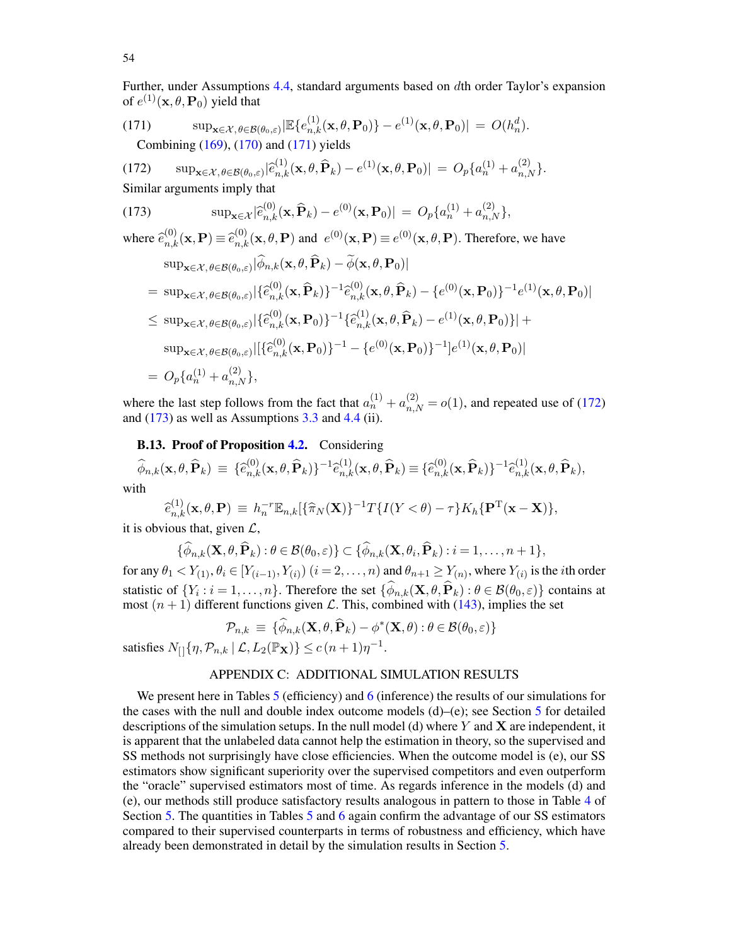Further, under Assumptions [4.4,](#page-22-1) standard arguments based on dth order Taylor's expansion of  $e^{(1)}(\mathbf{x}, \theta, \mathbf{P}_0)$  yield that

<span id="page-53-1"></span>(171) 
$$
\sup_{\mathbf{x}\in\mathcal{X}, \theta\in\mathcal{B}(\theta_0,\varepsilon)} \left| \mathbb{E}\{e_{n,k}^{(1)}(\mathbf{x},\theta,\mathbf{P}_0)\} - e^{(1)}(\mathbf{x},\theta,\mathbf{P}_0) \right| = O(h_n^d).
$$
 Combining (169), (170) and (171) yields

<span id="page-53-2"></span>(172)  $\sup_{\mathbf{x}\in\mathcal{X},\theta\in\mathcal{B}(\theta_0,\varepsilon)}|\hat{e}_{n,k}^{(1)}(\mathbf{x},\theta,\widehat{\mathbf{P}}_k)-e^{(1)}(\mathbf{x},\theta,\mathbf{P}_0)|=O_p\{a_n^{(1)}+a_{n,N}^{(2)}\}.$ Similar arguments imply that

<span id="page-53-3"></span>(173) 
$$
\sup_{\mathbf{x}\in\mathcal{X}}|\hat{e}_{n,k}^{(0)}(\mathbf{x},\hat{\mathbf{P}}_k)-e^{(0)}(\mathbf{x},\mathbf{P}_0)|=O_p\{a_n^{(1)}+a_{n,N}^{(2)}\},
$$

where  $\hat{e}_{n,k}^{(0)}(\mathbf{x},\mathbf{P}) \equiv \hat{e}_{n,k}^{(0)}(\mathbf{x},\theta,\mathbf{P})$  and  $e^{(0)}(\mathbf{x},\mathbf{P}) \equiv e^{(0)}(\mathbf{x},\theta,\mathbf{P})$ . Therefore, we have  $\sup_{\mathbf{x} \in \mathcal{X}, \theta \in \mathcal{B}(\theta_0, \varepsilon)} |\phi_{n,k}(\mathbf{x}, \theta, \mathbf{P}_k) - \phi(\mathbf{x}, \theta, \mathbf{P}_0)|$ 

$$
= \sup_{\mathbf{x}\in\mathcal{X},\theta\in\mathcal{B}(\theta_{0},\varepsilon)} |\{\widehat{e}_{n,k}^{(0)}(\mathbf{x},\widehat{\mathbf{P}}_{k})\}^{-1}\widehat{e}_{n,k}^{(0)}(\mathbf{x},\theta,\widehat{\mathbf{P}}_{k}) - \{e^{(0)}(\mathbf{x},\mathbf{P}_{0})\}^{-1}e^{(1)}(\mathbf{x},\theta,\mathbf{P}_{0})|
$$
  
\n
$$
\leq \sup_{\mathbf{x}\in\mathcal{X},\theta\in\mathcal{B}(\theta_{0},\varepsilon)} |\{\widehat{e}_{n,k}^{(0)}(\mathbf{x},\mathbf{P}_{0})\}^{-1}\{\widehat{e}_{n,k}^{(1)}(\mathbf{x},\theta,\widehat{\mathbf{P}}_{k}) - e^{(1)}(\mathbf{x},\theta,\mathbf{P}_{0})\}| +
$$
  
\n
$$
\sup_{\mathbf{x}\in\mathcal{X},\theta\in\mathcal{B}(\theta_{0},\varepsilon)} |[\{\widehat{e}_{n,k}^{(0)}(\mathbf{x},\mathbf{P}_{0})\}^{-1} - \{e^{(0)}(\mathbf{x},\mathbf{P}_{0})\}^{-1}]e^{(1)}(\mathbf{x},\theta,\mathbf{P}_{0})|
$$
  
\n
$$
= O_{p}\{a_{n}^{(1)} + a_{n,N}^{(2)}\},
$$

where the last step follows from the fact that  $a_n^{(1)} + a_{n,N}^{(2)} = o(1)$ , and repeated use of [\(172\)](#page-53-2) and  $(173)$  as well as Assumptions [3.3](#page-15-0) and [4.4](#page-22-1) (ii).

# **B.13. Proof of Proposition [4.2.](#page-22-4)** Considering

 $\begin{array}{ll} \widehat{\phi}_{n,k}(\mathbf{x},\theta,\widehat{\mathbf{P}}_k) \, \equiv \, \{ \widehat{e}_{n,k}^{(0)}(\mathbf{x},\theta,\widehat{\mathbf{P}}_k) \}^{-1} \widehat{e}_{n,k}^{(1)}(\mathbf{x},\theta,\widehat{\mathbf{P}}_k) \equiv \{ \widehat{e}_{n,k}^{(0)}(\mathbf{x},\widehat{\mathbf{P}}_k) \}^{-1} \widehat{e}_{n,k}^{(1)}(\mathbf{x},\theta,\widehat{\mathbf{P}}_k), \end{array}$ with

$$
\widehat{e}_{n,k}^{(1)}(\mathbf{x},\theta,\mathbf{P}) \equiv h_n^{-r} \mathbb{E}_{n,k} [\{\widehat{\pi}_N(\mathbf{X})\}^{-1} T \{I(Y<\theta)-\tau\} K_h \{\mathbf{P}^T(\mathbf{x}-\mathbf{X})\},
$$

it is obvious that, given  $\mathcal{L}$ ,

$$
\{\widehat{\phi}_{n,k}(\mathbf{X},\theta,\widehat{\mathbf{P}}_k): \theta \in \mathcal{B}(\theta_0,\varepsilon)\}\subset \{\widehat{\phi}_{n,k}(\mathbf{X},\theta_i,\widehat{\mathbf{P}}_k): i=1,\ldots,n+1\},\
$$

for any  $\theta_1 < Y_{(1)}$ ,  $\theta_i \in [Y_{(i-1)}, Y_{(i)})$   $(i = 2, \ldots, n)$  and  $\theta_{n+1} \ge Y_{(n)}$ , where  $Y_{(i)}$  is the *i*th order statistic of  $\{Y_i : i = 1, ..., n\}$ . Therefore the set  $\{\phi_{n,k}(\mathbf{X}, \theta, \mathbf{P}_k) : \theta \in \mathcal{B}(\theta_0, \varepsilon)\}$  contains at most  $(n + 1)$  different functions given L. This, combined with [\(143\)](#page-48-3), implies the set

$$
\mathcal{P}_{n,k} = \{ \widehat{\phi}_{n,k}(\mathbf{X}, \theta, \widehat{\mathbf{P}}_k) - \phi^*(\mathbf{X}, \theta) : \theta \in \mathcal{B}(\theta_0, \varepsilon) \}
$$

satisfies  $N_{\left[\right]}\{\eta, \mathcal{P}_{n,k} | \mathcal{L}, L_2(\mathbb{P}_{\mathbf{X}})\} \le c(n+1)\eta^{-1}$ .

# APPENDIX C: ADDITIONAL SIMULATION RESULTS

<span id="page-53-0"></span>We present here in Tables [5](#page-54-0) (efficiency) and [6](#page-54-1) (inference) the results of our simulations for the cases with the null and double index outcome models  $(d)$ –(e); see Section [5](#page-23-0) for detailed descriptions of the simulation setups. In the null model (d) where  $Y$  and  $X$  are independent, it is apparent that the unlabeled data cannot help the estimation in theory, so the supervised and SS methods not surprisingly have close efficiencies. When the outcome model is (e), our SS estimators show significant superiority over the supervised competitors and even outperform the "oracle" supervised estimators most of time. As regards inference in the models (d) and (e), our methods still produce satisfactory results analogous in pattern to those in Table [4](#page-27-0) of Section [5.](#page-23-0) The quantities in Tables [5](#page-54-0) and [6](#page-54-1) again confirm the advantage of our SS estimators compared to their supervised counterparts in terms of robustness and efficiency, which have already been demonstrated in detail by the simulation results in Section [5.](#page-23-0)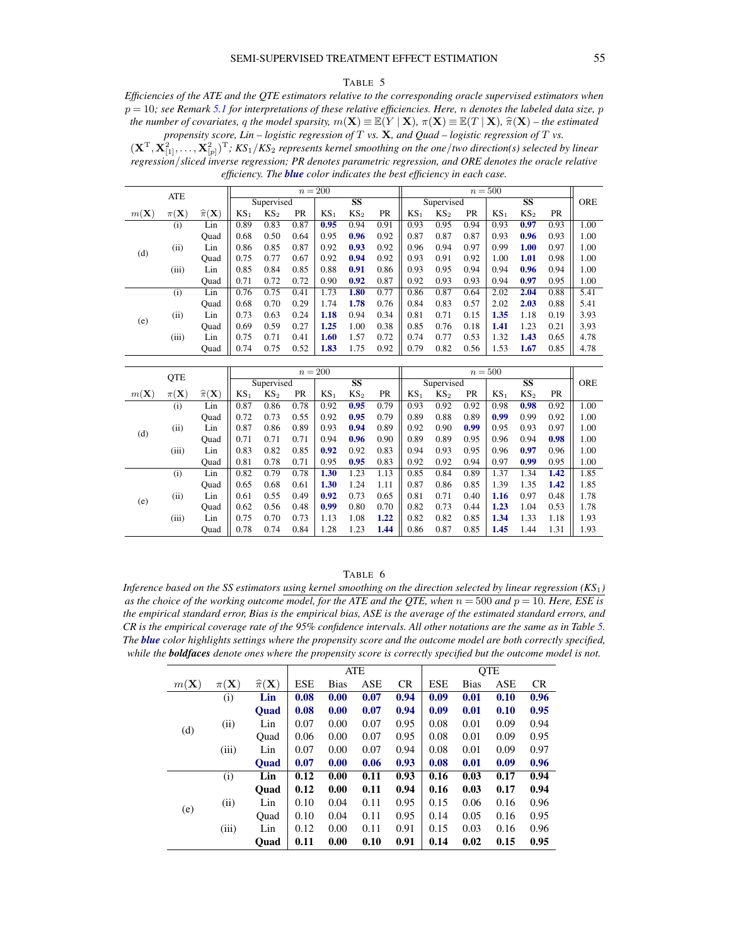#### TABLE 5

<span id="page-54-0"></span>*Efficiencies of the ATE and the QTE estimators relative to the corresponding oracle supervised estimators when* p = 10*; see Remark [5.1](#page-28-0) for interpretations of these relative efficiencies. Here,* n *denotes the labeled data size,* p *the number of covariates,* q *the model sparsity,*  $m(\mathbf{X}) \equiv \mathbb{E}(Y | \mathbf{X})$ ,  $\pi(\mathbf{X}) \equiv \mathbb{E}(T | \mathbf{X})$ ,  $\hat{\pi}(\mathbf{X})$  – *the estimated propensity score, Lin – logistic regression of* T *vs.* X*, and Quad – logistic regression of* T *vs.*

 $(X^T, X^2_{[1]}, \ldots, X^2_{[p]})^T$ ;  $KS_1/KS_2$  represents kernel smoothing on the one/two direction(s) selected by linear *regression*/*sliced inverse regression; PR denotes parametric regression, and ORE denotes the oracle relative efficiency. The blue color indicates the best efficiency in each case.*

|                 | ATE               |                             |        |                 |           | $n=200$         |                 |           |                 |                 |      | $n=500$         |                        |      |            |
|-----------------|-------------------|-----------------------------|--------|-----------------|-----------|-----------------|-----------------|-----------|-----------------|-----------------|------|-----------------|------------------------|------|------------|
|                 |                   |                             |        | Supervised      |           |                 | SS              |           |                 | Supervised      |      |                 | $\overline{\text{SS}}$ |      | <b>ORE</b> |
| $m(\mathbf{X})$ | $\pi(\mathbf{X})$ | $\widehat{\pi}(\mathbf{X})$ | $KS_1$ | KS <sub>2</sub> | <b>PR</b> | KS <sub>1</sub> | KS <sub>2</sub> | <b>PR</b> | KS <sub>1</sub> | KS <sub>2</sub> | PR   | KS <sub>1</sub> | KS <sub>2</sub>        | PR   |            |
|                 | (i)               | Lin                         | 0.89   | 0.83            | 0.87      | 0.95            | 0.94            | 0.91      | 0.93            | 0.95            | 0.94 | 0.93            | 0.97                   | 0.93 | 1.00       |
|                 |                   | Ouad                        | 0.68   | 0.50            | 0.64      | 0.95            | 0.96            | 0.92      | 0.87            | 0.87            | 0.87 | 0.93            | 0.96                   | 0.93 | 1.00       |
|                 | (ii)              | Lin                         | 0.86   | 0.85            | 0.87      | 0.92            | 0.93            | 0.92      | 0.96            | 0.94            | 0.97 | 0.99            | 1.00                   | 0.97 | 1.00       |
| (d)             |                   | Ouad                        | 0.75   | 0.77            | 0.67      | 0.92            | 0.94            | 0.92      | 0.93            | 0.91            | 0.92 | 1.00            | 1.01                   | 0.98 | 1.00       |
|                 | (iii)             | Lin                         | 0.85   | 0.84            | 0.85      | 0.88            | 0.91            | 0.86      | 0.93            | 0.95            | 0.94 | 0.94            | 0.96                   | 0.94 | 1.00       |
|                 |                   | Ouad                        | 0.71   | 0.72            | 0.72      | 0.90            | 0.92            | 0.87      | 0.92            | 0.93            | 0.93 | 0.94            | 0.97                   | 0.95 | 1.00       |
|                 | (i)               | Lin                         | 0.76   | 0.75            | 0.41      | 1.73            | 1.80            | 0.77      | 0.86            | 0.87            | 0.64 | 2.02            | 2.04                   | 0.88 | 5.41       |
|                 |                   | Ouad                        | 0.68   | 0.70            | 0.29      | 1.74            | 1.78            | 0.76      | 0.84            | 0.83            | 0.57 | 2.02            | 2.03                   | 0.88 | 5.41       |
|                 | (ii)              | Lin                         | 0.73   | 0.63            | 0.24      | 1.18            | 0.94            | 0.34      | 0.81            | 0.71            | 0.15 | 1.35            | 1.18                   | 0.19 | 3.93       |
| (e)             |                   | Ouad                        | 0.69   | 0.59            | 0.27      | 1.25            | 1.00            | 0.38      | 0.85            | 0.76            | 0.18 | 1.41            | 1.23                   | 0.21 | 3.93       |
|                 | (iii)             | Lin                         | 0.75   | 0.71            | 0.41      | 1.60            | 1.57            | 0.72      | 0.74            | 0.77            | 0.53 | 1.32            | 1.43                   | 0.65 | 4.78       |
|                 |                   | Ouad                        | 0.74   | 0.75            | 0.52      | 1.83            | 1.75            | 0.92      | 0.79            | 0.82            | 0.56 | 1.53            | 1.67                   | 0.85 | 4.78       |

|                 |                   |                             |        |                 |           | $n=200$         |                 |           |                 |                 |           | $n=500$         |                 |           |            |
|-----------------|-------------------|-----------------------------|--------|-----------------|-----------|-----------------|-----------------|-----------|-----------------|-----------------|-----------|-----------------|-----------------|-----------|------------|
|                 | <b>QTE</b>        |                             |        | Supervised      |           |                 | SS              |           |                 | Supervised      |           |                 | SS              |           | <b>ORE</b> |
| $m(\mathbf{X})$ | $\pi(\mathbf{X})$ | $\widehat{\pi}(\mathbf{X})$ | $KS_1$ | KS <sub>2</sub> | <b>PR</b> | KS <sub>1</sub> | KS <sub>2</sub> | <b>PR</b> | KS <sub>1</sub> | KS <sub>2</sub> | <b>PR</b> | KS <sub>1</sub> | KS <sub>2</sub> | <b>PR</b> |            |
|                 | (i)               | Lin                         | 0.87   | 0.86            | 0.78      | 0.92            | 0.95            | 0.79      | 0.93            | 0.92            | 0.92      | 0.98            | 0.98            | 0.92      | 1.00       |
|                 |                   | Ouad                        | 0.72   | 0.73            | 0.55      | 0.92            | 0.95            | 0.79      | 0.89            | 0.88            | 0.89      | 0.99            | 0.99            | 0.92      | 1.00       |
| (d)             | (ii)              | Lin                         | 0.87   | 0.86            | 0.89      | 0.93            | 0.94            | 0.89      | 0.92            | 0.90            | 0.99      | 0.95            | 0.93            | 0.97      | 1.00       |
|                 |                   | Ouad                        | 0.71   | 0.71            | 0.71      | 0.94            | 0.96            | 0.90      | 0.89            | 0.89            | 0.95      | 0.96            | 0.94            | 0.98      | 1.00       |
|                 | (iii)             | Lin                         | 0.83   | 0.82            | 0.85      | 0.92            | 0.92            | 0.83      | 0.94            | 0.93            | 0.95      | 0.96            | 0.97            | 0.96      | 1.00       |
|                 |                   | Ouad                        | 0.81   | 0.78            | 0.71      | 0.95            | 0.95            | 0.83      | 0.92            | 0.92            | 0.94      | 0.97            | 0.99            | 0.95      | 1.00       |
|                 | (i)               | Lin                         | 0.82   | 0.79            | 0.78      | 1.30            | 1.23            | 1.13      | 0.85            | 0.84            | 0.89      | 1.37            | 1.34            | 1.42      | 1.85       |
|                 |                   | Ouad                        | 0.65   | 0.68            | 0.61      | 1.30            | 1.24            | 1.11      | 0.87            | 0.86            | 0.85      | 1.39            | 1.35            | 1.42      | 1.85       |
| (e)             | (ii)              | Lin                         | 0.61   | 0.55            | 0.49      | 0.92            | 0.73            | 0.65      | 0.81            | 0.71            | 0.40      | 1.16            | 0.97            | 0.48      | 1.78       |
|                 |                   | Ouad                        | 0.62   | 0.56            | 0.48      | 0.99            | 0.80            | 0.70      | 0.82            | 0.73            | 0.44      | 1.23            | 1.04            | 0.53      | 1.78       |
|                 | (iii)             | Lin                         | 0.75   | 0.70            | 0.73      | 1.13            | 1.08            | 1.22      | 0.82            | 0.82            | 0.85      | 1.34            | 1.33            | 1.18      | 1.93       |
|                 |                   | Ouad                        | 0.78   | 0.74            | 0.84      | 1.28            | 1.23            | 1.44      | 0.86            | 0.87            | 0.85      | 1.45            | 1.44            | 1.31      | 1.93       |

#### TABLE 6

<span id="page-54-1"></span>*Inference based on the SS estimators using kernel smoothing on the direction selected by linear regression (KS*1*) as the choice of the working outcome model, for the ATE and the QTE, when*  $n = 500$  *and*  $p = 10$ *. Here, ESE is the empirical standard error, Bias is the empirical bias, ASE is the average of the estimated standard errors, and CR is the empirical coverage rate of the 95% confidence intervals. All other notations are the same as in Table [5.](#page-54-0) The blue color highlights settings where the propensity score and the outcome model are both correctly specified, while the boldfaces denote ones where the propensity score is correctly specified but the outcome model is not.*

|                 |                   |                             |            |      | <b>ATE</b> |           |            |      | <b>QTE</b> |           |
|-----------------|-------------------|-----------------------------|------------|------|------------|-----------|------------|------|------------|-----------|
| $m(\mathbf{X})$ | $\pi(\mathbf{X})$ | $\widehat{\pi}(\mathbf{X})$ | <b>ESE</b> | Bias | ASE        | <b>CR</b> | <b>ESE</b> | Bias | ASE        | <b>CR</b> |
|                 | (i)               | Lin                         | 0.08       | 0.00 | 0.07       | 0.94      | 0.09       | 0.01 | 0.10       | 0.96      |
|                 |                   | <b>Ouad</b>                 | 0.08       | 0.00 | 0.07       | 0.94      | 0.09       | 0.01 | 0.10       | 0.95      |
|                 | (ii)              | Lin                         | 0.07       | 0.00 | 0.07       | 0.95      | 0.08       | 0.01 | 0.09       | 0.94      |
| (d)             |                   | Ouad                        | 0.06       | 0.00 | 0.07       | 0.95      | 0.08       | 0.01 | 0.09       | 0.95      |
|                 | (iii)             | Lin                         | 0.07       | 0.00 | 0.07       | 0.94      | 0.08       | 0.01 | 0.09       | 0.97      |
|                 |                   | <b>Ouad</b>                 | 0.07       | 0.00 | 0.06       | 0.93      | 0.08       | 0.01 | 0.09       | 0.96      |
|                 | (i)               | Lin                         | 0.12       | 0.00 | 0.11       | 0.93      | 0.16       | 0.03 | 0.17       | 0.94      |
|                 |                   | Ouad                        | 0.12       | 0.00 | 0.11       | 0.94      | 0.16       | 0.03 | 0.17       | 0.94      |
|                 | (ii)              | Lin                         | 0.10       | 0.04 | 0.11       | 0.95      | 0.15       | 0.06 | 0.16       | 0.96      |
| (e)             |                   | Ouad                        | 0.10       | 0.04 | 0.11       | 0.95      | 0.14       | 0.05 | 0.16       | 0.95      |
|                 | (iii)             | Lin                         | 0.12       | 0.00 | 0.11       | 0.91      | 0.15       | 0.03 | 0.16       | 0.96      |
|                 |                   | Ouad                        | 0.11       | 0.00 | 0.10       | 0.91      | 0.14       | 0.02 | 0.15       | 0.95      |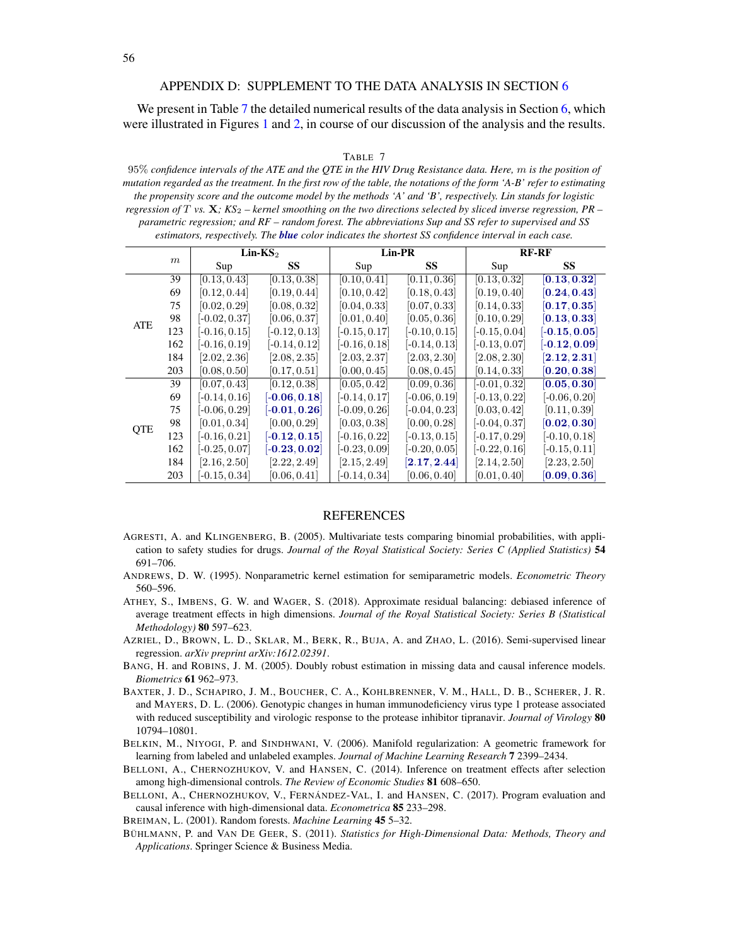# APPENDIX D: SUPPLEMENT TO THE DATA ANALYSIS IN SECTION [6](#page-29-0)

<span id="page-55-6"></span>We present in Table [7](#page-55-12) the detailed numerical results of the data analysis in Section [6,](#page-29-0) which were illustrated in Figures [1](#page-30-1) and [2,](#page-31-0) in course of our discussion of the analysis and the results.

#### TABLE 7

<span id="page-55-12"></span>95% *confidence intervals of the ATE and the QTE in the HIV Drug Resistance data. Here,* m *is the position of mutation regarded as the treatment. In the first row of the table, the notations of the form 'A-B' refer to estimating the propensity score and the outcome model by the methods 'A' and 'B', respectively. Lin stands for logistic regression of* T *vs.* X*; KS*<sup>2</sup> *– kernel smoothing on the two directions selected by sliced inverse regression, PR – parametric regression; and RF – random forest. The abbreviations Sup and SS refer to supervised and SS estimators, respectively. The blue color indicates the shortest SS confidence interval in each case.*

|            |     |                 | $Lin-KS2$                 |                 | Lin-PR                      |                 | <b>RF-RF</b>              |
|------------|-----|-----------------|---------------------------|-----------------|-----------------------------|-----------------|---------------------------|
|            | m   | Sup             | SS                        | Sup             | SS                          | Sup             | SS                        |
|            | 39  | [0.13, 0.43]    | [0.13, 0.38]              | [0.10, 0.41]    | [0.11, 0.36]                | [0.13, 0.32]    | [0.13, 0.32]              |
|            | 69  | [0.12, 0.44]    | [0.19, 0.44]              | [0.10, 0.42]    | [0.18, 0.43]                | [0.19, 0.40]    | [0.24, 0.43]              |
|            | 75  | [0.02, 0.29]    | [0.08, 0.32]              | [0.04, 0.33]    | [0.07, 0.33]                | [0.14, 0.33]    | [0.17, 0.35]              |
| ATE        | 98  | $[-0.02, 0.37]$ | [0.06, 0.37]              | [0.01, 0.40]    | [0.05, 0.36]                | [0.10, 0.29]    | [0.13, 0.33]              |
|            | 123 | $[-0.16, 0.15]$ | $[-0.12, 0.13]$           | $[-0.15, 0.17]$ | $[-0.10, 0.15]$             | $[-0.15, 0.04]$ | $[-0.15, 0.05]$           |
|            | 162 | $[-0.16, 0.19]$ | $[-0.14, 0.12]$           | $[-0.16, 0.18]$ | $[-0.14, 0.13]$             | $[-0.13, 0.07]$ | $[-0.12, 0.09]$           |
|            | 184 | [2.02, 2.36]    | [2.08, 2.35]              | [2.03, 2.37]    | [2.03, 2.30]                | [2.08, 2.30]    | $\left[2.12,2.31\right]$  |
|            | 203 | [0.08, 0.50]    | [0.17, 0.51]              | [0.00, 0.45]    | [0.08, 0.45]                | [0.14, 0.33]    | [0.20, 0.38]              |
|            | 39  | [0.07, 0.43]    | [0.12, 0.38]              | [0.05, 0.42]    | [0.09, 0.36]                | $[-0.01, 0.32]$ | [0.05, 0.30]              |
|            | 69  | $[-0.14, 0.16]$ | $[-0.06, 0.18]$           | $[-0.14, 0.17]$ | $[-0.06, 0.19]$             | $[-0.13, 0.22]$ | $[-0.06, 0.20]$           |
|            | 75  | $[-0.06, 0.29]$ | $\left[-0.01,0.26\right]$ | $[-0.09, 0.26]$ | $[-0.04, 0.23]$             | [0.03, 0.42]    | [0.11, 0.39]              |
| <b>QTE</b> | 98  | [0.01, 0.34]    | [0.00, 0.29]              | [0.03, 0.38]    | [0.00, 0.28]                | $[-0.04, 0.37]$ | [0.02, 0.30]              |
|            | 123 | $[-0.16, 0.21]$ | $[-0.12, 0.15]$           | $[-0.16, 0.22]$ | $[-0.13, 0.15]$             | $[-0.17, 0.29]$ | $[-0.10, 0.18]$           |
|            | 162 | $[-0.25, 0.07]$ | $[-0.23, 0.02]$           | $[-0.23, 0.09]$ | $[-0.20, 0.05]$             | $[-0.22, 0.16]$ | $[-0.15, 0.11]$           |
|            | 184 | [2.16, 2.50]    | [2.22, 2.49]              | [2.15, 2.49]    | $\left[ 2.17, 2.44 \right]$ | [2.14, 2.50]    | [2.23, 2.50]              |
|            | 203 | $[-0.15, 0.34]$ | [0.06, 0.41]              | $[-0.14, 0.34]$ | [0.06, 0.40]                | [0.01, 0.40]    | $\left[0.09, 0.36\right]$ |

#### REFERENCES

- <span id="page-55-11"></span>AGRESTI, A. and KLINGENBERG, B. (2005). Multivariate tests comparing binomial probabilities, with application to safety studies for drugs. *Journal of the Royal Statistical Society: Series C (Applied Statistics)* 54 691–706.
- <span id="page-55-7"></span>ANDREWS, D. W. (1995). Nonparametric kernel estimation for semiparametric models. *Econometric Theory* 560–596.
- <span id="page-55-3"></span>ATHEY, S., IMBENS, G. W. and WAGER, S. (2018). Approximate residual balancing: debiased inference of average treatment effects in high dimensions. *Journal of the Royal Statistical Society: Series B (Statistical Methodology)* 80 597–623.
- <span id="page-55-1"></span>AZRIEL, D., BROWN, L. D., SKLAR, M., BERK, R., BUJA, A. and ZHAO, L. (2016). Semi-supervised linear regression. *arXiv preprint arXiv:1612.02391*.
- <span id="page-55-2"></span>BANG, H. and ROBINS, J. M. (2005). Doubly robust estimation in missing data and causal inference models. *Biometrics* 61 962–973.
- <span id="page-55-10"></span>BAXTER, J. D., SCHAPIRO, J. M., BOUCHER, C. A., KOHLBRENNER, V. M., HALL, D. B., SCHERER, J. R. and MAYERS, D. L. (2006). Genotypic changes in human immunodeficiency virus type 1 protease associated with reduced susceptibility and virologic response to the protease inhibitor tipranavir. *Journal of Virology* 80 10794–10801.
- <span id="page-55-0"></span>BELKIN, M., NIYOGI, P. and SINDHWANI, V. (2006). Manifold regularization: A geometric framework for learning from labeled and unlabeled examples. *Journal of Machine Learning Research* 7 2399–2434.
- <span id="page-55-4"></span>BELLONI, A., CHERNOZHUKOV, V. and HANSEN, C. (2014). Inference on treatment effects after selection among high-dimensional controls. *The Review of Economic Studies* 81 608–650.

<span id="page-55-5"></span>BELLONI, A., CHERNOZHUKOV, V., FERNÁNDEZ-VAL, I. and HANSEN, C. (2017). Program evaluation and causal inference with high-dimensional data. *Econometrica* 85 233–298.

<span id="page-55-9"></span>BREIMAN, L. (2001). Random forests. *Machine Learning* 45 5–32.

<span id="page-55-8"></span>BÜHLMANN, P. and VAN DE GEER, S. (2011). *Statistics for High-Dimensional Data: Methods, Theory and Applications*. Springer Science & Business Media.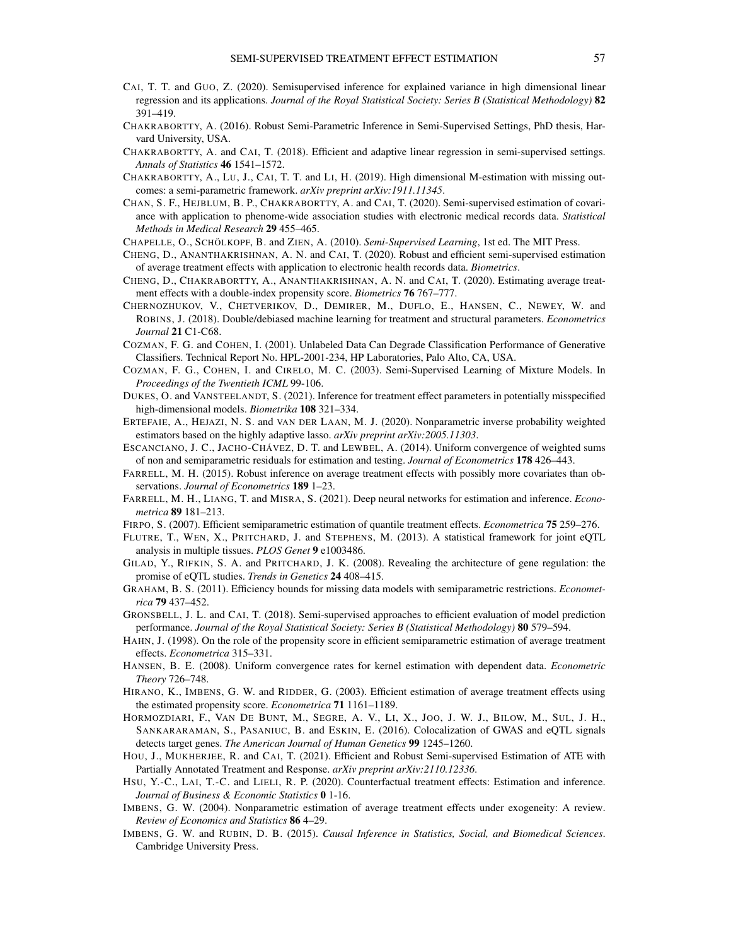- <span id="page-56-12"></span>CAI, T. T. and GUO, Z. (2020). Semisupervised inference for explained variance in high dimensional linear regression and its applications. *Journal of the Royal Statistical Society: Series B (Statistical Methodology)* 82 391–419.
- <span id="page-56-9"></span>CHAKRABORTTY, A. (2016). Robust Semi-Parametric Inference in Semi-Supervised Settings, PhD thesis, Harvard University, USA.
- <span id="page-56-4"></span>CHAKRABORTTY, A. and CAI, T. (2018). Efficient and adaptive linear regression in semi-supervised settings. *Annals of Statistics* 46 1541–1572.
- <span id="page-56-26"></span>CHAKRABORTTY, A., LU, J., CAI, T. T. and LI, H. (2019). High dimensional M-estimation with missing outcomes: a semi-parametric framework. *arXiv preprint arXiv:1911.11345*.
- <span id="page-56-13"></span>CHAN, S. F., HEJBLUM, B. P., CHAKRABORTTY, A. and CAI, T. (2020). Semi-supervised estimation of covariance with application to phenome-wide association studies with electronic medical records data. *Statistical Methods in Medical Research* 29 455–465.
- <span id="page-56-0"></span>CHAPELLE, O., SCHÖLKOPF, B. and ZIEN, A. (2010). *Semi-Supervised Learning*, 1st ed. The MIT Press.
- <span id="page-56-5"></span>CHENG, D., ANANTHAKRISHNAN, A. N. and CAI, T. (2020). Robust and efficient semi-supervised estimation of average treatment effects with application to electronic health records data. *Biometrics*.
- <span id="page-56-23"></span>CHENG, D., CHAKRABORTTY, A., ANANTHAKRISHNAN, A. N. and CAI, T. (2020). Estimating average treatment effects with a double-index propensity score. *Biometrics* 76 767–777.
- <span id="page-56-19"></span>CHERNOZHUKOV, V., CHETVERIKOV, D., DEMIRER, M., DUFLO, E., HANSEN, C., NEWEY, W. and ROBINS, J. (2018). Double/debiased machine learning for treatment and structural parameters. *Econometrics Journal* 21 C1-C68.
- <span id="page-56-10"></span>COZMAN, F. G. and COHEN, I. (2001). Unlabeled Data Can Degrade Classification Performance of Generative Classifiers. Technical Report No. HPL-2001-234, HP Laboratories, Palo Alto, CA, USA.
- <span id="page-56-11"></span>COZMAN, F. G., COHEN, I. and CIRELO, M. C. (2003). Semi-Supervised Learning of Mixture Models. In *Proceedings of the Twentieth ICML* 99-106.
- <span id="page-56-20"></span>DUKES, O. and VANSTEELANDT, S. (2021). Inference for treatment effect parameters in potentially misspecified high-dimensional models. *Biometrika* 108 321–334.
- <span id="page-56-16"></span>ERTEFAIE, A., HEJAZI, N. S. and VAN DER LAAN, M. J. (2020). Nonparametric inverse probability weighted estimators based on the highly adaptive lasso. *arXiv preprint arXiv:2005.11303*.
- <span id="page-56-25"></span>ESCANCIANO, J. C., JACHO-CHÁVEZ, D. T. and LEWBEL, A. (2014). Uniform convergence of weighted sums of non and semiparametric residuals for estimation and testing. *Journal of Econometrics* 178 426–443.
- <span id="page-56-18"></span>FARRELL, M. H. (2015). Robust inference on average treatment effects with possibly more covariates than observations. *Journal of Econometrics* 189 1–23.
- <span id="page-56-28"></span>FARRELL, M. H., LIANG, T. and MISRA, S. (2021). Deep neural networks for estimation and inference. *Econometrica* 89 181–213.
- <span id="page-56-21"></span>FIRPO, S. (2007). Efficient semiparametric estimation of quantile treatment effects. *Econometrica* 75 259–276.
- <span id="page-56-3"></span>FLUTRE, T., WEN, X., PRITCHARD, J. and STEPHENS, M. (2013). A statistical framework for joint eQTL analysis in multiple tissues. *PLOS Genet* 9 e1003486.
- <span id="page-56-1"></span>GILAD, Y., RIFKIN, S. A. and PRITCHARD, J. K. (2008). Revealing the architecture of gene regulation: the promise of eQTL studies. *Trends in Genetics* 24 408–415.
- <span id="page-56-17"></span>GRAHAM, B. S. (2011). Efficiency bounds for missing data models with semiparametric restrictions. *Econometrica* 79 437–452.
- <span id="page-56-7"></span>GRONSBELL, J. L. and CAI, T. (2018). Semi-supervised approaches to efficient evaluation of model prediction performance. *Journal of the Royal Statistical Society: Series B (Statistical Methodology)* 80 579–594.
- <span id="page-56-14"></span>HAHN, J. (1998). On the role of the propensity score in efficient semiparametric estimation of average treatment effects. *Econometrica* 315–331.
- <span id="page-56-27"></span>HANSEN, B. E. (2008). Uniform convergence rates for kernel estimation with dependent data. *Econometric Theory* 726–748.
- <span id="page-56-15"></span>HIRANO, K., IMBENS, G. W. and RIDDER, G. (2003). Efficient estimation of average treatment effects using the estimated propensity score. *Econometrica* 71 1161–1189.
- <span id="page-56-2"></span>HORMOZDIARI, F., VAN DE BUNT, M., SEGRE, A. V., LI, X., JOO, J. W. J., BILOW, M., SUL, J. H., SANKARARAMAN, S., PASANIUC, B. and ESKIN, E. (2016). Colocalization of GWAS and eQTL signals detects target genes. *The American Journal of Human Genetics* 99 1245–1260.
- <span id="page-56-24"></span>HOU, J., MUKHERJEE, R. and CAI, T. (2021). Efficient and Robust Semi-supervised Estimation of ATE with Partially Annotated Treatment and Response. *arXiv preprint arXiv:2110.12336*.
- <span id="page-56-22"></span>HSU, Y.-C., LAI, T.-C. and LIELI, R. P. (2020). Counterfactual treatment effects: Estimation and inference. *Journal of Business & Economic Statistics* 0 1-16.
- <span id="page-56-8"></span>IMBENS, G. W. (2004). Nonparametric estimation of average treatment effects under exogeneity: A review. *Review of Economics and Statistics* 86 4–29.
- <span id="page-56-6"></span>IMBENS, G. W. and RUBIN, D. B. (2015). *Causal Inference in Statistics, Social, and Biomedical Sciences*. Cambridge University Press.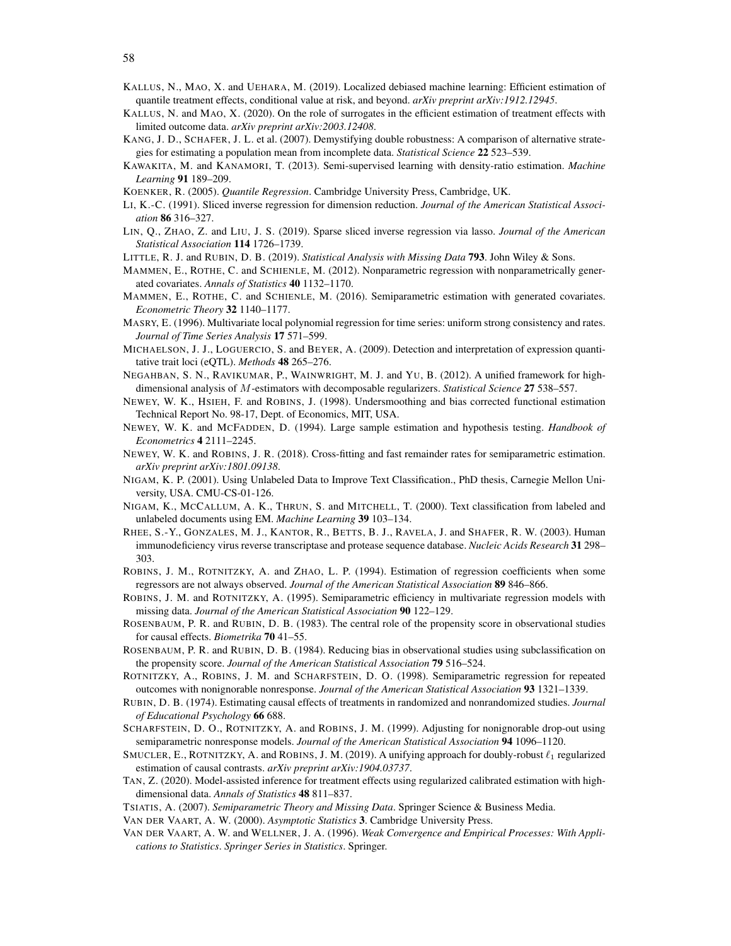- <span id="page-57-16"></span>KALLUS, N., MAO, X. and UEHARA, M. (2019). Localized debiased machine learning: Efficient estimation of quantile treatment effects, conditional value at risk, and beyond. *arXiv preprint arXiv:1912.12945*.
- <span id="page-57-17"></span>KALLUS, N. and MAO, X. (2020). On the role of surrogates in the efficient estimation of treatment effects with limited outcome data. *arXiv preprint arXiv:2003.12408*.
- <span id="page-57-13"></span>KANG, J. D., SCHAFER, J. L. et al. (2007). Demystifying double robustness: A comparison of alternative strategies for estimating a population mean from incomplete data. *Statistical Science* 22 523–539.
- <span id="page-57-6"></span>KAWAKITA, M. and KANAMORI, T. (2013). Semi-supervised learning with density-ratio estimation. *Machine Learning* 91 189–209.
- <span id="page-57-25"></span>KOENKER, R. (2005). *Quantile Regression*. Cambridge University Press, Cambridge, UK.
- <span id="page-57-22"></span>LI, K.-C. (1991). Sliced inverse regression for dimension reduction. *Journal of the American Statistical Association* 86 316–327.
- <span id="page-57-23"></span>LIN, Q., ZHAO, Z. and LIU, J. S. (2019). Sparse sliced inverse regression via lasso. *Journal of the American Statistical Association* 114 1726–1739.
- <span id="page-57-19"></span><span id="page-57-3"></span>LITTLE, R. J. and RUBIN, D. B. (2019). *Statistical Analysis with Missing Data* 793. John Wiley & Sons.
- MAMMEN, E., ROTHE, C. and SCHIENLE, M. (2012). Nonparametric regression with nonparametrically generated covariates. *Annals of Statistics* 40 1132–1170.
- <span id="page-57-20"></span>MAMMEN, E., ROTHE, C. and SCHIENLE, M. (2016). Semiparametric estimation with generated covariates. *Econometric Theory* 32 1140–1177.
- <span id="page-57-28"></span>MASRY, E. (1996). Multivariate local polynomial regression for time series: uniform strong consistency and rates. *Journal of Time Series Analysis* 17 571–599.
- <span id="page-57-0"></span>MICHAELSON, J. J., LOGUERCIO, S. and BEYER, A. (2009). Detection and interpretation of expression quantitative trait loci (eQTL). *Methods* 48 265–276.
- <span id="page-57-29"></span>NEGAHBAN, S. N., RAVIKUMAR, P., WAINWRIGHT, M. J. and YU, B. (2012). A unified framework for highdimensional analysis of M-estimators with decomposable regularizers. *Statistical Science* 27 538–557.
- <span id="page-57-26"></span>NEWEY, W. K., HSIEH, F. and ROBINS, J. (1998). Undersmoothing and bias corrected functional estimation Technical Report No. 98-17, Dept. of Economics, MIT, USA.
- <span id="page-57-27"></span>NEWEY, W. K. and MCFADDEN, D. (1994). Large sample estimation and hypothesis testing. *Handbook of Econometrics* 4 2111–2245.
- <span id="page-57-21"></span>NEWEY, W. K. and ROBINS, J. R. (2018). Cross-fitting and fast remainder rates for semiparametric estimation. *arXiv preprint arXiv:1801.09138*.
- <span id="page-57-5"></span>NIGAM, K. P. (2001). Using Unlabeled Data to Improve Text Classification., PhD thesis, Carnegie Mellon University, USA. CMU-CS-01-126.
- <span id="page-57-4"></span>NIGAM, K., MCCALLUM, A. K., THRUN, S. and MITCHELL, T. (2000). Text classification from labeled and unlabeled documents using EM. *Machine Learning* 39 103–134.
- <span id="page-57-30"></span>RHEE, S.-Y., GONZALES, M. J., KANTOR, R., BETTS, B. J., RAVELA, J. and SHAFER, R. W. (2003). Human immunodeficiency virus reverse transcriptase and protease sequence database. *Nucleic Acids Research* 31 298– 303.
- <span id="page-57-9"></span>ROBINS, J. M., ROTNITZKY, A. and ZHAO, L. P. (1994). Estimation of regression coefficients when some regressors are not always observed. *Journal of the American Statistical Association* 89 846–866.
- <span id="page-57-10"></span>ROBINS, J. M. and ROTNITZKY, A. (1995). Semiparametric efficiency in multivariate regression models with missing data. *Journal of the American Statistical Association* 90 122–129.
- <span id="page-57-7"></span>ROSENBAUM, P. R. and RUBIN, D. B. (1983). The central role of the propensity score in observational studies for causal effects. *Biometrika* 70 41–55.
- <span id="page-57-8"></span>ROSENBAUM, P. R. and RUBIN, D. B. (1984). Reducing bias in observational studies using subclassification on the propensity score. *Journal of the American Statistical Association* 79 516–524.
- <span id="page-57-11"></span>ROTNITZKY, A., ROBINS, J. M. and SCHARFSTEIN, D. O. (1998). Semiparametric regression for repeated outcomes with nonignorable nonresponse. *Journal of the American Statistical Association* 93 1321–1339.
- <span id="page-57-1"></span>RUBIN, D. B. (1974). Estimating causal effects of treatments in randomized and nonrandomized studies. *Journal of Educational Psychology* 66 688.
- <span id="page-57-12"></span>SCHARFSTEIN, D. O., ROTNITZKY, A. and ROBINS, J. M. (1999). Adjusting for nonignorable drop-out using semiparametric nonresponse models. *Journal of the American Statistical Association* 94 1096–1120.
- <span id="page-57-14"></span>SMUCLER, E., ROTNITZKY, A. and ROBINS, J. M. (2019). A unifying approach for doubly-robust  $\ell_1$  regularized estimation of causal contrasts. *arXiv preprint arXiv:1904.03737*.
- <span id="page-57-15"></span>TAN, Z. (2020). Model-assisted inference for treatment effects using regularized calibrated estimation with highdimensional data. *Annals of Statistics* 48 811–837.
- <span id="page-57-2"></span>TSIATIS, A. (2007). *Semiparametric Theory and Missing Data*. Springer Science & Business Media.
- <span id="page-57-18"></span>VAN DER VAART, A. W. (2000). *Asymptotic Statistics* 3. Cambridge University Press.
- <span id="page-57-24"></span>VAN DER VAART, A. W. and WELLNER, J. A. (1996). *Weak Convergence and Empirical Processes: With Applications to Statistics*. *Springer Series in Statistics*. Springer.